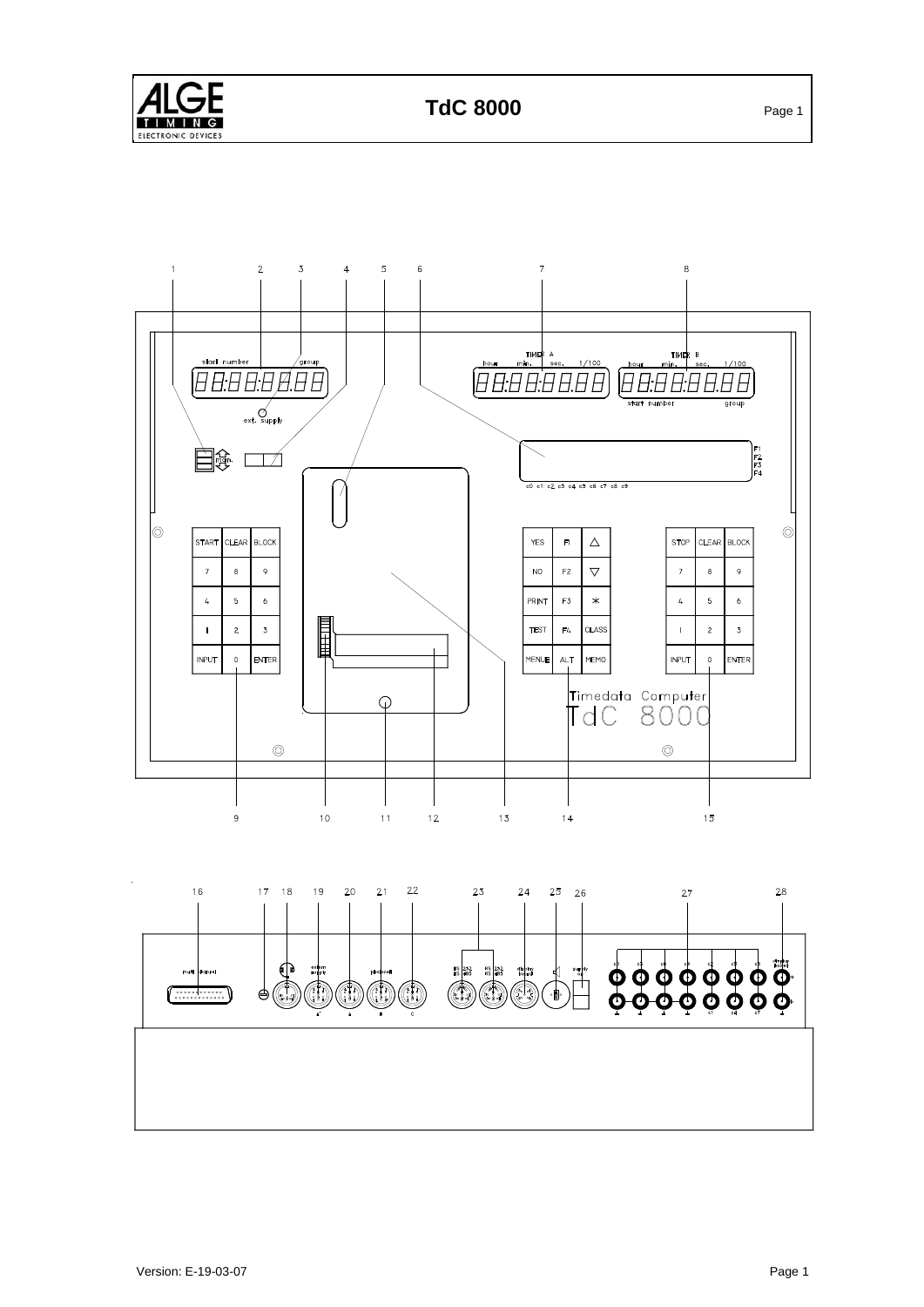

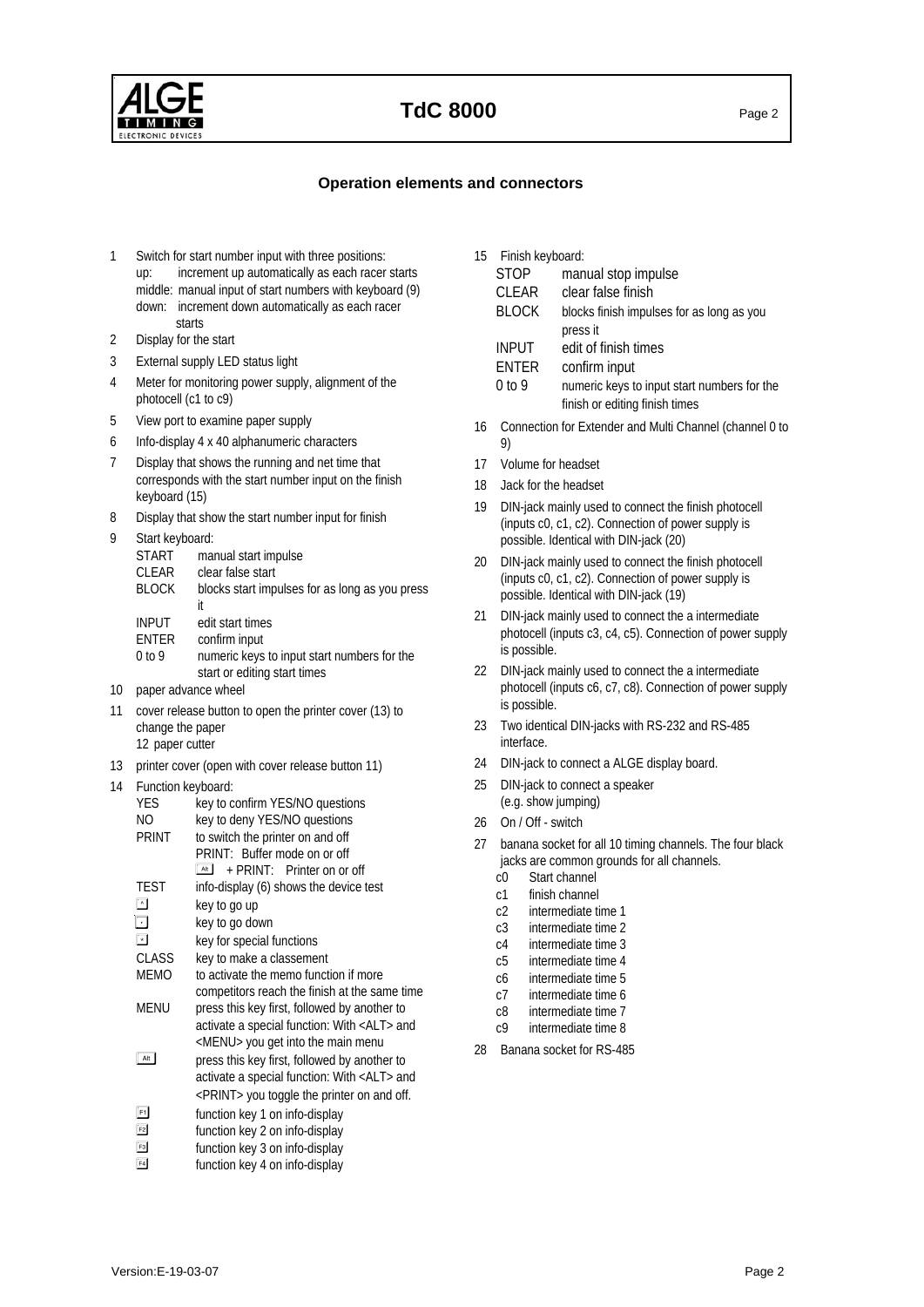

# **TdC 8000** Page 2

## **Operation elements and connectors**

- 1 Switch for start number input with three positions: up: increment up automatically as each racer starts middle: manual input of start numbers with keyboard (9) down: increment down automatically as each racer starts
- 2 Display for the start
- 3 External supply LED status light
- 4 Meter for monitoring power supply, alignment of the photocell (c1 to c9)
- 5 View port to examine paper supply
- 6 Info-display 4 x 40 alphanumeric characters
- 7 Display that shows the running and net time that corresponds with the start number input on the finish keyboard (15)
- 8 Display that show the start number input for finish
- 9 Start keyboard:<br>START may
	- manual start impulse
	- CLEAR clear false start<br>BLOCK blocks start imp
	- blocks start impulses for as long as you press it
	- INPUT edit start times
	- ENTER confirm input
	- 0 to 9 numeric keys to input start numbers for the start or editing start times
- 10 paper advance wheel
- 11 cover release button to open the printer cover (13) to change the paper 12 paper cutter
- 13 printer cover (open with cover release button 11)
- 14 Function keyboard:

| key to confirm YES/NO questions                    |
|----------------------------------------------------|
| key to deny YES/NO questions                       |
| to switch the printer on and off                   |
| PRINT: Buffer mode on or off                       |
| + PRINT: Printer on or off<br>Alt                  |
| info-display (6) shows the device test             |
| key to go up                                       |
| key to go down                                     |
| key for special functions                          |
| key to make a classement                           |
| to activate the memo function if more              |
| competitors reach the finish at the same time      |
| press this key first, followed by another to       |
| activate a special function: With <alt> and</alt>  |
| <menu> you get into the main menu</menu>           |
| press this key first, followed by another to       |
| activate a special function: With <alt> and</alt>  |
| <print> you toggle the printer on and off.</print> |
| function key 1 on info-display                     |
| function key 2 on info-display                     |
| function key 3 on info-display                     |
| function key 4 on info-display                     |
|                                                    |

- 15 Finish keyboard:
	- STOP manual stop impulse
	- CLEAR clear false finish
	- BLOCK blocks finish impulses for as long as you press it
	- INPUT edit of finish times
	- ENTER confirm input
	- 0 to 9 numeric keys to input start numbers for the finish or editing finish times
- 16 Connection for Extender and Multi Channel (channel 0 to 9)
- 17 Volume for headset
- 18 Jack for the headset
- 19 DIN-jack mainly used to connect the finish photocell (inputs c0, c1, c2). Connection of power supply is possible. Identical with DIN-jack (20)
- 20 DIN-jack mainly used to connect the finish photocell (inputs c0, c1, c2). Connection of power supply is possible. Identical with DIN-jack (19)
- 21 DIN-jack mainly used to connect the a intermediate photocell (inputs c3, c4, c5). Connection of power supply is possible.
- 22 DIN-jack mainly used to connect the a intermediate photocell (inputs c6, c7, c8). Connection of power supply is possible.
- 23 Two identical DIN-jacks with RS-232 and RS-485 interface.
- 24 DIN-jack to connect a ALGE display board.
- 25 DIN-jack to connect a speaker (e.g. show jumping)
- 26 On / Off switch
- 27 banana socket for all 10 timing channels. The four black jacks are common grounds for all channels.
	- c0 Start channel
	- c1 finish channel
	- c2 intermediate time 1
	- c3 intermediate time 2
	- c4 intermediate time 3<br>c5 intermediate time 4
	- intermediate time 4
	- c6 intermediate time 5
	- c7 intermediate time 6<br>c8 intermediate time 7 intermediate time 7
	- c9 intermediate time 8
- 28 Banana socket for RS-485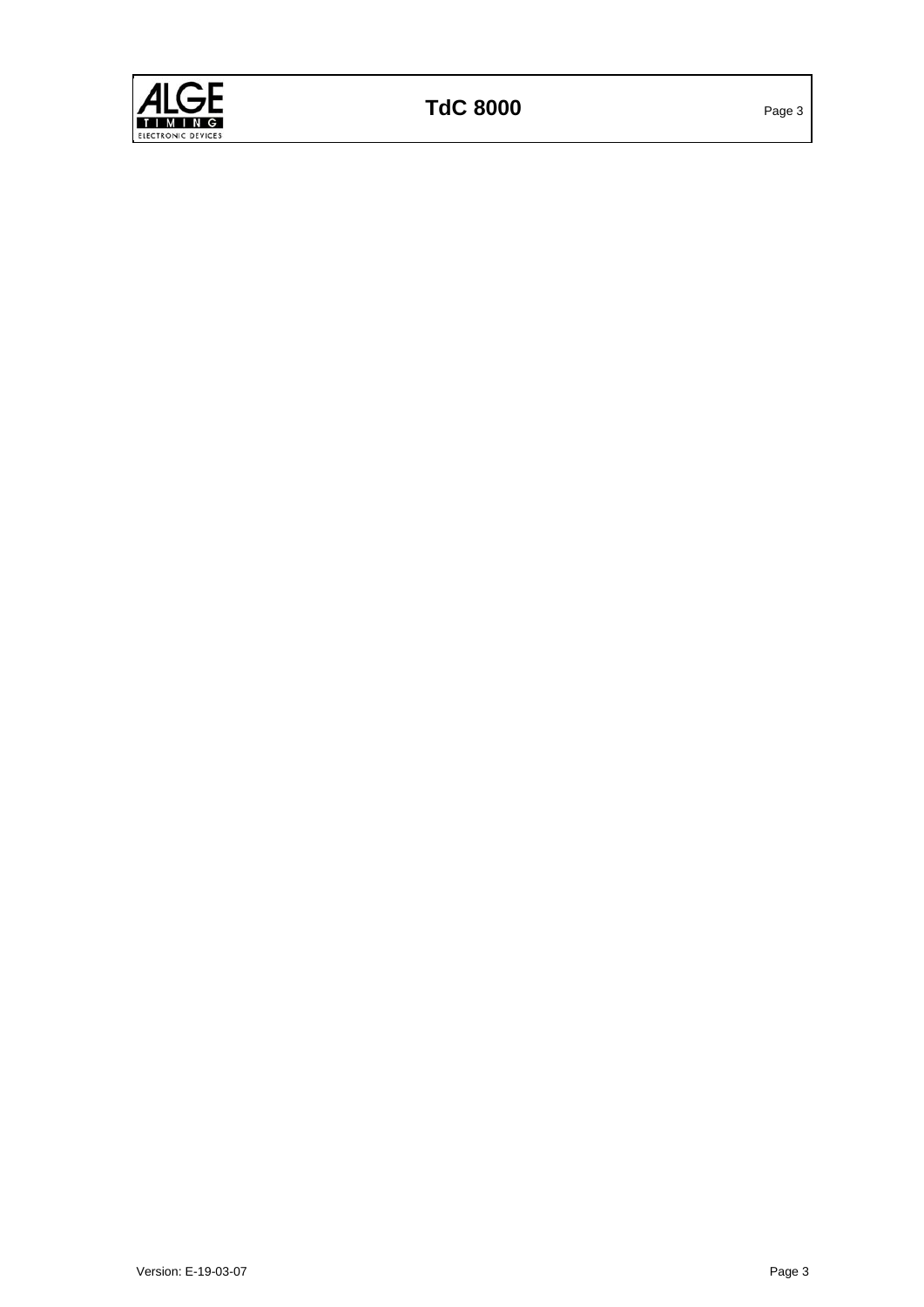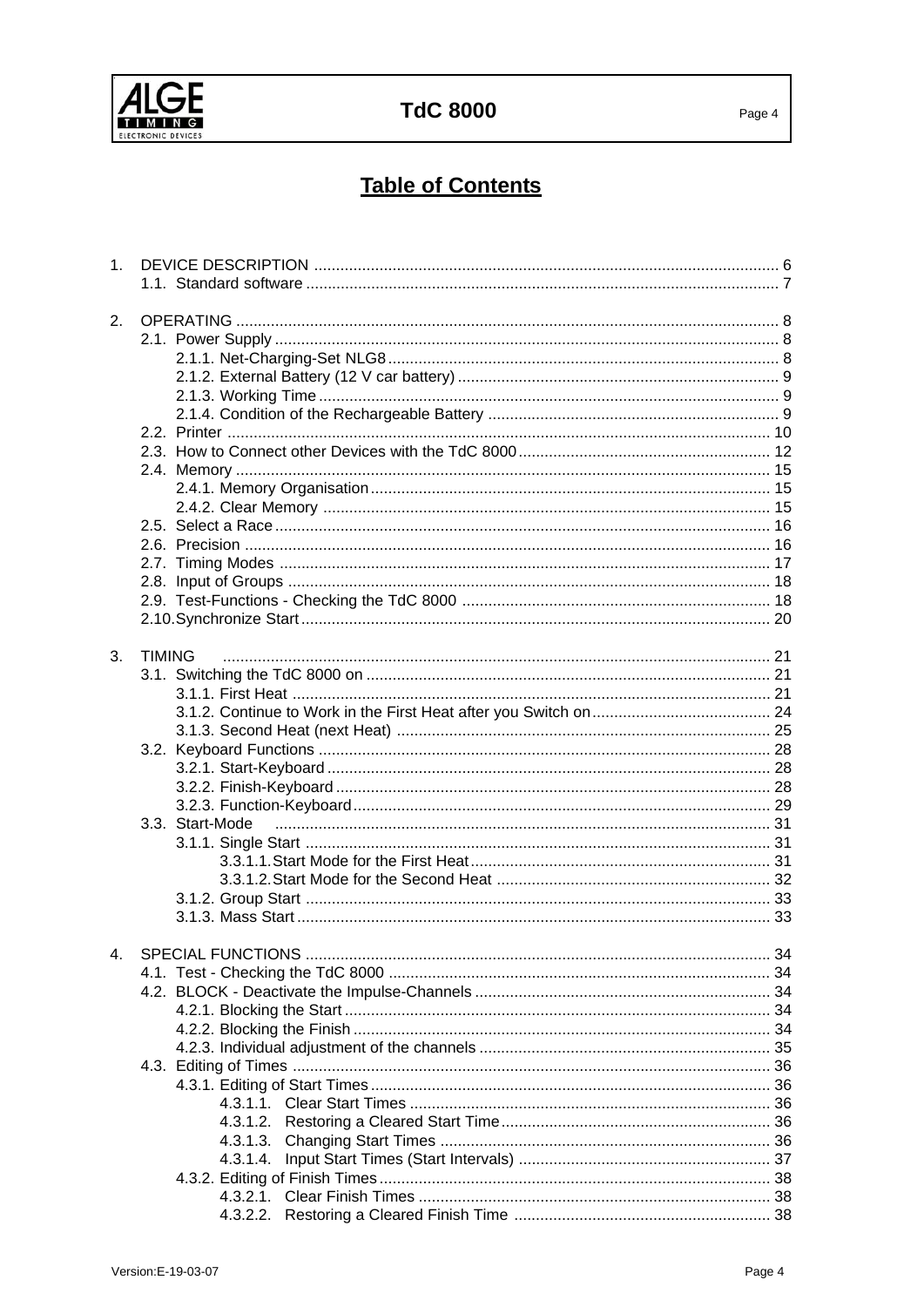

# **Table of Contents**

| 1 <sub>1</sub> |                 |  |
|----------------|-----------------|--|
| 2.             |                 |  |
|                |                 |  |
|                |                 |  |
|                |                 |  |
|                |                 |  |
|                |                 |  |
|                |                 |  |
|                |                 |  |
|                |                 |  |
|                |                 |  |
|                |                 |  |
|                |                 |  |
|                |                 |  |
|                |                 |  |
|                |                 |  |
|                |                 |  |
|                |                 |  |
|                |                 |  |
| 3.             | <b>TIMING</b>   |  |
|                |                 |  |
|                |                 |  |
|                |                 |  |
|                |                 |  |
|                |                 |  |
|                |                 |  |
|                |                 |  |
|                |                 |  |
|                | 3.3. Start-Mode |  |
|                |                 |  |
|                |                 |  |
|                |                 |  |
|                |                 |  |
|                |                 |  |
|                |                 |  |
|                |                 |  |
|                |                 |  |
|                |                 |  |
|                |                 |  |
|                |                 |  |
|                |                 |  |
|                |                 |  |
|                |                 |  |
|                |                 |  |
|                |                 |  |
|                |                 |  |
|                |                 |  |
|                |                 |  |
|                |                 |  |
|                |                 |  |
|                |                 |  |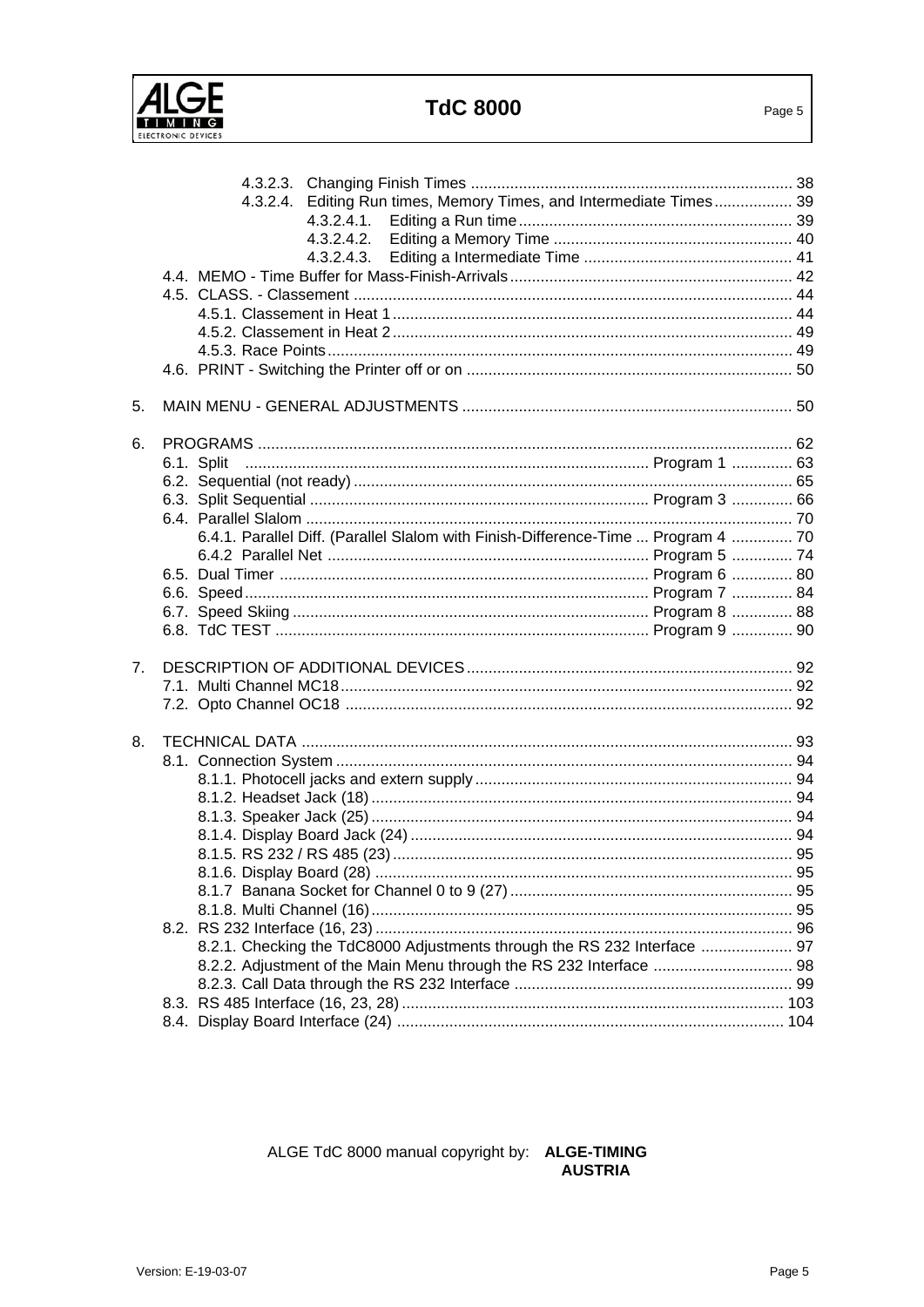

|    | 4.3.2.4. Editing Run times, Memory Times, and Intermediate Times 39               |  |
|----|-----------------------------------------------------------------------------------|--|
|    | $4.3.2.4.1$ .                                                                     |  |
|    | 4.3.2.4.2.                                                                        |  |
|    | 4.3.2.4.3.                                                                        |  |
|    |                                                                                   |  |
|    |                                                                                   |  |
|    |                                                                                   |  |
|    |                                                                                   |  |
|    |                                                                                   |  |
|    |                                                                                   |  |
| 5. |                                                                                   |  |
| 6. |                                                                                   |  |
|    | 6.1. Split                                                                        |  |
|    |                                                                                   |  |
|    |                                                                                   |  |
|    |                                                                                   |  |
|    | 6.4.1. Parallel Diff. (Parallel Slalom with Finish-Difference-Time  Program 4  70 |  |
|    |                                                                                   |  |
|    |                                                                                   |  |
|    |                                                                                   |  |
|    |                                                                                   |  |
|    |                                                                                   |  |
| 7. |                                                                                   |  |
|    |                                                                                   |  |
|    |                                                                                   |  |
| 8. |                                                                                   |  |
|    |                                                                                   |  |
|    |                                                                                   |  |
|    |                                                                                   |  |
|    |                                                                                   |  |
|    |                                                                                   |  |
|    |                                                                                   |  |
|    |                                                                                   |  |
|    |                                                                                   |  |
|    |                                                                                   |  |
|    |                                                                                   |  |
|    | 8.2.1. Checking the TdC8000 Adjustments through the RS 232 Interface  97          |  |
|    | 8.2.2. Adjustment of the Main Menu through the RS 232 Interface  98               |  |
|    |                                                                                   |  |
|    |                                                                                   |  |
|    |                                                                                   |  |

ALGE TdC 8000 manual copyright by: ALGE-TIMING **AUSTRIA**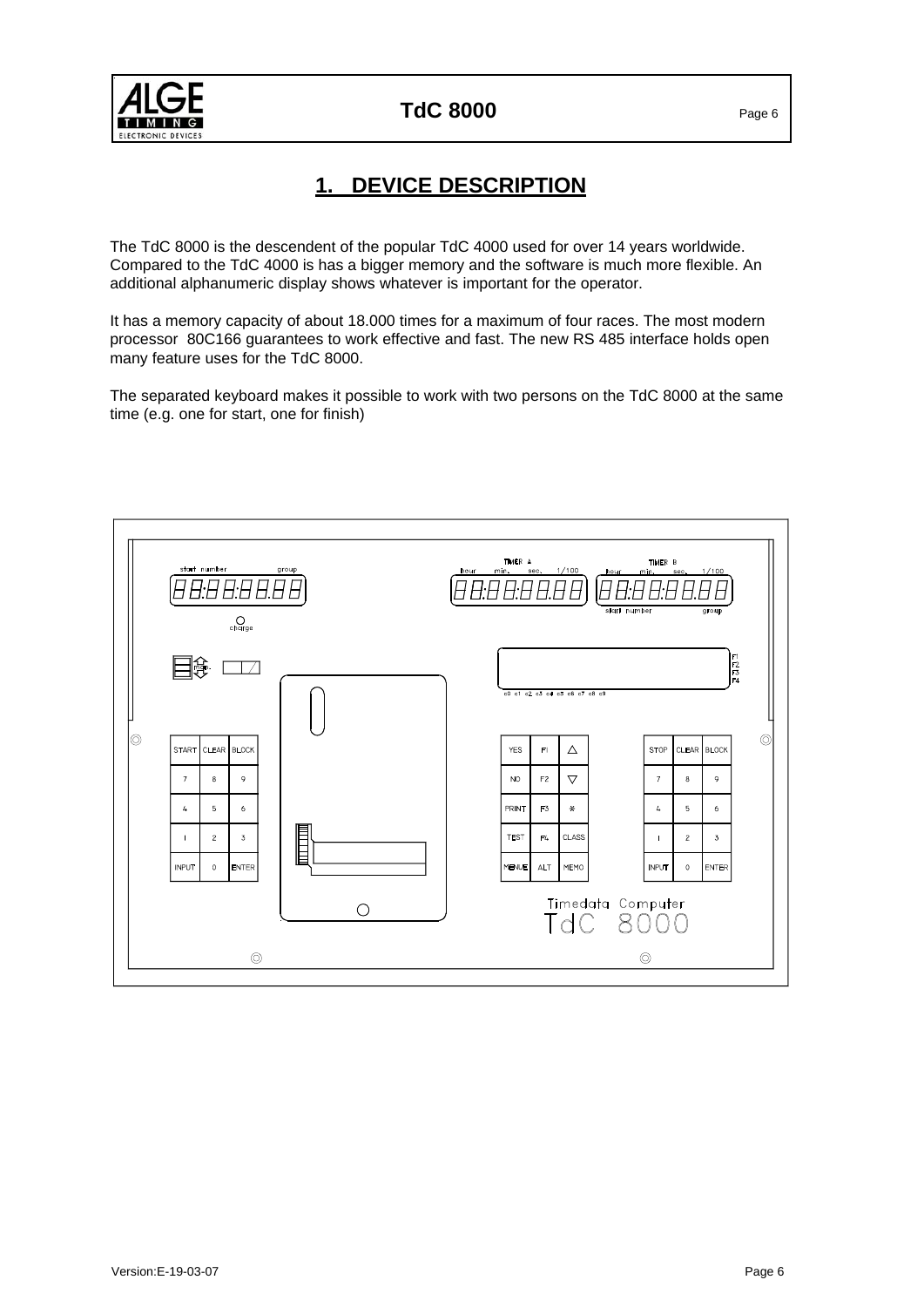



# **1. DEVICE DESCRIPTION**

The TdC 8000 is the descendent of the popular TdC 4000 used for over 14 years worldwide. Compared to the TdC 4000 is has a bigger memory and the software is much more flexible. An additional alphanumeric display shows whatever is important for the operator.

It has a memory capacity of about 18.000 times for a maximum of four races. The most modern processor 80C166 guarantees to work effective and fast. The new RS 485 interface holds open many feature uses for the TdC 8000.

The separated keyboard makes it possible to work with two persons on the TdC 8000 at the same time (e.g. one for start, one for finish)

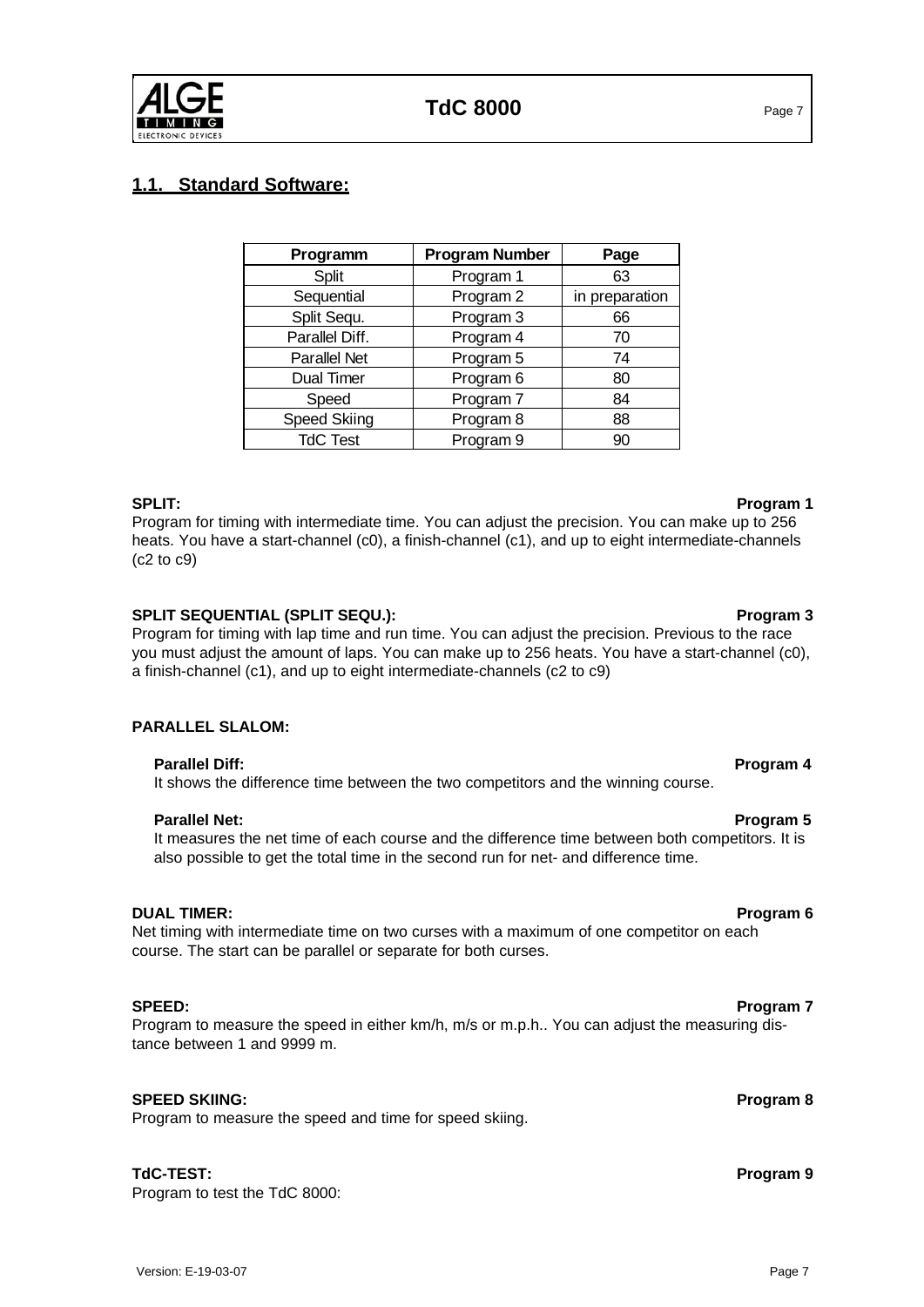## **1.1. Standard Software:**

| Programm            | <b>Program Number</b> | Page           |
|---------------------|-----------------------|----------------|
| Split               | Program 1             | 63             |
| Sequential          | Program 2             | in preparation |
| Split Sequ.         | Program 3             | 66             |
| Parallel Diff.      | Program 4             | 70             |
| <b>Parallel Net</b> | Program 5             | 74             |
| Dual Timer          | Program <sub>6</sub>  | 80             |
| Speed               | Program 7             | 84             |
| <b>Speed Skiing</b> | Program 8             | 88             |
| <b>TdC Test</b>     | Program <sub>9</sub>  | 90             |

## **SPLIT: Program 1**

Program for timing with intermediate time. You can adjust the precision. You can make up to 256 heats. You have a start-channel (c0), a finish-channel (c1), and up to eight intermediate-channels (c2 to c9)

## **SPLIT SEQUENTIAL (SPLIT SEQU.): Program 3**

Program for timing with lap time and run time. You can adjust the precision. Previous to the race you must adjust the amount of laps. You can make up to 256 heats. You have a start-channel (c0), a finish-channel (c1), and up to eight intermediate-channels (c2 to c9)

## **PARALLEL SLALOM:**

### **Parallel Diff: Program 4**

It shows the difference time between the two competitors and the winning course.

### **Parallel Net:** Program 5

It measures the net time of each course and the difference time between both competitors. It is also possible to get the total time in the second run for net- and difference time.

## **DUAL TIMER:** Program 6

Net timing with intermediate time on two curses with a maximum of one competitor on each course. The start can be parallel or separate for both curses.

### **SPEED: Program 7**

Program to measure the speed in either km/h, m/s or m.p.h.. You can adjust the measuring distance between 1 and 9999 m.

## **SPEED SKIING:** Program 8

Program to measure the speed and time for speed skiing.

Program to test the TdC 8000:

**TdC-TEST: Program 9**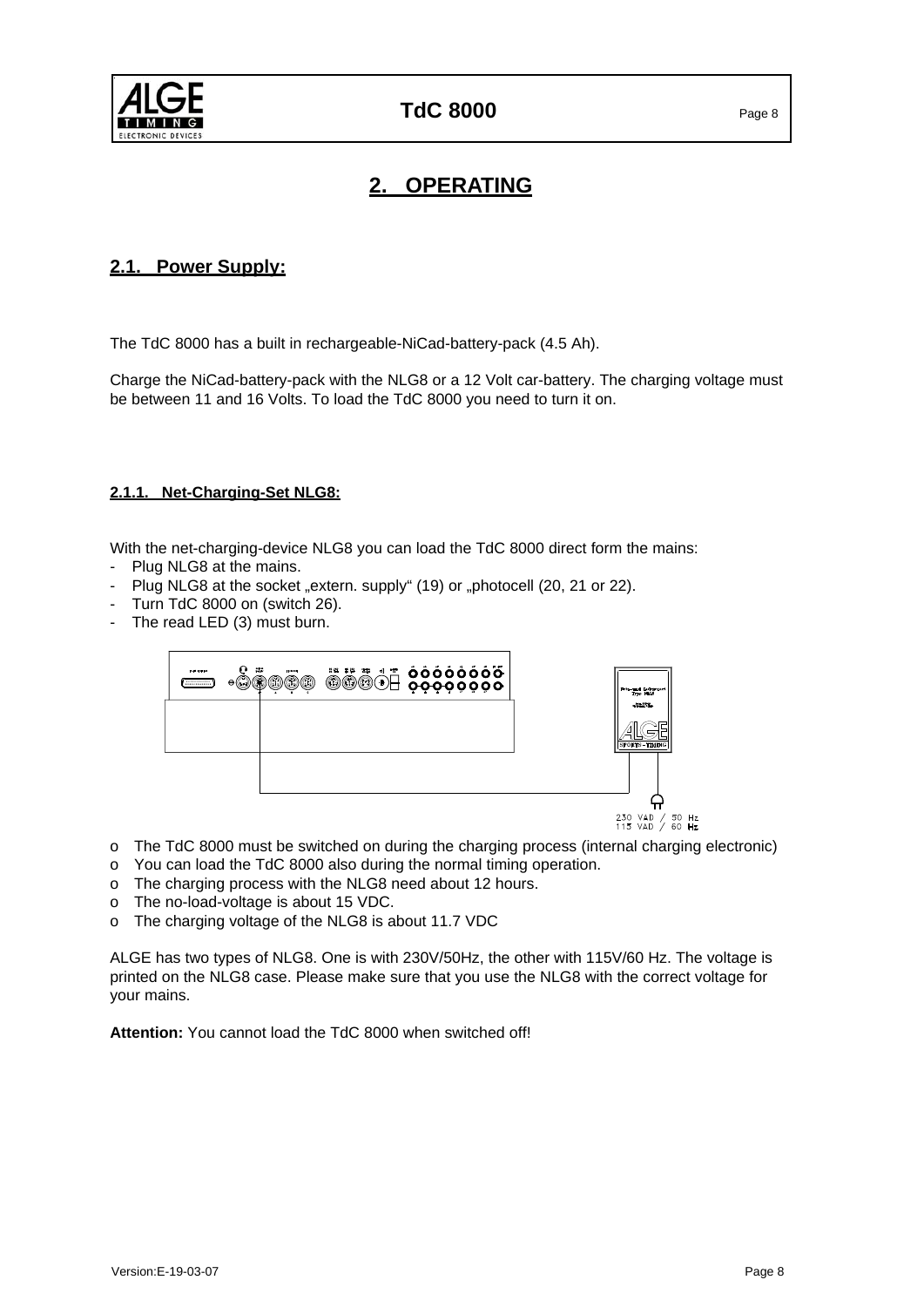

# **2. OPERATING**

## **2.1. Power Supply:**

The TdC 8000 has a built in rechargeable-NiCad-battery-pack (4.5 Ah).

Charge the NiCad-battery-pack with the NLG8 or a 12 Volt car-battery. The charging voltage must be between 11 and 16 Volts. To load the TdC 8000 you need to turn it on.

## **2.1.1. Net-Charging-Set NLG8:**

With the net-charging-device NLG8 you can load the TdC 8000 direct form the mains:

- Plug NLG8 at the mains.
- Plug NLG8 at the socket "extern. supply" (19) or "photocell (20, 21 or 22).
- Turn TdC 8000 on (switch 26).
- The read LED (3) must burn.



- o The TdC 8000 must be switched on during the charging process (internal charging electronic)
- o You can load the TdC 8000 also during the normal timing operation.
- o The charging process with the NLG8 need about 12 hours.
- o The no-load-voltage is about 15 VDC.
- o The charging voltage of the NLG8 is about 11.7 VDC

ALGE has two types of NLG8. One is with 230V/50Hz, the other with 115V/60 Hz. The voltage is printed on the NLG8 case. Please make sure that you use the NLG8 with the correct voltage for your mains.

**Attention:** You cannot load the TdC 8000 when switched off!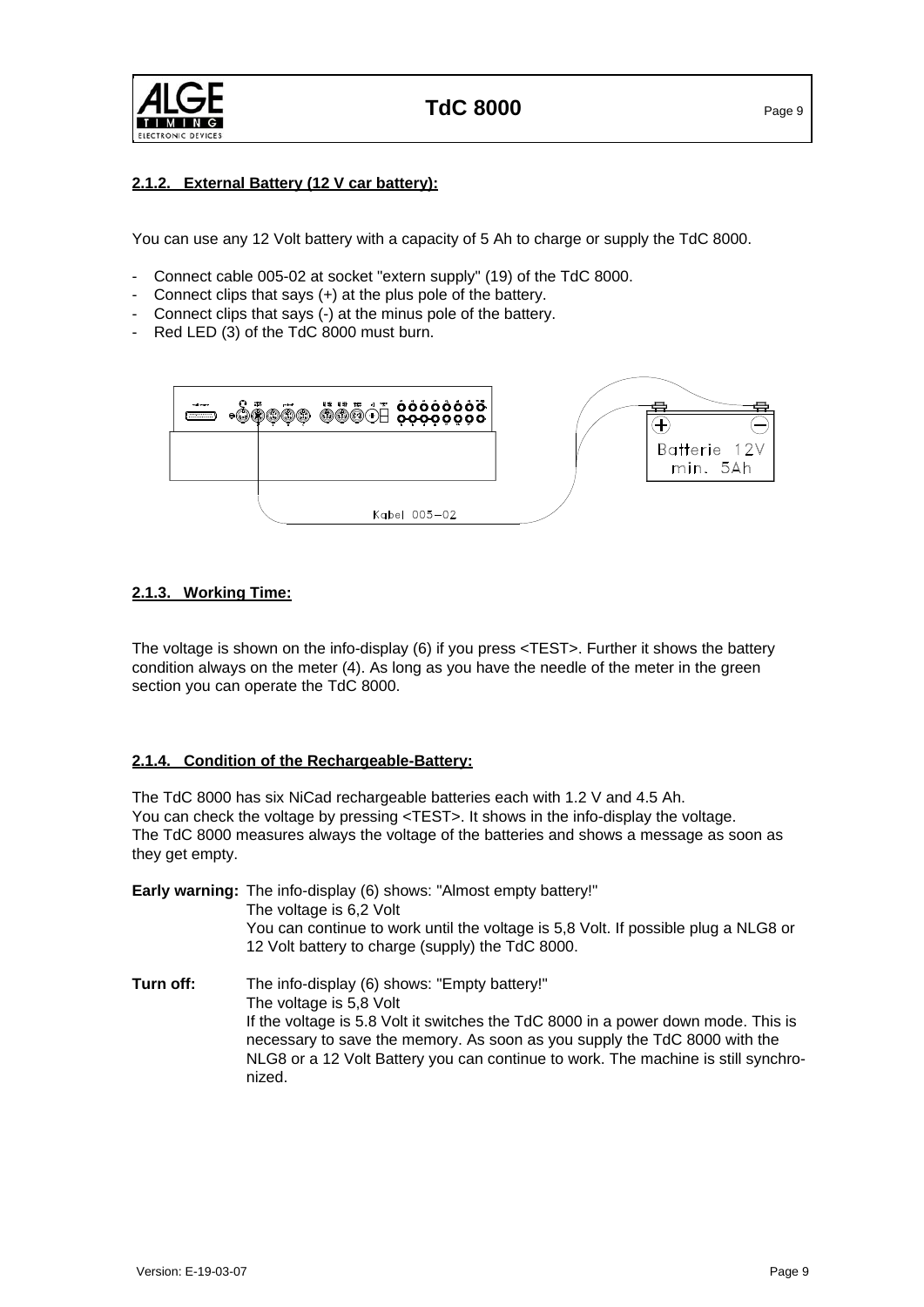

## **2.1.2. External Battery (12 V car battery):**

You can use any 12 Volt battery with a capacity of 5 Ah to charge or supply the TdC 8000.

- Connect cable 005-02 at socket "extern supply" (19) of the TdC 8000.
- Connect clips that says  $(+)$  at the plus pole of the battery.
- Connect clips that says (-) at the minus pole of the battery.
- Red LED (3) of the TdC 8000 must burn.



## **2.1.3. Working Time:**

The voltage is shown on the info-display (6) if you press <TEST>. Further it shows the battery condition always on the meter (4). As long as you have the needle of the meter in the green section you can operate the TdC 8000.

## **2.1.4. Condition of the Rechargeable-Battery:**

nized.

The TdC 8000 has six NiCad rechargeable batteries each with 1.2 V and 4.5 Ah. You can check the voltage by pressing <TEST>. It shows in the info-display the voltage. The TdC 8000 measures always the voltage of the batteries and shows a message as soon as they get empty.

**Early warning:** The info-display (6) shows: "Almost empty battery!" The voltage is 6,2 Volt You can continue to work until the voltage is 5,8 Volt. If possible plug a NLG8 or 12 Volt battery to charge (supply) the TdC 8000. **Turn off:** The info-display (6) shows: "Empty battery!" The voltage is 5,8 Volt If the voltage is 5.8 Volt it switches the TdC 8000 in a power down mode. This is necessary to save the memory. As soon as you supply the TdC 8000 with the NLG8 or a 12 Volt Battery you can continue to work. The machine is still synchro-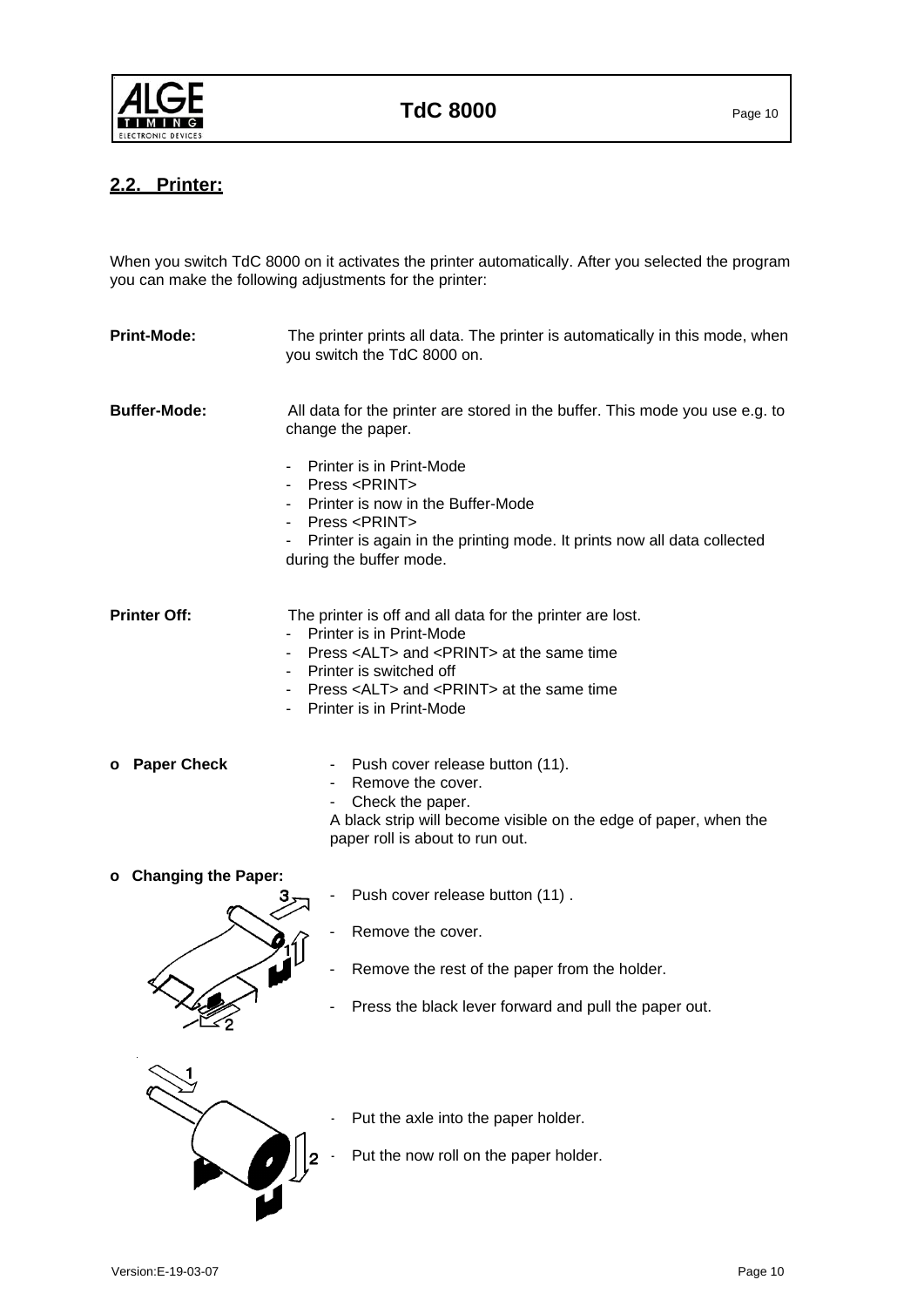

## **2.2. Printer:**

When you switch TdC 8000 on it activates the printer automatically. After you selected the program you can make the following adjustments for the printer:

**Print-Mode:** The printer prints all data. The printer is automatically in this mode, when you switch the TdC 8000 on. **Buffer-Mode:** All data for the printer are stored in the buffer. This mode you use e.g. to change the paper. - Printer is in Print-Mode - Press <PRINT> - Printer is now in the Buffer-Mode - Press <PRINT> - Printer is again in the printing mode. It prints now all data collected during the buffer mode. **Printer Off:** The printer is off and all data for the printer are lost. - Printer is in Print-Mode - Press <ALT> and <PRINT> at the same time - Printer is switched off - Press <ALT> and <PRINT> at the same time - Printer is in Print-Mode **o** Paper Check - Push cover release button (11). Remove the cover. Check the paper. A black strip will become visible on the edge of paper, when the paper roll is about to run out. **o Changing the Paper:** Push cover release button (11).



- Remove the cover.
- Remove the rest of the paper from the holder.
- Press the black lever forward and pull the paper out.



- Put the axle into the paper holder.
- Put the now roll on the paper holder.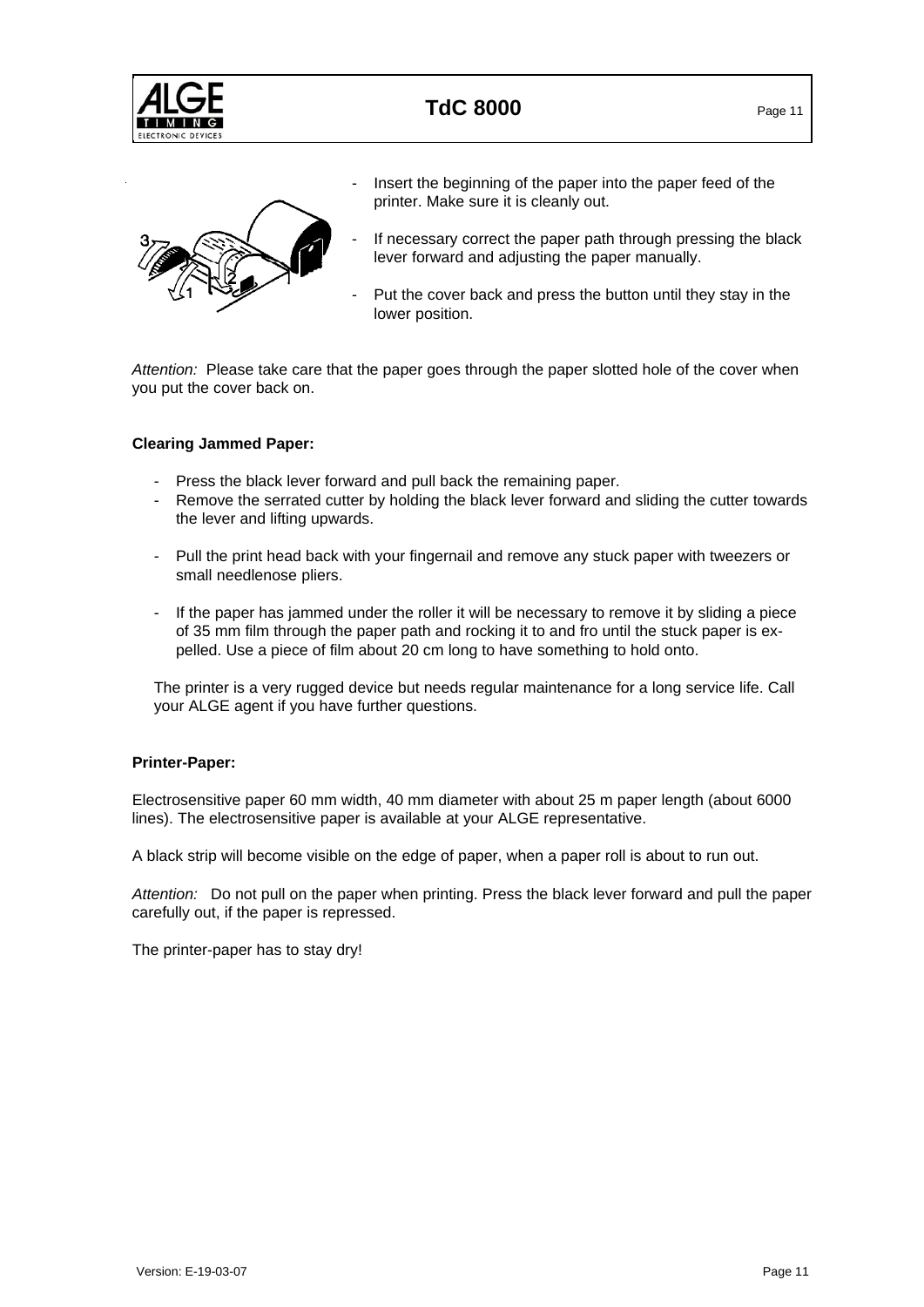



- Insert the beginning of the paper into the paper feed of the printer. Make sure it is cleanly out.
- If necessary correct the paper path through pressing the black lever forward and adjusting the paper manually.
- Put the cover back and press the button until they stay in the lower position.

*Attention:* Please take care that the paper goes through the paper slotted hole of the cover when you put the cover back on.

## **Clearing Jammed Paper:**

- Press the black lever forward and pull back the remaining paper.
- Remove the serrated cutter by holding the black lever forward and sliding the cutter towards the lever and lifting upwards.
- Pull the print head back with your fingernail and remove any stuck paper with tweezers or small needlenose pliers.
- If the paper has jammed under the roller it will be necessary to remove it by sliding a piece of 35 mm film through the paper path and rocking it to and fro until the stuck paper is expelled. Use a piece of film about 20 cm long to have something to hold onto.

The printer is a very rugged device but needs regular maintenance for a long service life. Call your ALGE agent if you have further questions.

### **Printer-Paper:**

Electrosensitive paper 60 mm width, 40 mm diameter with about 25 m paper length (about 6000 lines). The electrosensitive paper is available at your ALGE representative.

A black strip will become visible on the edge of paper, when a paper roll is about to run out.

*Attention:* Do not pull on the paper when printing. Press the black lever forward and pull the paper carefully out, if the paper is repressed.

The printer-paper has to stay dry!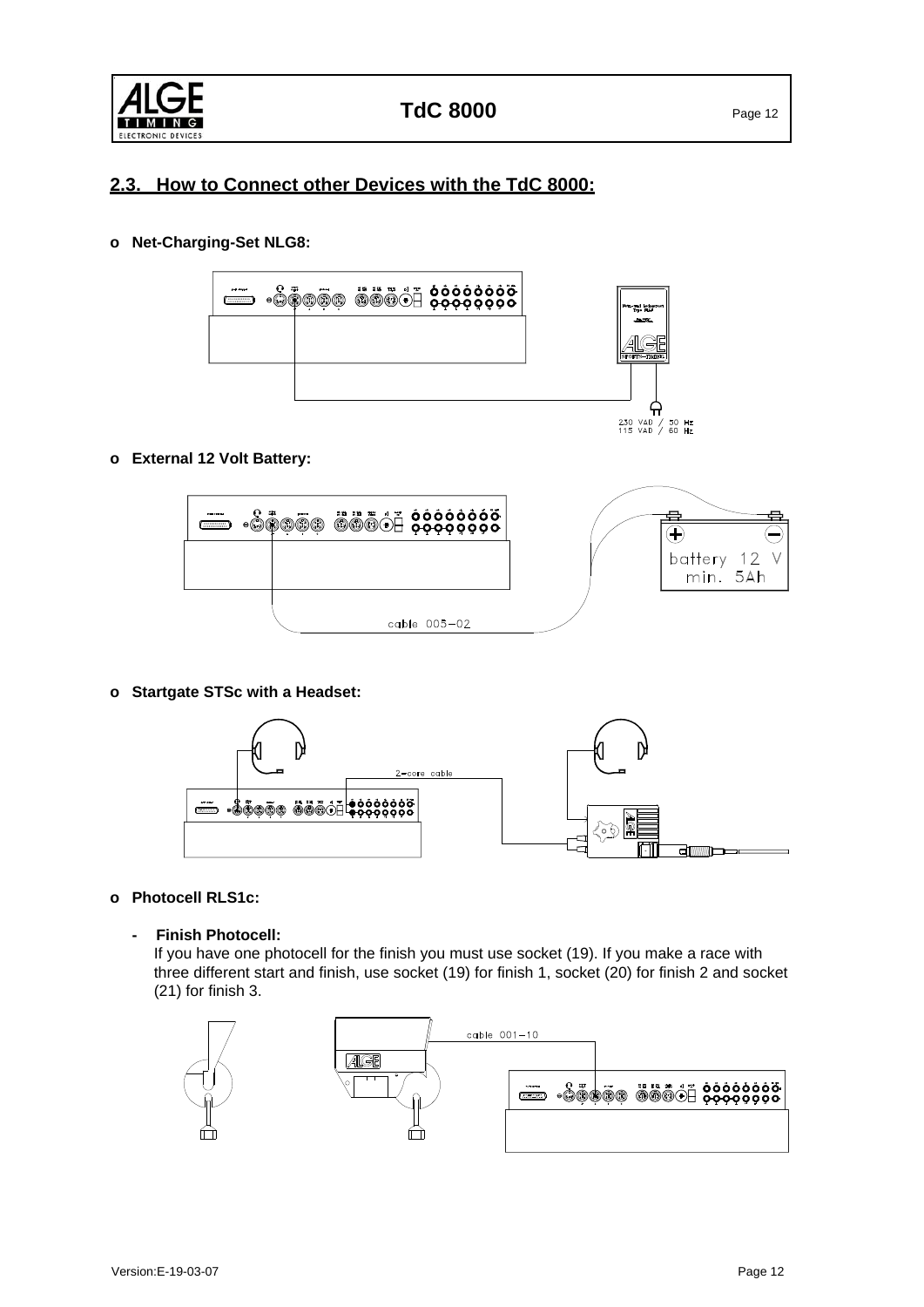

## **2.3. How to Connect other Devices with the TdC 8000:**

## **o Net-Charging-Set NLG8:**



**o External 12 Volt Battery:**



**o Startgate STSc with a Headset:**



- **o Photocell RLS1c:**
	- **Finish Photocell:**

If you have one photocell for the finish you must use socket (19). If you make a race with three different start and finish, use socket (19) for finish 1, socket (20) for finish 2 and socket (21) for finish 3.

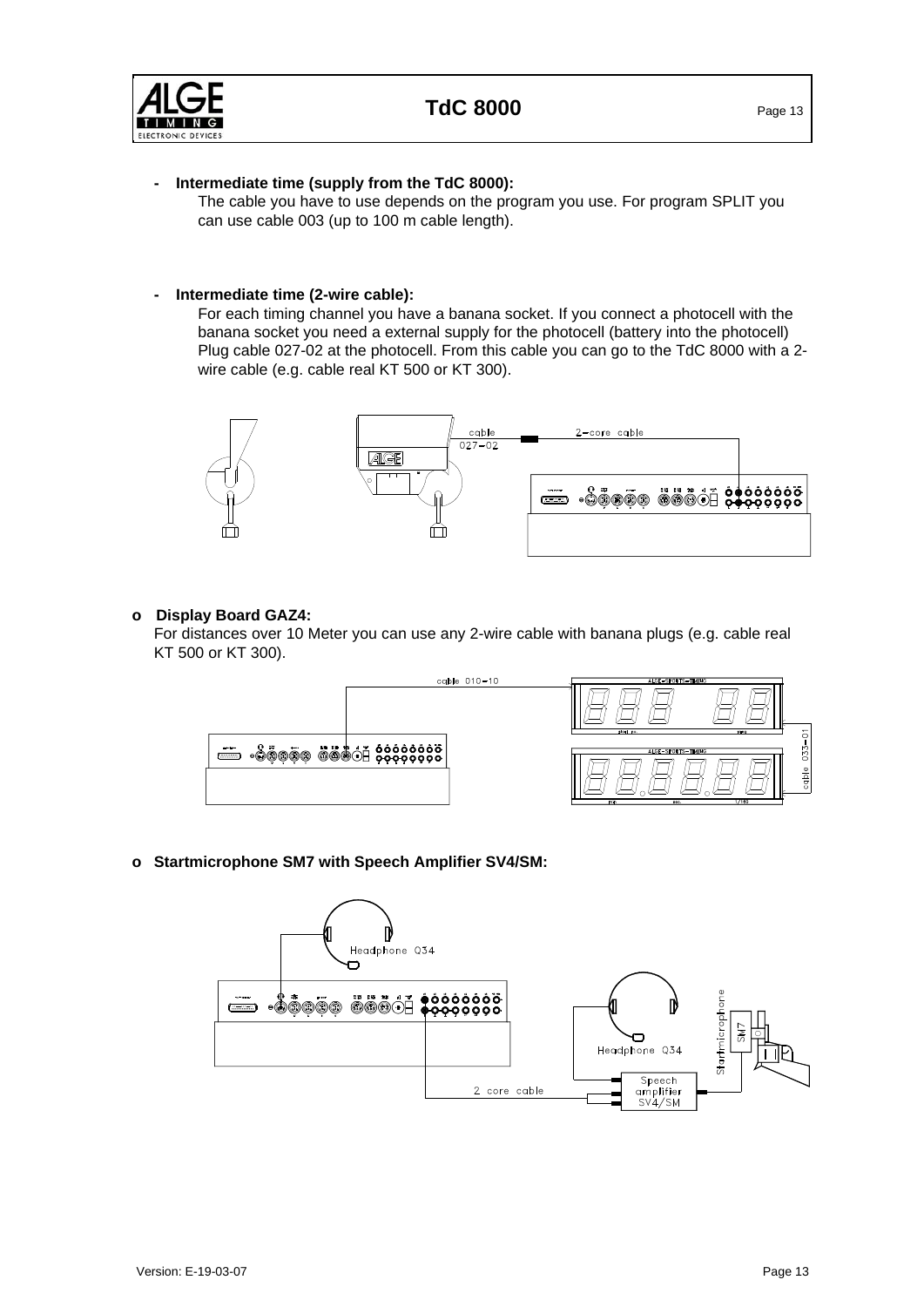

**- Intermediate time (supply from the TdC 8000):**

The cable you have to use depends on the program you use. For program SPLIT you can use cable 003 (up to 100 m cable length).

## **- Intermediate time (2-wire cable):**

For each timing channel you have a banana socket. If you connect a photocell with the banana socket you need a external supply for the photocell (battery into the photocell) Plug cable 027-02 at the photocell. From this cable you can go to the TdC 8000 with a 2 wire cable (e.g. cable real KT 500 or KT 300).



## **o Display Board GAZ4:**

For distances over 10 Meter you can use any 2-wire cable with banana plugs (e.g. cable real KT 500 or KT 300).



**o Startmicrophone SM7 with Speech Amplifier SV4/SM:**

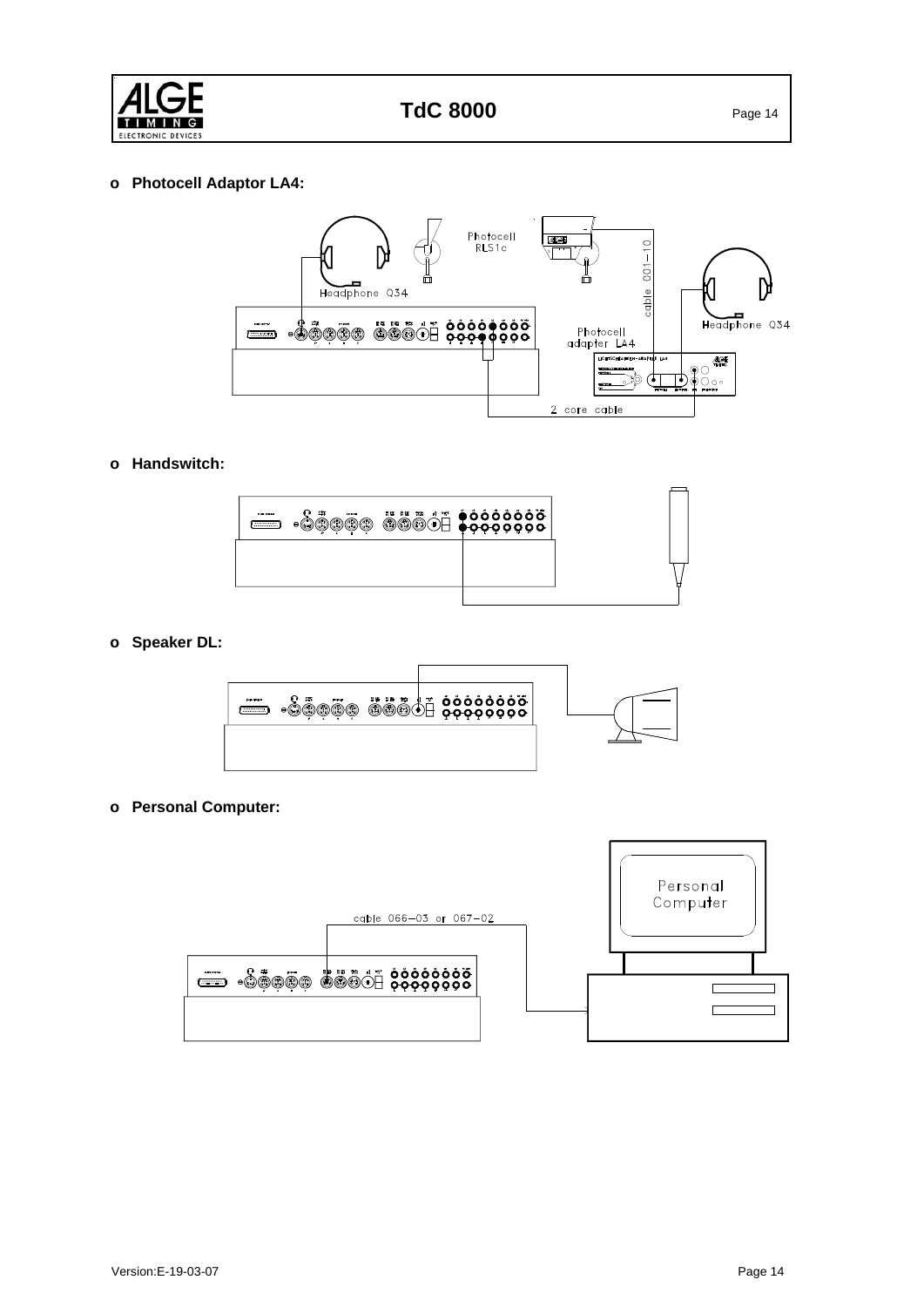

**o Photocell Adaptor LA4:**



**o Handswitch:**



**o Speaker DL:**



**o Personal Computer:**

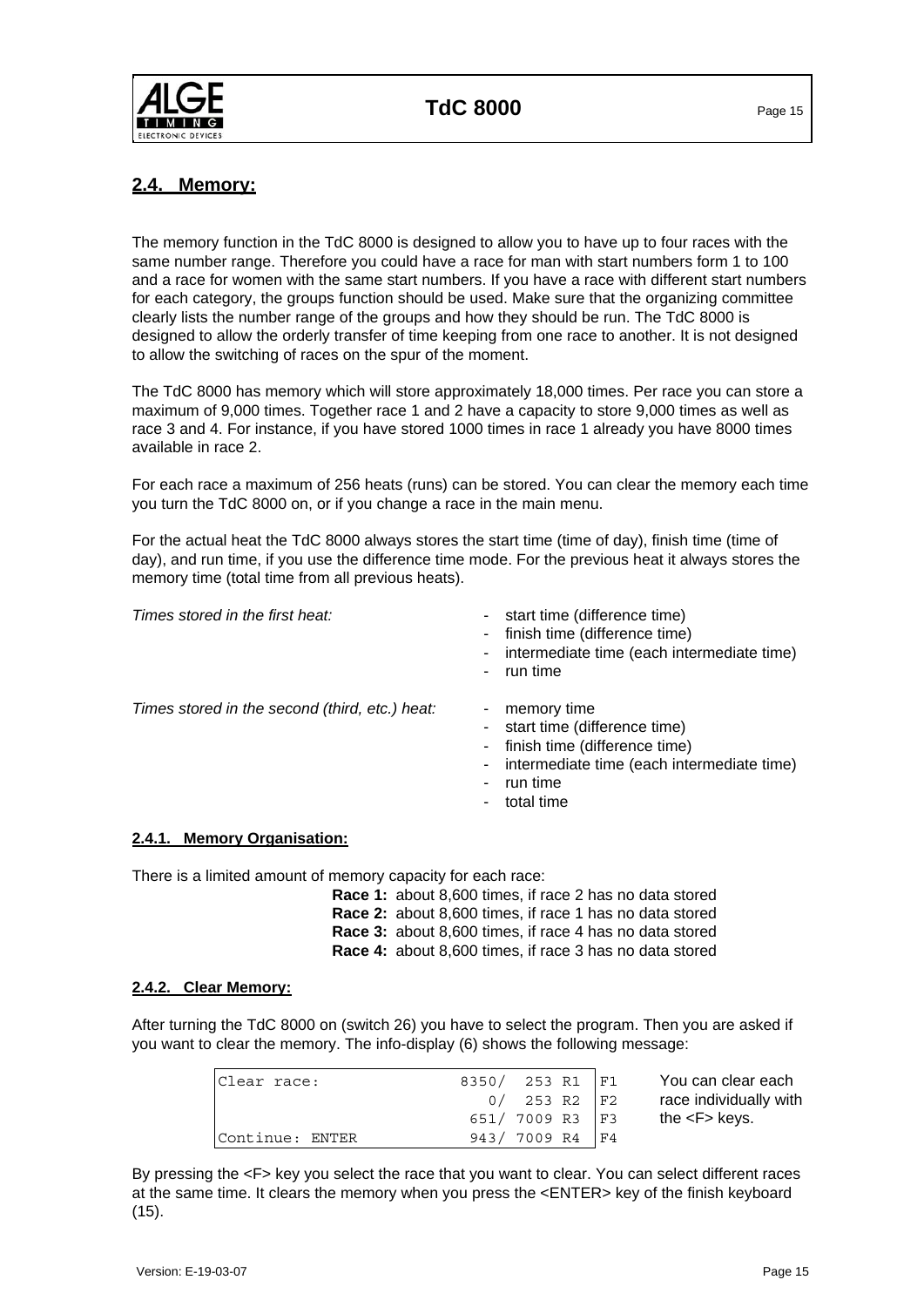

## **2.4. Memory:**

The memory function in the TdC 8000 is designed to allow you to have up to four races with the same number range. Therefore you could have a race for man with start numbers form 1 to 100 and a race for women with the same start numbers. If you have a race with different start numbers for each category, the groups function should be used. Make sure that the organizing committee clearly lists the number range of the groups and how they should be run. The TdC 8000 is designed to allow the orderly transfer of time keeping from one race to another. It is not designed to allow the switching of races on the spur of the moment.

The TdC 8000 has memory which will store approximately 18,000 times. Per race you can store a maximum of 9,000 times. Together race 1 and 2 have a capacity to store 9,000 times as well as race 3 and 4. For instance, if you have stored 1000 times in race 1 already you have 8000 times available in race 2.

For each race a maximum of 256 heats (runs) can be stored. You can clear the memory each time you turn the TdC 8000 on, or if you change a race in the main menu.

For the actual heat the TdC 8000 always stores the start time (time of day), finish time (time of day), and run time, if you use the difference time mode. For the previous heat it always stores the memory time (total time from all previous heats).

*Times stored in the first heat:*  $\qquad \qquad -$  start time (difference time) finish time (difference time) intermediate time (each intermediate time) run time *Times stored in the second (third, etc.) heat:* - memory time - start time (difference time) finish time (difference time) intermediate time (each intermediate time) - run time - total time **2.4.1. Memory Organisation:**

There is a limited amount of memory capacity for each race:

**Race 1:** about 8,600 times, if race 2 has no data stored **Race 2:** about 8,600 times, if race 1 has no data stored **Race 3:** about 8,600 times, if race 4 has no data stored **Race 4:** about 8,600 times, if race 3 has no data stored

### **2.4.2. Clear Memory:**

After turning the TdC 8000 on (switch 26) you have to select the program. Then you are asked if you want to clear the memory. The info-display (6) shows the following message:

| Clear race:     | 8350/ 253 R1 F1 |                 |  |
|-----------------|-----------------|-----------------|--|
|                 |                 | $0/$ 253 R2 F2  |  |
|                 |                 | 651/ 7009 R3 F3 |  |
| Continue: ENTER |                 | 943/ 7009 R4 F4 |  |

You can clear each race individually with the  $<$ F $>$  keys.

By pressing the <F> key you select the race that you want to clear. You can select different races at the same time. It clears the memory when you press the <ENTER> key of the finish keyboard (15).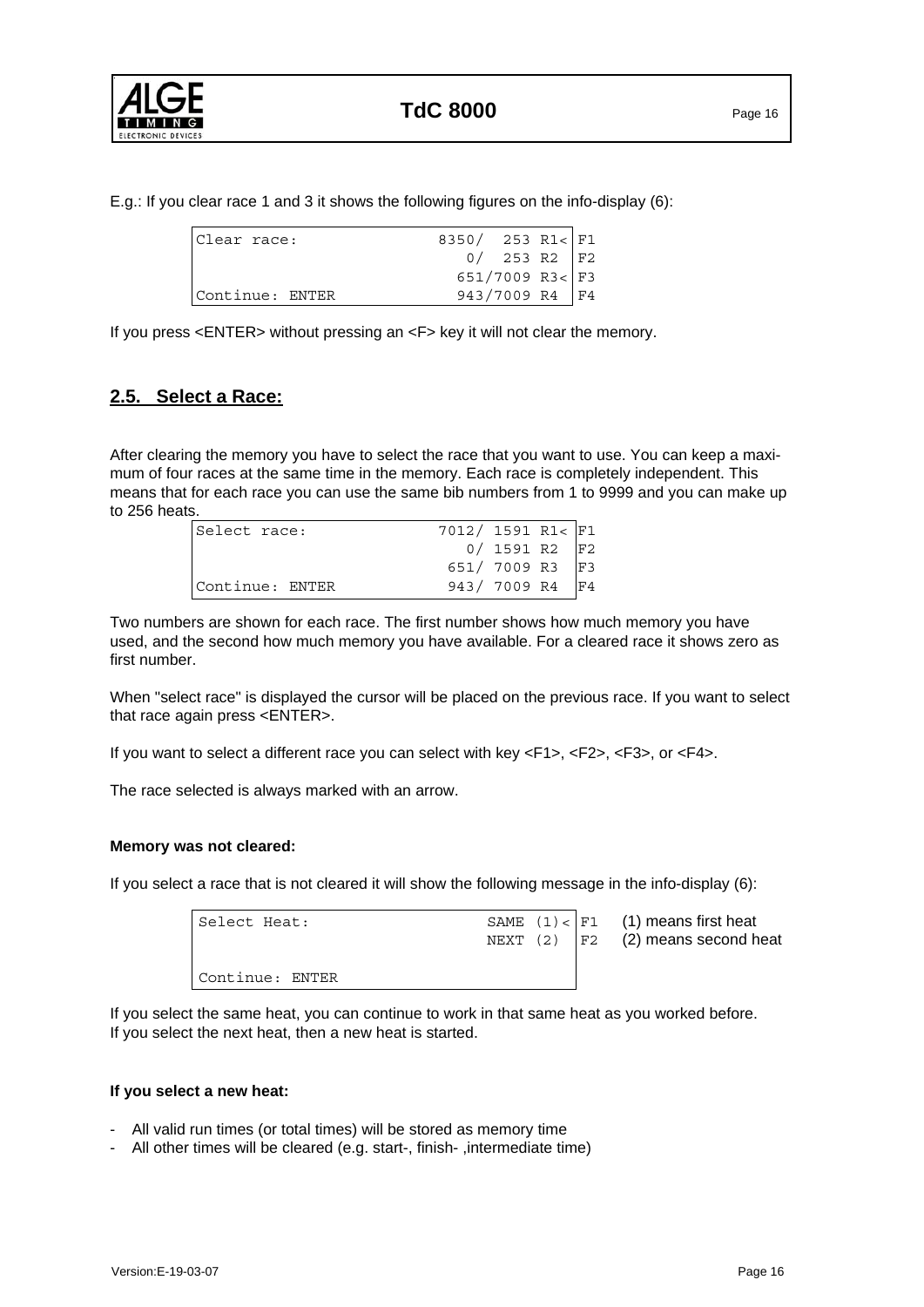

E.g.: If you clear race 1 and 3 it shows the following figures on the info-display (6):

| Clear race:     | 8350/ 253 R1< F1    |  |  |
|-----------------|---------------------|--|--|
|                 | $0/$ 253 R2 $ F2$   |  |  |
|                 | 651/7009 $R3 <  F3$ |  |  |
| Continue: ENTER | 943/7009 R4 F4      |  |  |

If you press <ENTER> without pressing an <F> key it will not clear the memory.

## **2.5. Select a Race:**

After clearing the memory you have to select the race that you want to use. You can keep a maximum of four races at the same time in the memory. Each race is completely independent. This means that for each race you can use the same bib numbers from 1 to 9999 and you can make up to 256 heats.

| Select race:    | 7012/ 1591 R1< $ F1 $ |                 |     |
|-----------------|-----------------------|-----------------|-----|
|                 |                       | 0/1591 R2  F2   |     |
|                 |                       | 651/ 7009 R3 F3 |     |
| Continue: ENTER |                       | 943/ 7009 R4    | IF4 |

Two numbers are shown for each race. The first number shows how much memory you have used, and the second how much memory you have available. For a cleared race it shows zero as first number.

When "select race" is displayed the cursor will be placed on the previous race. If you want to select that race again press <ENTER>.

If you want to select a different race you can select with key <F1>, <F2>, <F3>, or <F4>.

The race selected is always marked with an arrow.

## **Memory was not cleared:**

If you select a race that is not cleared it will show the following message in the info-display (6):

| Select Heat:    |  | SAME $(1) <  F1$ (1) means first heat<br>NEXT (2) $ F2 \t(2)$ means second heat |
|-----------------|--|---------------------------------------------------------------------------------|
| Continue: ENTER |  |                                                                                 |

If you select the same heat, you can continue to work in that same heat as you worked before. If you select the next heat, then a new heat is started.

### **If you select a new heat:**

- All valid run times (or total times) will be stored as memory time
- All other times will be cleared (e.g. start-, finish-, intermediate time)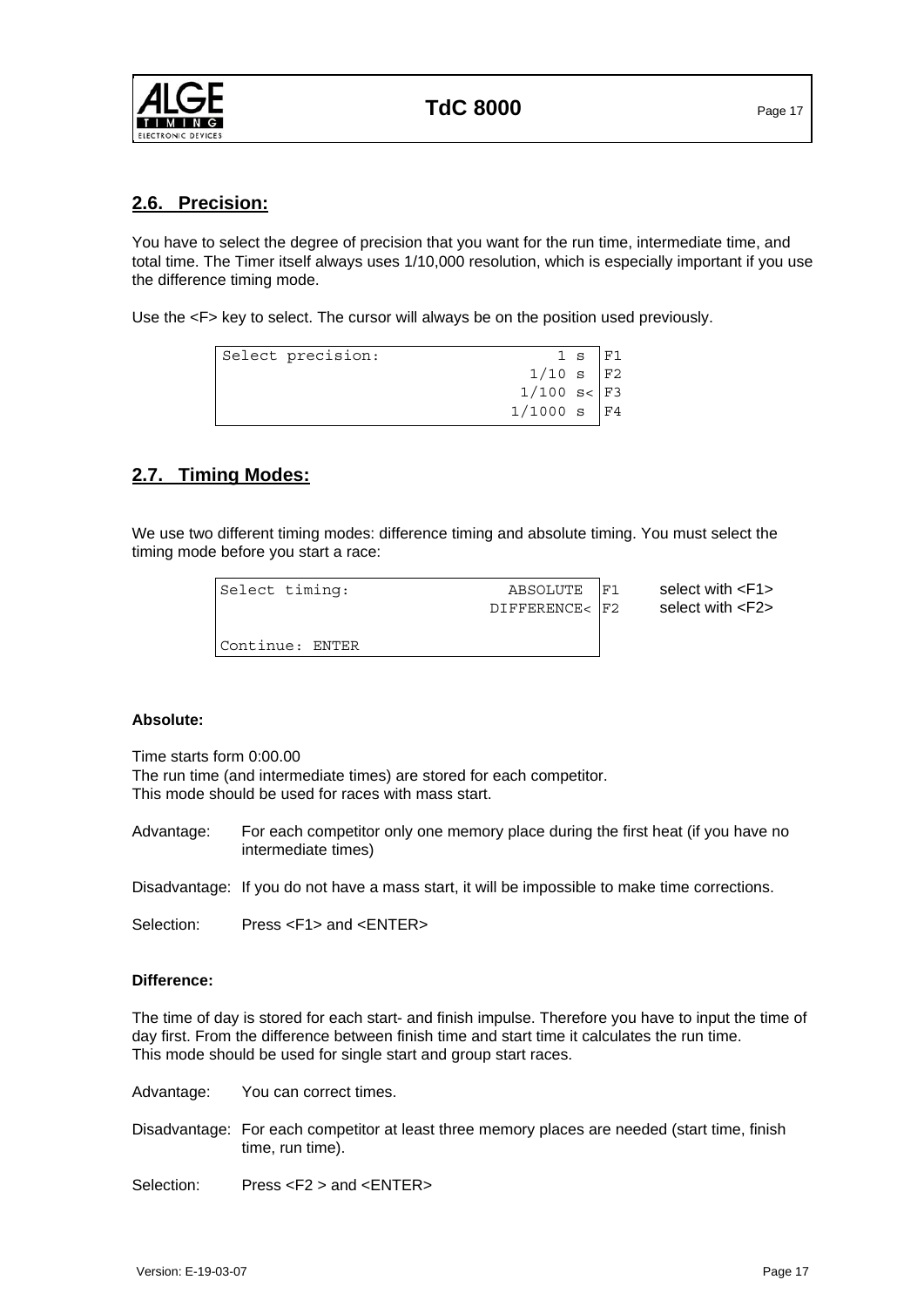

## **2.6. Precision:**

You have to select the degree of precision that you want for the run time, intermediate time, and total time. The Timer itself always uses 1/10,000 resolution, which is especially important if you use the difference timing mode.

Use the <F> key to select. The cursor will always be on the position used previously.

| Select precision: |               | 1 <sub>s</sub> | l F1 |
|-------------------|---------------|----------------|------|
|                   | $1/10$ s   F2 |                |      |
|                   | $1/100$ s< F3 |                |      |
|                   | $1/1000 s$ F4 |                |      |

## **2.7. Timing Modes:**

We use two different timing modes: difference timing and absolute timing. You must select the timing mode before you start a race:

| Select timing:  | ABSOLUTE  F1    | select with $\leq$ F1 $>$     |
|-----------------|-----------------|-------------------------------|
|                 | DIFFERENCE<  F2 | select with $\epsilon$ F2 $>$ |
|                 |                 |                               |
| Continue: ENTER |                 |                               |

### **Absolute:**

Time starts form 0:00.00 The run time (and intermediate times) are stored for each competitor. This mode should be used for races with mass start.

Advantage: For each competitor only one memory place during the first heat (if you have no intermediate times)

Disadvantage: If you do not have a mass start, it will be impossible to make time corrections.

Selection: Press <F1> and <ENTER>

#### **Difference:**

The time of day is stored for each start- and finish impulse. Therefore you have to input the time of day first. From the difference between finish time and start time it calculates the run time. This mode should be used for single start and group start races.

| Advantage: | You can correct times. |
|------------|------------------------|
|------------|------------------------|

Disadvantage: For each competitor at least three memory places are needed (start time, finish time, run time).

Selection: Press <F2 > and <ENTER>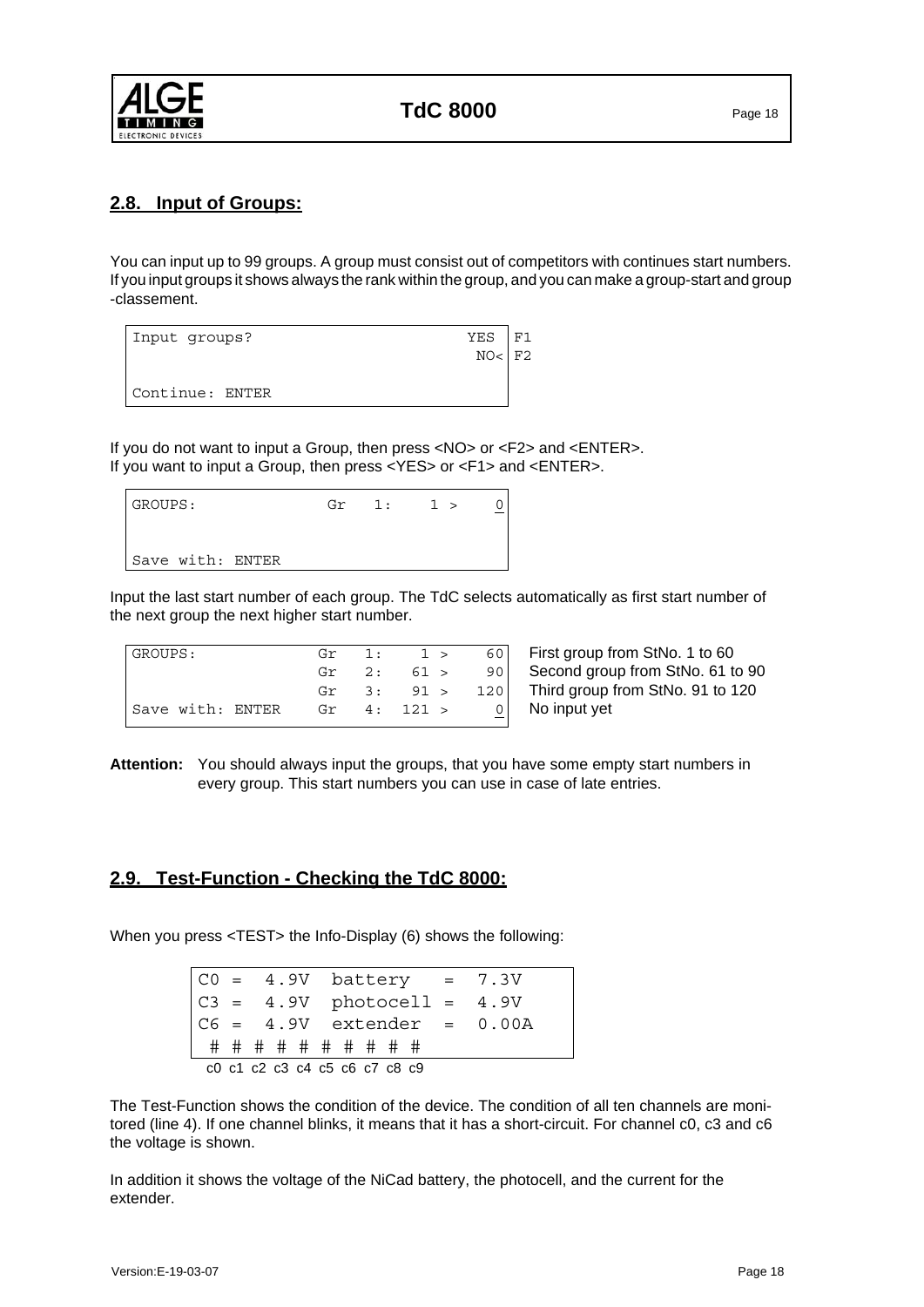

## **2.8. Input of Groups:**

You can input up to 99 groups. A group must consist out of competitors with continues start numbers. If you input groups it shows always the rank within the group, and you can make a group-start and group -classement.

| Input groups?   | YES   F1 |  |
|-----------------|----------|--|
|                 | NO <  F2 |  |
|                 |          |  |
| Continue: ENTER |          |  |

If you do not want to input a Group, then press <NO> or <F2> and <ENTER>. If you want to input a Group, then press <YES> or <F1> and <ENTER>.

| $ $ GROUPS:      |  | Gr $1: 1>$ |  |
|------------------|--|------------|--|
| Save with: ENTER |  |            |  |

Input the last start number of each group. The TdC selects automatically as first start number of the next group the next higher start number.

| GROUPS:          | Gr | 1: 1         |     |
|------------------|----|--------------|-----|
|                  |    | $Gr \t2: 61$ | 90  |
|                  |    | Gr $3: 91 >$ | 120 |
| Save with: ENTER | Gr | 4:121        |     |

First group from StNo. 1 to 60 Second group from StNo. 61 to 90 Third group from StNo. 91 to 120 No input yet

**Attention:** You should always input the groups, that you have some empty start numbers in every group. This start numbers you can use in case of late entries.

## **2.9. Test-Function - Checking the TdC 8000:**

When you press <TEST> the Info-Display (6) shows the following:

|  |  |  |                               |  |                               |  | $ CO = 4.9V$ battery = 7.3V           |
|--|--|--|-------------------------------|--|-------------------------------|--|---------------------------------------|
|  |  |  |                               |  |                               |  | $ C3 = 4.9V \text{ photocell} = 4.9V$ |
|  |  |  | $ C6 = 4.9V$ extender = 0.00A |  |                               |  |                                       |
|  |  |  |                               |  | # # # # # # # # # #           |  |                                       |
|  |  |  |                               |  | c0 c1 c2 c3 c4 c5 c6 c7 c8 c9 |  |                                       |

The Test-Function shows the condition of the device. The condition of all ten channels are monitored (line 4). If one channel blinks, it means that it has a short-circuit. For channel c0, c3 and c6 the voltage is shown.

In addition it shows the voltage of the NiCad battery, the photocell, and the current for the extender.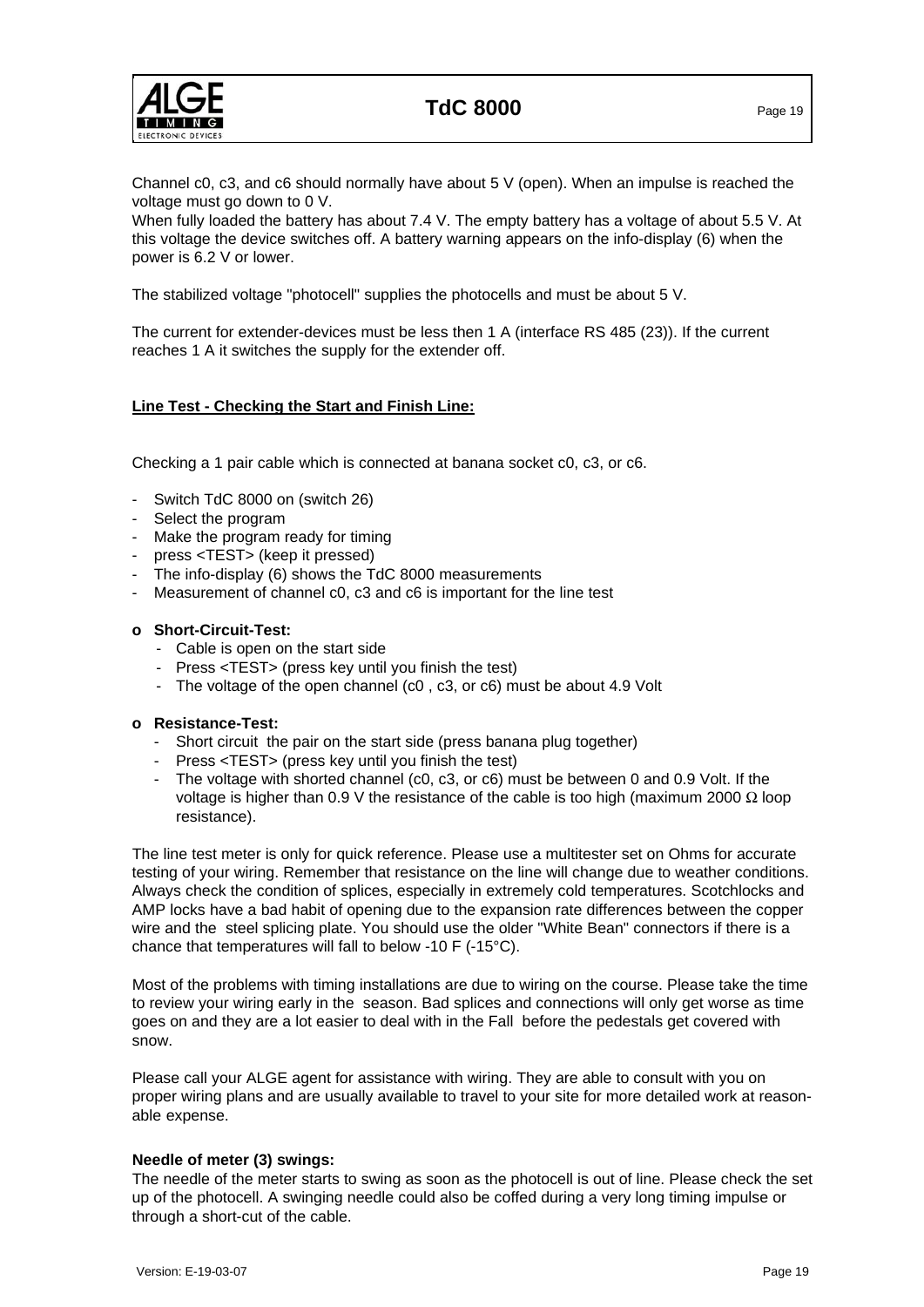

Channel c0, c3, and c6 should normally have about 5 V (open). When an impulse is reached the voltage must go down to 0 V.

When fully loaded the battery has about 7.4 V. The empty battery has a voltage of about 5.5 V. At this voltage the device switches off. A battery warning appears on the info-display (6) when the power is 6.2 V or lower.

The stabilized voltage "photocell" supplies the photocells and must be about 5 V.

The current for extender-devices must be less then 1 A (interface RS 485 (23)). If the current reaches 1 A it switches the supply for the extender off.

## **Line Test - Checking the Start and Finish Line:**

Checking a 1 pair cable which is connected at banana socket c0, c3, or c6.

- Switch TdC 8000 on (switch 26)
- Select the program
- Make the program ready for timing
- press <TEST> (keep it pressed)
- The info-display (6) shows the TdC 8000 measurements
- Measurement of channel c0, c3 and c6 is important for the line test

### **o Short-Circuit-Test:**

- Cable is open on the start side
- Press <TEST> (press key until you finish the test)
- The voltage of the open channel (c0, c3, or c6) must be about 4.9 Volt

### **o Resistance-Test:**

- Short circuit the pair on the start side (press banana plug together)
- Press <TEST> (press key until you finish the test)
- The voltage with shorted channel (c0, c3, or c6) must be between 0 and 0.9 Volt. If the voltage is higher than 0.9 V the resistance of the cable is too high (maximum 2000  $Ω$  loop resistance).

The line test meter is only for quick reference. Please use a multitester set on Ohms for accurate testing of your wiring. Remember that resistance on the line will change due to weather conditions. Always check the condition of splices, especially in extremely cold temperatures. Scotchlocks and AMP locks have a bad habit of opening due to the expansion rate differences between the copper wire and the steel splicing plate. You should use the older "White Bean" connectors if there is a chance that temperatures will fall to below -10 F (-15°C).

Most of the problems with timing installations are due to wiring on the course. Please take the time to review your wiring early in the season. Bad splices and connections will only get worse as time goes on and they are a lot easier to deal with in the Fall before the pedestals get covered with snow.

Please call your ALGE agent for assistance with wiring. They are able to consult with you on proper wiring plans and are usually available to travel to your site for more detailed work at reasonable expense.

## **Needle of meter (3) swings:**

The needle of the meter starts to swing as soon as the photocell is out of line. Please check the set up of the photocell. A swinging needle could also be coffed during a very long timing impulse or through a short-cut of the cable.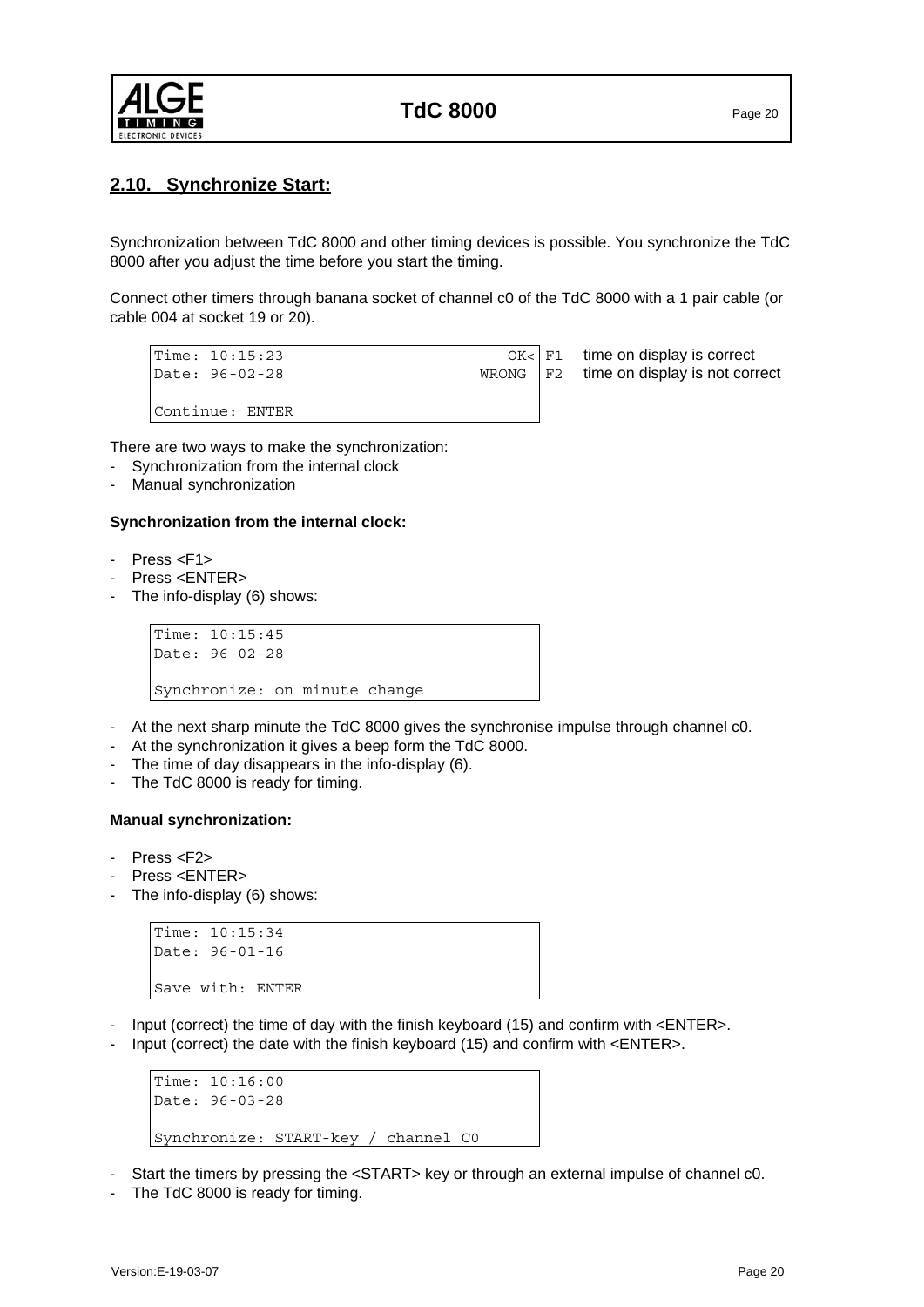

## **2.10. Synchronize Start:**

Synchronization between TdC 8000 and other timing devices is possible. You synchronize the TdC 8000 after you adjust the time before you start the timing.

Connect other timers through banana socket of channel c0 of the TdC 8000 with a 1 pair cable (or cable 004 at socket 19 or 20).

Time:  $10:15:23$  OK< F1 time on display is correct Date: 96-02-28 WRONG F2 time on display is not correct Continue: ENTER

There are two ways to make the synchronization:

- Synchronization from the internal clock
- Manual synchronization

### **Synchronization from the internal clock:**

- Press <F1>
- Press <ENTER>
- The info-display (6) shows:

```
Time: 10:15:45
Date: 96-02-28
Synchronize: on minute change
```
- At the next sharp minute the TdC 8000 gives the synchronise impulse through channel c0.
- At the synchronization it gives a beep form the TdC 8000.
- The time of day disappears in the info-display (6).
- The TdC 8000 is ready for timing.

### **Manual synchronization:**

- Press <F2>
- Press <ENTER>
- The info-display (6) shows:

```
Time: 10:15:34
Date: 96-01-16
Save with: ENTER
```
- Input (correct) the time of day with the finish keyboard (15) and confirm with <ENTER>.
- Input (correct) the date with the finish keyboard (15) and confirm with <ENTER>.

```
Time: 10:16:00
Date: 96-03-28
Synchronize: START-key / channel C0
```
- Start the timers by pressing the <START> key or through an external impulse of channel c0.
- The TdC 8000 is ready for timing.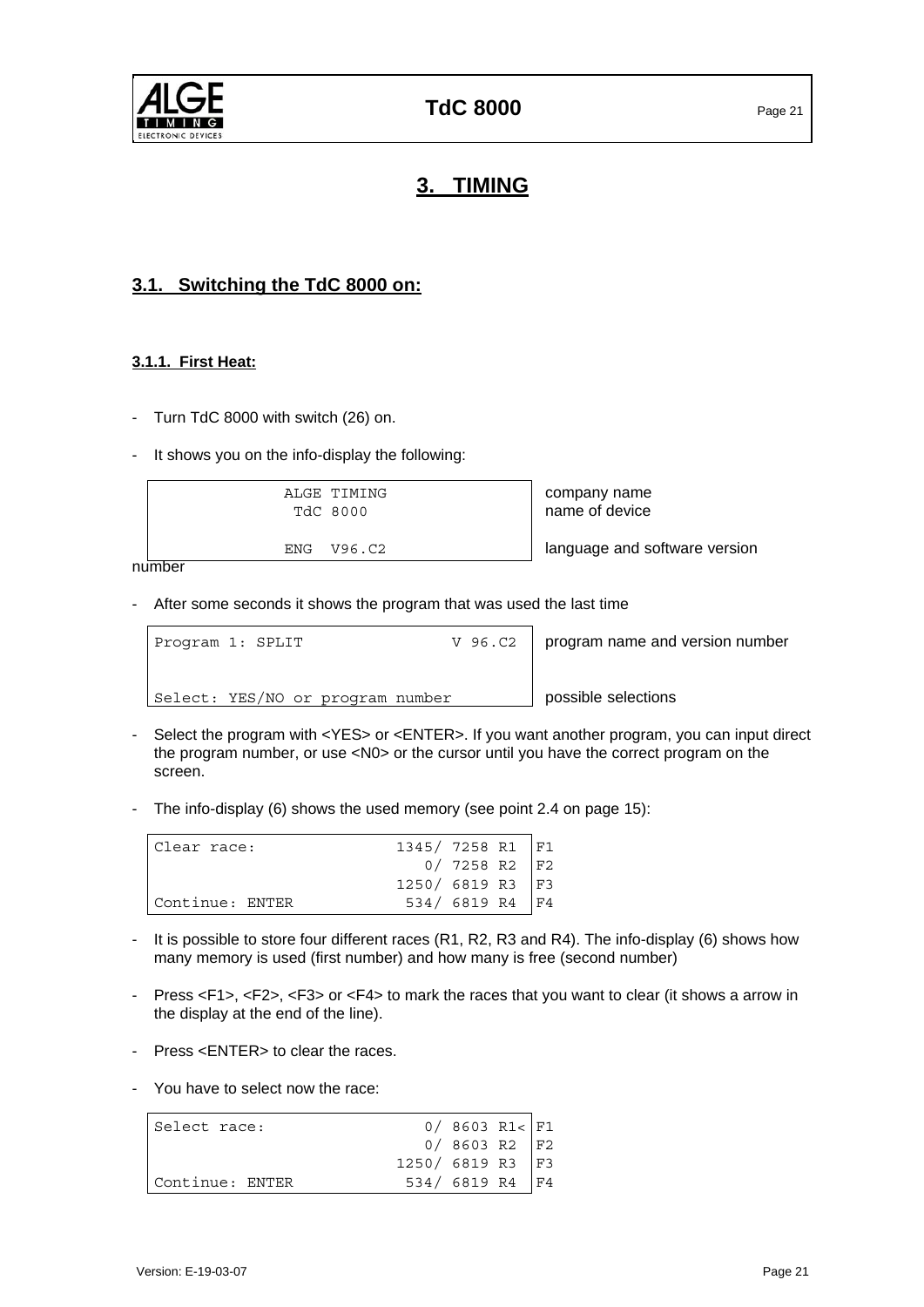

# **3. TIMING**

## **3.1. Switching the TdC 8000 on:**

## **3.1.1. First Heat:**

- Turn TdC 8000 with switch (26) on.
- It shows you on the info-display the following:

|                | ALGE TIMING<br>TdC 8000 | company name<br>name of device |
|----------------|-------------------------|--------------------------------|
| ENG.<br>numhar | V96.C2                  | language and software version  |

number

- After some seconds it shows the program that was used the last time

| Proqram 1: SPLIT                 |  |  | V 96.C2 | program name and version number |
|----------------------------------|--|--|---------|---------------------------------|
| Select: YES/NO or program number |  |  |         | possible selections             |

- Select the program with <YES> or <ENTER>. If you want another program, you can input direct the program number, or use <N0> or the cursor until you have the correct program on the screen.
- The info-display (6) shows the used memory (see point 2.4 on page 15):

| Clear race:     | 1345/ 7258 R1   F1 |                     |  |
|-----------------|--------------------|---------------------|--|
|                 |                    | $0/7258$ R2 F2      |  |
|                 | 1250/ 6819 R3   F3 |                     |  |
| Continue: ENTER |                    | 534/ 6819 R4 $ F4 $ |  |

- It is possible to store four different races (R1, R2, R3 and R4). The info-display (6) shows how many memory is used (first number) and how many is free (second number)
- Press <F1>, <F2>, <F3> or <F4> to mark the races that you want to clear (it shows a arrow in the display at the end of the line).
- Press <ENTER> to clear the races.
- You have to select now the race:

| Select race:    |                    | $0/8603$ R1< F1 |  |
|-----------------|--------------------|-----------------|--|
|                 |                    | 0/8603 R2  F2   |  |
|                 | 1250/ 6819 R3   F3 |                 |  |
| Continue: ENTER |                    | 534/ 6819 R4 F4 |  |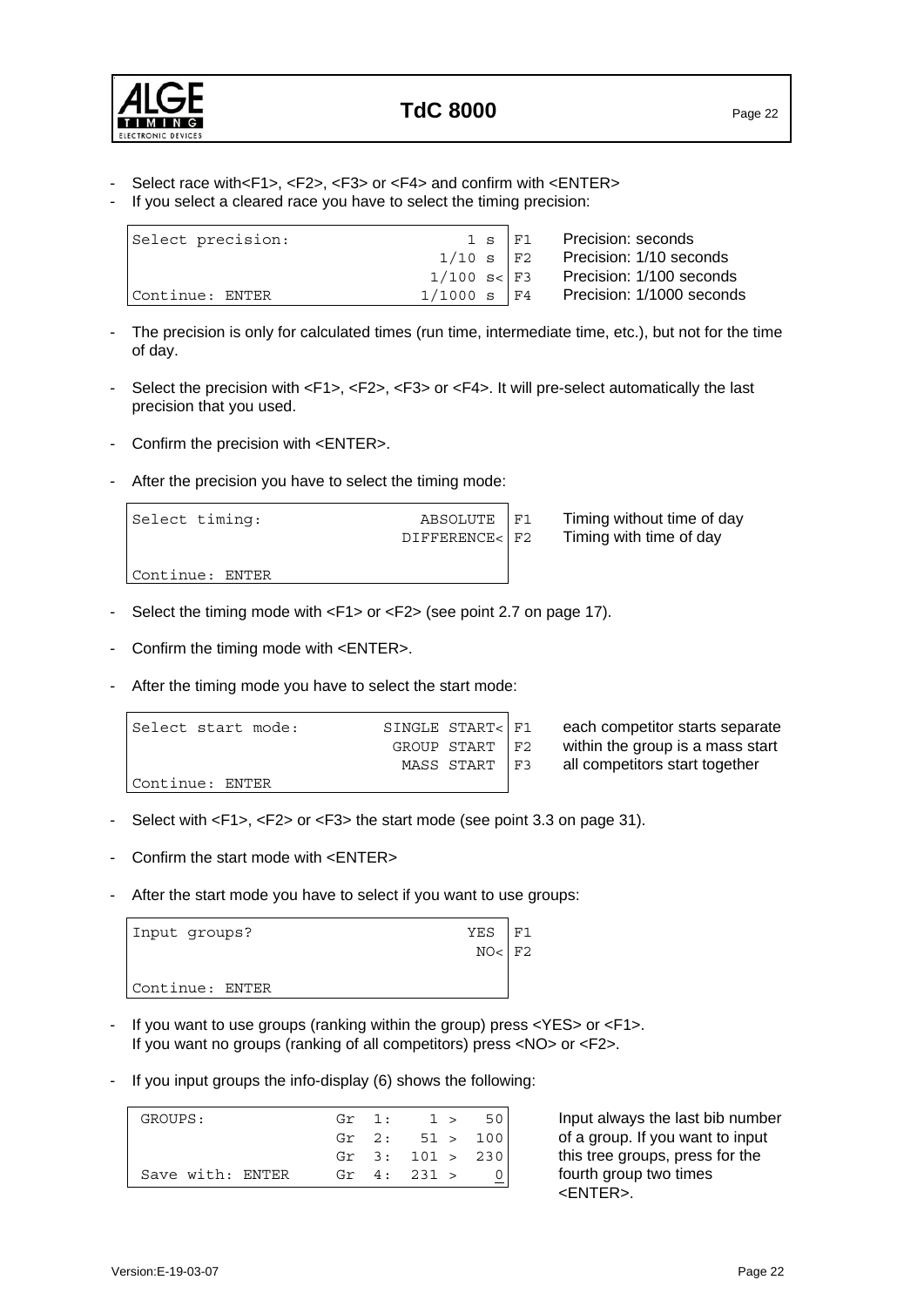

- Select race with<F1>, <F2>, <F3> or <F4> and confirm with <ENTER>
- If you select a cleared race you have to select the timing precision:

| Select precision: |                          | $1 s$ $\vert$ F1 | Precision: seconds        |
|-------------------|--------------------------|------------------|---------------------------|
|                   | $1/10$ s $ F2$           |                  | Precision: 1/10 seconds   |
|                   | $1/100 \text{ s} <  F3 $ |                  | Precision: 1/100 seconds  |
| Continue: ENTER   | $1/1000$ s $ F4$         |                  | Precision: 1/1000 seconds |

- The precision is only for calculated times (run time, intermediate time, etc.), but not for the time of day.
- Select the precision with <F1>, <F2>, <F3> or <F4>. It will pre-select automatically the last precision that you used.
- Confirm the precision with <ENTER>.
- After the precision you have to select the timing mode:

| 'Select timing: | ABSOLUTE   F1<br>DIFFERENCE< F2 | Timing without time of day<br>Timing with time of day |
|-----------------|---------------------------------|-------------------------------------------------------|
| Continue: ENTER |                                 |                                                       |

- Select the timing mode with <F1> or <F2> (see point 2.7 on page 17).
- Confirm the timing mode with <ENTER>.
- After the timing mode you have to select the start mode:

| Select start mode: | SINGLE START<   F1 |                  |  |
|--------------------|--------------------|------------------|--|
|                    |                    | GROUP START   F2 |  |
|                    |                    | MASS START   F3  |  |
| Continue: ENTER    |                    |                  |  |

each competitor starts separate within the group is a mass start all competitors start together

- Select with <F1>, <F2> or <F3> the start mode (see point 3.3 on page 31).
- Confirm the start mode with <ENTER>
- After the start mode you have to select if you want to use groups:

| Input groups?   | YES      | E |
|-----------------|----------|---|
|                 | NO <  F2 |   |
|                 |          |   |
| Continue: ENTER |          |   |

- If you want to use groups (ranking within the group) press <YES> or <F1>. If you want no groups (ranking of all competitors) press <NO> or <F2>.
- If you input groups the info-display (6) shows the following:

| GROUPS:                        |  | Gr $1: 1 > 50$    |  |
|--------------------------------|--|-------------------|--|
|                                |  | Gr $2: 51 > 100$  |  |
|                                |  | Gr $3: 101 > 230$ |  |
| Save with: $ENTER$ Gr 4: 231 > |  |                   |  |

Input always the last bib number of a group. If you want to input this tree groups, press for the fourth group two times <ENTER>.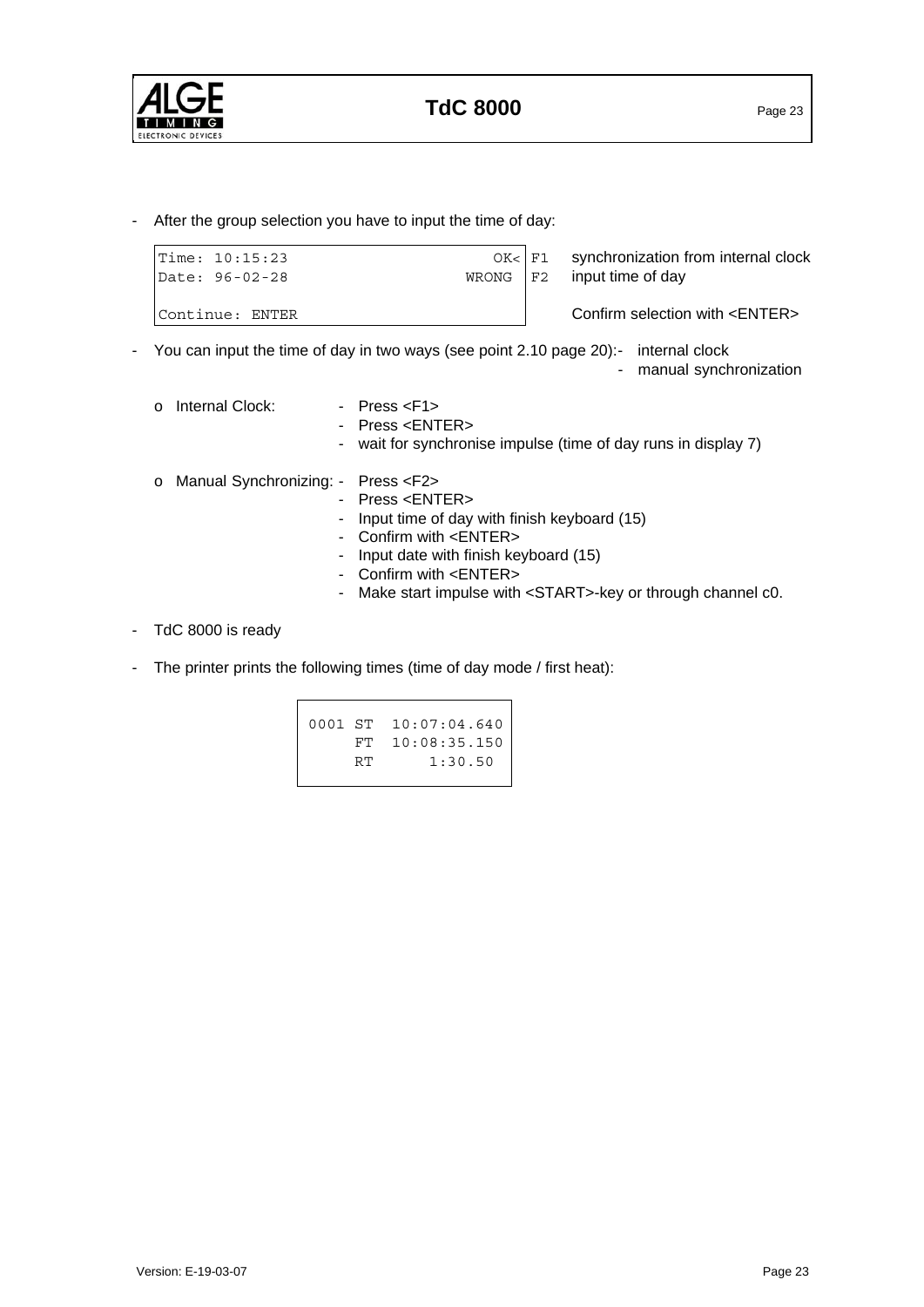

- After the group selection you have to input the time of day:

| Time: 10:15:23<br> Date: 96-02-28 |  | $OK< F1$ synchronization from internal clock<br>$WRONG$   $F2$ input time of day |
|-----------------------------------|--|----------------------------------------------------------------------------------|
| Continue: ENTER                   |  | Confirm selection with <enter></enter>                                           |

- You can input the time of day in two ways (see point 2.10 page 20):- internal clock

- manual synchronization

- o Internal Clock: Press <F1>
	- Press <ENTER>
	- wait for synchronise impulse (time of day runs in display 7)
- o Manual Synchronizing: Press <F2>
	- Press <ENTER>
	- Input time of day with finish keyboard (15)
	- Confirm with <ENTER>
	- Input date with finish keyboard (15)
	- Confirm with <ENTER>
	- Make start impulse with <START>-key or through channel c0.
- TdC 8000 is ready
- The printer prints the following times (time of day mode / first heat):

|    | 0001 ST 10:07:04.640 |
|----|----------------------|
|    | FT 10:08:35.150      |
| RТ | 1:30.50              |
|    |                      |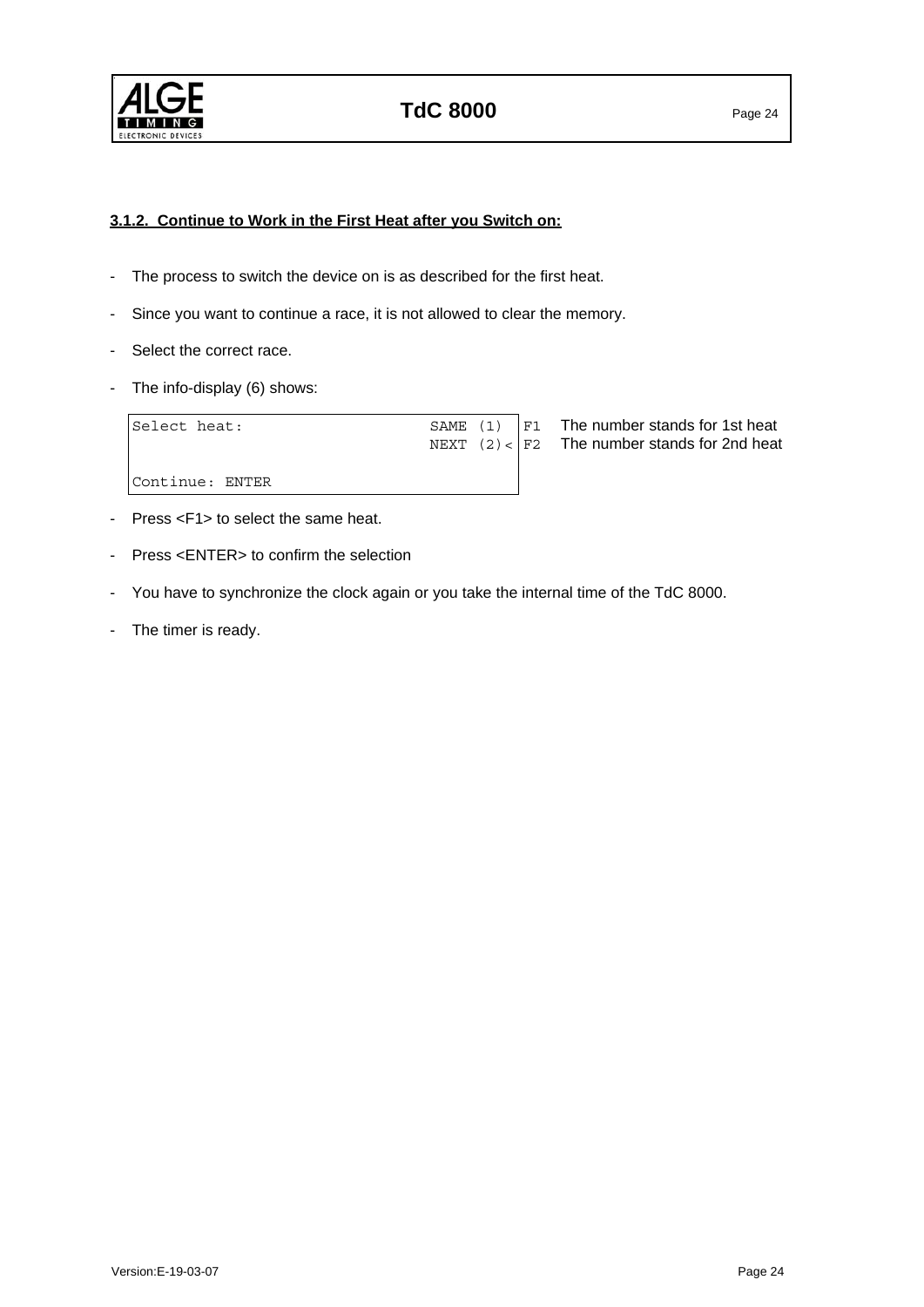

**TdC 8000** Page 24

## **3.1.2. Continue to Work in the First Heat after you Switch on:**

- The process to switch the device on is as described for the first heat.
- Since you want to continue a race, it is not allowed to clear the memory.
- Select the correct race.
- The info-display (6) shows:

| Select heat: |                 |  | SAME $(1)$ $ F1$ The number stands for 1st heat<br>NEXT $(2) <  F2 $ The number stands for 2nd heat |
|--------------|-----------------|--|-----------------------------------------------------------------------------------------------------|
|              | Continue: ENTER |  |                                                                                                     |

- Press <F1> to select the same heat.
- Press <ENTER> to confirm the selection
- You have to synchronize the clock again or you take the internal time of the TdC 8000.
- The timer is ready.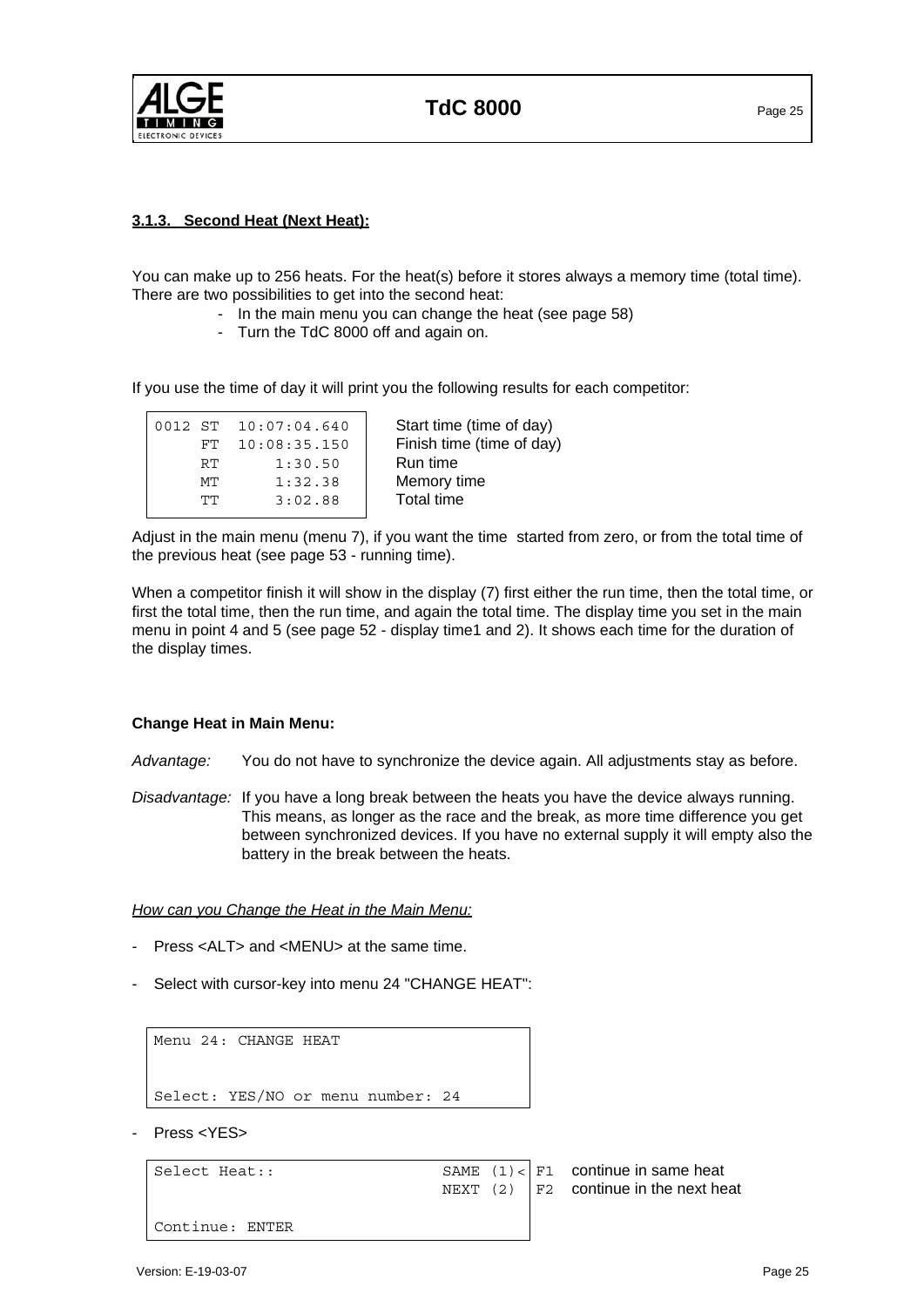

## **3.1.3. Second Heat (Next Heat):**

You can make up to 256 heats. For the heat(s) before it stores always a memory time (total time). There are two possibilities to get into the second heat:

- In the main menu you can change the heat (see page 58)
- Turn the TdC 8000 off and again on.

If you use the time of day it will print you the following results for each competitor:

| 0012 ST |    | 10:07:04.640 |
|---------|----|--------------|
|         | FТ | 10:08:35.150 |
|         | RТ | 1:30.50      |
|         | мт | 1:32.38      |
|         | ጥጥ | 3:02.88      |
|         |    |              |

Start time (time of day) Finish time (time of day) Run time Memory time Total time

Adjust in the main menu (menu 7), if you want the time started from zero, or from the total time of the previous heat (see page 53 - running time).

When a competitor finish it will show in the display (7) first either the run time, then the total time, or first the total time, then the run time, and again the total time. The display time you set in the main menu in point 4 and 5 (see page 52 - display time1 and 2). It shows each time for the duration of the display times.

### **Change Heat in Main Menu:**

*Advantage:* You do not have to synchronize the device again. All adjustments stay as before.

*Disadvantage:* If you have a long break between the heats you have the device always running. This means, as longer as the race and the break, as more time difference you get between synchronized devices. If you have no external supply it will empty also the battery in the break between the heats.

### *How can you Change the Heat in the Main Menu:*

- Press <ALT> and <MENU> at the same time.
- Select with cursor-key into menu 24 "CHANGE HEAT":

Menu 24: CHANGE HEAT

Select: YES/NO or menu number: 24

Press <YES>

| Select Heat::   |  | SAME $(1)$ < F1 continue in same heat<br>NEXT $(2)$ $ F2$ continue in the next heat |
|-----------------|--|-------------------------------------------------------------------------------------|
| Continue: ENTER |  |                                                                                     |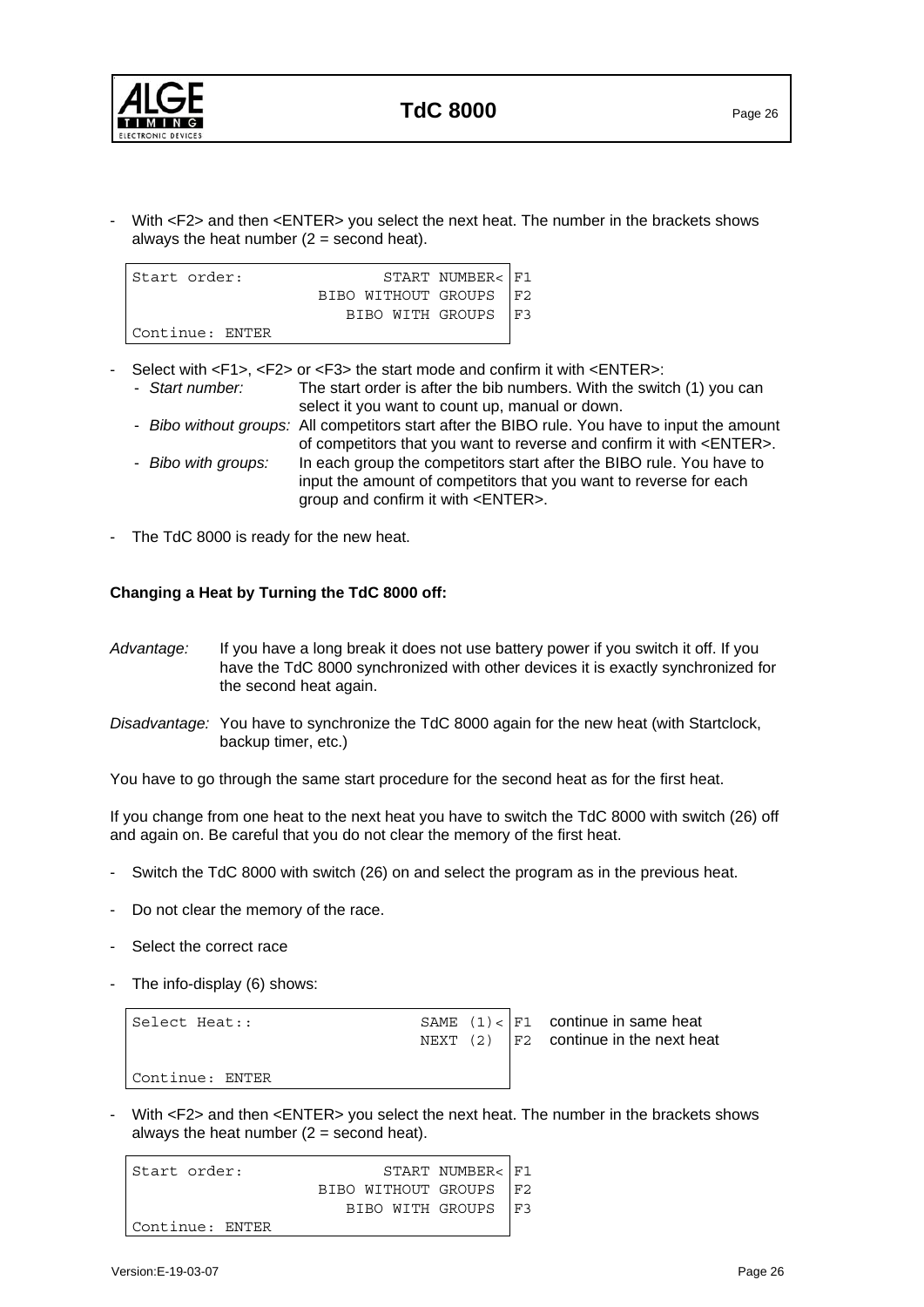

With <F2> and then <ENTER> you select the next heat. The number in the brackets shows always the heat number  $(2 =$  second heat).

| Start order:    | START NUMBER< F1       |  |
|-----------------|------------------------|--|
|                 | BIBO WITHOUT GROUPS F2 |  |
|                 | BIBO WITH GROUPS IF3   |  |
| Continue: ENTER |                        |  |

- Select with  $\leq$  F1>,  $\leq$  F2> or  $\leq$  F3> the start mode and confirm it with  $\leq$  ENTER>:
	- *Start number:* The start order is after the bib numbers. With the switch (1) you can select it you want to count up, manual or down.
	- *Bibo without groups:* All competitors start after the BIBO rule. You have to input the amount of competitors that you want to reverse and confirm it with <ENTER>.
	- *Bibo with groups:* In each group the competitors start after the BIBO rule. You have to input the amount of competitors that you want to reverse for each group and confirm it with <ENTER>.
- The TdC 8000 is ready for the new heat.

## **Changing a Heat by Turning the TdC 8000 off:**

- *Advantage:* If you have a long break it does not use battery power if you switch it off. If you have the TdC 8000 synchronized with other devices it is exactly synchronized for the second heat again.
- *Disadvantage:* You have to synchronize the TdC 8000 again for the new heat (with Startclock, backup timer, etc.)

You have to go through the same start procedure for the second heat as for the first heat.

If you change from one heat to the next heat you have to switch the TdC 8000 with switch (26) off and again on. Be careful that you do not clear the memory of the first heat.

- Switch the TdC 8000 with switch (26) on and select the program as in the previous heat.
- Do not clear the memory of the race.
- Select the correct race
- The info-display (6) shows:

| Select Heat::   |  | SAME $(1)$ < F1 continue in same heat<br>NEXT $(2)$   F2 continue in the next heat |
|-----------------|--|------------------------------------------------------------------------------------|
| Continue: ENTER |  |                                                                                    |

With <F2> and then <ENTER> you select the next heat. The number in the brackets shows always the heat number  $(2 =$  second heat).

| IStart order:   | START NUMBER<   F1     |  |
|-----------------|------------------------|--|
|                 | BIBO WITHOUT GROUPS F2 |  |
|                 | BIBO WITH GROUPS 1F3   |  |
| Continue: ENTER |                        |  |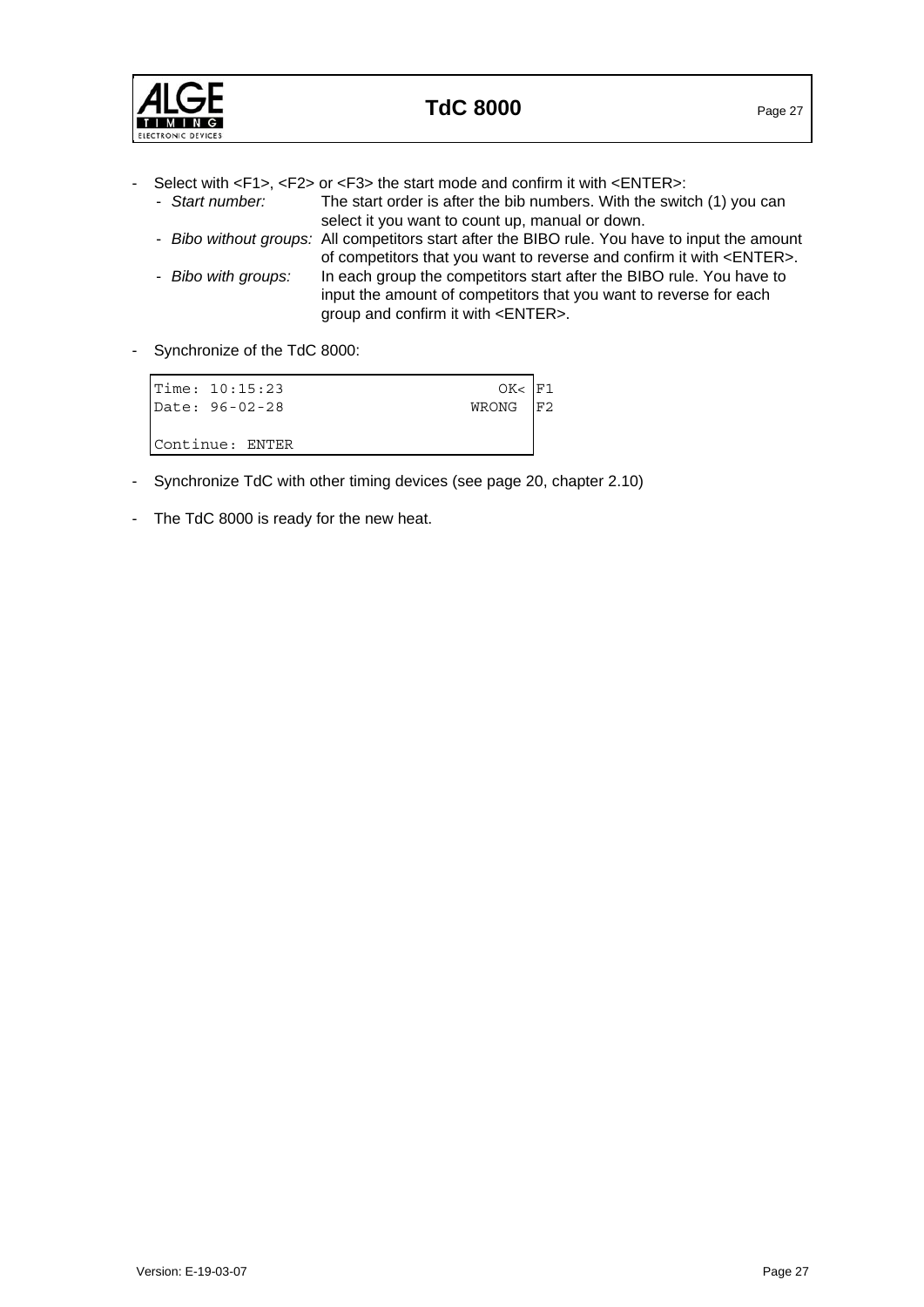

- Select with <F1>, <F2> or <F3> the start mode and confirm it with <ENTER>:
	- *Start number:* The start order is after the bib numbers. With the switch (1) you can select it you want to count up, manual or down.
	- *Bibo without groups:* All competitors start after the BIBO rule. You have to input the amount
	- of competitors that you want to reverse and confirm it with <ENTER>. - *Bibo with groups:* In each group the competitors start after the BIBO rule. You have to input the amount of competitors that you want to reverse for each group and confirm it with <ENTER>.
- Synchronize of the TdC 8000:



- Synchronize TdC with other timing devices (see page 20, chapter 2.10)
- The TdC 8000 is ready for the new heat.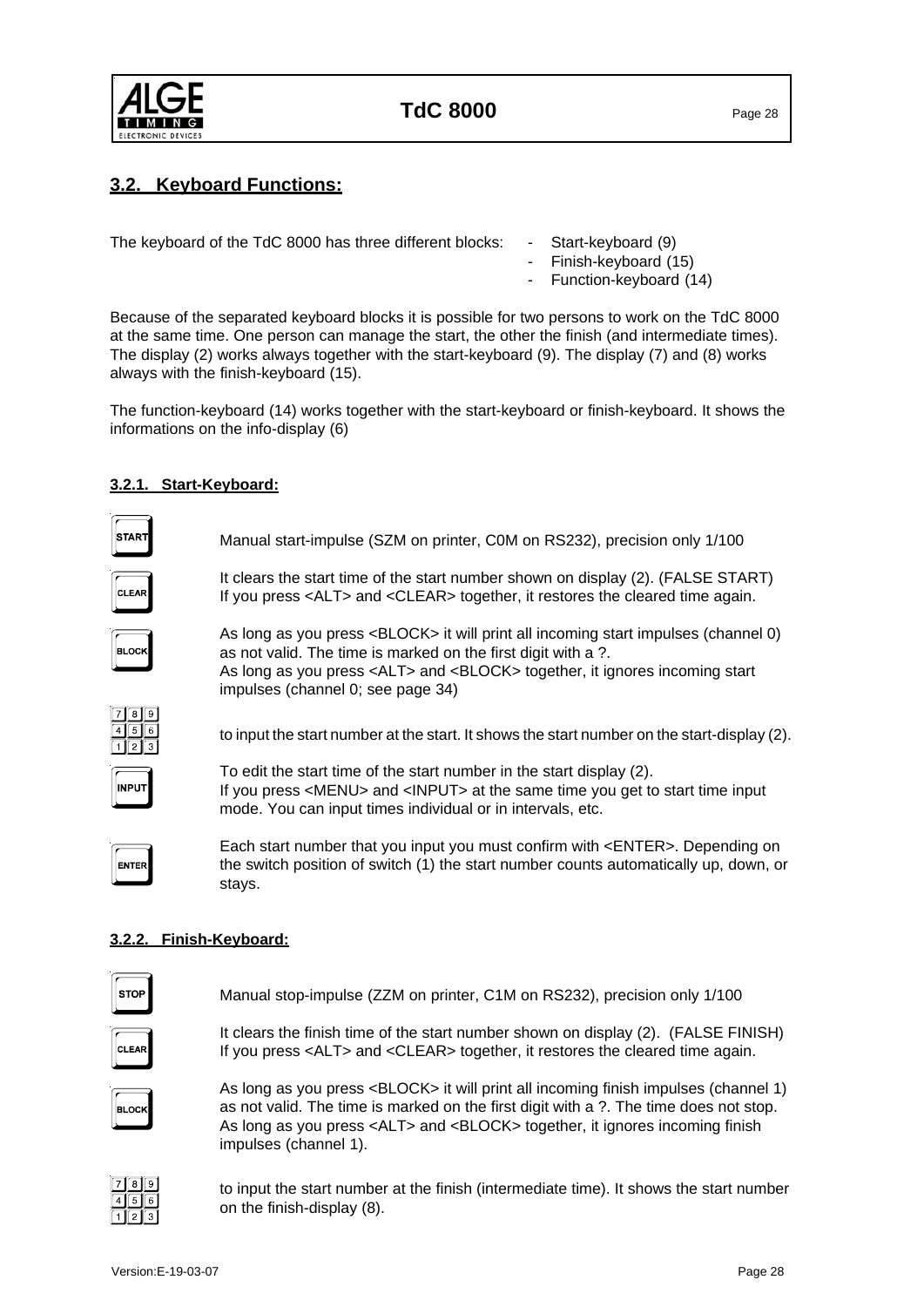

## **3.2. Keyboard Functions:**

The keyboard of the TdC 8000 has three different blocks: - Start-keyboard (9)

- 
- Finish-keyboard (15)
- Function-keyboard (14)

Because of the separated keyboard blocks it is possible for two persons to work on the TdC 8000 at the same time. One person can manage the start, the other the finish (and intermediate times). The display (2) works always together with the start-keyboard (9). The display (7) and (8) works always with the finish-keyboard (15).

The function-keyboard (14) works together with the start-keyboard or finish-keyboard. It shows the informations on the info-display (6)

## **3.2.1. Start-Keyboard:**

| <b>START</b> | Manual start-impulse (SZM on printer, COM on RS232), precision only 1/100                                                                                                                                                                                                                       |
|--------------|-------------------------------------------------------------------------------------------------------------------------------------------------------------------------------------------------------------------------------------------------------------------------------------------------|
| <b>CLEAR</b> | It clears the start time of the start number shown on display (2). (FALSE START)<br>If you press <alt> and <clear> together, it restores the cleared time again.</clear></alt>                                                                                                                  |
| <b>BLOCK</b> | As long as you press <block> it will print all incoming start impulses (channel 0)<br/>as not valid. The time is marked on the first digit with a ?.<br/>As long as you press <alt> and <block> together, it ignores incoming start<br/>impulses (channel 0; see page 34)</block></alt></block> |
|              | to input the start number at the start. It shows the start number on the start-display (2).                                                                                                                                                                                                     |
| <b>INPUT</b> | To edit the start time of the start number in the start display (2).<br>If you press <menu> and <input/> at the same time you get to start time input<br/>mode. You can input times individual or in intervals, etc.</menu>                                                                     |

**ENTER** 

Each start number that you input you must confirm with <ENTER>. Depending on the switch position of switch (1) the start number counts automatically up, down, or stays.

## **3.2.2. Finish-Keyboard:**

| <b>STOP</b>  | Manual stop-impulse (ZZM on printer, C1M on RS232), precision only 1/100                                                                                                                                                                                                                                      |
|--------------|---------------------------------------------------------------------------------------------------------------------------------------------------------------------------------------------------------------------------------------------------------------------------------------------------------------|
| CLEAR        | It clears the finish time of the start number shown on display (2). (FALSE FINISH)<br>If you press <alt> and <clear> together, it restores the cleared time again.</clear></alt>                                                                                                                              |
| <b>BLOCK</b> | As long as you press <block> it will print all incoming finish impulses (channel 1)<br/>as not valid. The time is marked on the first digit with a ?. The time does not stop.<br/>As long as you press <alt> and <block> together, it ignores incoming finish<br/>impulses (channel 1).</block></alt></block> |
| $-1 - 1 - 1$ |                                                                                                                                                                                                                                                                                                               |

to input the start number at the finish (intermediate time). It shows the start number on the finish-display (8).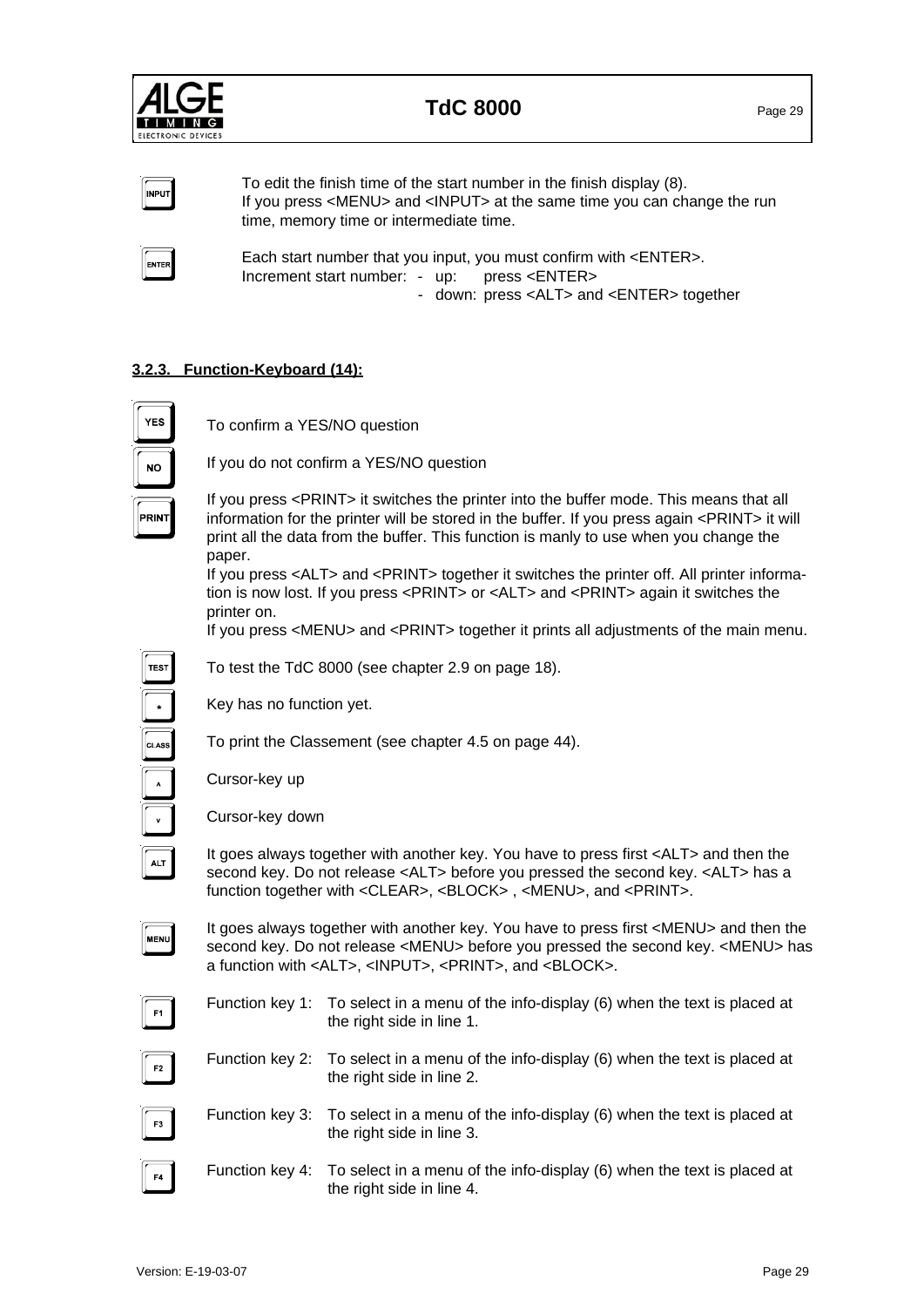

| ×<br>×<br>۰. |
|--------------|
|--------------|

To edit the finish time of the start number in the finish display (8). If you press <MENU> and <INPUT> at the same time you can change the run time, memory time or intermediate time.



Each start number that you input, you must confirm with <ENTER>. Increment start number: - up: press <ENTER> down: press <ALT> and <ENTER> together

## **3.2.3. Function-Keyboard (14):**

| YES |  |
|-----|--|
| NO  |  |
|     |  |

To confirm a YES/NO question

If you do not confirm a YES/NO question

If you press <PRINT> it switches the printer into the buffer mode. This means that all information for the printer will be stored in the buffer. If you press again <PRINT> it will print all the data from the buffer. This function is manly to use when you change the paper.

If you press <ALT> and <PRINT> together it switches the printer off. All printer information is now lost. If you press <PRINT> or <ALT> and <PRINT> again it switches the printer on.

If you press <MENU> and <PRINT> together it prints all adjustments of the main menu.

| <b>TEST</b> |
|-------------|
| ÷           |
| LASS<br>с   |
|             |
|             |
|             |

To test the TdC 8000 (see chapter 2.9 on page 18).

Key has no function yet.

To print the Classement (see chapter 4.5 on page 44).

| Cursor-key up |  |
|---------------|--|
|---------------|--|

Cursor-key down

It goes always together with another key. You have to press first <ALT> and then the second key. Do not release <ALT> before you pressed the second key. <ALT> has a function together with <CLEAR>, <BLOCK> , <MENU>, and <PRINT>.



ALT

It goes always together with another key. You have to press first <MENU> and then the second key. Do not release <MENU> before you pressed the second key. <MENU> has a function with <ALT>, <INPUT>, <PRINT>, and <BLOCK>.



 $F<sub>2</sub>$ 

 $F4$ 

Function key 1: To select in a menu of the info-display (6) when the text is placed at the right side in line 1.



- Function key 3: To select in a menu of the info-display (6) when the text is placed at the right side in line 3.
- Function key 4: To select in a menu of the info-display (6) when the text is placed at the right side in line 4.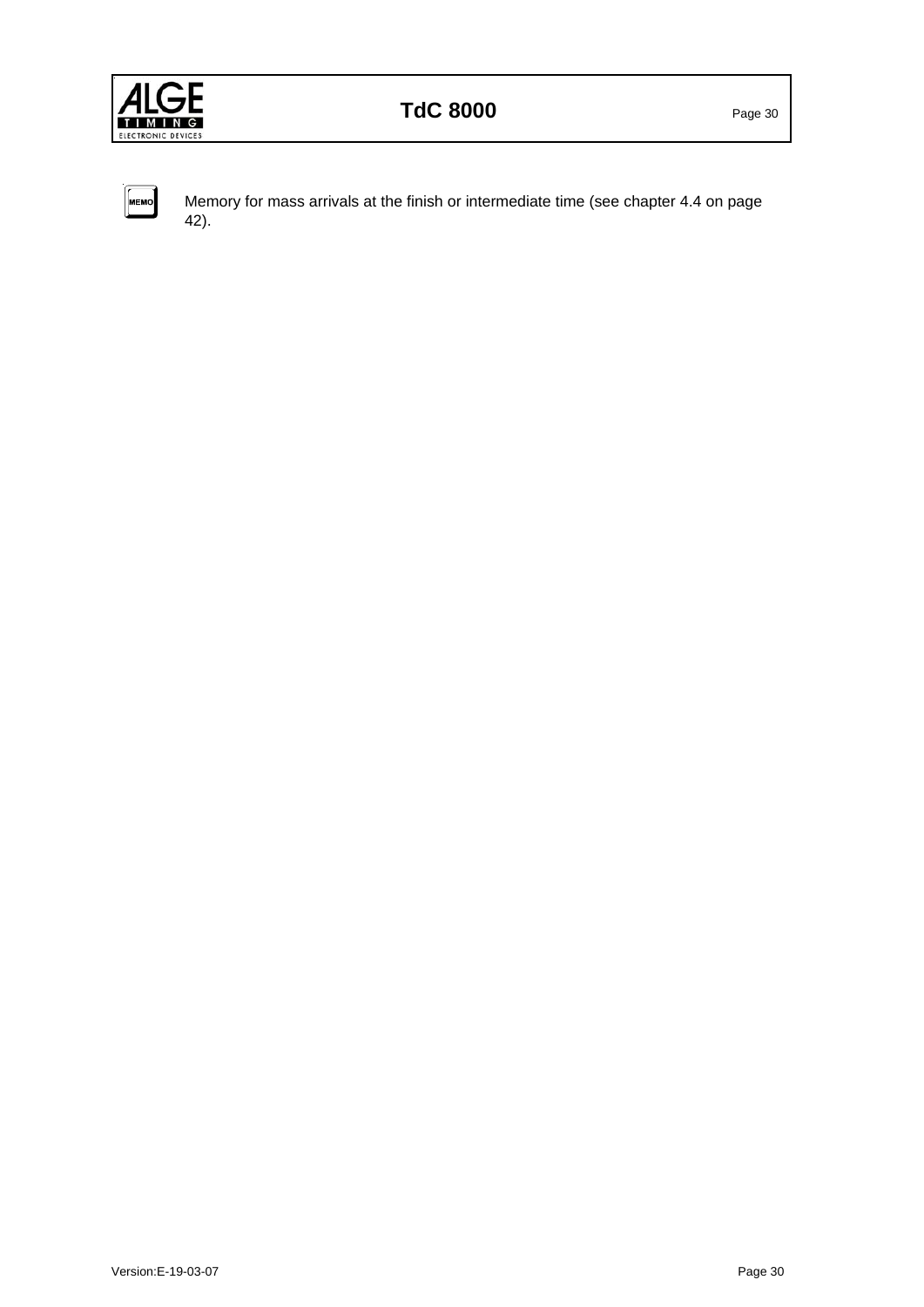



Memory for mass arrivals at the finish or intermediate time (see chapter 4.4 on page 42).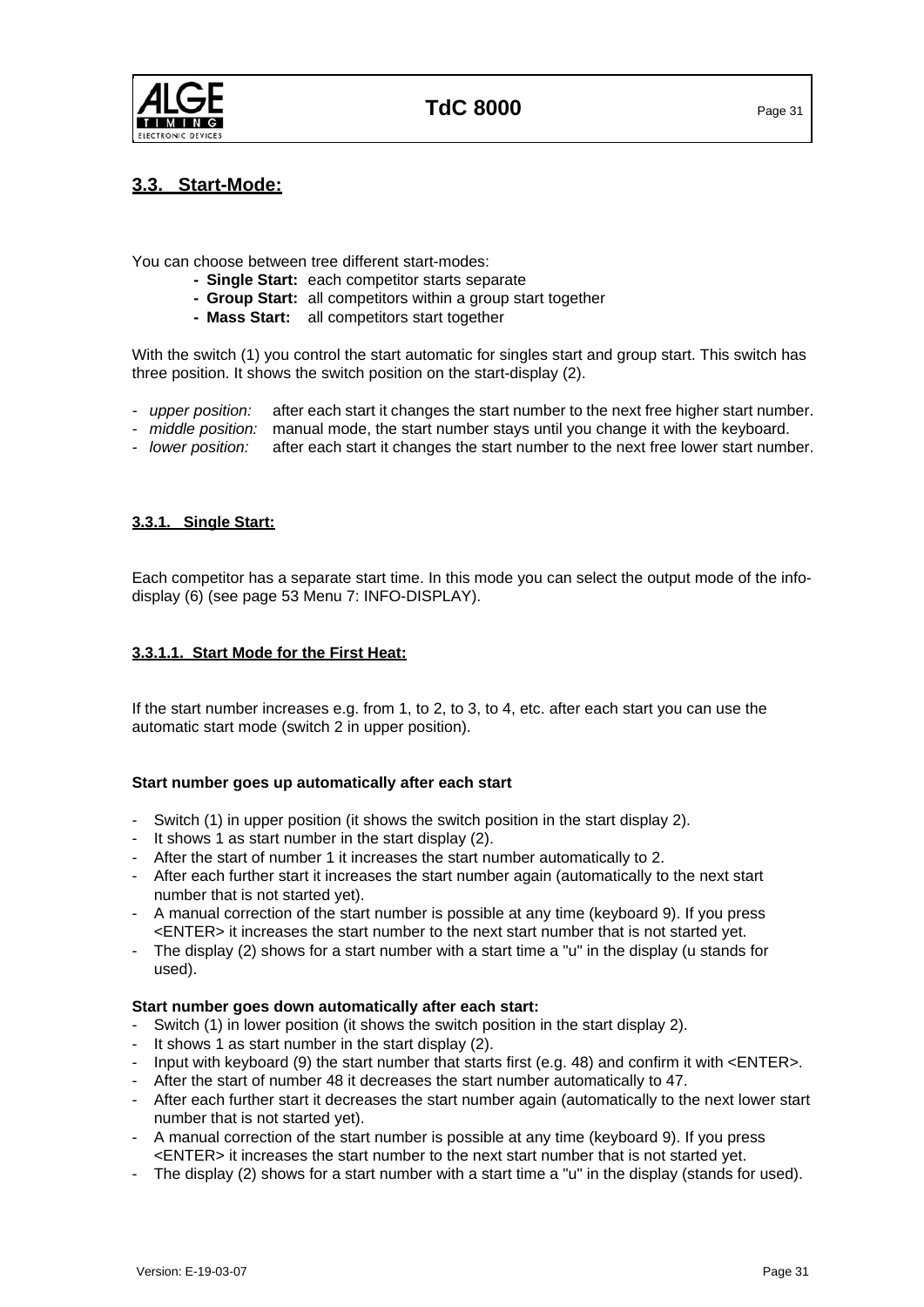

## **3.3. Start-Mode:**

You can choose between tree different start-modes:

- **Single Start:** each competitor starts separate
- **Group Start:** all competitors within a group start together
- **Mass Start:** all competitors start together

With the switch (1) you control the start automatic for singles start and group start. This switch has three position. It shows the switch position on the start-display (2).

- *upper position:* after each start it changes the start number to the next free higher start number.
- *middle position:* manual mode, the start number stays until you change it with the keyboard.
- *lower position:* after each start it changes the start number to the next free lower start number.

## **3.3.1. Single Start:**

Each competitor has a separate start time. In this mode you can select the output mode of the infodisplay (6) (see page 53 Menu 7: INFO-DISPLAY).

## **3.3.1.1. Start Mode for the First Heat:**

If the start number increases e.g. from 1, to 2, to 3, to 4, etc. after each start you can use the automatic start mode (switch 2 in upper position).

### **Start number goes up automatically after each start**

- Switch (1) in upper position (it shows the switch position in the start display 2).
- It shows 1 as start number in the start display (2).
- After the start of number 1 it increases the start number automatically to 2.
- After each further start it increases the start number again (automatically to the next start number that is not started yet).
- A manual correction of the start number is possible at any time (keyboard 9). If you press <ENTER> it increases the start number to the next start number that is not started yet.
- The display (2) shows for a start number with a start time a "u" in the display (u stands for used).

#### **Start number goes down automatically after each start:**

- Switch (1) in lower position (it shows the switch position in the start display 2).
- It shows 1 as start number in the start display (2).
- Input with keyboard (9) the start number that starts first (e.g. 48) and confirm it with <ENTER>.
- After the start of number 48 it decreases the start number automatically to 47.
- After each further start it decreases the start number again (automatically to the next lower start number that is not started yet).
- A manual correction of the start number is possible at any time (keyboard 9). If you press <ENTER> it increases the start number to the next start number that is not started yet.
- The display (2) shows for a start number with a start time a "u" in the display (stands for used).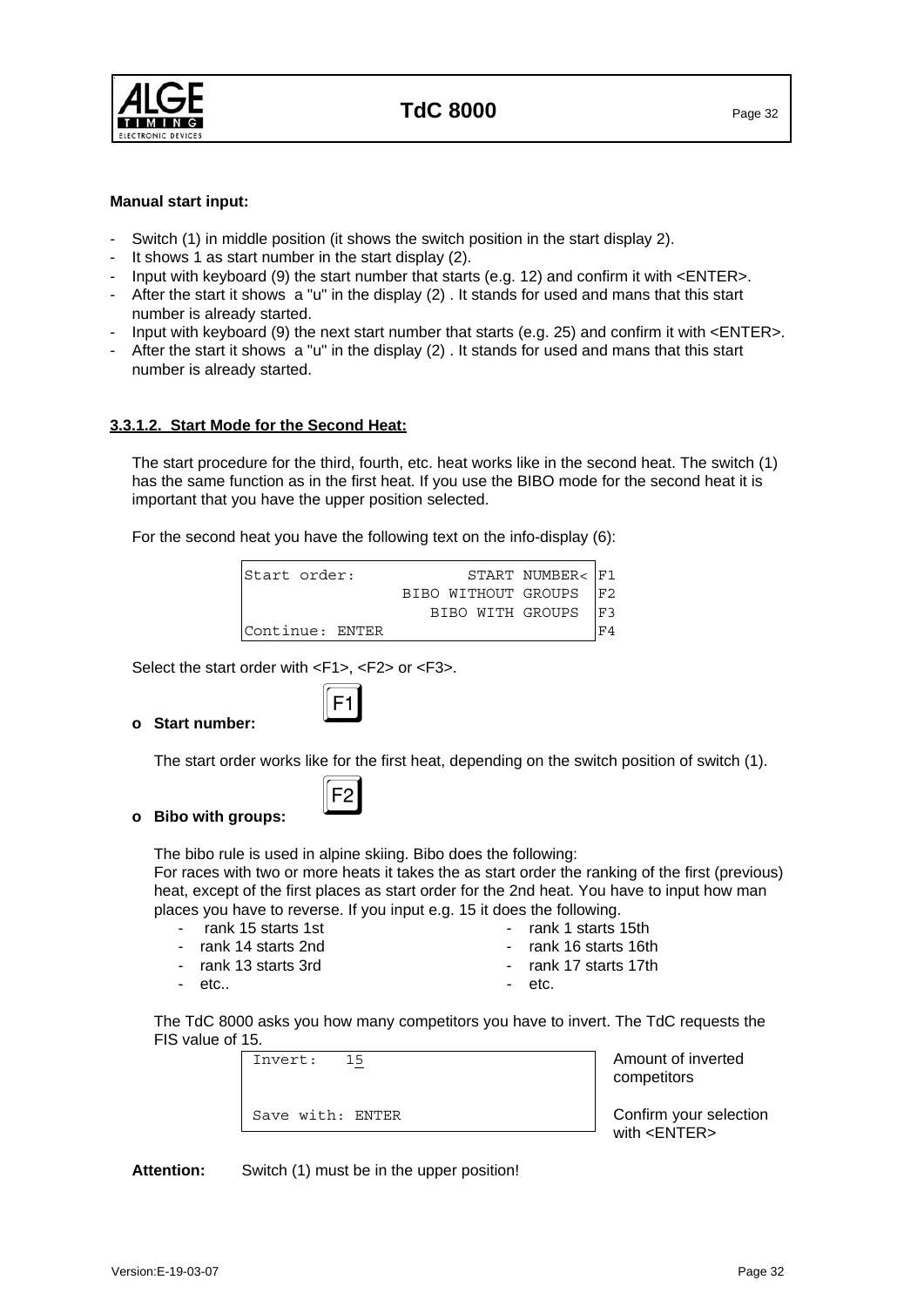

### **Manual start input:**

- Switch (1) in middle position (it shows the switch position in the start display 2).
- It shows 1 as start number in the start display (2).
- Input with keyboard (9) the start number that starts (e.g. 12) and confirm it with <ENTER>.
- After the start it shows a "u" in the display (2) . It stands for used and mans that this start number is already started.
- Input with keyboard (9) the next start number that starts (e.g. 25) and confirm it with <ENTER>.
- After the start it shows a "u" in the display (2) . It stands for used and mans that this start number is already started.

### **3.3.1.2. Start Mode for the Second Heat:**

The start procedure for the third, fourth, etc. heat works like in the second heat. The switch (1) has the same function as in the first heat. If you use the BIBO mode for the second heat it is important that you have the upper position selected.

For the second heat you have the following text on the info-display (6):

| Start order:    |  |  | START NUMBER<   F1       |  |
|-----------------|--|--|--------------------------|--|
|                 |  |  | BIBO WITHOUT GROUPS   F2 |  |
|                 |  |  | BIBO WITH GROUPS  F3     |  |
| Continue: ENTER |  |  |                          |  |

Select the start order with <F1>, <F2> or <F3>.

F1

F<sub>2</sub>

#### **o Start number:**

The start order works like for the first heat, depending on the switch position of switch (1).

### **o Bibo with groups:**

The bibo rule is used in alpine skiing. Bibo does the following:

For races with two or more heats it takes the as start order the ranking of the first (previous) heat, except of the first places as start order for the 2nd heat. You have to input how man places you have to reverse. If you input e.g. 15 it does the following.

- rank 15 starts 1st rank 1 starts 15th
- 
- 
- etc.. etc.
- 
- rank 14 starts 2nd rank 16 starts 16th
	- rank 13 starts 3rd rank 17 starts 17th
		-

The TdC 8000 asks you how many competitors you have to invert. The TdC requests the FIS value of 15.

| _______ |                  |  |
|---------|------------------|--|
|         | Save with: ENTER |  |

Invert: 15 Amount of inverted competitors

> Confirm your selection with <ENTER>

**Attention:** Switch (1) must be in the upper position!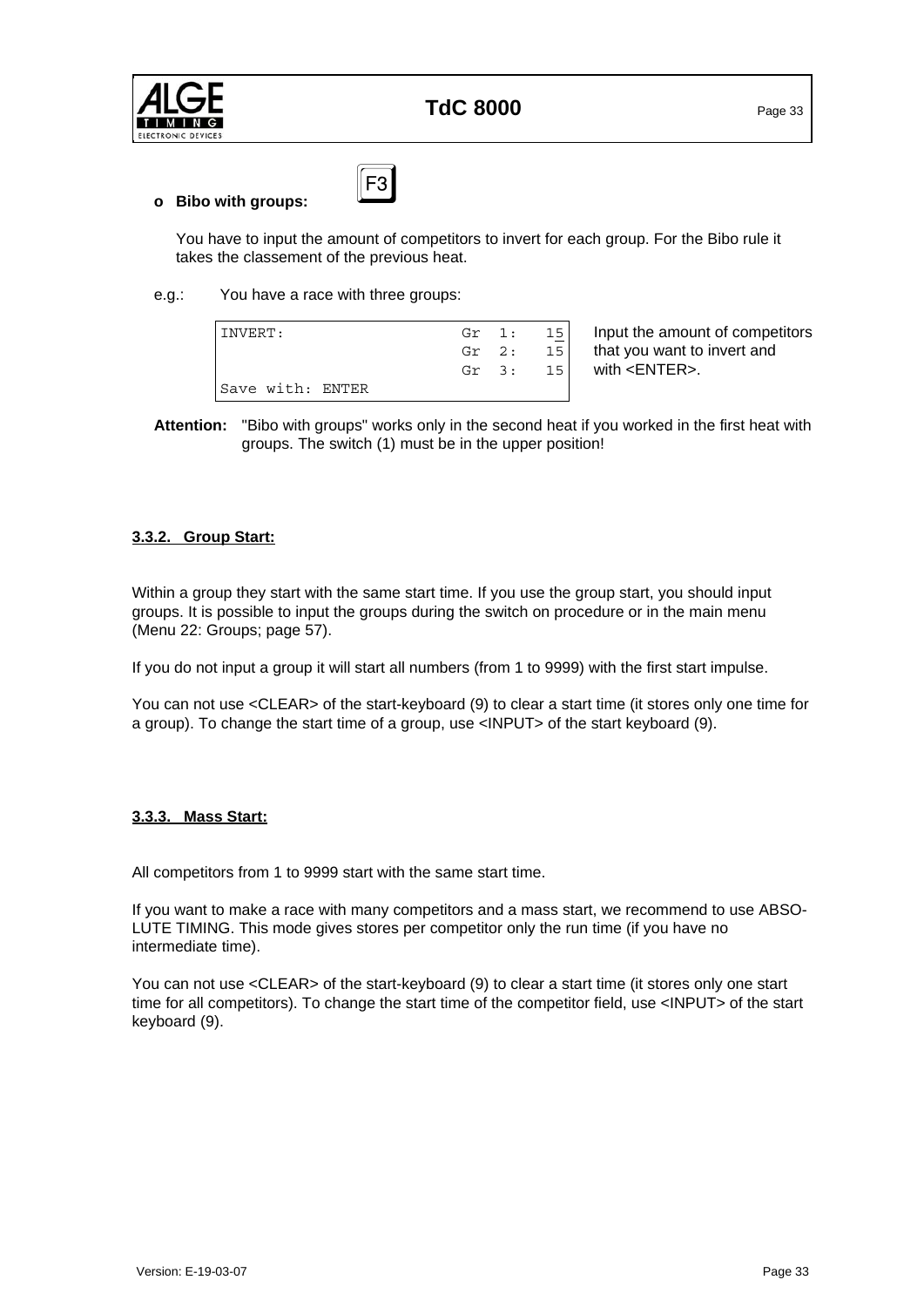



## **o Bibo with groups:**

You have to input the amount of competitors to invert for each group. For the Bibo rule it takes the classement of the previous heat.

e.g.: You have a race with three groups:

| INVERT:          | Gr 1: |                   | 15   | Input the amour         |
|------------------|-------|-------------------|------|-------------------------|
|                  |       | Gr <sub>2</sub> : | 15   | that you want to        |
|                  |       | Gr <sub>3</sub> : | 15 I | with $\leq$ ENTER $>$ . |
| Save with: ENTER |       |                   |      |                         |

he amount of competitors u want to invert and

**Attention:** "Bibo with groups" works only in the second heat if you worked in the first heat with groups. The switch (1) must be in the upper position!

### **3.3.2. Group Start:**

Within a group they start with the same start time. If you use the group start, you should input groups. It is possible to input the groups during the switch on procedure or in the main menu (Menu 22: Groups; page 57).

If you do not input a group it will start all numbers (from 1 to 9999) with the first start impulse.

You can not use <CLEAR> of the start-keyboard (9) to clear a start time (it stores only one time for a group). To change the start time of a group, use <INPUT> of the start keyboard (9).

### **3.3.3. Mass Start:**

All competitors from 1 to 9999 start with the same start time.

If you want to make a race with many competitors and a mass start, we recommend to use ABSO-LUTE TIMING. This mode gives stores per competitor only the run time (if you have no intermediate time).

You can not use <CLEAR> of the start-keyboard (9) to clear a start time (it stores only one start time for all competitors). To change the start time of the competitor field, use <INPUT> of the start keyboard (9).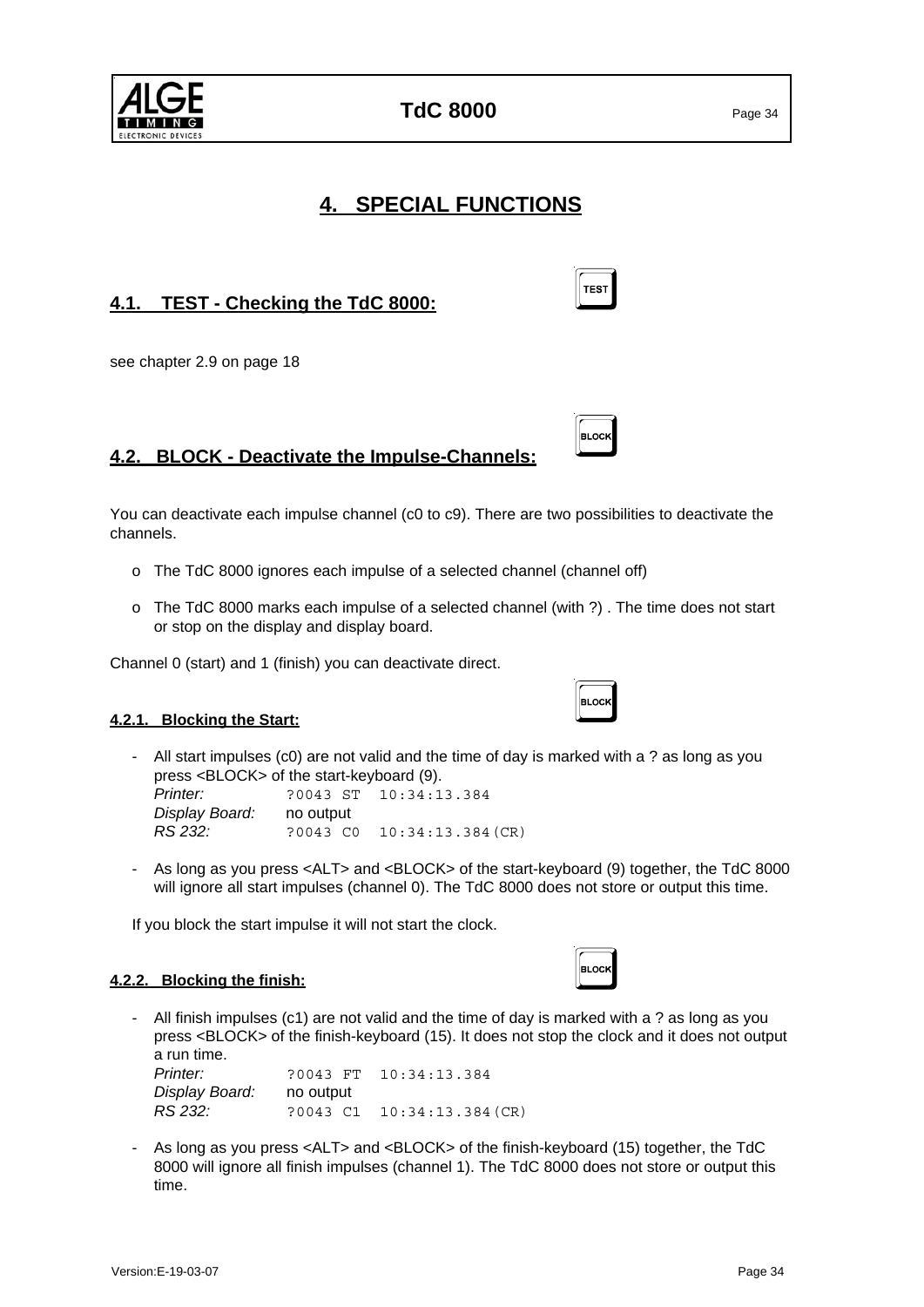

**TdC 8000** Page 34

# **4. SPECIAL FUNCTIONS**

**TEST** 

**BLOCK** 

**BLOCK** 

BLOCK

## **4.1. TEST - Checking the TdC 8000:**

see chapter 2.9 on page 18

## **4.2. BLOCK - Deactivate the Impulse-Channels:**

You can deactivate each impulse channel (c0 to c9). There are two possibilities to deactivate the channels.

- o The TdC 8000 ignores each impulse of a selected channel (channel off)
- o The TdC 8000 marks each impulse of a selected channel (with ?) . The time does not start or stop on the display and display board.

Channel 0 (start) and 1 (finish) you can deactivate direct.

### **4.2.1. Blocking the Start:**

- All start impulses (c0) are not valid and the time of day is marked with a ? as long as you press <BLOCK> of the start-keyboard (9).

| <i>Printer:</i> |           | ?0043 ST 10:34:13.384                         |
|-----------------|-----------|-----------------------------------------------|
| Display Board:  | no output |                                               |
| RS 232:         |           | $?0043 \text{ CO } 10:34:13.384 \text{ (CR)}$ |

- As long as you press <ALT> and <BLOCK> of the start-keyboard (9) together, the TdC 8000 will ignore all start impulses (channel 0). The TdC 8000 does not store or output this time.

If you block the start impulse it will not start the clock.

### **4.2.2. Blocking the finish:**

- All finish impulses (c1) are not valid and the time of day is marked with a ? as long as you press <BLOCK> of the finish-keyboard (15). It does not stop the clock and it does not output a run time.

| Printer:       | ?0043 FT  | 10:34:13.384                                 |
|----------------|-----------|----------------------------------------------|
| Display Board: | no output |                                              |
| RS 232:        |           | $?0043 \text{ C1} 10:34:13.384 \text{ (CR)}$ |

As long as you press <ALT> and <BLOCK> of the finish-keyboard (15) together, the TdC 8000 will ignore all finish impulses (channel 1). The TdC 8000 does not store or output this time.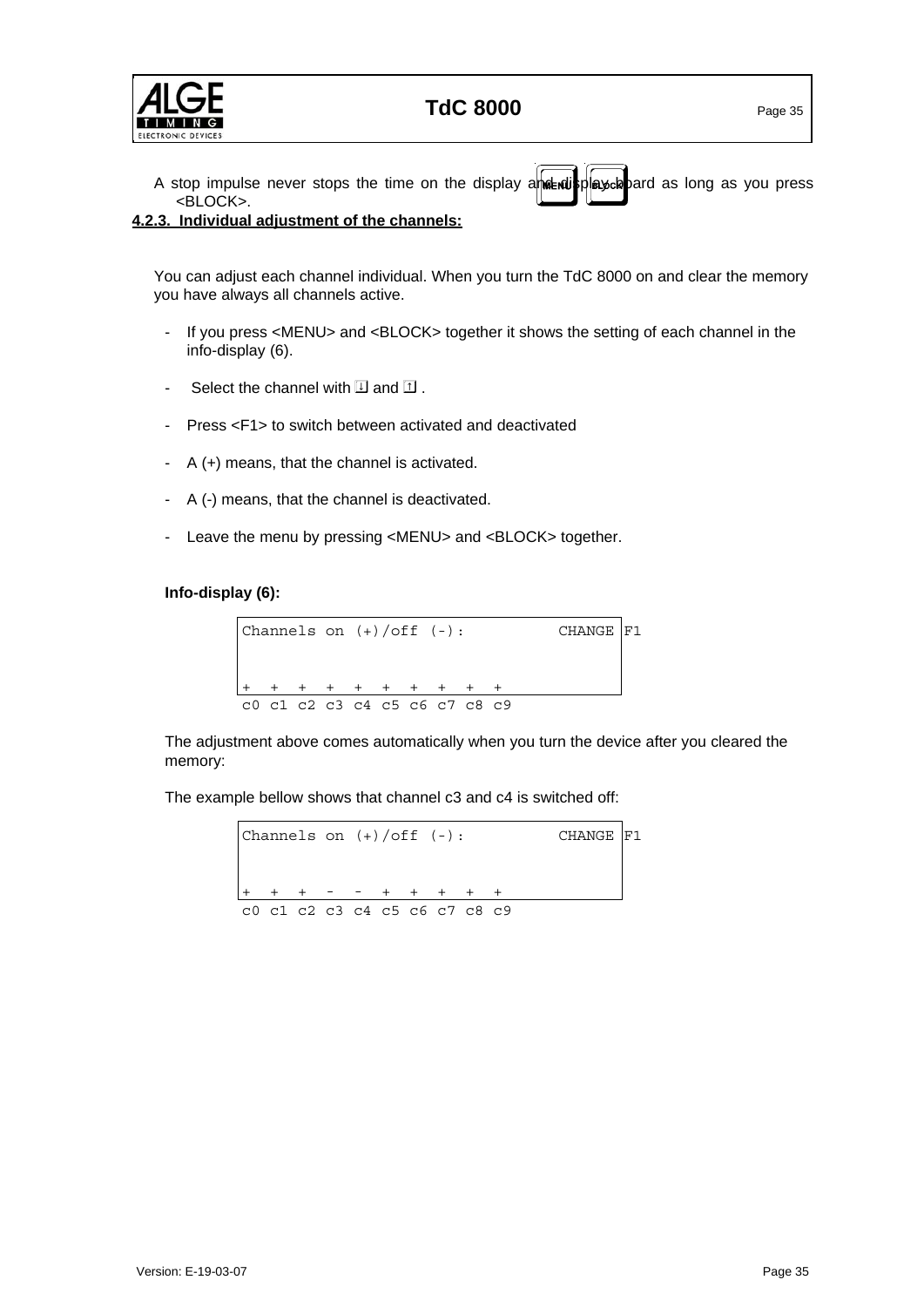

# **TdC 8000** Page 35

A stop impulse never stops the time on the display and all play about as long as you press <BLOCK>.

## **4.2.3. Individual adjustment of the channels:**

You can adjust each channel individual. When you turn the TdC 8000 on and clear the memory you have always all channels active.

- If you press <MENU> and <BLOCK> together it shows the setting of each channel in the info-display (6).
- Select the channel with  $\Box$  and  $\Box$ .
- Press <F1> to switch between activated and deactivated
- A (+) means, that the channel is activated.
- A (-) means, that the channel is deactivated.
- Leave the menu by pressing <MENU> and <BLOCK> together.

## **Info-display (6):**



The adjustment above comes automatically when you turn the device after you cleared the memory:

The example bellow shows that channel c3 and c4 is switched off:

|  |  |  |  | Channels on $(+)/$ off $(-)$ : |  | CHANGE F1 |  |
|--|--|--|--|--------------------------------|--|-----------|--|
|  |  |  |  |                                |  |           |  |
|  |  |  |  | + + - - + + + + +              |  |           |  |
|  |  |  |  | c0 c1 c2 c3 c4 c5 c6 c7 c8 c9  |  |           |  |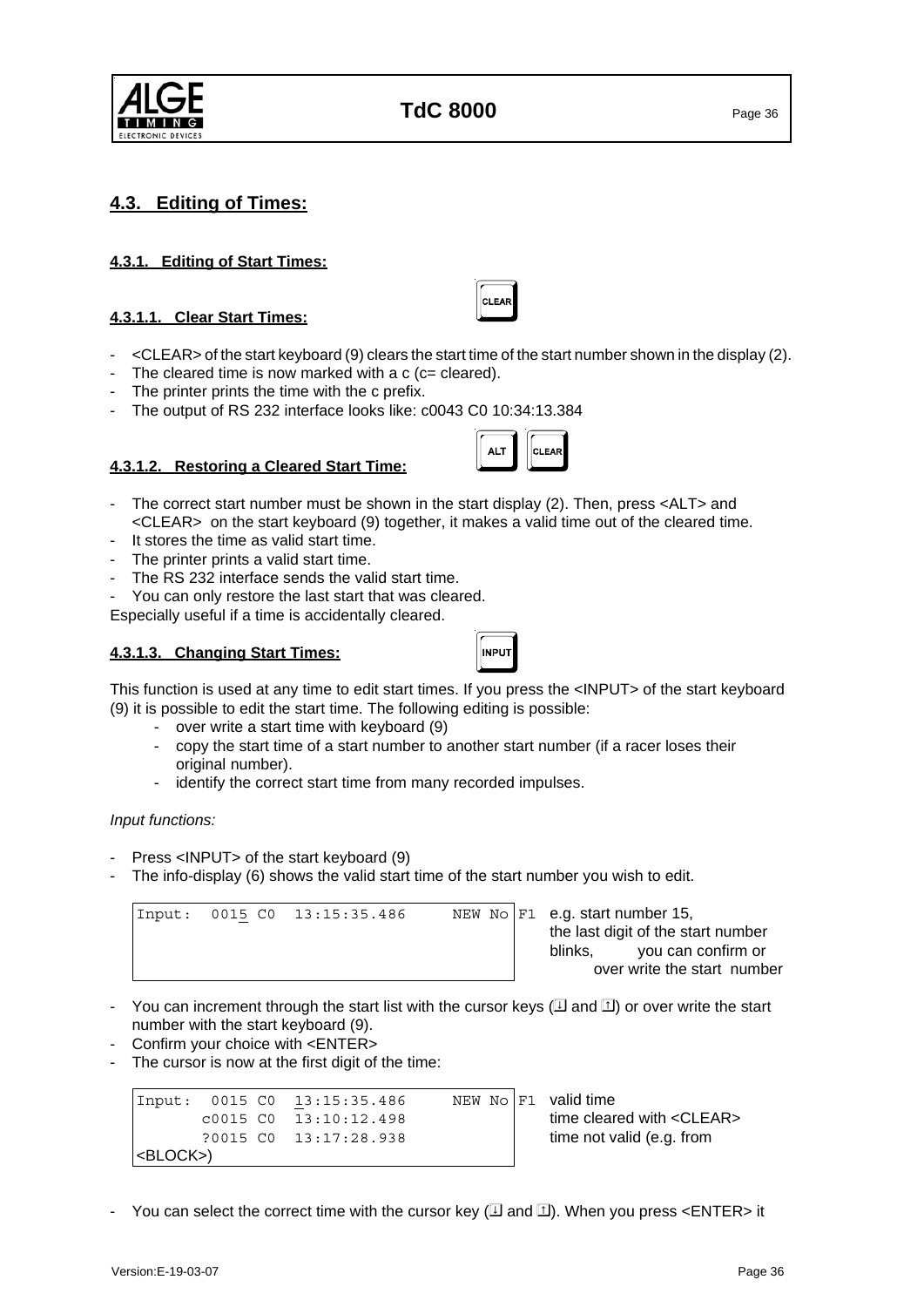## **4.3. Editing of Times:**

## **4.3.1. Editing of Start Times:**

## **4.3.1.1. Clear Start Times:**

- <CLEAR> of the start keyboard (9) clears the start time of the start number shown in the display (2).
- The cleared time is now marked with a  $c$  ( $c=$  cleared).
- The printer prints the time with the c prefix.
- The output of RS 232 interface looks like: c0043 C0 10:34:13.384

## **4.3.1.2. Restoring a Cleared Start Time:**

- The correct start number must be shown in the start display (2). Then, press <ALT> and <CLEAR> on the start keyboard (9) together, it makes a valid time out of the cleared time.
- It stores the time as valid start time.
- The printer prints a valid start time.
- The RS 232 interface sends the valid start time.

You can only restore the last start that was cleared.

Especially useful if a time is accidentally cleared.

## **4.3.1.3. Changing Start Times:**

This function is used at any time to edit start times. If you press the <INPUT> of the start keyboard (9) it is possible to edit the start time. The following editing is possible:

- over write a start time with keyboard (9)
- copy the start time of a start number to another start number (if a racer loses their original number).
- identify the correct start time from many recorded impulses.

### *Input functions:*

- Press <INPUT> of the start keyboard (9)
- The info-display (6) shows the valid start time of the start number you wish to edit.

Input:  $0015$  C0 13:15:35.486 NEW No F1 e.g. start number 15,

| - You can increment through the start list with the cursor keys $(\Box$ and $\Box)$ or over write the start |
|-------------------------------------------------------------------------------------------------------------|
| number with the start keyboard (9).                                                                         |

- Confirm your choice with <ENTER>
- The cursor is now at the first digit of the time:

|                    |  | Input: 0015 C0 13:15:35.486 |  | NEW No F1 valid time                  |
|--------------------|--|-----------------------------|--|---------------------------------------|
|                    |  | $c0015$ $C0$ $13:10:12.498$ |  | time cleared with $\langle$ CLEAR $>$ |
|                    |  | ?0015 CO 13:17:28.938       |  | time not valid (e.g. from             |
| l <block>)</block> |  |                             |  |                                       |

- You can select the correct time with the cursor key  $(\Box$  and  $\Box$ ). When you press <ENTER> it

the last digit of the start number blinks, you can confirm or

over write the start number











CLEAR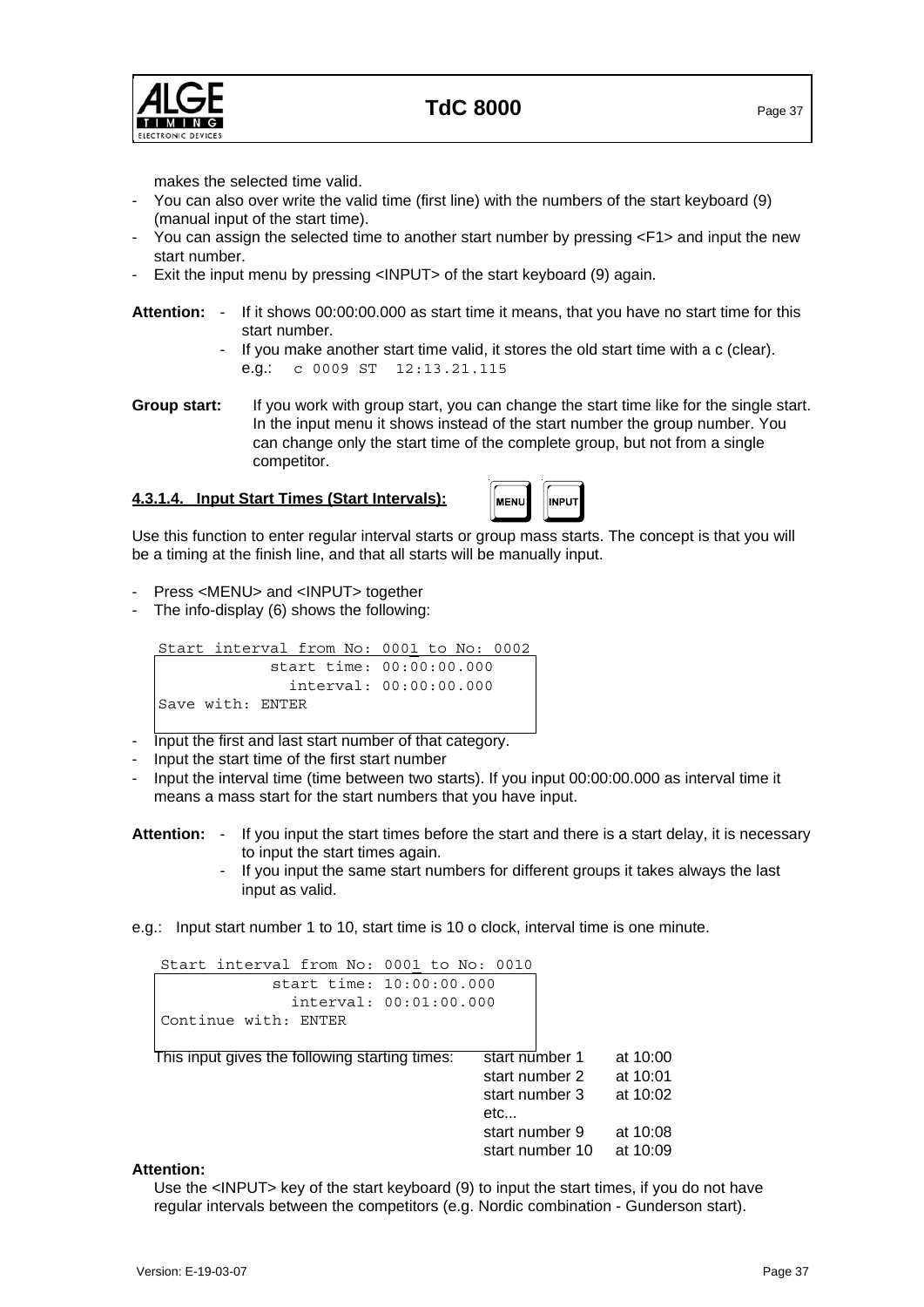

makes the selected time valid.

- You can also over write the valid time (first line) with the numbers of the start keyboard (9) (manual input of the start time).
- You can assign the selected time to another start number by pressing <F1> and input the new start number.
- Exit the input menu by pressing <INPUT> of the start keyboard (9) again.
- **Attention:** If it shows 00:00:00.000 as start time it means, that you have no start time for this start number.
	- If you make another start time valid, it stores the old start time with a c (clear). e.g.: c 0009 ST 12:13.21.115
- **Group start:** If you work with group start, you can change the start time like for the single start. In the input menu it shows instead of the start number the group number. You can change only the start time of the complete group, but not from a single competitor.

# **4.3.1.4. Input Start Times (Start Intervals):**



Use this function to enter regular interval starts or group mass starts. The concept is that you will be a timing at the finish line, and that all starts will be manually input.

- Press <MENU> and <INPUT> together
- The info-display (6) shows the following:



- Input the first and last start number of that category.
- Input the start time of the first start number
- Input the interval time (time between two starts). If you input 00:00:00.000 as interval time it means a mass start for the start numbers that you have input.
- **Attention:** If you input the start times before the start and there is a start delay, it is necessary to input the start times again.
	- If you input the same start numbers for different groups it takes always the last input as valid.
- e.g.: Input start number 1 to 10, start time is 10 o clock, interval time is one minute.

| Start interval from No: 0001 to No: 0010       |                          |                 |            |
|------------------------------------------------|--------------------------|-----------------|------------|
|                                                | start time: 10:00:00.000 |                 |            |
|                                                | interval: 00:01:00.000   |                 |            |
| Continue with: ENTER                           |                          |                 |            |
|                                                |                          |                 |            |
| This input gives the following starting times: |                          | start number 1  | at $10:00$ |
|                                                |                          | start number 2  | at $10:01$ |
|                                                |                          | start number 3  | at $10:02$ |
|                                                |                          | etc             |            |
|                                                |                          | start number 9  | at $10:08$ |
|                                                |                          | start number 10 | at $10:09$ |

### **Attention:**

Use the <INPUT> key of the start keyboard (9) to input the start times, if you do not have regular intervals between the competitors (e.g. Nordic combination - Gunderson start).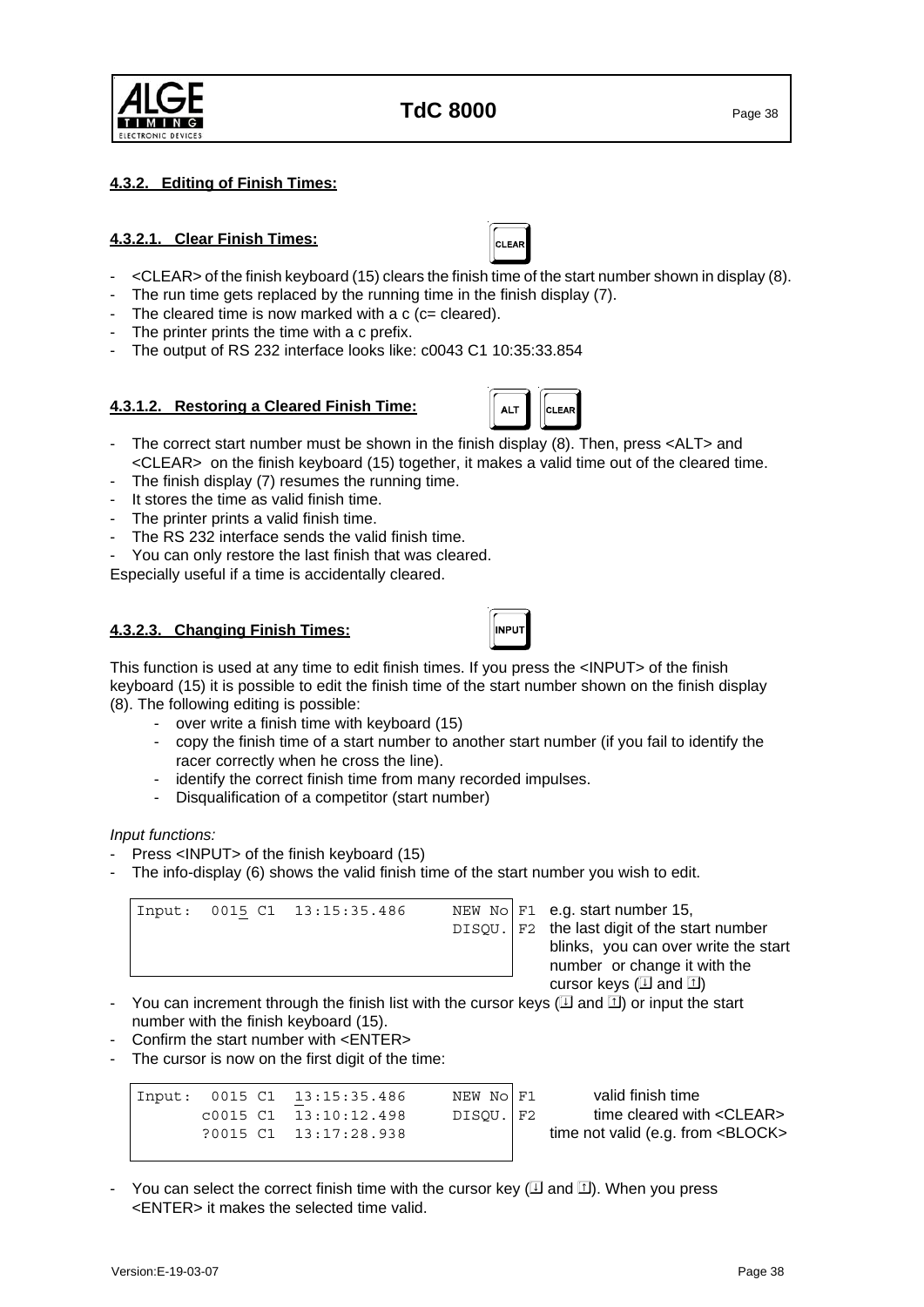# **4.3.2. Editing of Finish Times:**

# **4.3.2.1. Clear Finish Times:**

- <CLEAR> of the finish keyboard (15) clears the finish time of the start number shown in display (8).
- The run time gets replaced by the running time in the finish display (7).
- The cleared time is now marked with a  $c$  ( $c$ = cleared).
- The printer prints the time with a c prefix.
- The output of RS 232 interface looks like: c0043 C1 10:35:33.854

# **4.3.1.2. Restoring a Cleared Finish Time:**

- The correct start number must be shown in the finish display (8). Then, press <ALT> and <CLEAR> on the finish keyboard (15) together, it makes a valid time out of the cleared time.
- The finish display (7) resumes the running time.
- It stores the time as valid finish time.
- The printer prints a valid finish time.
- The RS 232 interface sends the valid finish time.
- You can only restore the last finish that was cleared.

Especially useful if a time is accidentally cleared.

# **4.3.2.3. Changing Finish Times:**

This function is used at any time to edit finish times. If you press the <INPUT> of the finish keyboard (15) it is possible to edit the finish time of the start number shown on the finish display (8). The following editing is possible:

- over write a finish time with keyboard (15)
- copy the finish time of a start number to another start number (if you fail to identify the racer correctly when he cross the line).

INPUT

- identify the correct finish time from many recorded impulses.
- Disqualification of a competitor (start number)

### *Input functions:*

- Press <INPUT> of the finish keyboard (15)
- The info-display (6) shows the valid finish time of the start number you wish to edit.

|  | Input: 0015 C1 13:15:35.486 | NEW NO F1 <b>e.</b> |      |
|--|-----------------------------|---------------------|------|
|  |                             | $DISQU.$ F2 the     |      |
|  |                             |                     | blir |
|  |                             |                     | nu   |
|  |                             |                     | cui  |

 $\overline{\text{NEW} \times \text{NO}}$  F1 e.g. start number 15, e last digit of the start number nks, you can over write the start mber or change it with the rsor keys ( $\Box$  and  $\Box$ )

You can increment through the finish list with the cursor keys  $(\Box$  and  $\Box$ ) or input the start number with the finish keyboard (15).

- Confirm the start number with <ENTER>
- The cursor is now on the first digit of the time:

|  |  | Input: 0015 C1 13:15:35.486 | NEW Nolf1 | valid finish time                                                                                                                                 |
|--|--|-----------------------------|-----------|---------------------------------------------------------------------------------------------------------------------------------------------------|
|  |  | c0015 C1 13:10:12.498       | DISOU. F2 | time cleared with <clear></clear>                                                                                                                 |
|  |  | ?0015 C1 13:17:28.938       |           | time not valid (e.g. from <block></block>                                                                                                         |
|  |  |                             |           |                                                                                                                                                   |
|  |  |                             |           |                                                                                                                                                   |
|  |  |                             |           | $\mathbf{M}_{\rm eff}$ and a set of the contract $P$ state $P$ and $P$ and $P$ are contracted $P$ and $P$ and $P$ and $P$ and $P$ and $P$ and $P$ |

# You can select the correct finish time with the cursor key  $(\Box$  and  $\Box)$ . When you press <ENTER> it makes the selected time valid.





CLEAR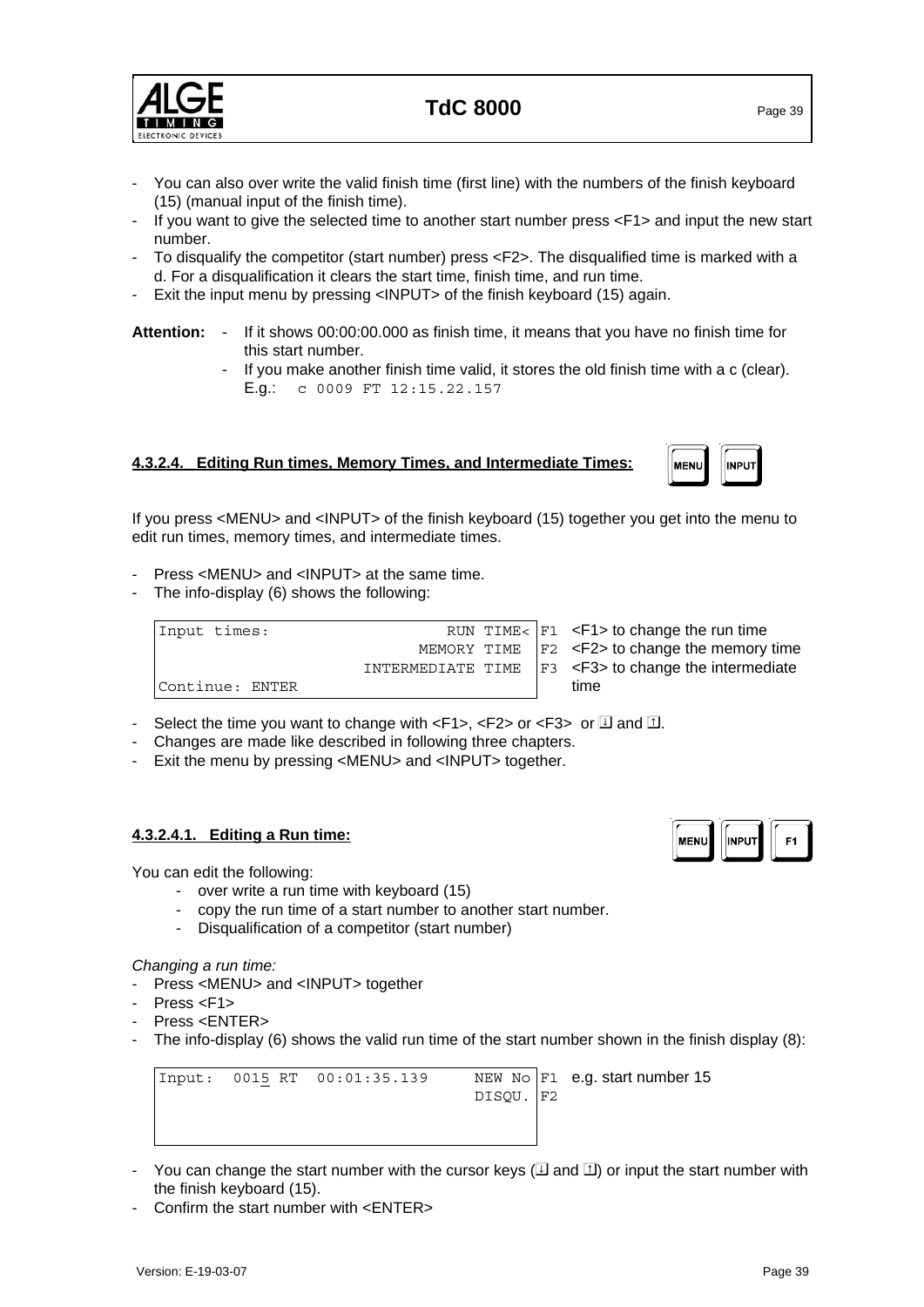

- You can also over write the valid finish time (first line) with the numbers of the finish keyboard (15) (manual input of the finish time).
- If you want to give the selected time to another start number press <F1> and input the new start number.
- To disqualify the competitor (start number) press <F2>. The disqualified time is marked with a d. For a disqualification it clears the start time, finish time, and run time.
- Exit the input menu by pressing <INPUT> of the finish keyboard (15) again.
- **Attention:** If it shows 00:00:00.000 as finish time, it means that you have no finish time for this start number.
	- If you make another finish time valid, it stores the old finish time with a c (clear). E.g.: c 0009 FT 12:15.22.157

## **4.3.2.4. Editing Run times, Memory Times, and Intermediate Times:**

If you press <MENU> and <INPUT> of the finish keyboard (15) together you get into the menu to edit run times, memory times, and intermediate times.

- Press <MENU> and <INPUT> at the same time.
- The info-display (6) shows the following:

| Input times:    |  | RUN TIME< $ F1 $ <f1> to change the run time<br/>MEMORY TIME <math> F2  &lt; F2</math> to change the memory time</f1> |
|-----------------|--|-----------------------------------------------------------------------------------------------------------------------|
|                 |  | INTERMEDIATE TIME $ F3  < F3$ to change the intermediate                                                              |
| Continue: ENTER |  | time                                                                                                                  |

- Select the time you want to change with  $\langle$ F1>,  $\langle$ F2> or  $\langle$ F3> or  $\Box$  and  $\Box$ .
- Changes are made like described in following three chapters.
- Exit the menu by pressing <MENU> and <INPUT> together.

### **4.3.2.4.1. Editing a Run time:**

You can edit the following:

- over write a run time with keyboard (15)
- copy the run time of a start number to another start number.
- Disqualification of a competitor (start number)

*Changing a run time:*

- Press <MENU> and <INPUT> together
- Press <F1>
- Press <ENTER>
- The info-display (6) shows the valid run time of the start number shown in the finish display (8):



- You can change the start number with the cursor keys  $(\Box$  and  $\Box)$  or input the start number with the finish keyboard (15).
- Confirm the start number with <ENTER>





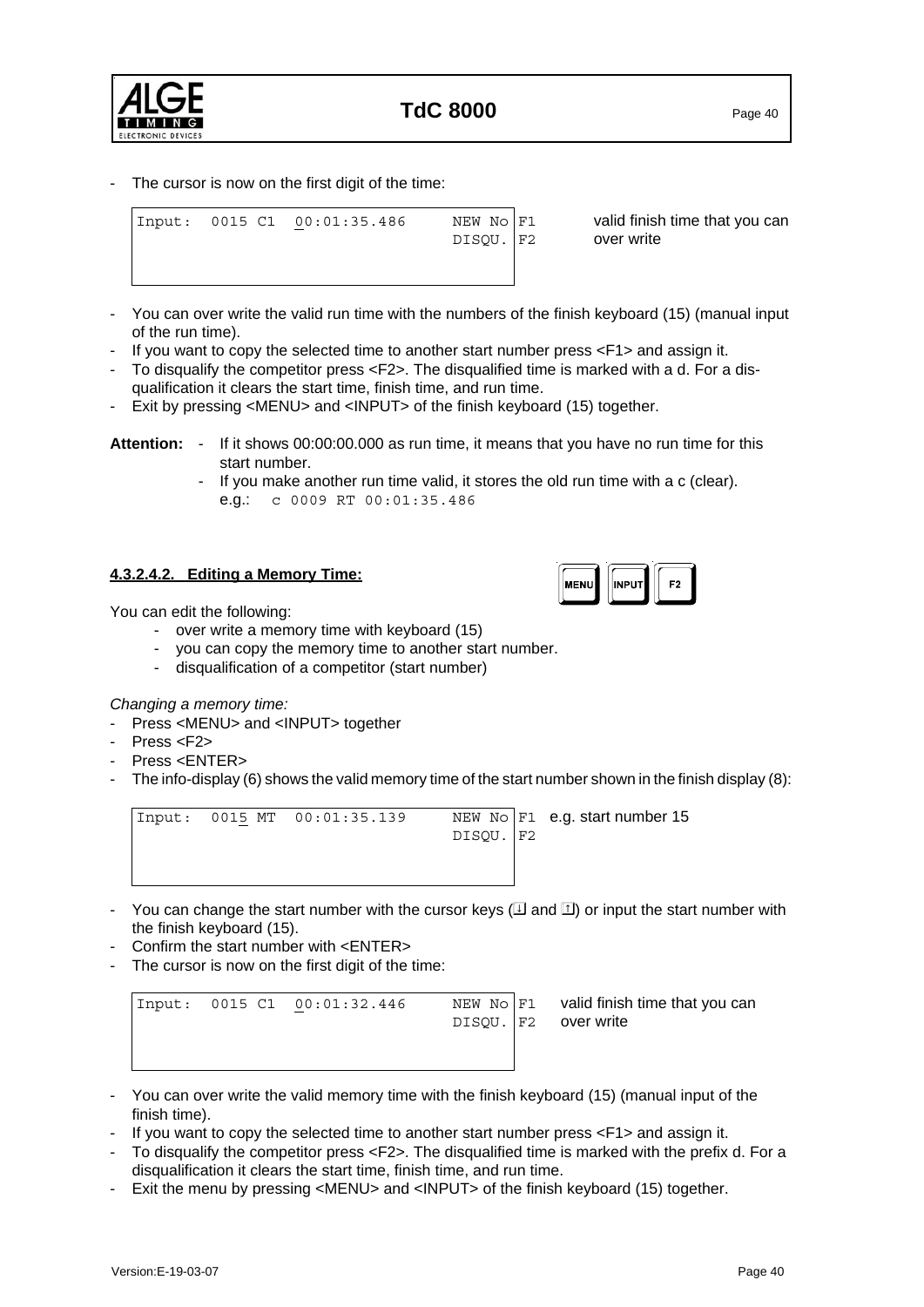

The cursor is now on the first digit of the time:

```
Input: 0.015 \text{ C1} 0.01 \cdot 35.486 NEW No F1 valid finish time that you can
```
DISQU. F2 over write

- You can over write the valid run time with the numbers of the finish keyboard (15) (manual input of the run time).
- If you want to copy the selected time to another start number press <F1> and assign it.
- To disqualify the competitor press <F2>. The disqualified time is marked with a d. For a disqualification it clears the start time, finish time, and run time.
- Exit by pressing <MENU> and <INPUT> of the finish keyboard (15) together.
- **Attention:** If it shows 00:00:00.000 as run time, it means that you have no run time for this start number.
	- If you make another run time valid, it stores the old run time with a c (clear). e.g.: c 0009 RT 00:01:35.486

### **4.3.2.4.2. Editing a Memory Time:**

| MENUI | <b>INPUT</b> | го |
|-------|--------------|----|
|       |              |    |

You can edit the following:

- over write a memory time with keyboard (15)
- you can copy the memory time to another start number.
- disqualification of a competitor (start number)

*Changing a memory time:*

- Press <MENU> and <INPUT> together
- Press <F2>
- Press <ENTER>
- The info-display (6) shows the valid memory time of the start number shown in the finish display (8):



- You can change the start number with the cursor keys  $(\Box$  and  $\Box)$  or input the start number with the finish keyboard (15).
- Confirm the start number with <ENTER>
- The cursor is now on the first digit of the time:



- You can over write the valid memory time with the finish keyboard (15) (manual input of the finish time).
- If you want to copy the selected time to another start number press <F1> and assign it.
- To disqualify the competitor press <F2>. The disqualified time is marked with the prefix d. For a disqualification it clears the start time, finish time, and run time.
- Exit the menu by pressing <MENU> and <INPUT> of the finish keyboard (15) together.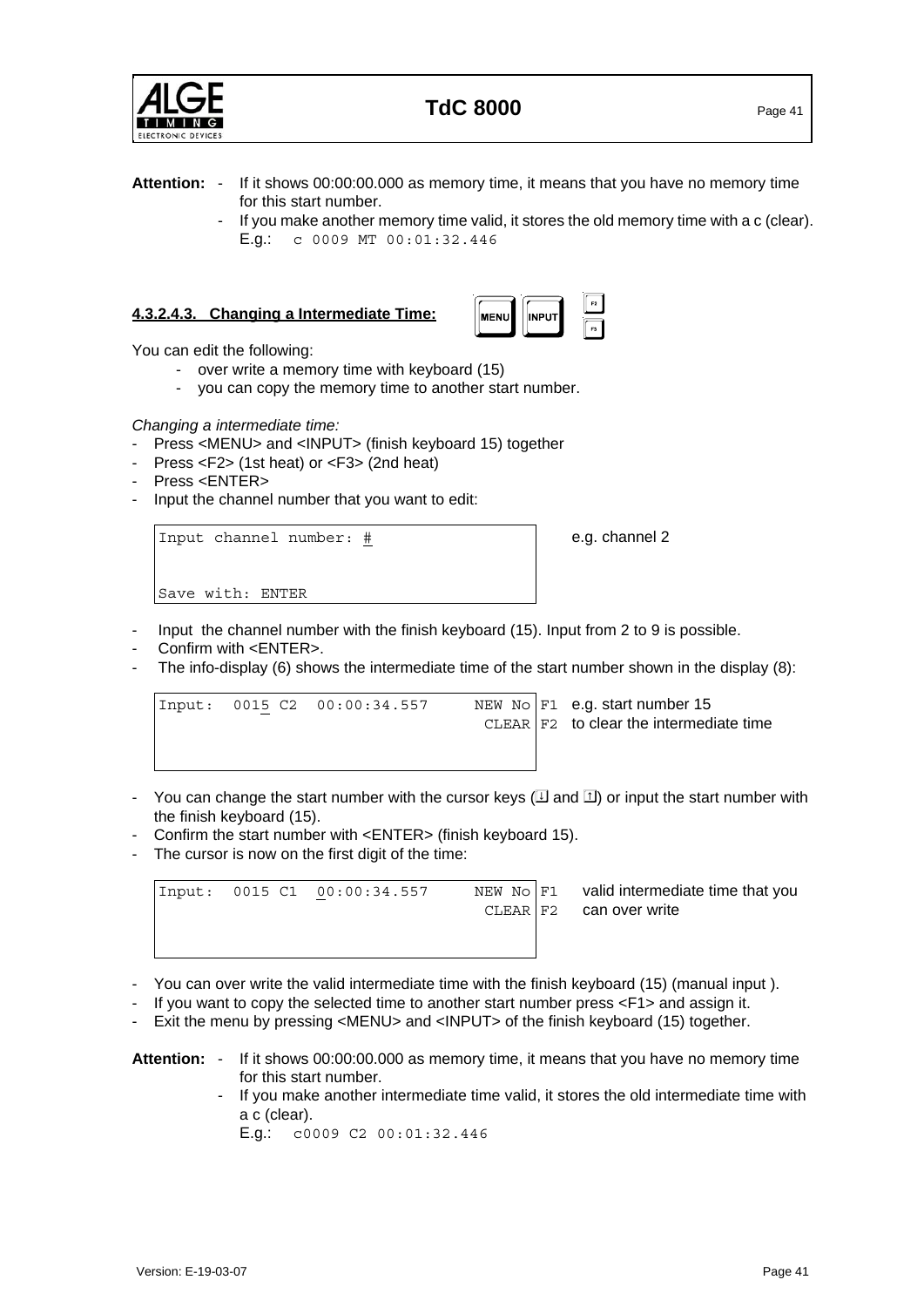

- **Attention:** If it shows 00:00:00.000 as memory time, it means that you have no memory time for this start number.
	- If you make another memory time valid, it stores the old memory time with a c (clear). E.g.: c 0009 MT 00:01:32.446

### **4.3.2.4.3. Changing a Intermediate Time:**

|             |               | F <sub>2</sub> |
|-------------|---------------|----------------|
| <b>MENU</b> | <b>INPUT!</b> | F <sub>3</sub> |

You can edit the following:

- over write a memory time with keyboard (15)
- you can copy the memory time to another start number.

### *Changing a intermediate time:*

- Press <MENU> and <INPUT> (finish keyboard 15) together
- Press <F2> (1st heat) or <F3> (2nd heat)
- Press <ENTER>
- Input the channel number that you want to edit:

```
Input channel number: # e.g. channel 2
```
Input the channel number with the finish keyboard (15). Input from 2 to 9 is possible.

Confirm with <ENTER>.

Save with: ENTER

The info-display (6) shows the intermediate time of the start number shown in the display (8):

|  | Input: 0015 C2 00:00:34.557 |  | NEW No $ F1 \text{ e.g.}$ start number 15<br>CLEAR $ F2$ to clear the intermediate time |
|--|-----------------------------|--|-----------------------------------------------------------------------------------------|
|  |                             |  |                                                                                         |

- You can change the start number with the cursor keys  $(\mathbb{I})$  and  $\mathbb{I})$  or input the start number with the finish keyboard (15).
- Confirm the start number with <ENTER> (finish keyboard 15).
- The cursor is now on the first digit of the time:



 $CLEAR$   $F2$  can over write

- You can over write the valid intermediate time with the finish keyboard (15) (manual input).
- If you want to copy the selected time to another start number press <F1> and assign it.
- Exit the menu by pressing <MENU> and <INPUT> of the finish keyboard (15) together.

**Attention:** - If it shows 00:00:00.000 as memory time, it means that you have no memory time for this start number.

- If you make another intermediate time valid, it stores the old intermediate time with a c (clear).
	- E.g.: c0009 C2 00:01:32.446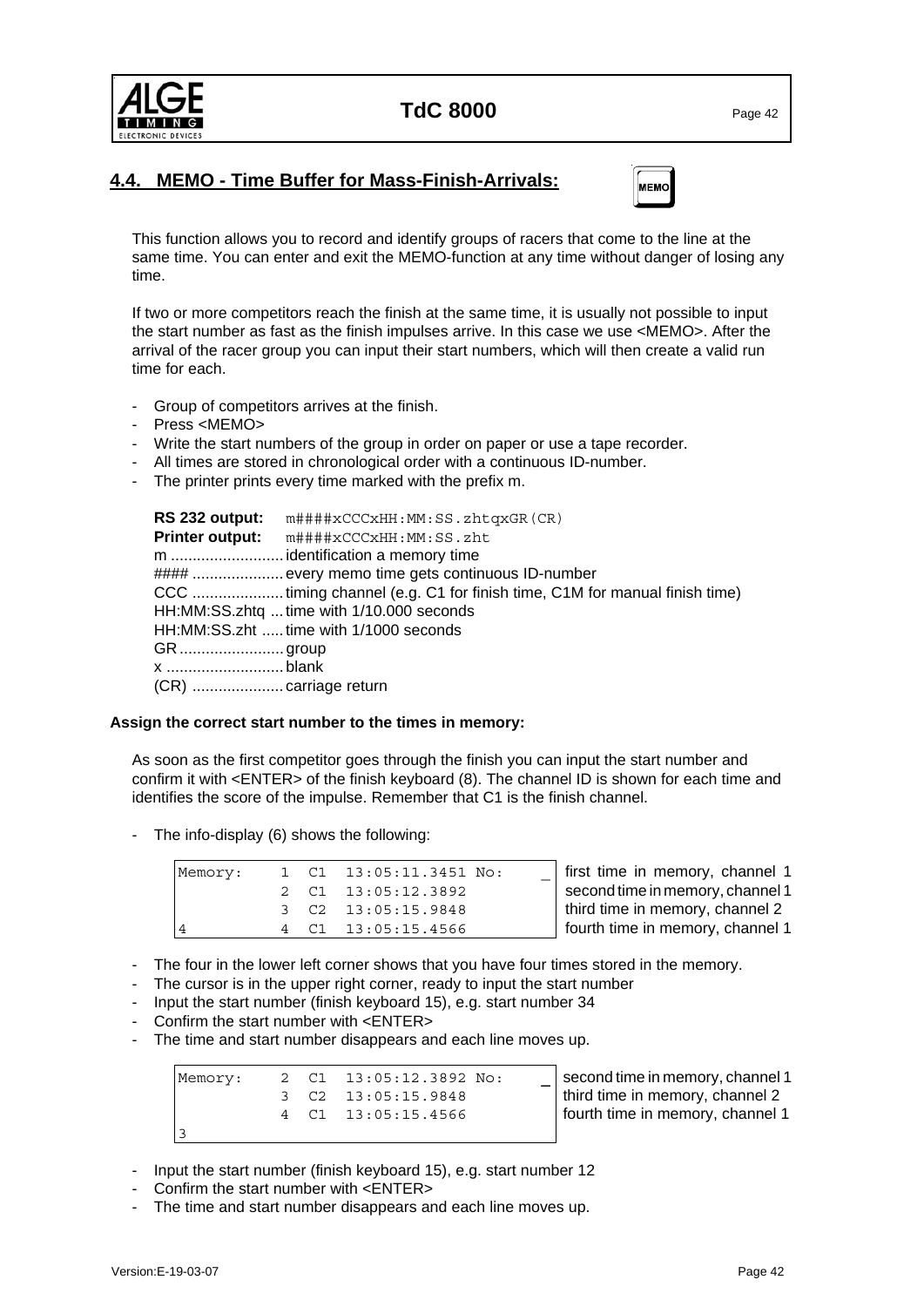



# **4.4. MEMO - Time Buffer for Mass-Finish-Arrivals:**

| ь<br>VI<br>V<br>л |  |
|-------------------|--|
|                   |  |

This function allows you to record and identify groups of racers that come to the line at the same time. You can enter and exit the MEMO-function at any time without danger of losing any time.

If two or more competitors reach the finish at the same time, it is usually not possible to input the start number as fast as the finish impulses arrive. In this case we use <MEMO>. After the arrival of the racer group you can input their start numbers, which will then create a valid run time for each.

- Group of competitors arrives at the finish.
- Press <MEMO>
- Write the start numbers of the group in order on paper or use a tape recorder.
- All times are stored in chronological order with a continuous ID-number.
- The printer prints every time marked with the prefix m.

| RS 232 output:         | $m\# \# \# xCCCxHH : MM : SS . zhtgxGR (CR)$                              |
|------------------------|---------------------------------------------------------------------------|
| <b>Printer output:</b> | m####xCCCxHH:MM:SS.zht                                                    |
|                        | m  identification a memory time                                           |
|                        | ####  every memo time gets continuous ID-number                           |
|                        | CCC  timing channel (e.g. C1 for finish time, C1M for manual finish time) |
|                        | HH:MM:SS.zhtq time with 1/10.000 seconds                                  |
|                        | HH:MM:SS.zht time with 1/1000 seconds                                     |
| GR  group              |                                                                           |
|                        |                                                                           |
| (CR)  carriage return  |                                                                           |

### **Assign the correct start number to the times in memory:**

As soon as the first competitor goes through the finish you can input the start number and confirm it with <ENTER> of the finish keyboard (8). The channel ID is shown for each time and identifies the score of the impulse. Remember that C1 is the finish channel.

The info-display (6) shows the following:

| Memory: |  | 1 C1 13:05:11.3451 No: | first time in memory, channel 1  |
|---------|--|------------------------|----------------------------------|
|         |  | 2 C1 13:05:12.3892     | second time in memory, channel 1 |
|         |  | 3 C2 13:05:15.9848     | third time in memory, channel 2  |
|         |  | 4 C1 13:05:15.4566     | fourth time in memory, channel 1 |

- The four in the lower left corner shows that you have four times stored in the memory.
- The cursor is in the upper right corner, ready to input the start number
- Input the start number (finish keyboard 15), e.g. start number 34
- Confirm the start number with <ENTER>
- The time and start number disappears and each line moves up.

| Memory: |  | 2 C1 13:05:12.3892 No: | second time in memory, channel 1 |
|---------|--|------------------------|----------------------------------|
|         |  | 3 C2 13:05:15.9848     | third time in memory, channel 2  |
|         |  | 4 C1 13:05:15.4566     | fourth time in memory, channel 1 |
|         |  |                        |                                  |

- Input the start number (finish keyboard 15), e.g. start number 12
- Confirm the start number with <ENTER>
- The time and start number disappears and each line moves up.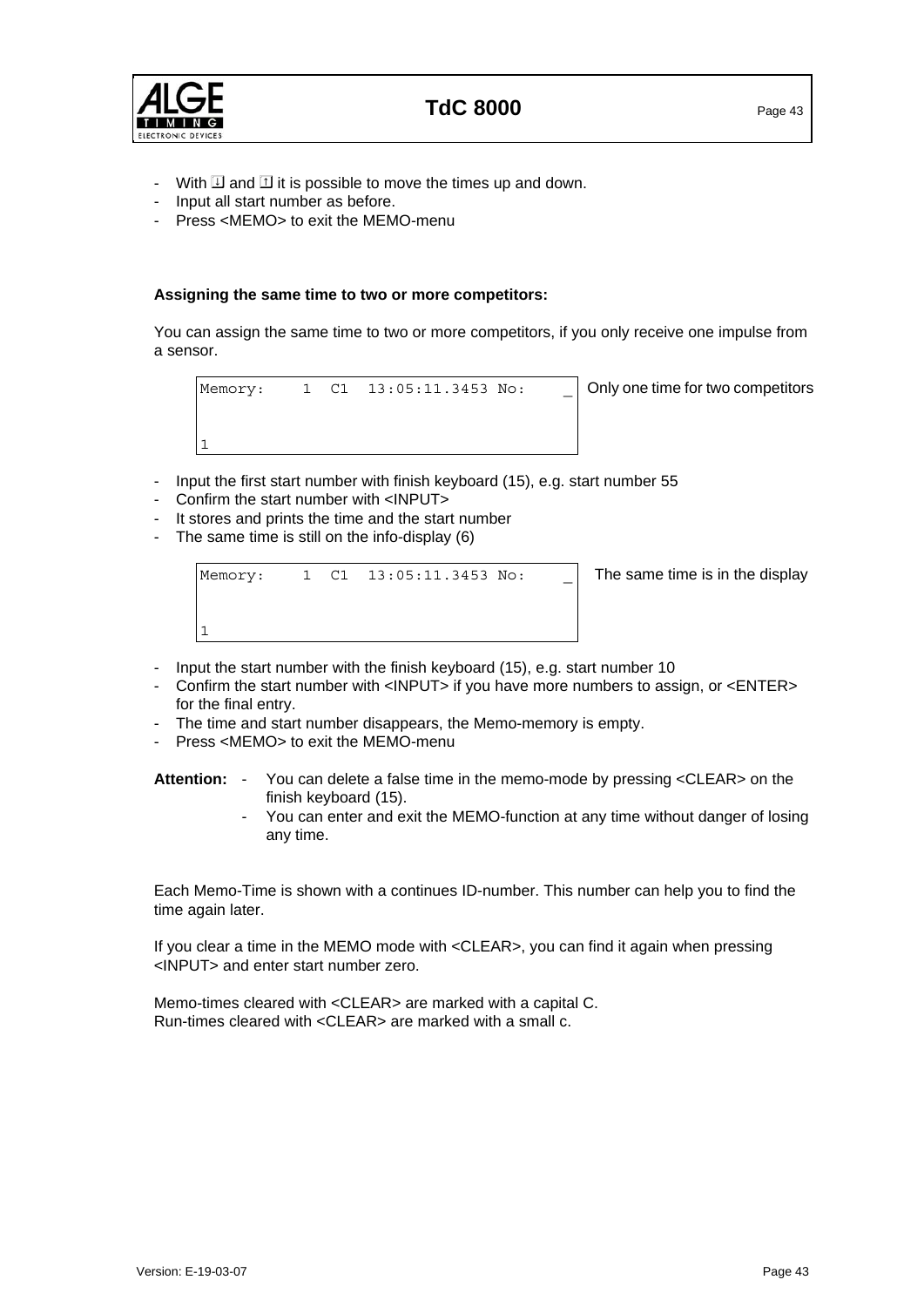

- With  $\Box$  and  $\Box$  it is possible to move the times up and down.
- Input all start number as before.
- Press <MEMO> to exit the MEMO-menu

## **Assigning the same time to two or more competitors:**

You can assign the same time to two or more competitors, if you only receive one impulse from a sensor.

Memory: 1 C1 13:05:11.3453 No: **Only one time for two competitors** 1

- Input the first start number with finish keyboard (15), e.g. start number 55
- Confirm the start number with <INPUT>
- It stores and prints the time and the start number
- The same time is still on the info-display (6)



- Input the start number with the finish keyboard (15), e.g. start number 10
- Confirm the start number with <INPUT> if you have more numbers to assign, or <ENTER> for the final entry.
- The time and start number disappears, the Memo-memory is empty.
- Press <MEMO> to exit the MEMO-menu
- **Attention:** You can delete a false time in the memo-mode by pressing <CLEAR> on the finish keyboard (15).
	- You can enter and exit the MEMO-function at any time without danger of losing any time.

Each Memo-Time is shown with a continues ID-number. This number can help you to find the time again later.

If you clear a time in the MEMO mode with <CLEAR>, you can find it again when pressing <INPUT> and enter start number zero.

Memo-times cleared with <CLEAR> are marked with a capital C. Run-times cleared with <CLEAR> are marked with a small c.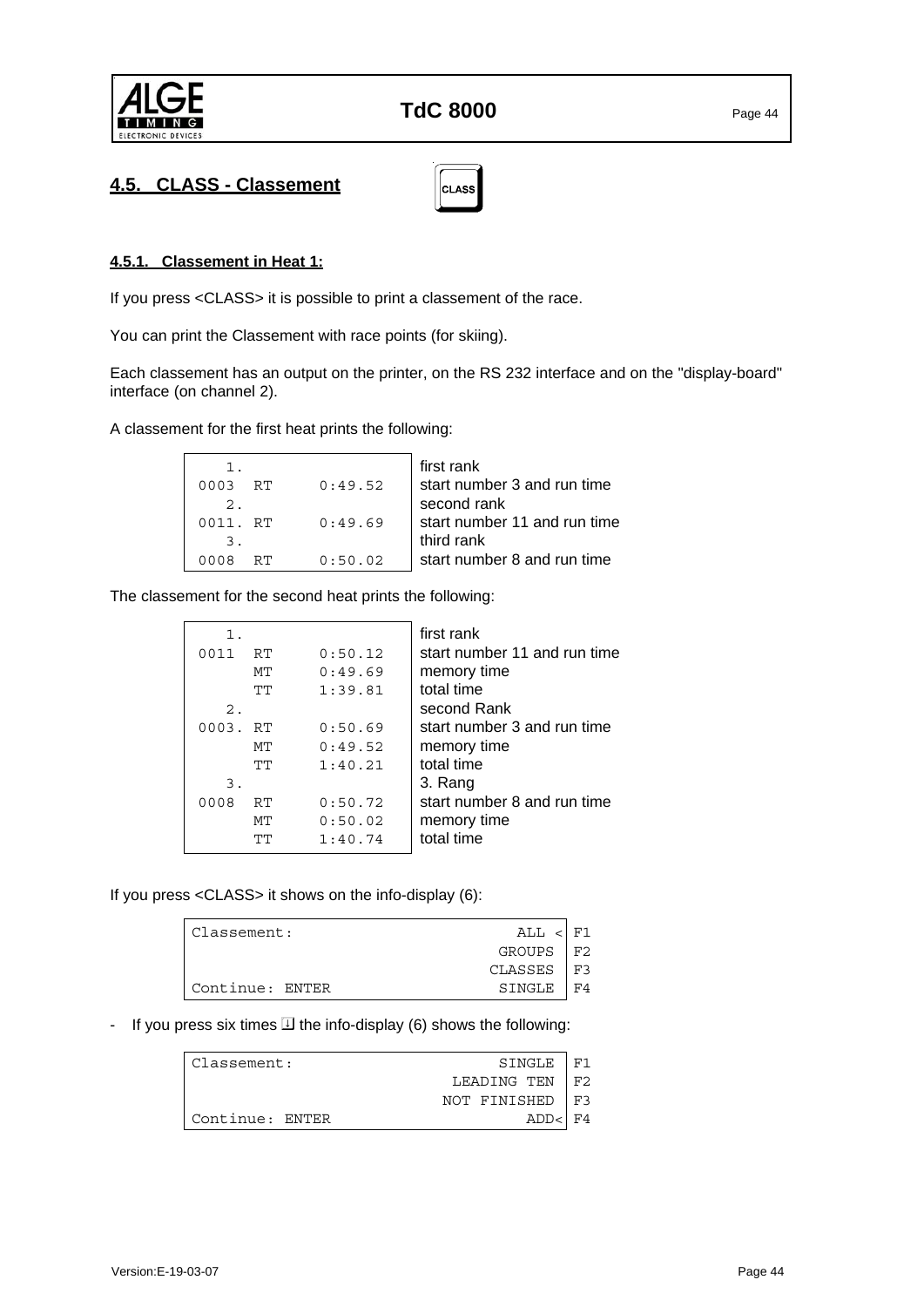

# **4.5. CLASS - Classement**



# **4.5.1. Classement in Heat 1:**

If you press <CLASS> it is possible to print a classement of the race.

You can print the Classement with race points (for skiing).

Each classement has an output on the printer, on the RS 232 interface and on the "display-board" interface (on channel 2).

A classement for the first heat prints the following:

|                |         | first rank                                                                        |
|----------------|---------|-----------------------------------------------------------------------------------|
| 0003 RT        |         | 0:49.52<br>start number 3 and run time<br>0:49.69<br>start number 11 and run time |
|                |         |                                                                                   |
| 0011. RT       |         |                                                                                   |
|                |         | third rank                                                                        |
| $0.008$<br>RT. | 0:50.02 | start number 8 and run time                                                       |

The classement for the second heat prints the following:

| $1$ . |           |         | first rank                   |
|-------|-----------|---------|------------------------------|
| 0011  | RT.       | 0:50.12 | start number 11 and run time |
|       | MТ        | 0:49.69 | memory time                  |
|       | TТ        | 1:39.81 | total time                   |
| 2.    |           |         | second Rank                  |
| 0003. | RT        | 0:50.69 | start number 3 and run time  |
|       | MТ        | 0:49.52 | memory time                  |
|       | ጥጥ        | 1:40.21 | total time                   |
| $3$ . |           |         | 3. Rang                      |
| 0008  | <b>RT</b> | 0:50.72 | start number 8 and run time  |
|       | MТ        | 0:50.02 | memory time                  |
|       | ጥጥ        | 1:40.74 | total time                   |
|       |           |         |                              |

If you press <CLASS> it shows on the info-display (6):

| ALL <  F1    |    |
|--------------|----|
| GROUPS   F2  |    |
| CLASSES   F3 |    |
| SINGLE       | FA |
|              |    |

- If you press six times  $\mathbb D$  the info-display (6) shows the following:

| Classement:     | SINGLE<br>F1.   |     |  |  |  |
|-----------------|-----------------|-----|--|--|--|
|                 | LEADING TEN     | F2. |  |  |  |
|                 | NOT FINISHED F3 |     |  |  |  |
| Continue: ENTER | ADD<1 F4        |     |  |  |  |
|                 |                 |     |  |  |  |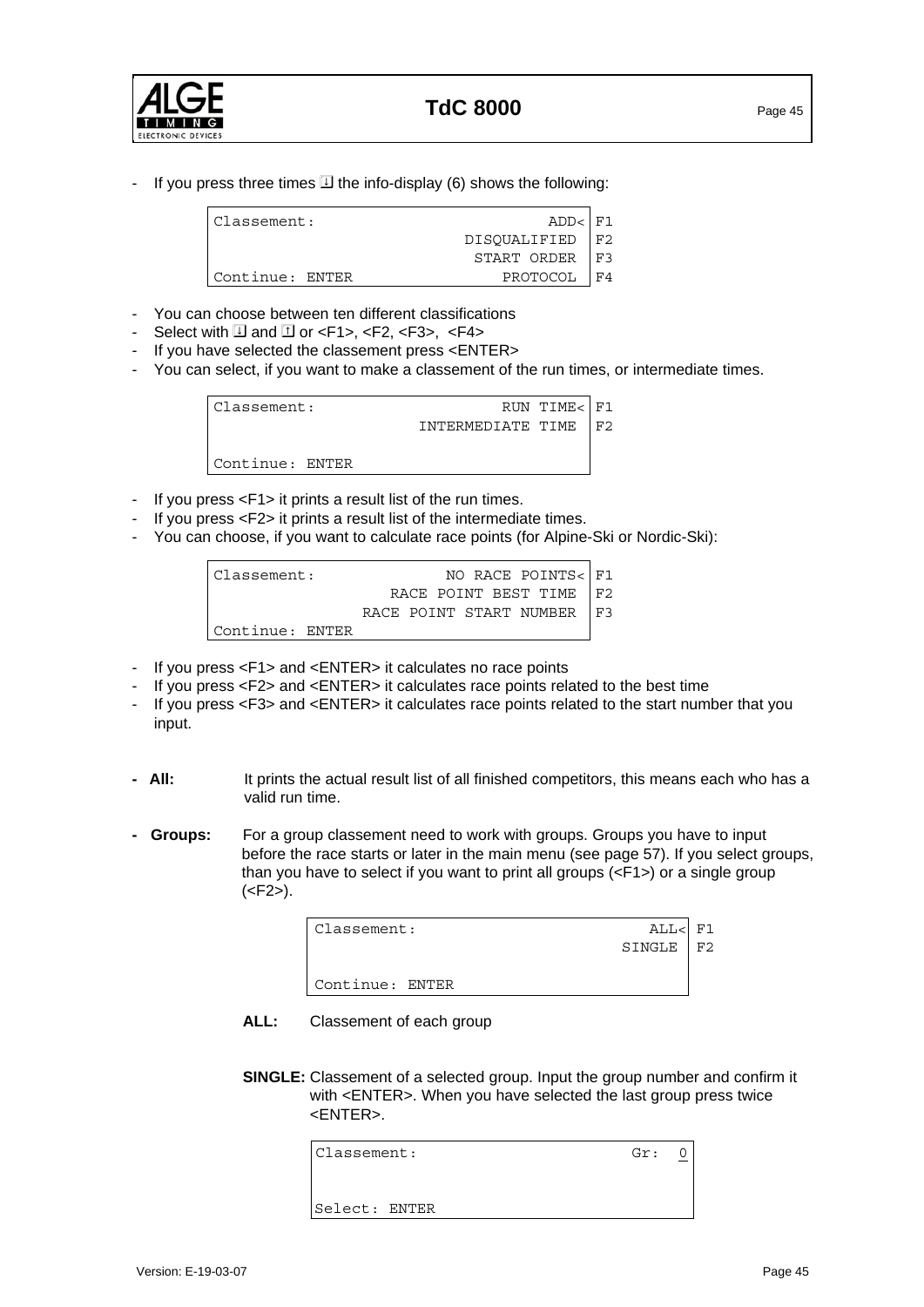

If you press three times  $\mathbb D$  the info-display (6) shows the following:

| ADD <  F1<br>Classement:    |    |
|-----------------------------|----|
| DISQUALIFIED   F2           |    |
| START ORDER 1F3             |    |
| Continue: ENTER<br>PROTOCOL | FA |

- You can choose between ten different classifications
- Select with  $\overline{1}$  and  $\overline{1}$  or <F1>, <F2, <F3>, <F4>
- If you have selected the classement press <ENTER>
- You can select, if you want to make a classement of the run times, or intermediate times.

| Classement:     |                   | RUN TIME< F1 |    |
|-----------------|-------------------|--------------|----|
|                 | INTERMEDIATE TIME |              | F2 |
|                 |                   |              |    |
| Continue: ENTER |                   |              |    |

- If you press <F1> it prints a result list of the run times.
- If you press <F2> it prints a result list of the intermediate times.
- You can choose, if you want to calculate race points (for Alpine-Ski or Nordic-Ski):

| Classement:     |  |  |  | NO RACE POINTS<   F1         |  |
|-----------------|--|--|--|------------------------------|--|
|                 |  |  |  | RACE POINT BEST TIME   F2    |  |
|                 |  |  |  | RACE POINT START NUMBER   F3 |  |
| Continue: ENTER |  |  |  |                              |  |

- If you press <F1> and <ENTER> it calculates no race points
- If you press <F2> and <ENTER> it calculates race points related to the best time
- If you press <F3> and <ENTER> it calculates race points related to the start number that you input.
- **All:** It prints the actual result list of all finished competitors, this means each who has a valid run time.
- **Groups:** For a group classement need to work with groups. Groups you have to input before the race starts or later in the main menu (see page 57). If you select groups, than you have to select if you want to print all groups (<F1>) or a single group (<F2>).

| Classement:     | ALL <l< td=""><td><b>F1</b></td></l<> | <b>F1</b> |
|-----------------|---------------------------------------|-----------|
|                 | SINGLE                                |           |
|                 |                                       |           |
| Continue: ENTER |                                       |           |

- **ALL:** Classement of each group
- **SINGLE:** Classement of a selected group. Input the group number and confirm it with <ENTER>. When you have selected the last group press twice <ENTER>.

| Classement:   | Gr: |  |
|---------------|-----|--|
|               |     |  |
| Select: ENTER |     |  |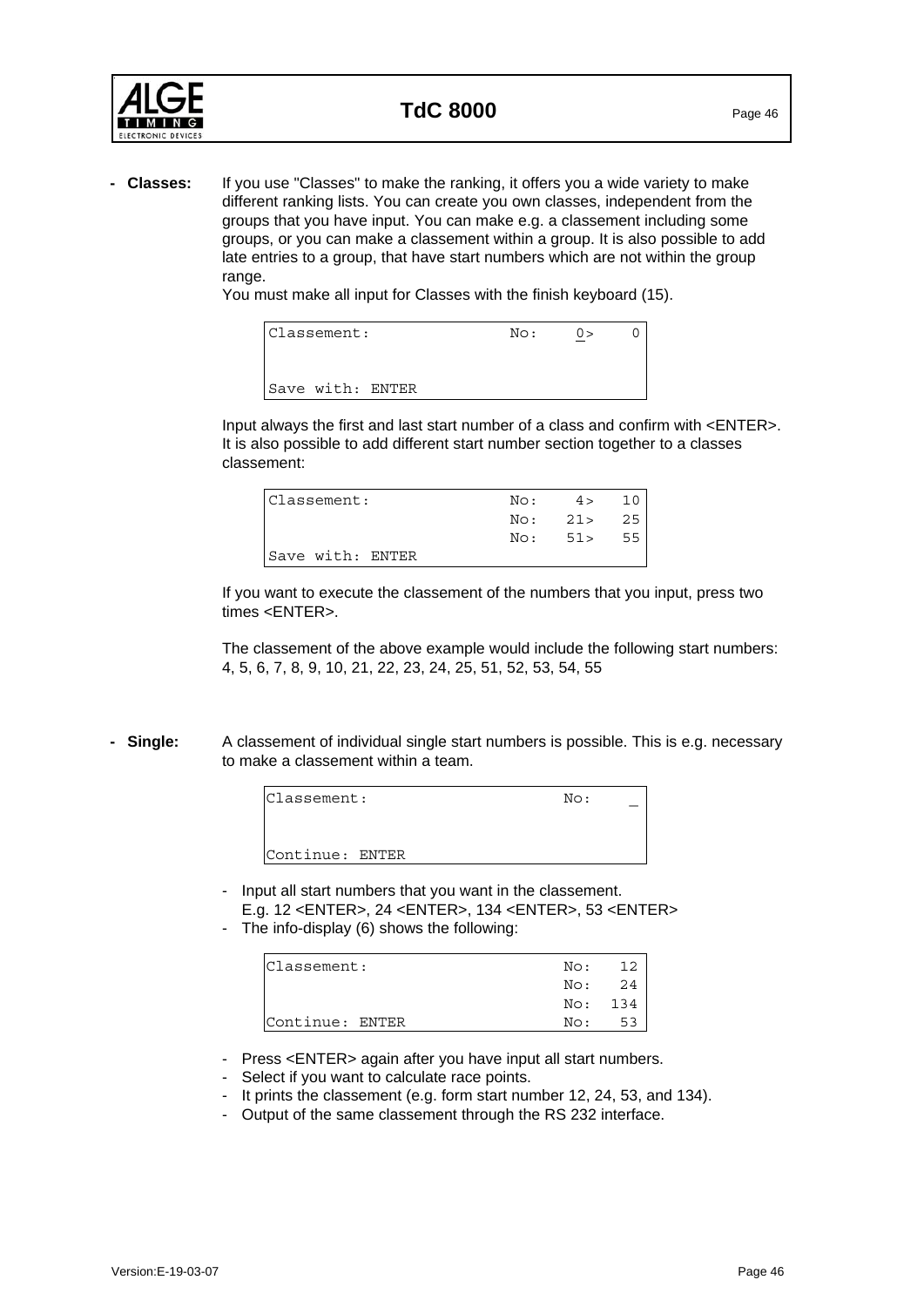

**- Classes:** If you use "Classes" to make the ranking, it offers you a wide variety to make different ranking lists. You can create you own classes, independent from the groups that you have input. You can make e.g. a classement including some groups, or you can make a classement within a group. It is also possible to add late entries to a group, that have start numbers which are not within the group range.

You must make all input for Classes with the finish keyboard (15).

| Classement:      | No: | 0> |  |
|------------------|-----|----|--|
| Save with: ENTER |     |    |  |

Input always the first and last start number of a class and confirm with <ENTER>. It is also possible to add different start number section together to a classes classement:

| Classement:      |  | No: | 4 > 1   | 101  |
|------------------|--|-----|---------|------|
|                  |  |     | No: 21> | 25   |
|                  |  |     | No: 51> | 55 I |
| Save with: ENTER |  |     |         |      |

If you want to execute the classement of the numbers that you input, press two times <ENTER>.

The classement of the above example would include the following start numbers: 4, 5, 6, 7, 8, 9, 10, 21, 22, 23, 24, 25, 51, 52, 53, 54, 55

**- Single:** A classement of individual single start numbers is possible. This is e.g. necessary to make a classement within a team.

| Classement:     | No: |  |
|-----------------|-----|--|
|                 |     |  |
| Continue: ENTER |     |  |

- Input all start numbers that you want in the classement. E.g. 12 <ENTER>, 24 <ENTER>, 134 <ENTER>, 53 <ENTER>
- The info-display (6) shows the following:

| Classement:     | No : |     |
|-----------------|------|-----|
|                 | No:  | 2.4 |
|                 | No : | 134 |
| Continue: ENTER | No : | 53  |

- Press <ENTER> again after you have input all start numbers.
- Select if you want to calculate race points.
- It prints the classement (e.g. form start number 12, 24, 53, and 134).
- Output of the same classement through the RS 232 interface.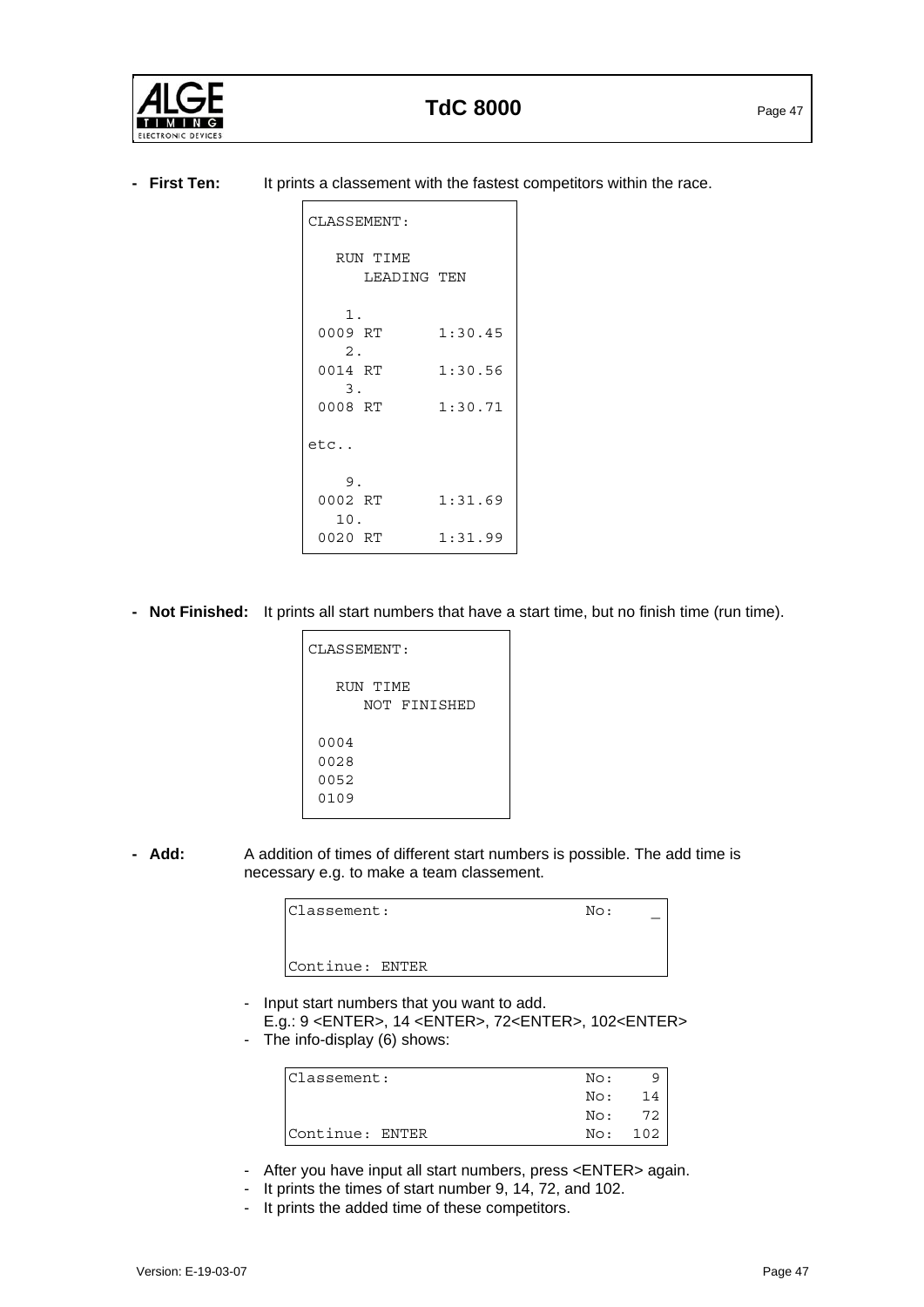

**- First Ten:** It prints a classement with the fastest competitors within the race.

| CLASSEMENT:             |         |  |  |  |  |
|-------------------------|---------|--|--|--|--|
| RUN TIME<br>LEADING TEN |         |  |  |  |  |
| 1.<br>0009 RT<br>$2$ .  | 1:30.45 |  |  |  |  |
| 0014 RT<br>3.           | 1:30.56 |  |  |  |  |
| 0008 RT                 | 1:30.71 |  |  |  |  |
| etc                     |         |  |  |  |  |
| 9.                      |         |  |  |  |  |
| 0002 RT<br>10.          | 1:31.69 |  |  |  |  |
| 0020 RT                 | 1:31.99 |  |  |  |  |

**- Not Finished:** It prints all start numbers that have a start time, but no finish time (run time).

| CLASSEMENT: |              |
|-------------|--------------|
| RIJN TIME   |              |
|             | NOT FINISHED |
| 0004        |              |
|             |              |
| 0028        |              |
| 0052        |              |
| 0109        |              |
|             |              |

**- Add:** A addition of times of different start numbers is possible. The add time is necessary e.g. to make a team classement.

| Classement:     | No: |  |
|-----------------|-----|--|
|                 |     |  |
| Continue: ENTER |     |  |

- Input start numbers that you want to add. E.g.: 9 <ENTER>, 14 <ENTER>, 72<ENTER>, 102<ENTER>
- The info-display (6) shows:

| Classement:     | No:  |     |
|-----------------|------|-----|
|                 | No:  | 14  |
|                 | No:  | 72  |
| Continue: ENTER | No : | 102 |

- After you have input all start numbers, press <ENTER> again.
- It prints the times of start number 9, 14, 72, and 102.
- It prints the added time of these competitors.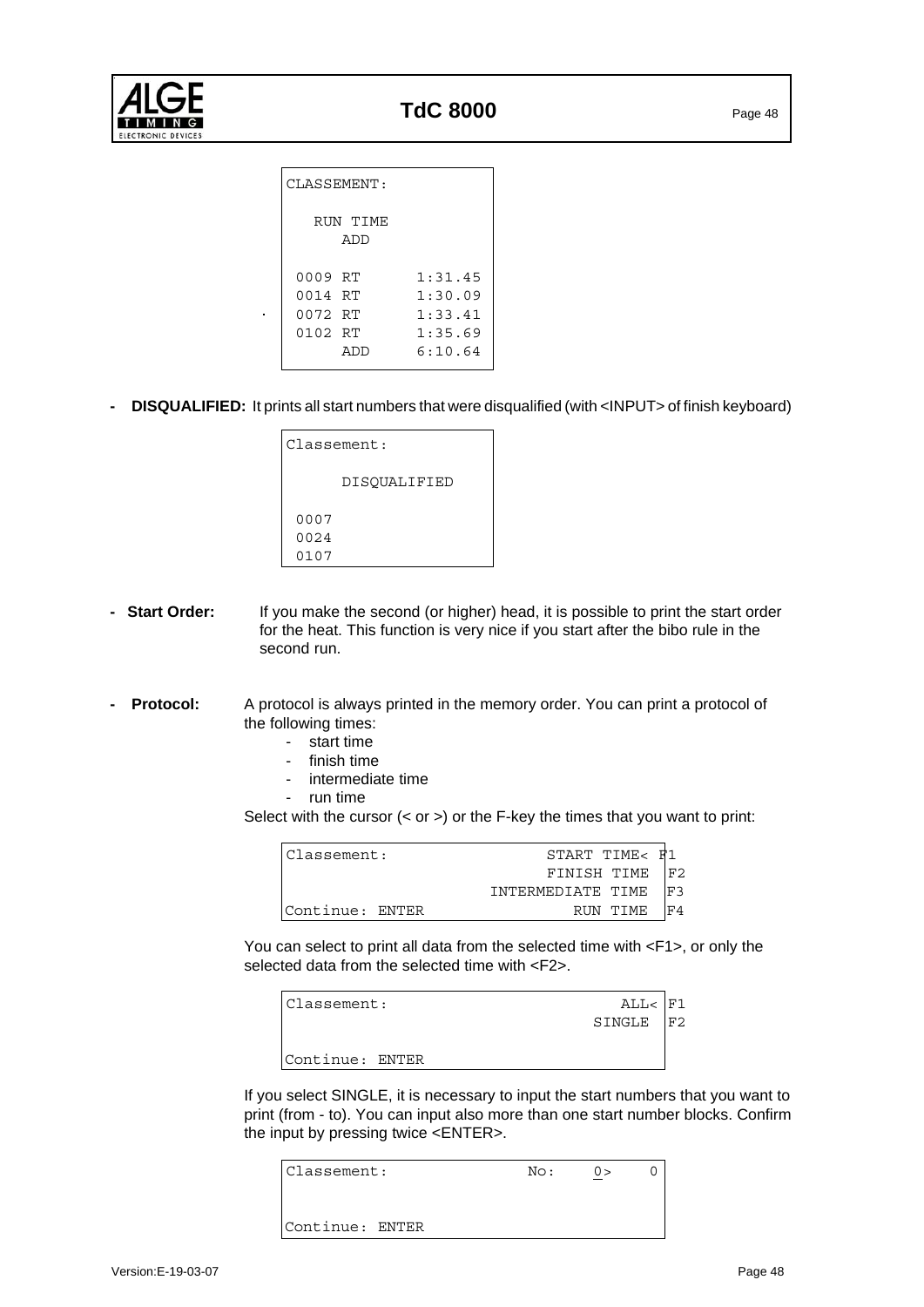

| CLASSEMENT:                              |     |                                                     |  |  |  |  |
|------------------------------------------|-----|-----------------------------------------------------|--|--|--|--|
| RIJN TIME<br>ADD                         |     |                                                     |  |  |  |  |
| 0009 RT<br>0014 RT<br>0072 RT<br>0102 RT | חחב | 1:31.45<br>1:30.09<br>1:33.41<br>1:35.69<br>6:10.64 |  |  |  |  |

**- DISQUALIFIED:** It prints all start numbers that were disqualified (with <INPUT> of finish keyboard)

| Classement: |              |  |  |  |
|-------------|--------------|--|--|--|
|             | DISOUALIFIED |  |  |  |
| 0007        |              |  |  |  |
| 0024        |              |  |  |  |
| 0107        |              |  |  |  |
|             |              |  |  |  |

- **Start Order:** If you make the second (or higher) head, it is possible to print the start order for the heat. This function is very nice if you start after the bibo rule in the second run.
- **Protocol:** A protocol is always printed in the memory order. You can print a protocol of the following times:
	- start time
	- finish time
	- intermediate time
	- run time
	- Select with the cursor (< or >) or the F-key the times that you want to print:

| Classement:     | START TIME< F1    |  |
|-----------------|-------------------|--|
|                 | FINISH TIME       |  |
|                 | INTERMEDIATE TIME |  |
| Continue: ENTER | RIN TIME          |  |

You can select to print all data from the selected time with <F1>, or only the selected data from the selected time with <F2>.

| Classement:     | ALL< IF1 |  |
|-----------------|----------|--|
|                 | SINGLE   |  |
|                 |          |  |
| Continue: ENTER |          |  |
|                 |          |  |

If you select SINGLE, it is necessary to input the start numbers that you want to print (from - to). You can input also more than one start number blocks. Confirm the input by pressing twice <ENTER>.

| Classement:     |  | $\text{No}:$ |  |
|-----------------|--|--------------|--|
| Continue: ENTER |  |              |  |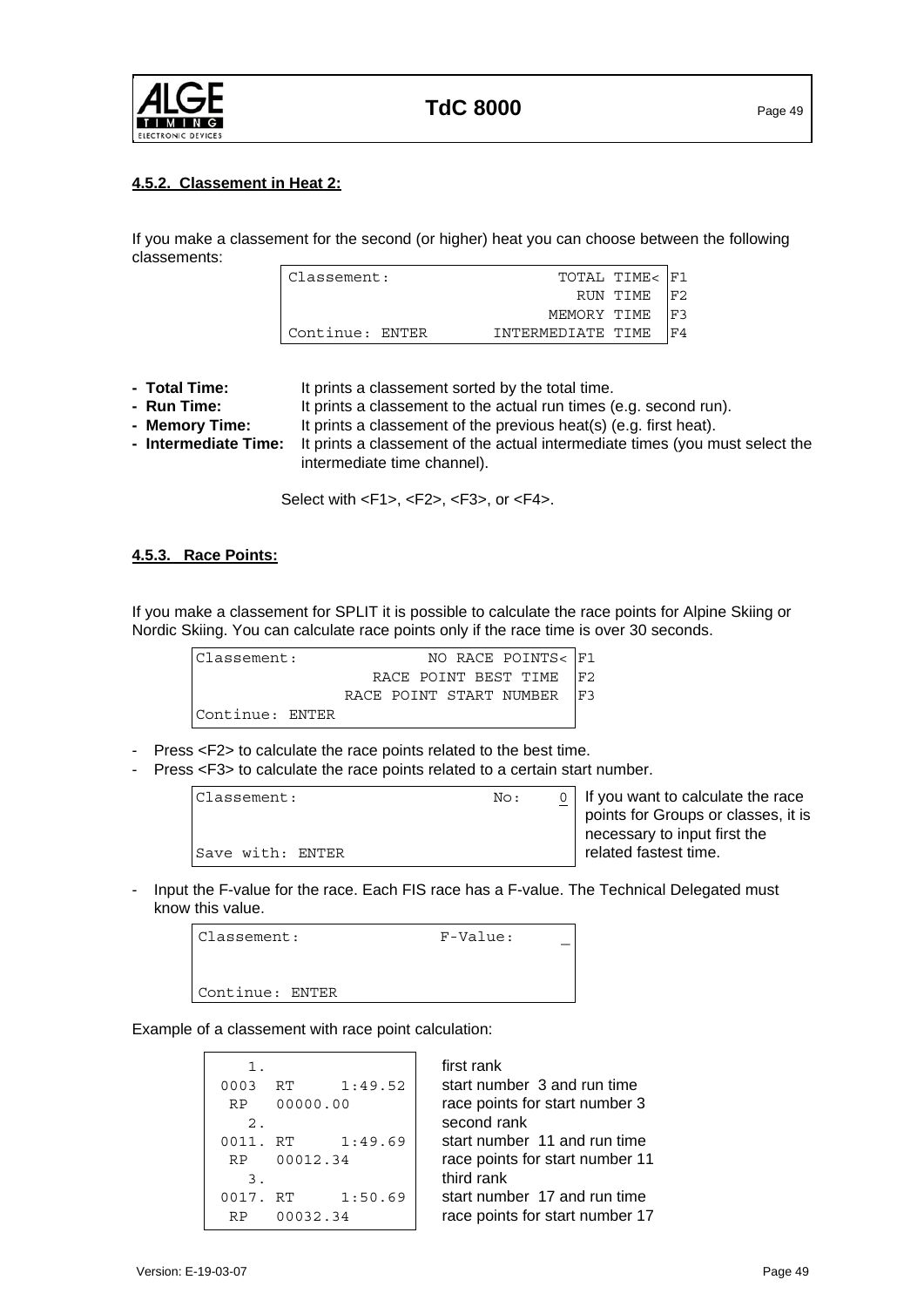

# **4.5.2. Classement in Heat 2:**

If you make a classement for the second (or higher) heat you can choose between the following classements:

| Classement:     |                   | TOTAL TIME< F1 |      |
|-----------------|-------------------|----------------|------|
|                 |                   | RIJN TIME      | . F2 |
|                 | MEMORY TIME       |                | トマ   |
| Continue: ENTER | INTERMEDIATE TIME |                |      |

- **Total Time:** It prints a classement sorted by the total time. **- Run Time:** It prints a classement to the actual run times (e.g. second run).
- 

**- Memory Time:** It prints a classement of the previous heat(s) (e.g. first heat). **- Intermediate Time:** It prints a classement of the actual intermediate times (you must select the intermediate time channel).

Select with <F1>, <F2>, <F3>, or <F4>.

### **4.5.3. Race Points:**

If you make a classement for SPLIT it is possible to calculate the race points for Alpine Skiing or Nordic Skiing. You can calculate race points only if the race time is over 30 seconds.

Classement: NO RACE POINTS< F1 RACE POINT BEST TIME  $|F2|$ RACE POINT START NUMBER  $|F3|$ Continue: ENTER

- Press <F2> to calculate the race points related to the best time.
- Press <F3> to calculate the race points related to a certain start number.

| Classement:      | No: | $0$   If you want<br>points for 0 |
|------------------|-----|-----------------------------------|
|                  |     | necessary                         |
| Save with: ENTER |     | related fas                       |

to calculate the race **Broups or classes, it is** to input first the test time.

- Input the F-value for the race. Each FIS race has a F-value. The Technical Delegated must know this value.

| Classement:     |  | $F-Value:$ |  |  |
|-----------------|--|------------|--|--|
|                 |  |            |  |  |
| Continue: ENTER |  |            |  |  |

Example of a classement with race point calculation:

| $1$ .                 | first rank                      |
|-----------------------|---------------------------------|
| 1:49.52<br>RT<br>0003 | start number 3 and run time     |
| 00000.00<br>RP.       | race points for start number 3  |
| $2$ .                 | second rank                     |
| 0011. RT 1:49.69      | start number 11 and run time    |
| RP 00012.34           | race points for start number 11 |
| 3.                    | third rank                      |
| 0017. RT<br>1:50.69   | start number 17 and run time    |
| 00032.34<br>RP.       | race points for start number 17 |
|                       |                                 |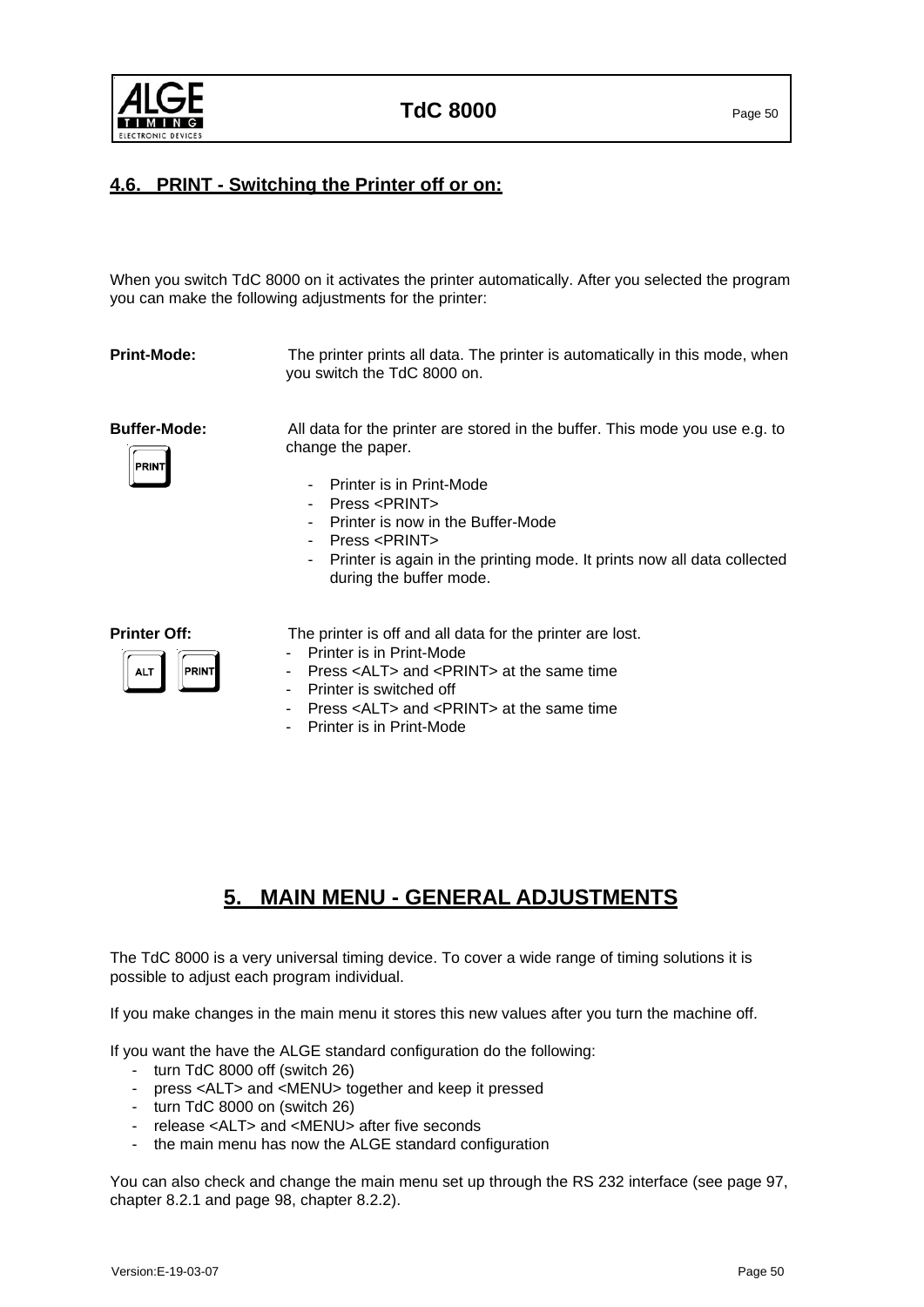

# **4.6. PRINT - Switching the Printer off or on:**

When you switch TdC 8000 on it activates the printer automatically. After you selected the program you can make the following adjustments for the printer:

| Print-Mode:                                       | The printer prints all data. The printer is automatically in this mode, when<br>you switch the TdC 8000 on.                                                                                                                                                                                                                      |
|---------------------------------------------------|----------------------------------------------------------------------------------------------------------------------------------------------------------------------------------------------------------------------------------------------------------------------------------------------------------------------------------|
| <b>Buffer-Mode:</b><br><b>PRINT</b>               | All data for the printer are stored in the buffer. This mode you use e.g. to<br>change the paper.<br>Printer is in Print-Mode<br>Press <print><br/>Printer is now in the Buffer-Mode<br/>- Press <print><br/>Printer is again in the printing mode. It prints now all data collected<br/>during the buffer mode.</print></print> |
| <b>Printer Off:</b><br><b>PRINT</b><br><b>ALT</b> | The printer is off and all data for the printer are lost.<br>Printer is in Print-Mode<br>Press <alt> and <print> at the same time<br/>Printer is switched off<br/>Press <alt> and <print> at the same time<br/>Printer is in Print-Mode</print></alt></print></alt>                                                              |

# **5. MAIN MENU - GENERAL ADJUSTMENTS**

The TdC 8000 is a very universal timing device. To cover a wide range of timing solutions it is possible to adjust each program individual.

If you make changes in the main menu it stores this new values after you turn the machine off.

If you want the have the ALGE standard configuration do the following:

- turn TdC 8000 off (switch 26)
- press <ALT> and <MENU> together and keep it pressed
- turn TdC 8000 on (switch 26)
- release <ALT> and <MENU> after five seconds
- the main menu has now the ALGE standard configuration

You can also check and change the main menu set up through the RS 232 interface (see page 97, chapter 8.2.1 and page 98, chapter 8.2.2).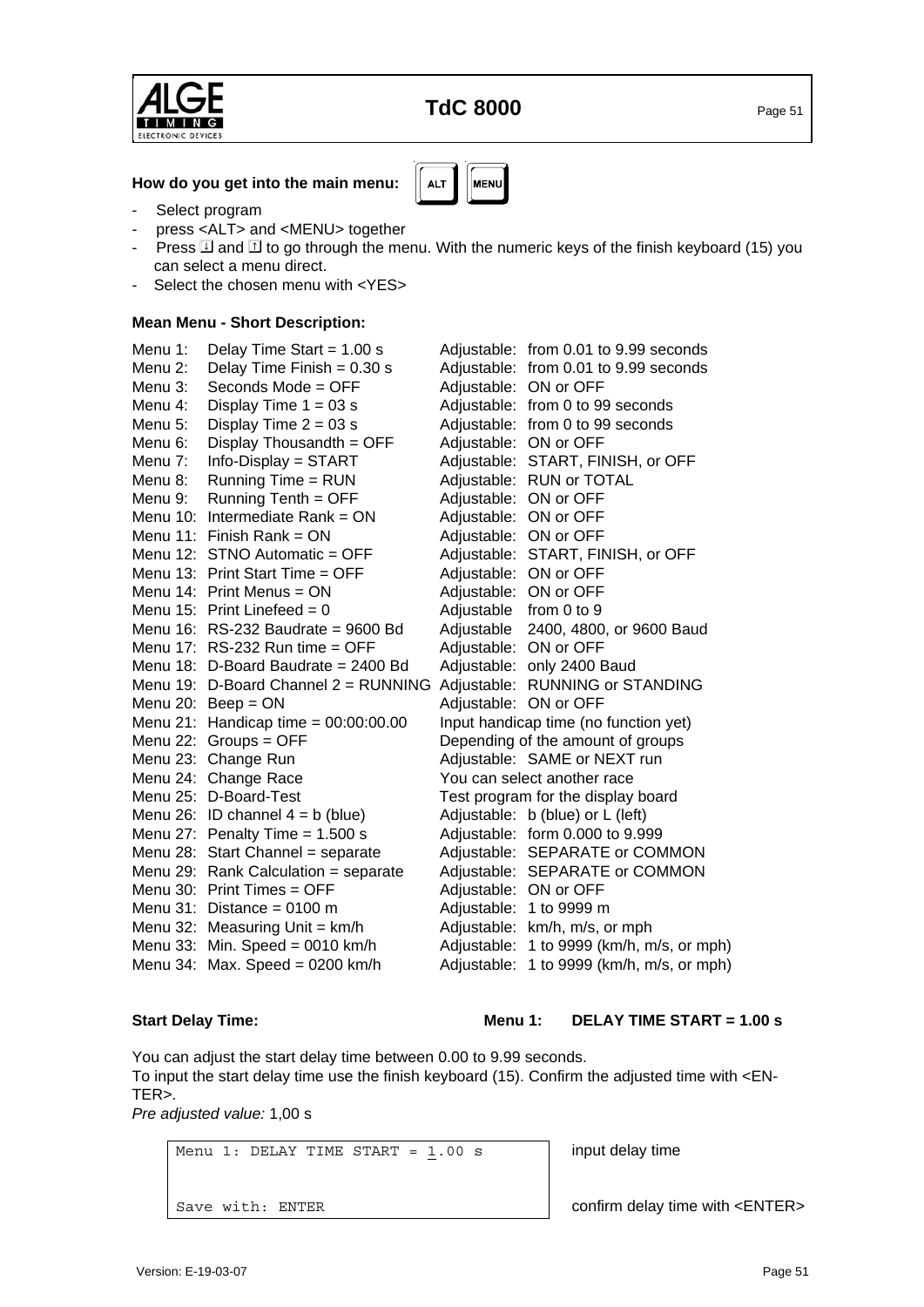

**MENU** 

# **How do you get into the main menu:**



- Select program
- press <ALT> and <MENU> together
- Press  $\Box$  and  $\Box$  to go through the menu. With the numeric keys of the finish keyboard (15) you can select a menu direct.
- Select the chosen menu with <YES>

### **Mean Menu - Short Description:**

| Menu 1: | Delay Time Start = $1.00$ s               |                        | Adjustable: from 0.01 to 9.99 seconds |
|---------|-------------------------------------------|------------------------|---------------------------------------|
| Menu 2: | Delay Time Finish = $0.30$ s              |                        | Adjustable: from 0.01 to 9.99 seconds |
| Menu 3: | Seconds Mode = OFF                        |                        | Adjustable: ON or OFF                 |
| Menu 4: | Display Time $1 = 03$ s                   |                        | Adjustable: from 0 to 99 seconds      |
| Menu 5: | Display Time $2 = 03$ s                   |                        | Adjustable: from 0 to 99 seconds      |
| Menu 6: | Display Thousandth = OFF                  |                        | Adjustable: ON or OFF                 |
| Menu 7: | Info-Display = START                      |                        | Adjustable: START, FINISH, or OFF     |
| Menu 8: | Running Time = RUN                        |                        | Adjustable: RUN or TOTAL              |
| Menu 9: | Running Tenth = OFF                       | Adjustable:            | ON or OFF                             |
|         | Menu 10: Intermediate Rank = ON           |                        | Adjustable: ON or OFF                 |
|         | Menu 11: Finish Rank = ON                 |                        | Adjustable: ON or OFF                 |
|         | Menu 12: STNO Automatic = OFF             |                        | Adjustable: START, FINISH, or OFF     |
|         | Menu 13: Print Start Time = OFF           |                        | Adjustable: ON or OFF                 |
|         | Menu 14: Print Menus = $ON$               |                        | Adjustable: ON or OFF                 |
|         | Menu 15: Print Linefeed = $0$             | Adjustable from 0 to 9 |                                       |
|         | Menu 16: $RS-232$ Baudrate = 9600 Bd      |                        | Adjustable 2400, 4800, or 9600 Baud   |
|         | Menu 17: $RS-232$ Run time = OFF          |                        | Adjustable: ON or OFF                 |
|         | Menu 18: D-Board Baudrate = 2400 Bd       |                        | Adjustable: only 2400 Baud            |
|         | Menu 19: $D$ -Board Channel $2 = RUNNING$ |                        | Adjustable: RUNNING or STANDING       |
|         | Menu 20: Beep = $ON$                      |                        | Adjustable: ON or OFF                 |
|         | Menu 21: Handicap time = $00:00:00.00$    |                        | Input handicap time (no function yet) |
|         | Menu 22: Groups = OFF                     |                        | Depending of the amount of groups     |
|         | Menu 23: Change Run                       |                        | Adjustable: SAME or NEXT run          |
|         | Menu 24: Change Race                      |                        | You can select another race           |
|         | Menu 25: D-Board-Test                     |                        | Test program for the display board    |
|         | Menu 26: ID channel $4 = b$ (blue)        |                        | Adjustable: b (blue) or L (left)      |
|         | Menu 27: Penalty Time = $1.500$ s         |                        | Adjustable: form 0.000 to 9.999       |
|         | Menu 28: Start Channel = separate         |                        | Adjustable: SEPARATE or COMMON        |
|         | Menu 29: Rank Calculation = separate      |                        | Adjustable: SEPARATE or COMMON        |
|         | Menu 30: Print Times = OFF                |                        | Adjustable: ON or OFF                 |
|         | Menu 31: Distance = $0100$ m              |                        | Adjustable: 1 to 9999 m               |
|         | Menu 32: Measuring Unit = $km/h$          |                        | Adjustable: km/h, m/s, or mph         |
|         | Menu 33: Min. Speed = $0010$ km/h         | Adjustable:            | 1 to 9999 (km/h, m/s, or mph)         |
|         | Menu 34: Max. Speed = $0200$ km/h         | Adjustable:            | 1 to 9999 (km/h, m/s, or mph)         |
|         |                                           |                        |                                       |

Start Delay Time: The Start Delay Time: Nenu 1: DELAY TIME START = 1.00 s

You can adjust the start delay time between 0.00 to 9.99 seconds. To input the start delay time use the finish keyboard (15). Confirm the adjusted time with <EN-TER>.

*Pre adjusted value:* 1,00 s

```
Menu 1: DELAY TIME START = 1.00 \text{ s} input delay time
```
Save with: ENTER confirm delay time with <ENTER>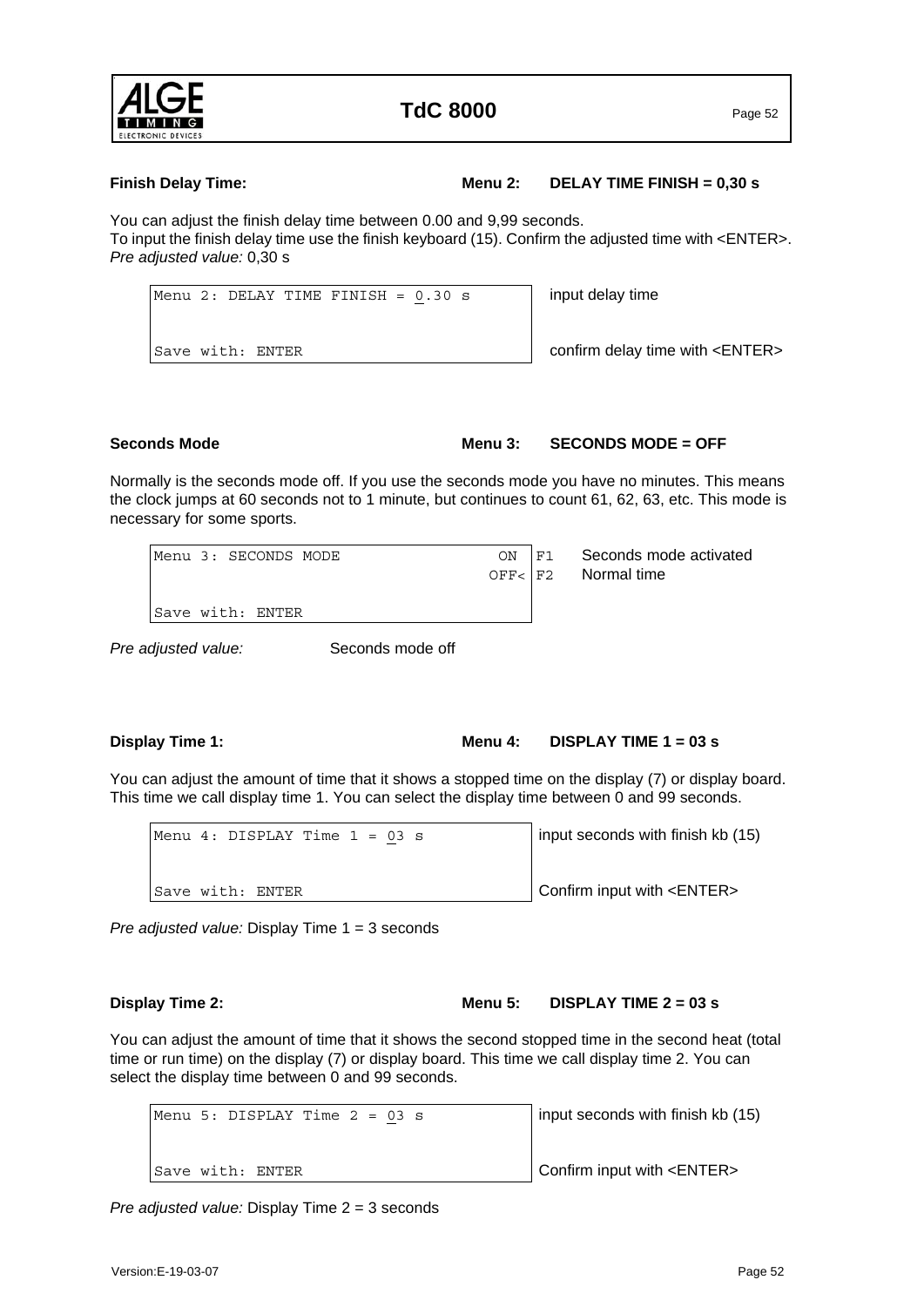

**Finish Delay Time: Menu 2: DELAY TIME FINISH = 0,30 s**

You can adjust the finish delay time between 0.00 and 9,99 seconds. To input the finish delay time use the finish keyboard (15). Confirm the adjusted time with <ENTER>. *Pre adjusted value:* 0,30 s

Menu 2: DELAY TIME FINISH =  $0.30 \text{ s}$  | input delay time

Save with: ENTER confirm delay time with <ENTER>

**Seconds Mode Menu 3: SECONDS MODE = OFF** 

Normally is the seconds mode off. If you use the seconds mode you have no minutes. This means the clock jumps at 60 seconds not to 1 minute, but continues to count 61, 62, 63, etc. This mode is necessary for some sports.

| Menu 3: SECONDS MODE | ON F1 | Seconds mode activated<br>$OFF <  F2$ Normal time |
|----------------------|-------|---------------------------------------------------|
| Save with: ENTER     |       |                                                   |

**Pre adjusted value:** Seconds mode off

**Display Time 1: Menu 4: DISPLAY TIME 1 = 03 s**

You can adjust the amount of time that it shows a stopped time on the display (7) or display board. This time we call display time 1. You can select the display time between 0 and 99 seconds.

| Menu 4: DISPLAY Time 1 = 03 s | input seconds with finish kb (15)  |
|-------------------------------|------------------------------------|
| Save with: ENTER              | Confirm input with <enter></enter> |

*Pre adjusted value:* Display Time 1 = 3 seconds

**Display Time 2: Menu 5: DISPLAY TIME 2 = 03 s**

You can adjust the amount of time that it shows the second stopped time in the second heat (total time or run time) on the display (7) or display board. This time we call display time 2. You can select the display time between 0 and 99 seconds.

| Menu 5: DISPLAY Time 2 = 03 s | input seconds with finish kb (15)  |
|-------------------------------|------------------------------------|
| Save with: ENTER              | Confirm input with <enter></enter> |

*Pre adjusted value:* Display Time 2 = 3 seconds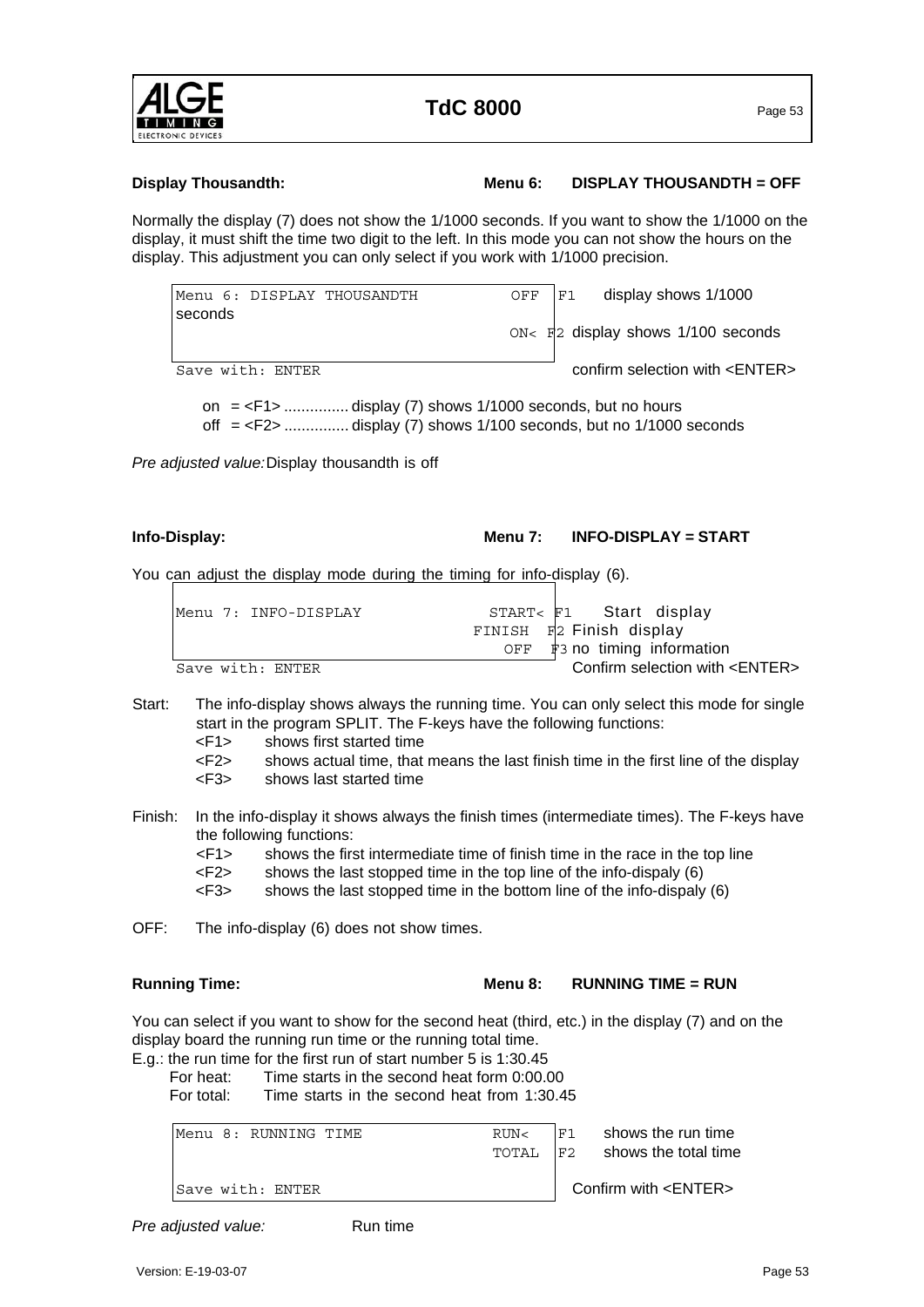

### **Display Thousandth: Menu 6: DISPLAY THOUSANDTH = OFF**

Normally the display (7) does not show the 1/1000 seconds. If you want to show the 1/1000 on the display, it must shift the time two digit to the left. In this mode you can not show the hours on the display. This adjustment you can only select if you work with 1/1000 precision.

| seconds          |  | Menu 6: DISPLAY THOUSANDTH | OFF | F1 | display shows 1/1000                   |
|------------------|--|----------------------------|-----|----|----------------------------------------|
|                  |  |                            |     |    | ON< $F_2$ display shows 1/100 seconds  |
| Save with: ENTER |  |                            |     |    | confirm selection with <enter></enter> |

on =  $\langle$ F1> ................ display (7) shows 1/1000 seconds, but no hours

off  $=$  <F2> ............... display (7) shows 1/100 seconds, but no 1/1000 seconds

*Pre adjusted value:*Display thousandth is off

# **Info-Display: Menu 7: INFO-DISPLAY = START**

You can adjust the display mode during the timing for info-display (6).

|  | Menu 7: INFO-DISPLAY |                          |  | $START < F1$ Start display             |  |
|--|----------------------|--------------------------|--|----------------------------------------|--|
|  |                      | FINISH F2 Finish display |  |                                        |  |
|  |                      |                          |  | OFF $#3$ no timing information         |  |
|  | Save with: ENTER     |                          |  | Confirm selection with <enter></enter> |  |

- Start: The info-display shows always the running time. You can only select this mode for single start in the program SPLIT. The F-keys have the following functions:
	- <F1> shows first started time
	- <F2> shows actual time, that means the last finish time in the first line of the display
	- <F3> shows last started time
- Finish: In the info-display it shows always the finish times (intermediate times). The F-keys have the following functions:
	- <F1> shows the first intermediate time of finish time in the race in the top line
	- <F2> shows the last stopped time in the top line of the info-dispaly (6)
	- <F3> shows the last stopped time in the bottom line of the info-dispaly (6)
- OFF: The info-display (6) does not show times.

**Running Time:** Menu 8: RUNNING TIME = RUN

You can select if you want to show for the second heat (third, etc.) in the display (7) and on the display board the running run time or the running total time.

E.g.: the run time for the first run of start number 5 is 1:30.45 For heat: Time starts in the second heat form 0:00.00

For total: Time starts in the second heat from 1:30.45

| Menu 8: RUNNING TIME | RUN<  | I F 1 | shows the run time           |
|----------------------|-------|-------|------------------------------|
|                      | TOTAL | IF2.  | shows the total time         |
| Save with: ENTER     |       |       | Confirm with <enter></enter> |

*Pre adjusted value:* Run time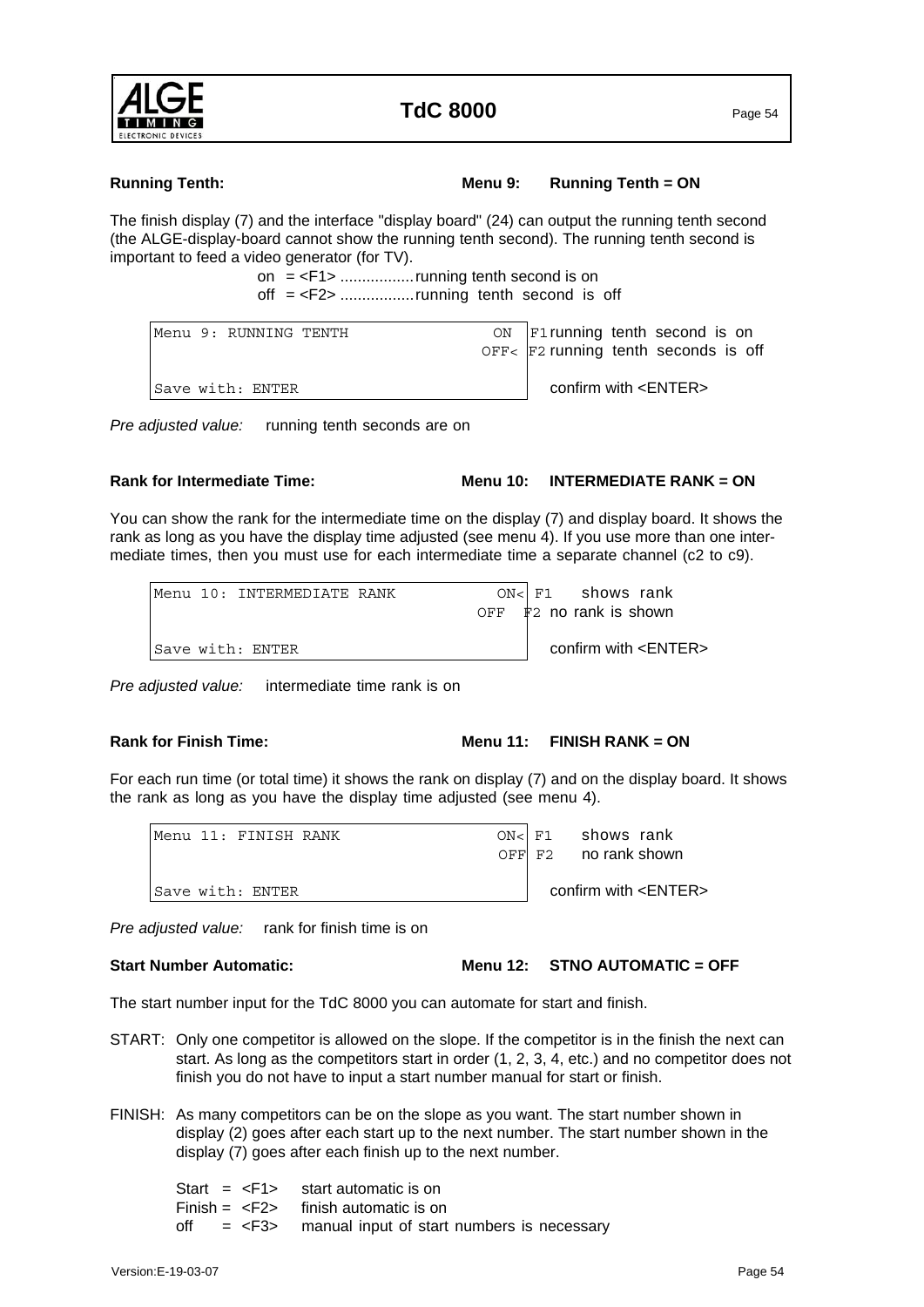

**Running Tenth: Menu 9: Running Tenth = ON**

The finish display (7) and the interface "display board" (24) can output the running tenth second (the ALGE-display-board cannot show the running tenth second). The running tenth second is important to feed a video generator (for TV).

> on = <F1> .................running tenth second is on off = <F2> .................running tenth second is off

Menu 9: RUNNING TENTH **ON F1 running tenth second is on**  $OFF <$   $F2$  running tenth seconds is off Save with: ENTER confirm with <ENTER>

*Pre adjusted value:* running tenth seconds are on

### **Rank for Intermediate Time:** Menu 10: INTERMEDIATE RANK = ON

You can show the rank for the intermediate time on the display (7) and display board. It shows the rank as long as you have the display time adjusted (see menu 4). If you use more than one intermediate times, then you must use for each intermediate time a separate channel (c2 to c9).

|  | Menu 10: INTERMEDIATE RANK |  | $ON <  F1$ shows rank<br>OFF $\#2$ no rank is shown |
|--|----------------------------|--|-----------------------------------------------------|
|  | Save with: ENTER           |  | confirm with <enter></enter>                        |

*Pre adjusted value:* intermediate time rank is on

# **Rank for Finish Time: Menu 11: FINISH RANK = ON**

For each run time (or total time) it shows the rank on display (7) and on the display board. It shows the rank as long as you have the display time adjusted (see menu 4).

Menu 11: FINISH RANK  $ON <$  F1 shows rank

 $OFF$  F2 no rank shown

Save with: ENTER confirm with <ENTER>

*Pre adjusted value:* rank for finish time is on

**Start Number Automatic: Menu 12: STNO AUTOMATIC = OFF**

The start number input for the TdC 8000 you can automate for start and finish.

- START: Only one competitor is allowed on the slope. If the competitor is in the finish the next can start. As long as the competitors start in order (1, 2, 3, 4, etc.) and no competitor does not finish you do not have to input a start number manual for start or finish.
- FINISH: As many competitors can be on the slope as you want. The start number shown in display (2) goes after each start up to the next number. The start number shown in the display (7) goes after each finish up to the next number.

Start  $=$   $\leq$ F1 $>$  start automatic is on Finish  $=$   $\langle$ F2 $>$  finish automatic is on off  $=$   $\leq$ F3> manual input of start numbers is necessary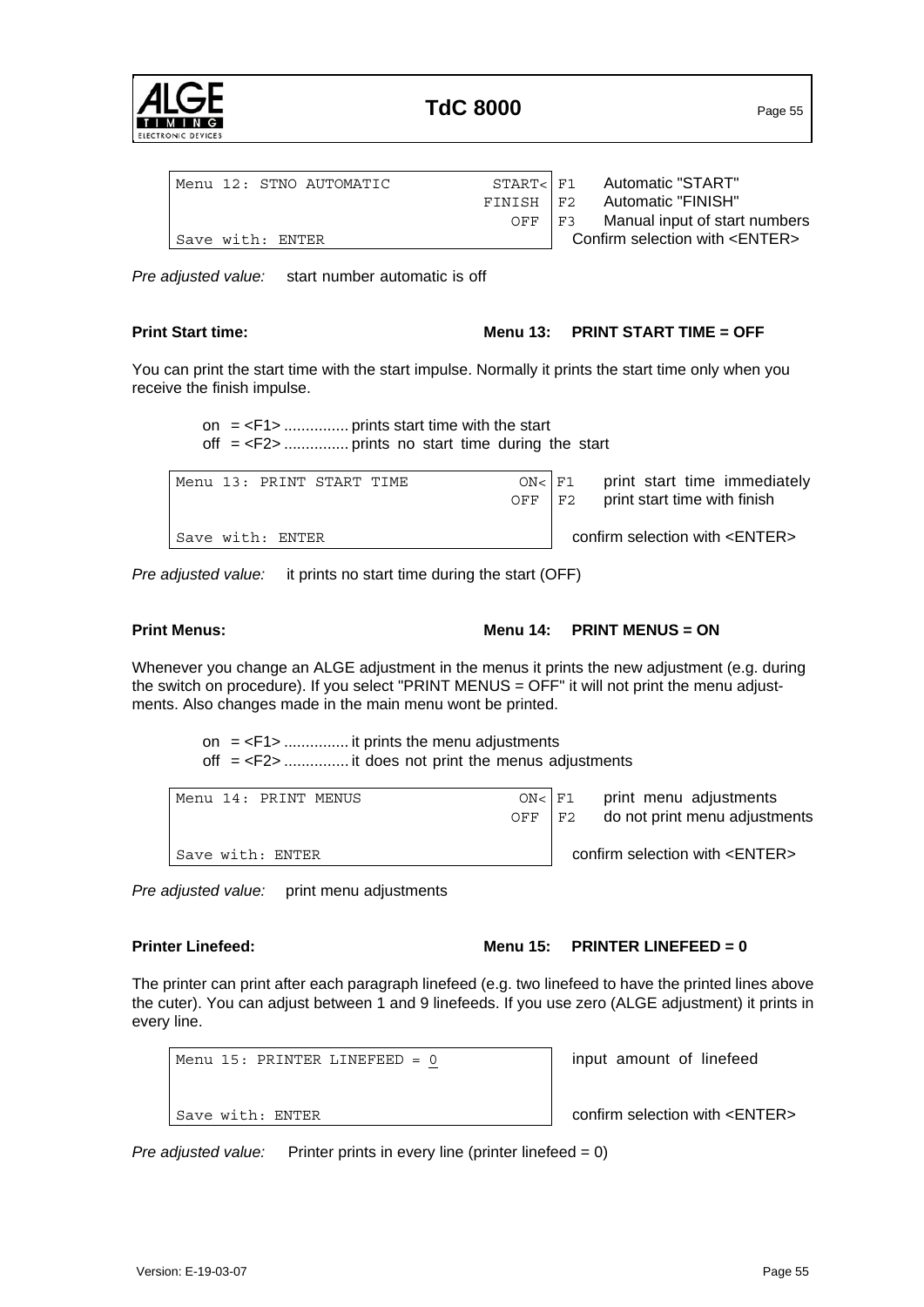

|                  | Menu 12: STNO AUTOMATIC | START<1 F1  | Automatic "START"                      |
|------------------|-------------------------|-------------|----------------------------------------|
|                  |                         | FINISH   F2 | Automatic "FINISH"                     |
|                  |                         | OFF   F3    | Manual input of start numbers          |
| Save with: ENTER |                         |             | Confirm selection with <enter></enter> |

*Pre adjusted value:* start number automatic is off

**Print Start time: Network Contract Menu 13: PRINT START TIME = OFF** 

You can print the start time with the start impulse. Normally it prints the start time only when you receive the finish impulse.

> on = <F1> ............... prints start time with the start off = <F2> ............... prints no start time during the start

| Menu 13: PRINT START TIME | ON <  F1<br>OFF 1F2 | print start time immediately<br>print start time with finish |
|---------------------------|---------------------|--------------------------------------------------------------|
| Save with: ENTER          |                     | confirm selection with <enter></enter>                       |

*Pre adjusted value:* it prints no start time during the start (OFF)

**Print Menus:** Menu 14: PRINT MENUS = ON

Whenever you change an ALGE adjustment in the menus it prints the new adjustment (e.g. during the switch on procedure). If you select "PRINT MENUS = OFF" it will not print the menu adjustments. Also changes made in the main menu wont be printed.

on = <F1> ............... it prints the menu adjustments

off  $=$  <F2> ................. it does not print the menus adjustments

|  |                  | Menu 14: PRINT MENUS | ON <lf1<br>OFF IF2</lf1<br> | print menu adjustments<br>do not print menu adjustments |
|--|------------------|----------------------|-----------------------------|---------------------------------------------------------|
|  | Save with: ENTER |                      |                             | confirm selection with <enter></enter>                  |

*Pre adjusted value:* print menu adjustments

**Printer Linefeed: Menu 15: PRINTER LINEFEED = 0**

The printer can print after each paragraph linefeed (e.g. two linefeed to have the printed lines above the cuter). You can adjust between 1 and 9 linefeeds. If you use zero (ALGE adjustment) it prints in every line.

Menu 15: PRINTER LINEFEED = 0 input amount of linefeed

Save with: ENTER confirm selection with <ENTER>

*Pre adjusted value:* Printer prints in every line (printer linefeed = 0)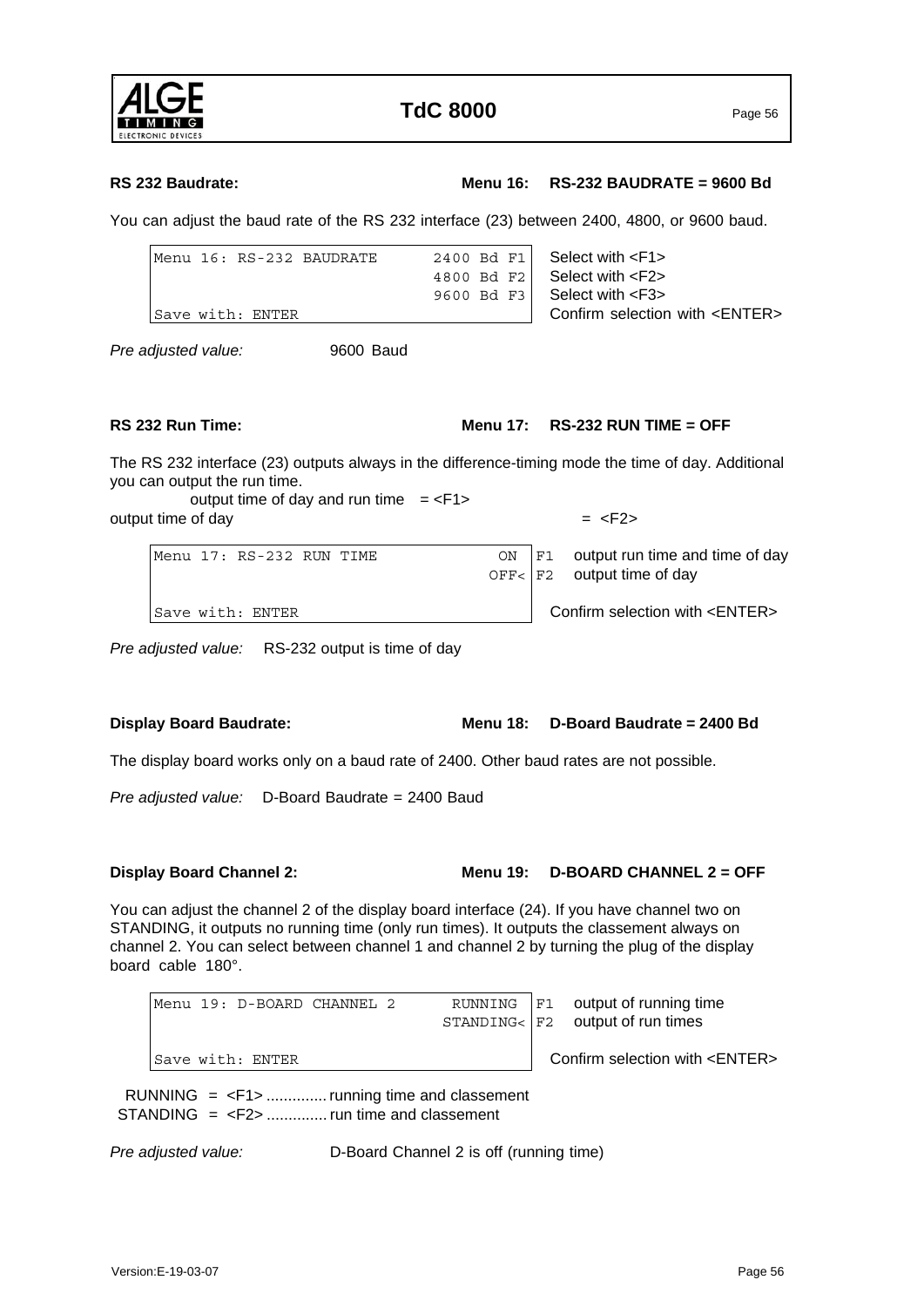

## **RS 232 Baudrate: Menu 16: RS-232 BAUDRATE = 9600 Bd**

You can adjust the baud rate of the RS 232 interface (23) between 2400, 4800, or 9600 baud.

| Menu 16: RS-232 BAUDRATE | 2400 Bd $F1$ Select with $\leq F1$     |
|--------------------------|----------------------------------------|
|                          | 4800 Bd $F2$ Select with $\leq F2$     |
|                          | 9600 Bd $F3$ Select with $\leq F3$     |
| Save with: ENTER         | Confirm selection with <enter></enter> |

**Pre adjusted value:** 9600 Baud

**RS 232 Run Time: Menu 17: RS-232 RUN TIME = OFF**

The RS 232 interface (23) outputs always in the difference-timing mode the time of day. Additional you can output the run time.

output time of day and run time  $=$  <F1> output time of day  $= **F2**$ 

| Menu 17: RS-232 RUN TIME | output run time and time of day<br>ON F1 |
|--------------------------|------------------------------------------|
|                          | OFF< $ F2$ output time of day            |
| Save with: ENTER         | Confirm selection with <enter></enter>   |

*Pre adjusted value:* RS-232 output is time of day

# **Display Board Baudrate: Menu 18: D-Board Baudrate = 2400 Bd**

The display board works only on a baud rate of 2400. Other baud rates are not possible.

*Pre adjusted value:* D-Board Baudrate = 2400 Baud

### Display Board Channel 2: Menu 19: D-BOARD CHANNEL 2 = OFF

You can adjust the channel 2 of the display board interface (24). If you have channel two on STANDING, it outputs no running time (only run times). It outputs the classement always on channel 2. You can select between channel 1 and channel 2 by turning the plug of the display board cable 180°.

|  |                  | Menu 19: D-BOARD CHANNEL 2 |  | RUNNING $ F1$ output of running time<br>$STANDING <  F2$ output of run times |
|--|------------------|----------------------------|--|------------------------------------------------------------------------------|
|  | Save with: ENTER |                            |  | Confirm selection with <enter></enter>                                       |
|  |                  |                            |  |                                                                              |

STANDING = <F2> ..............run time and classement

*Pre adjusted value:* D-Board Channel 2 is off (running time)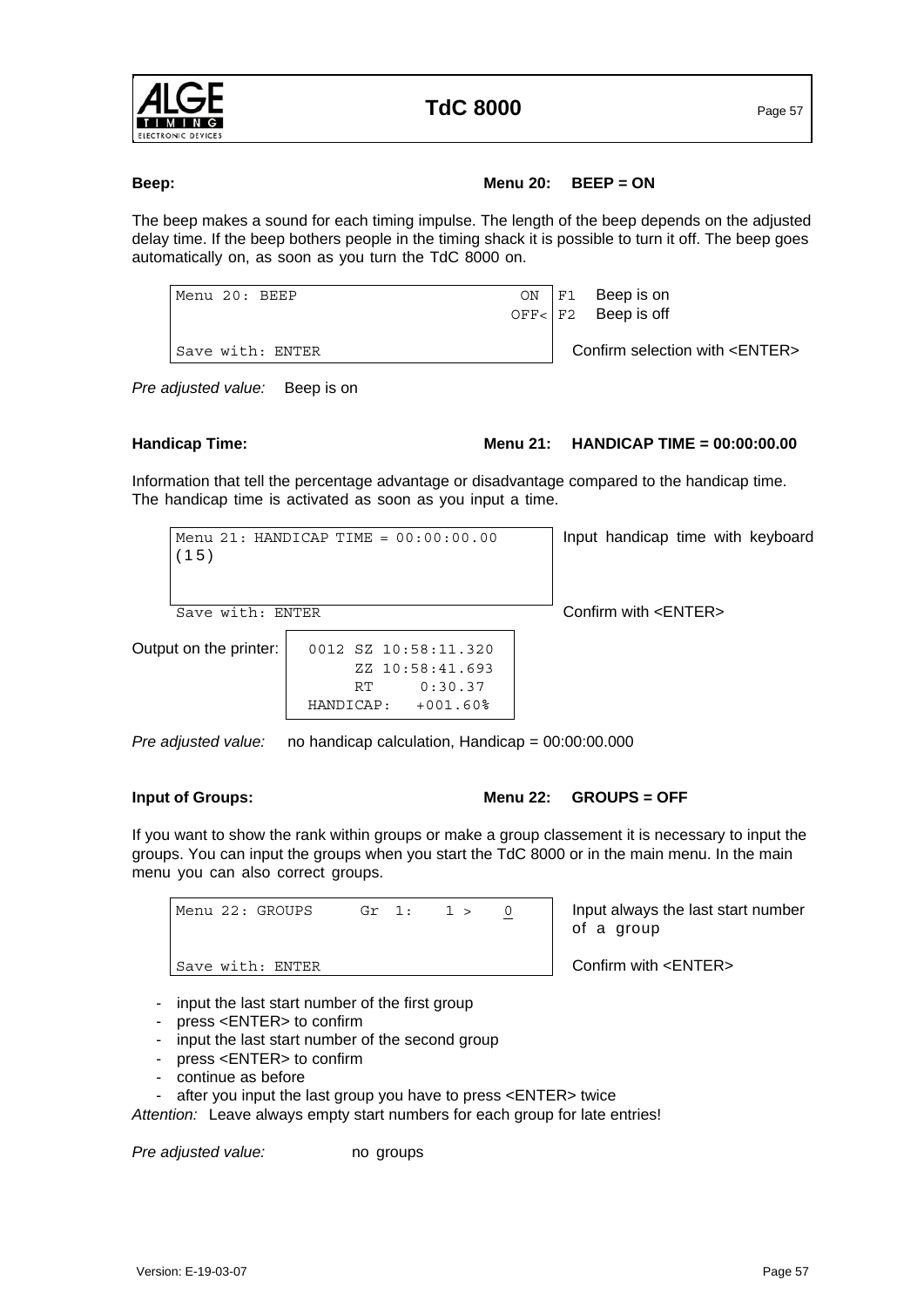

**Beep:** Menu 20: BEEP = ON

The beep makes a sound for each timing impulse. The length of the beep depends on the adjusted delay time. If the beep bothers people in the timing shack it is possible to turn it off. The beep goes automatically on, as soon as you turn the TdC 8000 on.

Menu 20: BEEP  $ON | F1$  Beep is on  $OFF < |F2$  Beep is off Save with: ENTER Confirm selection with <ENTER>

*Pre adjusted value:* Beep is on

# **Handicap Time: Menu 21: HANDICAP TIME = 00:00:00.00**

Information that tell the percentage advantage or disadvantage compared to the handicap time. The handicap time is activated as soon as you input a time.

| (15)                   | Menu 21: HANDICAP TIME = $00:00:00.00$ | Input handicap time with keyboard |
|------------------------|----------------------------------------|-----------------------------------|
| Save with: ENTER       |                                        | Confirm with $\leq$ ENTER $>$     |
| Output on the printer: | 0012 SZ 10:58:11.320                   |                                   |
|                        | ZZ 10:58:41.693                        |                                   |
|                        | 0:30.37<br>RT.                         |                                   |
|                        | $+001.60\%$<br>HANDICAP:               |                                   |

*Pre adjusted value:* no handicap calculation, Handicap = 00:00:00.000

**Input of Groups:** Menu 22: GROUPS = OFF

If you want to show the rank within groups or make a group classement it is necessary to input the groups. You can input the groups when you start the TdC 8000 or in the main menu. In the main menu you can also correct groups.

|  | Menu 22: GROUPS  |  | Gr 1: 1 > |  |
|--|------------------|--|-----------|--|
|  | Save with: ENTER |  |           |  |
|  |                  |  |           |  |

- input the last start number of the first group
- press <ENTER> to confirm
- input the last start number of the second group
- press <ENTER> to confirm
- continue as before
- after you input the last group you have to press <ENTER> twice

*Attention:* Leave always empty start numbers for each group for late entries!

*Pre adjusted value:* no groups

Input always the last start number of a group

Confirm with <ENTER>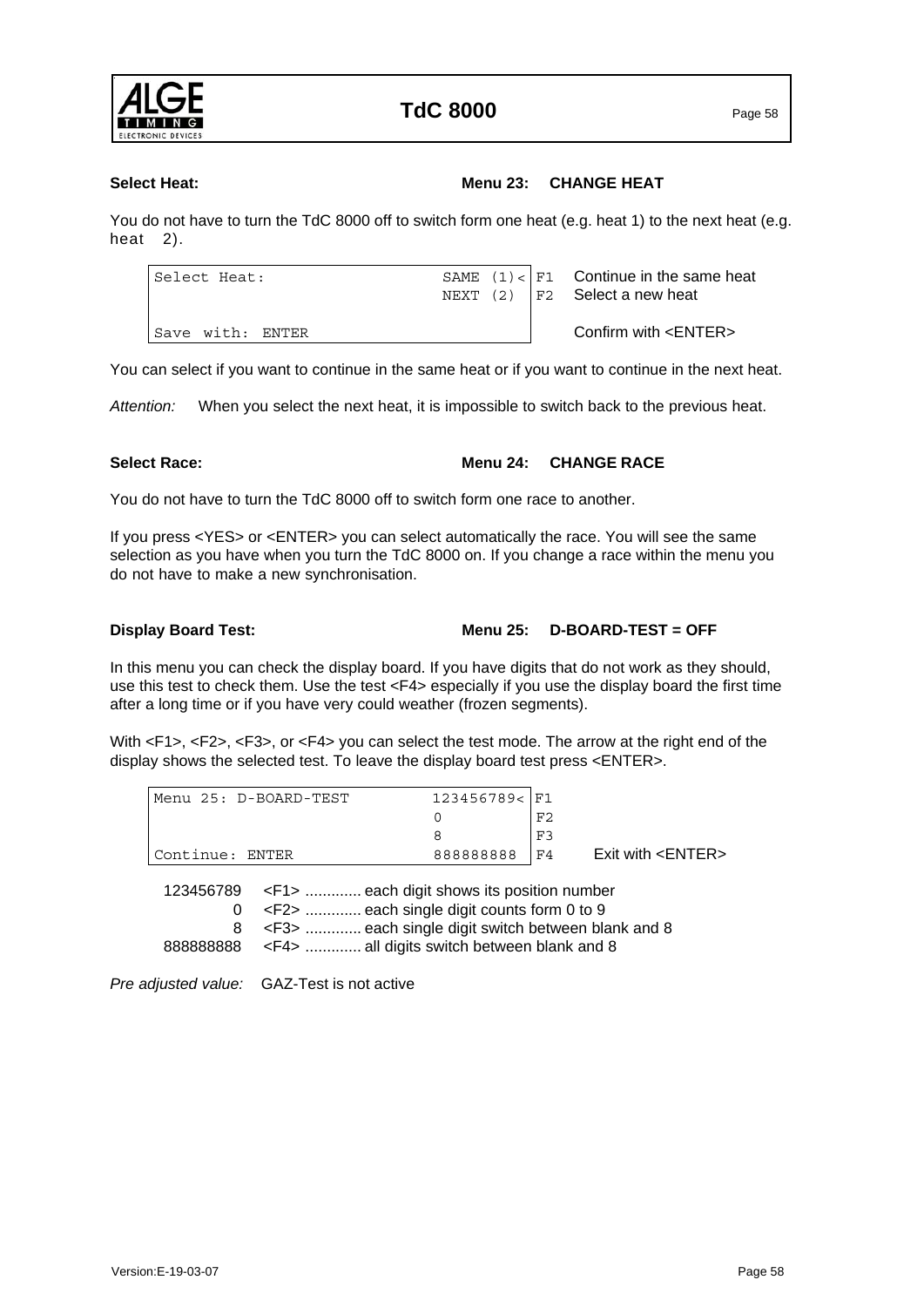

# **Select Heat: Menu 23: CHANGE HEAT**

You do not have to turn the TdC 8000 off to switch form one heat (e.g. heat 1) to the next heat (e.g. heat 2).

| Select Heat:     |  | SAME $(1)$ < F1 Continue in the same heat<br>NEXT $(2)$   F2 Select a new heat |
|------------------|--|--------------------------------------------------------------------------------|
| Save with: ENTER |  | Confirm with $\leq$ ENTER $>$                                                  |

You can select if you want to continue in the same heat or if you want to continue in the next heat.

*Attention:* When you select the next heat, it is impossible to switch back to the previous heat.

### **Select Race: Menu 24: CHANGE RACE**

You do not have to turn the TdC 8000 off to switch form one race to another.

If you press <YES> or <ENTER> you can select automatically the race. You will see the same selection as you have when you turn the TdC 8000 on. If you change a race within the menu you do not have to make a new synchronisation.

Display Board Test: Menu 25: D-BOARD-TEST = OFF

In this menu you can check the display board. If you have digits that do not work as they should, use this test to check them. Use the test <F4> especially if you use the display board the first time after a long time or if you have very could weather (frozen segments).

With <F1>, <F2>, <F3>, or <F4> you can select the test mode. The arrow at the right end of the display shows the selected test. To leave the display board test press <ENTER>.

| 123456789 <f1>  each digit shows its position number</f1> |               |      |                            |
|-----------------------------------------------------------|---------------|------|----------------------------|
| Continue: ENTER                                           | 888888888 F4  |      | Exit with $\leq$ ENTER $>$ |
|                                                           |               | F3   |                            |
|                                                           |               | l F2 |                            |
| Menu 25: D-BOARD-TEST                                     | 123456789< F1 |      |                            |

| 123456789 <f1>  each digit shows its position number</f1>    |
|--------------------------------------------------------------|
| 0 <f2>  each single digit counts form 0 to 9</f2>            |
| 8 <f3>  each single digit switch between blank and 8</f3>    |
| 88888888888 <f4>  all digits switch between blank and 8</f4> |
|                                                              |

*Pre adjusted value:* GAZ-Test is not active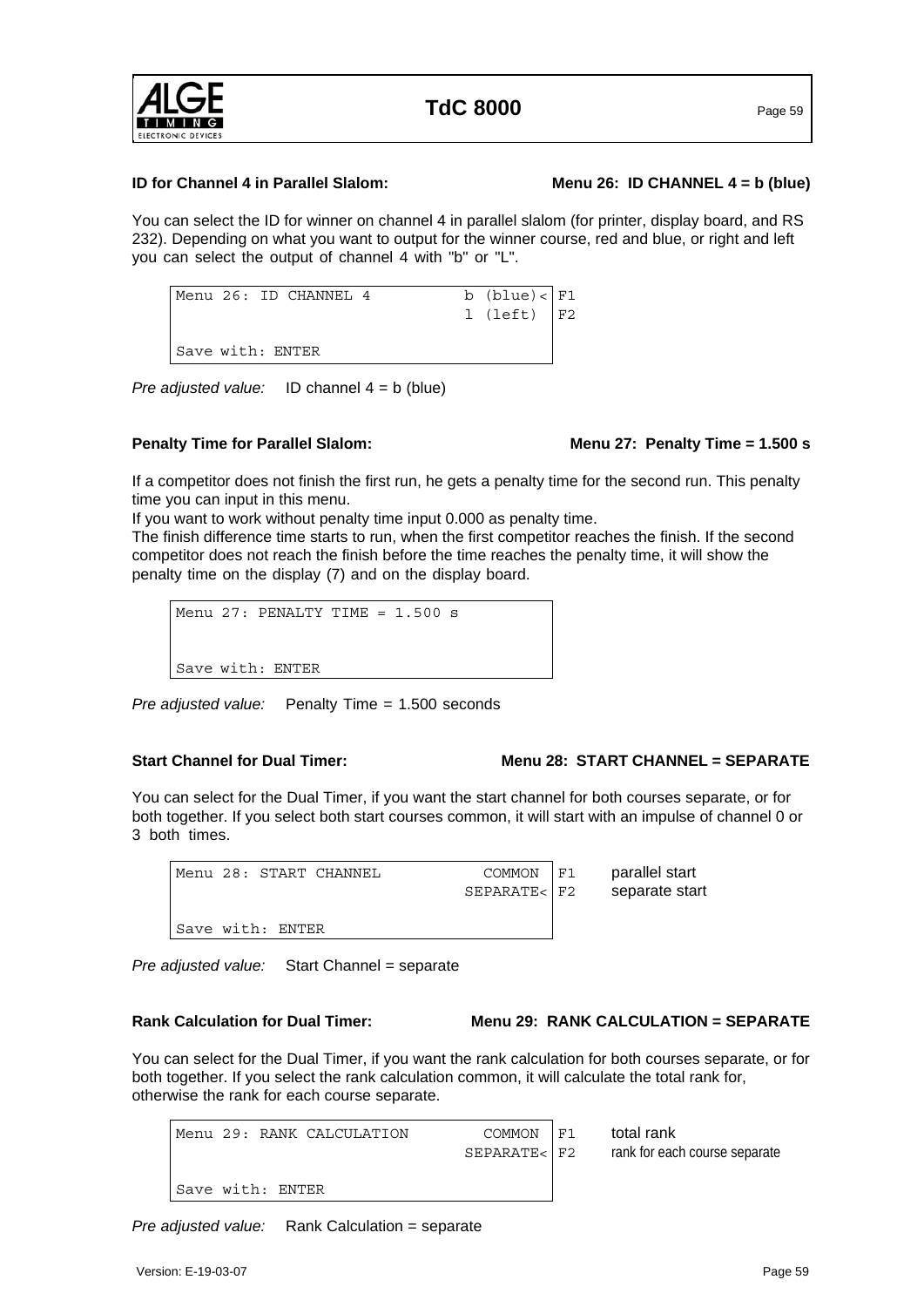

### **ID for Channel 4 in Parallel Slalom: Menu 26: ID CHANNEL 4 = b (blue)**

You can select the ID for winner on channel 4 in parallel slalom (for printer, display board, and RS 232). Depending on what you want to output for the winner course, red and blue, or right and left you can select the output of channel 4 with "b" or "L".

|                  |  | Menu 26: ID CHANNEL 4 |  | b $(blue) <  F1 $ |  |
|------------------|--|-----------------------|--|-------------------|--|
|                  |  |                       |  | 1 (left) $ F2 $   |  |
|                  |  |                       |  |                   |  |
| Save with: ENTER |  |                       |  |                   |  |
|                  |  |                       |  |                   |  |

*Pre adjusted value:* ID channel 4 = b (blue)

### **Penalty Time for Parallel Slalom: Menu 27: Penalty Time = 1.500 s**

If a competitor does not finish the first run, he gets a penalty time for the second run. This penalty time you can input in this menu.

If you want to work without penalty time input 0.000 as penalty time.

The finish difference time starts to run, when the first competitor reaches the finish. If the second competitor does not reach the finish before the time reaches the penalty time, it will show the penalty time on the display (7) and on the display board.

Menu 27: PENALTY TIME = 1.500 s Save with: ENTER

*Pre adjusted value:* Penalty Time = 1.500 seconds

# **Start Channel for Dual Timer: Menu 28: START CHANNEL = SEPARATE**

You can select for the Dual Timer, if you want the start channel for both courses separate, or for both together. If you select both start courses common, it will start with an impulse of channel 0 or 3 both times.

|  |                  | Menu 28: START CHANNEL | COMMON   F1<br>SEPARATE<1F2 | parallel start<br>separate start |
|--|------------------|------------------------|-----------------------------|----------------------------------|
|  | Save with: ENTER |                        |                             |                                  |

*Pre adjusted value:* Start Channel = separate

### **Rank Calculation for Dual Timer: Menu 29: RANK CALCULATION = SEPARATE**

You can select for the Dual Timer, if you want the rank calculation for both courses separate, or for both together. If you select the rank calculation common, it will calculate the total rank for, otherwise the rank for each course separate.

|  |                  | Menu 29: RANK CALCULATION | COMMON   F1<br>SEPARATE<1F2 | total rank<br>rank for each course separate |
|--|------------------|---------------------------|-----------------------------|---------------------------------------------|
|  | Save with: ENTER |                           |                             |                                             |

*Pre adjusted value:* Rank Calculation = separate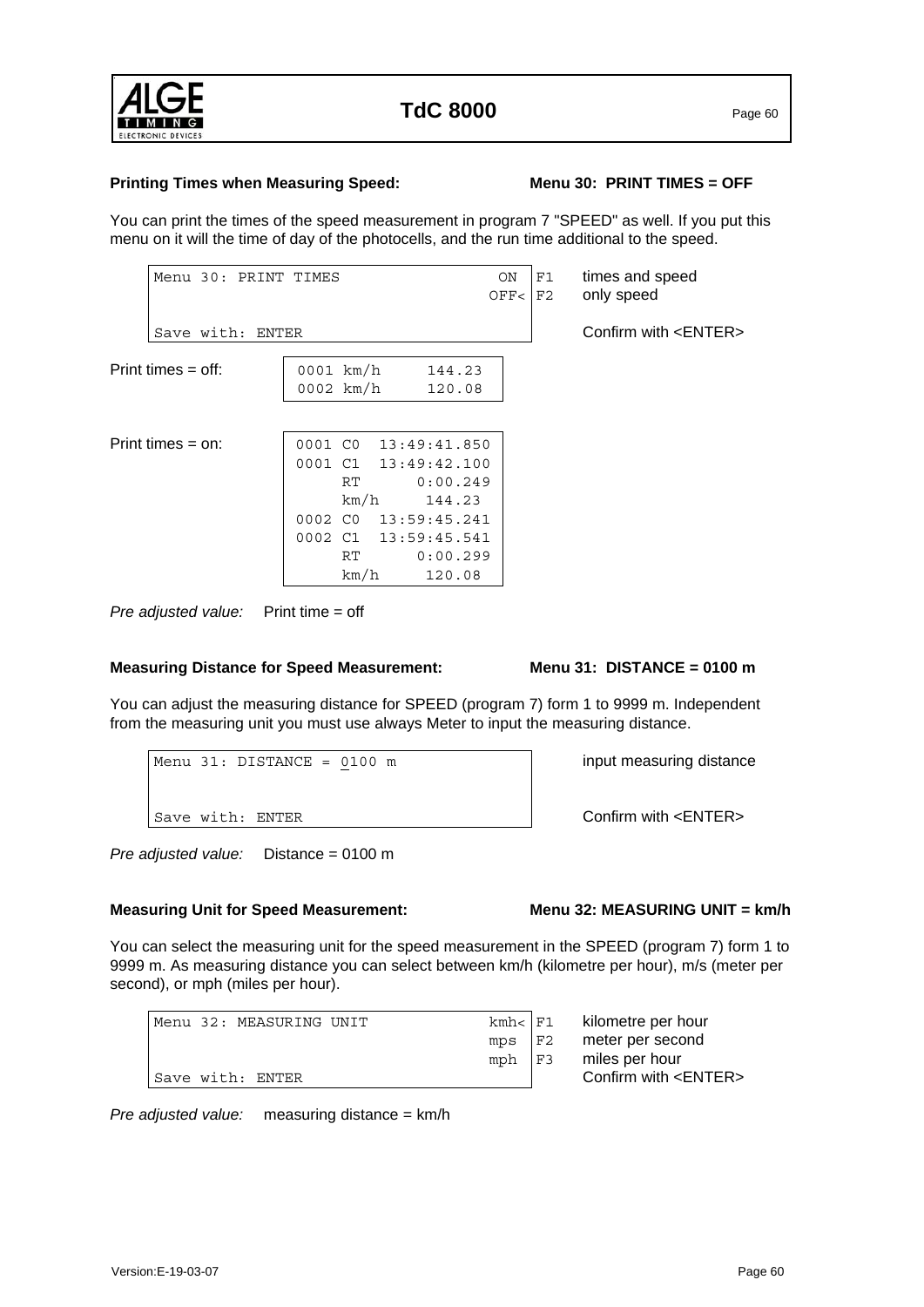

### **Printing Times when Measuring Speed: Menu 30: PRINT TIMES = OFF**

You can print the times of the speed measurement in program 7 "SPEED" as well. If you put this menu on it will the time of day of the photocells, and the run time additional to the speed.

| Menu 30: PRINT TIMES |                                                                                                                                                                                  | ON<br>OFF <sub>1</sub> | F1<br>F2 | times and speed<br>only speed |
|----------------------|----------------------------------------------------------------------------------------------------------------------------------------------------------------------------------|------------------------|----------|-------------------------------|
| Save with: ENTER     |                                                                                                                                                                                  |                        |          | Confirm with <enter></enter>  |
| Print times $=$ off: | $0001$ $km/h$<br>144.23<br>$0002$ km/h<br>120.08                                                                                                                                 |                        |          |                               |
| Print times $=$ on:  | 0001 C0 13:49:41.850<br>$C1 \quad 13:49:42.100$<br>0001<br>0:00.249<br>RT.<br>km/h<br>144.23<br>0002 C0 13:59:45.241<br>0002 C1 13:59:45.541<br>RT<br>0:00.299<br>km/h<br>120.08 |                        |          |                               |

*Pre adjusted value:* Print time = off

## **Measuring Distance for Speed Measurement: Menu 31: DISTANCE = 0100 m**

You can adjust the measuring distance for SPEED (program 7) form 1 to 9999 m. Independent from the measuring unit you must use always Meter to input the measuring distance.

Menu 31: DISTANCE = 0100 m input measuring distance

Save with: ENTER Confirm with <ENTER>

*Pre adjusted value:* Distance = 0100 m

# **Measuring Unit for Speed Measurement: Menu 32: MEASURING UNIT = km/h**

You can select the measuring unit for the speed measurement in the SPEED (program 7) form 1 to 9999 m. As measuring distance you can select between km/h (kilometre per hour), m/s (meter per second), or mph (miles per hour).

|                  | Menu 32: MEASURING UNIT | kmh< F1 |    |
|------------------|-------------------------|---------|----|
|                  |                         | mps     | F2 |
|                  |                         | mph     | FC |
| Save with: ENTER |                         |         |    |
|                  |                         |         |    |

*Pre adjusted value:* measuring distance = km/h

1 kilometre per hour 2 meter per second 3 miles per hour Confirm with  $\leq$  ENTER $>$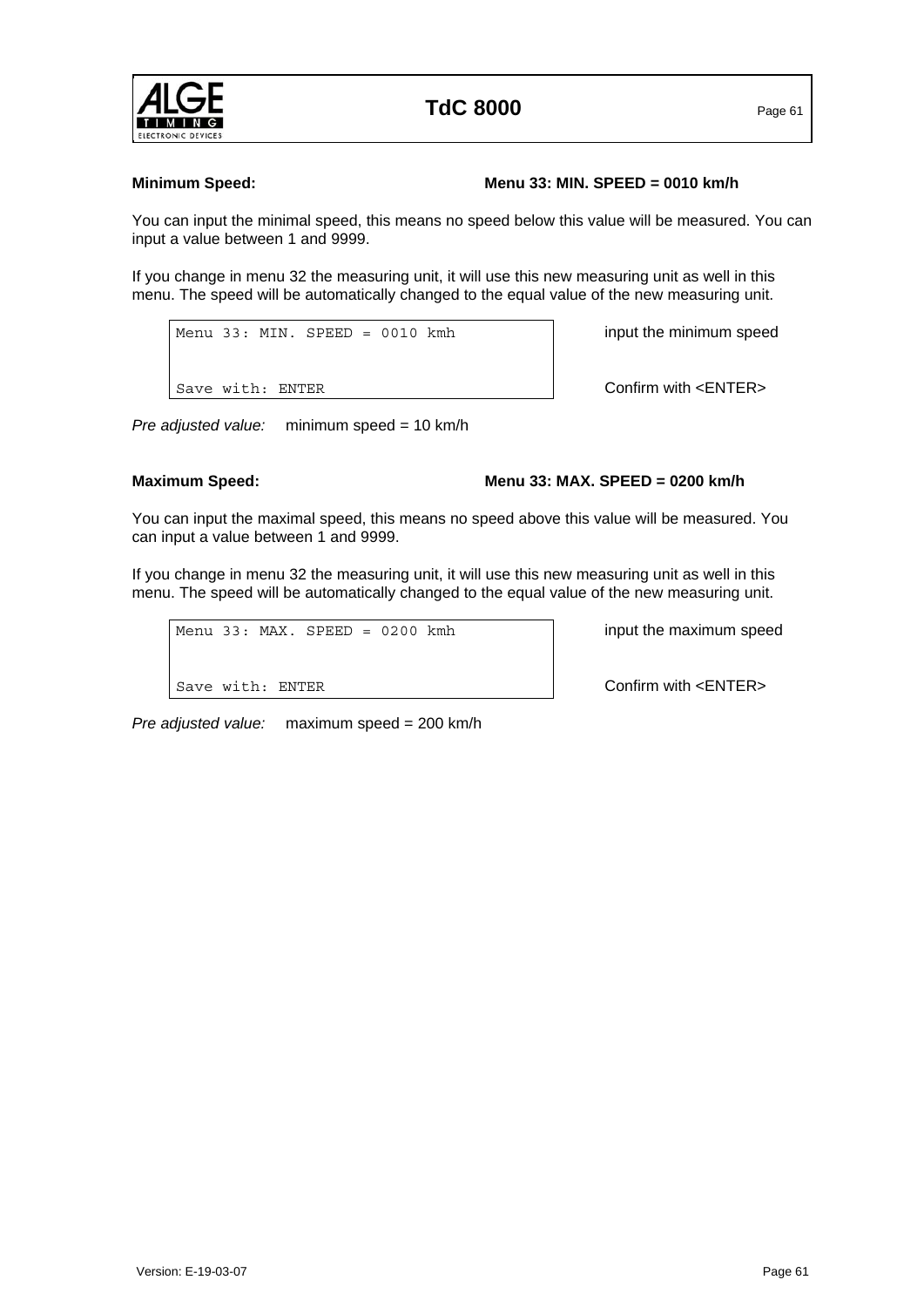

# **Minimum Speed:** Menu 33: MIN. SPEED = 0010 km/h

You can input the minimal speed, this means no speed below this value will be measured. You can input a value between 1 and 9999.

If you change in menu 32 the measuring unit, it will use this new measuring unit as well in this menu. The speed will be automatically changed to the equal value of the new measuring unit.

Menu  $33:$  MIN. SPEED = 0010 kmh input the minimum speed Save with: ENTER Confirm with <ENTER>

*Pre adjusted value:* minimum speed = 10 km/h

# **Maximum Speed: Menu 33: MAX. SPEED = 0200 km/h**

You can input the maximal speed, this means no speed above this value will be measured. You can input a value between 1 and 9999.

If you change in menu 32 the measuring unit, it will use this new measuring unit as well in this menu. The speed will be automatically changed to the equal value of the new measuring unit.

Menu 33: MAX. SPEED = 0200 kmh input the maximum speed Save with: ENTER Confirm with <ENTER>

*Pre adjusted value:* maximum speed = 200 km/h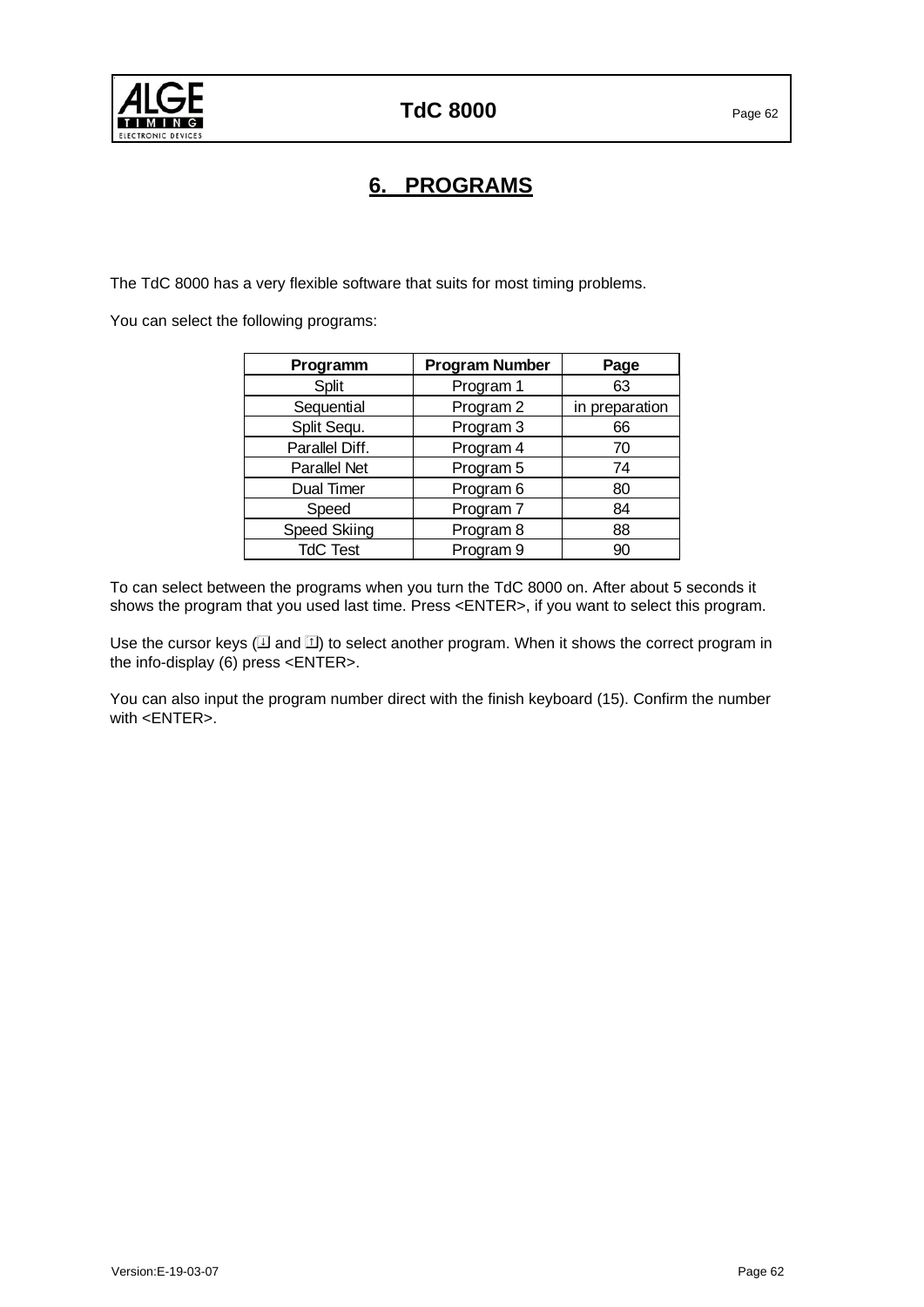

# **6. PROGRAMS**

The TdC 8000 has a very flexible software that suits for most timing problems.

You can select the following programs:

| Programm            | <b>Program Number</b> | Page           |
|---------------------|-----------------------|----------------|
| <b>Split</b>        | Program 1             | 63             |
| Sequential          | Program 2             | in preparation |
| Split Sequ.         | Program 3             | 66             |
| Parallel Diff.      | Program 4             | 70             |
| <b>Parallel Net</b> | Program <sub>5</sub>  | 74             |
| Dual Timer          | Program <sub>6</sub>  | 80             |
| Speed               | Program 7             | 84             |
| <b>Speed Skiing</b> | Program 8             | 88             |
| <b>TdC Test</b>     | Program <sub>9</sub>  | 90             |

To can select between the programs when you turn the TdC 8000 on. After about 5 seconds it shows the program that you used last time. Press <ENTER>, if you want to select this program.

Use the cursor keys  $(\mathbb{I})$  and  $\mathbb{I})$  to select another program. When it shows the correct program in the info-display (6) press <ENTER>.

You can also input the program number direct with the finish keyboard (15). Confirm the number with <ENTER>.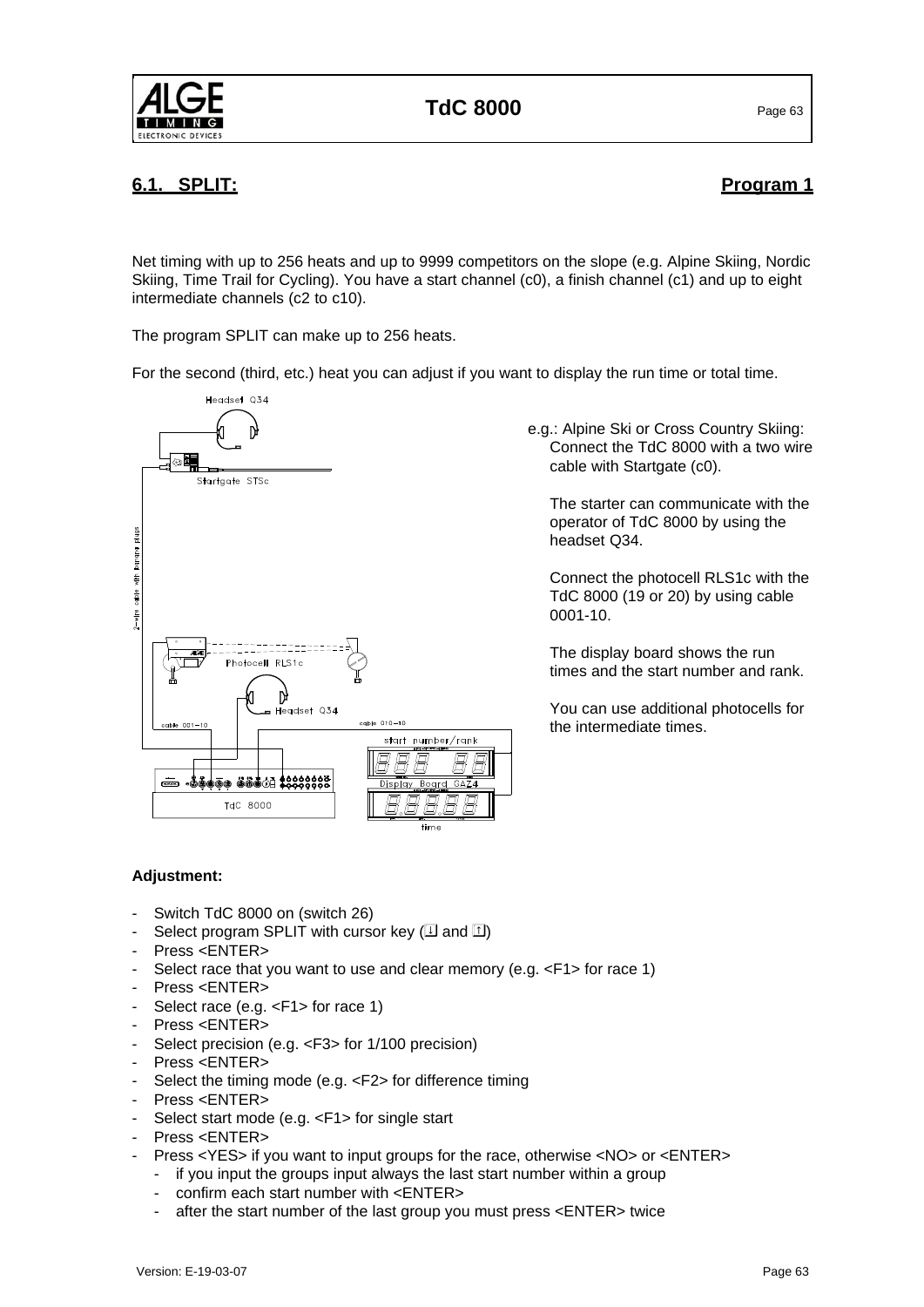

# **6.1. SPLIT: Program 1**

Net timing with up to 256 heats and up to 9999 competitors on the slope (e.g. Alpine Skiing, Nordic Skiing, Time Trail for Cycling). You have a start channel (c0), a finish channel (c1) and up to eight intermediate channels (c2 to c10).

The program SPLIT can make up to 256 heats.

For the second (third, etc.) heat you can adjust if you want to display the run time or total time.



e.g.: Alpine Ski or Cross Country Skiing: Connect the TdC 8000 with a two wire cable with Startgate (c0).

The starter can communicate with the operator of TdC 8000 by using the headset Q34.

Connect the photocell RLS1c with the TdC 8000 (19 or 20) by using cable 0001-10.

The display board shows the run times and the start number and rank.

You can use additional photocells for the intermediate times.

# **Adjustment:**

- Switch TdC 8000 on (switch 26)
- Select program SPLIT with cursor key  $(\Box$  and  $\Box)$
- Press <ENTER>
- Select race that you want to use and clear memory (e.g. <F1> for race 1)
- Press <ENTER>
- Select race (e.g. <F1> for race 1)
- Press <ENTER>
- Select precision (e.g. <F3> for 1/100 precision)
- Press <ENTER>
- Select the timing mode (e.g. <F2> for difference timing
- Press <ENTER>
- Select start mode (e.g. <F1> for single start
- Press <ENTER>
- Press <YES> if you want to input groups for the race, otherwise <NO> or <ENTER>
	- if you input the groups input always the last start number within a group
	- confirm each start number with <ENTER>
	- after the start number of the last group you must press <ENTER> twice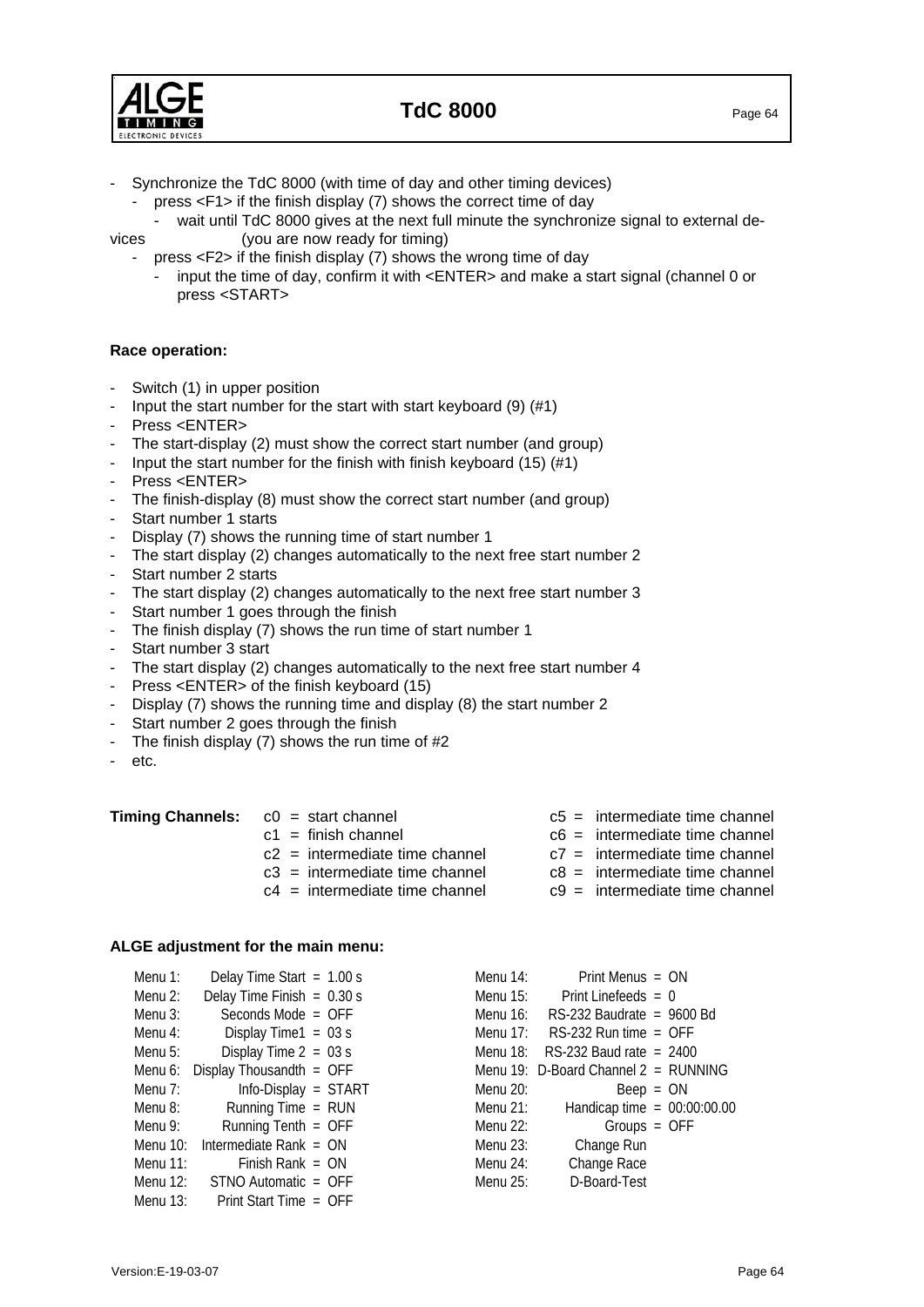

- Synchronize the TdC 8000 (with time of day and other timing devices) press <F1> if the finish display (7) shows the correct time of day
	- wait until TdC 8000 gives at the next full minute the synchronize signal to external de-
- vices (you are now ready for timing)
	- press <F2> if the finish display (7) shows the wrong time of day
		- input the time of day, confirm it with <ENTER> and make a start signal (channel 0 or press <START>

### **Race operation:**

- Switch (1) in upper position
- Input the start number for the start with start keyboard (9) (#1)
- Press <ENTER>
- The start-display (2) must show the correct start number (and group)
- Input the start number for the finish with finish keyboard (15) (#1)
- Press <ENTER>
- The finish-display (8) must show the correct start number (and group)
- Start number 1 starts
- Display (7) shows the running time of start number 1
- The start display (2) changes automatically to the next free start number 2
- Start number 2 starts
- The start display (2) changes automatically to the next free start number 3
- Start number 1 goes through the finish
- The finish display (7) shows the run time of start number 1
- Start number 3 start
- The start display (2) changes automatically to the next free start number 4
- Press <ENTER> of the finish keyboard (15)
- Display (7) shows the running time and display (8) the start number 2
- Start number 2 goes through the finish
- The finish display (7) shows the run time of #2
- etc.

| <b>Timing Channels:</b> $c0 = \text{start channel}$ | $c5 =$ intermediate time channel |
|-----------------------------------------------------|----------------------------------|
| $c1 =$ finish channel                               | $c6 =$ intermediate time channel |
| $c2$ = intermediate time channel                    | $c7 =$ intermediate time channel |
| $c3$ = intermediate time channel                    | $c8 =$ intermediate time channel |
| $c4$ = intermediate time channel                    | $c9 =$ intermediate time channel |

### **ALGE adjustment for the main menu:**

| Menu 1:     | Delay Time Start = $1.00 s$  |  |
|-------------|------------------------------|--|
| Menu 2:     | Delay Time Finish = $0.30$ s |  |
| Menu $3$ :  | Seconds Mode = $OFF$         |  |
| Menu 4:     | Display Time1 = $03 s$       |  |
| Menu $5:$   | Display Time $2 = 03$ s      |  |
| Menu 6:     | Display Thousandth = OFF     |  |
| Menu 7:     | $Info-Display = START$       |  |
| Menu 8:     | Running Time $=$ RUN         |  |
| Menu 9:     | Running Tenth = $OFF$        |  |
| Menu 10:    | Intermediate Rank = $ON$     |  |
| Menu 11:    | Finish Rank $= ON$           |  |
| Menu $12$ : | STNO Automatic = OFF         |  |
| Menu 13:    | Print Start Time = OFF       |  |

| Menu 14: | Print Menus $=$ ON                             |  |
|----------|------------------------------------------------|--|
| Menu 15: | Print Linefeeds $= 0$                          |  |
| Menu 16: | $RS-232$ Baudrate = 9600 Bd                    |  |
|          | Menu 17: $\;$ RS-232 Run time = OFF            |  |
|          | Menu 18: $\overline{RS}$ -232 Baud rate = 2400 |  |
|          | Menu 19: D-Board Channel 2 = RUNNING           |  |
| Menu 20: | $Beep = ON$                                    |  |
| Menu 21: | Handicap time = $00:00:00.00$                  |  |
| Menu 22: | $Groups = OFF$                                 |  |
| Menu 23: | Change Run                                     |  |
| Menu 24: | Change Race                                    |  |
| Menu 25: | D-Board-Test                                   |  |
|          |                                                |  |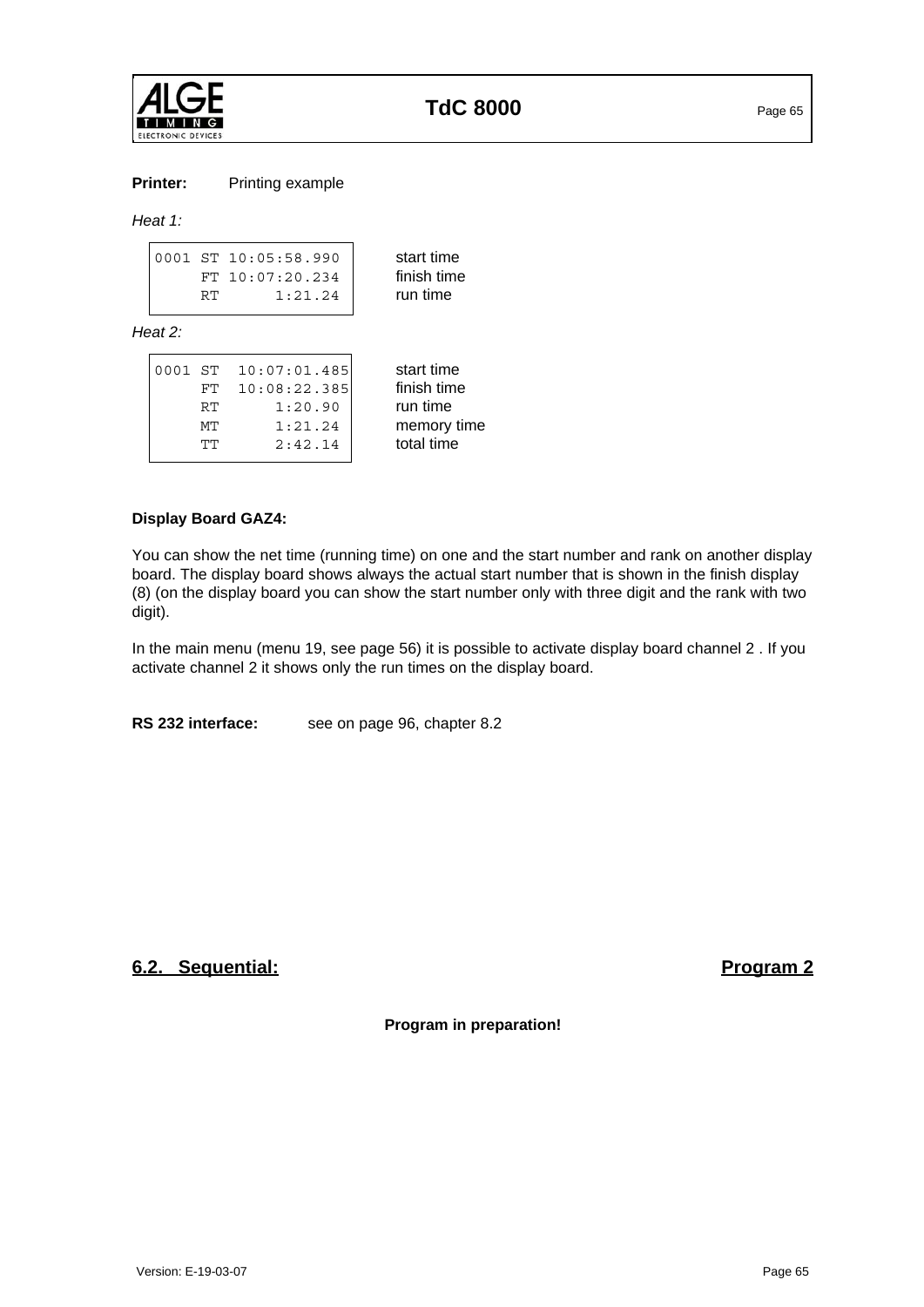

### **Printer:** Printing example

*Heat 1:*

```
0001 ST 10:05:58.990 | start time
    FT 10:07:20.234 | finish time
    RT 1:21.24 run time
```
*Heat 2:*

| 0001 ST |    | 10:07:01.485 |
|---------|----|--------------|
|         | ፑጥ | 10:08:22.385 |
|         | RТ | 1:20.90      |
|         | мт | 1:21.24      |
|         | ጥጥ | 2:42.14      |
|         |    |              |

start time finish time run time memory time total time

## **Display Board GAZ4:**

You can show the net time (running time) on one and the start number and rank on another display board. The display board shows always the actual start number that is shown in the finish display (8) (on the display board you can show the start number only with three digit and the rank with two digit).

In the main menu (menu 19, see page 56) it is possible to activate display board channel 2 . If you activate channel 2 it shows only the run times on the display board.

**RS 232 interface:** see on page 96, chapter 8.2

# **6.2. Sequential: Program 2**

**Program in preparation!**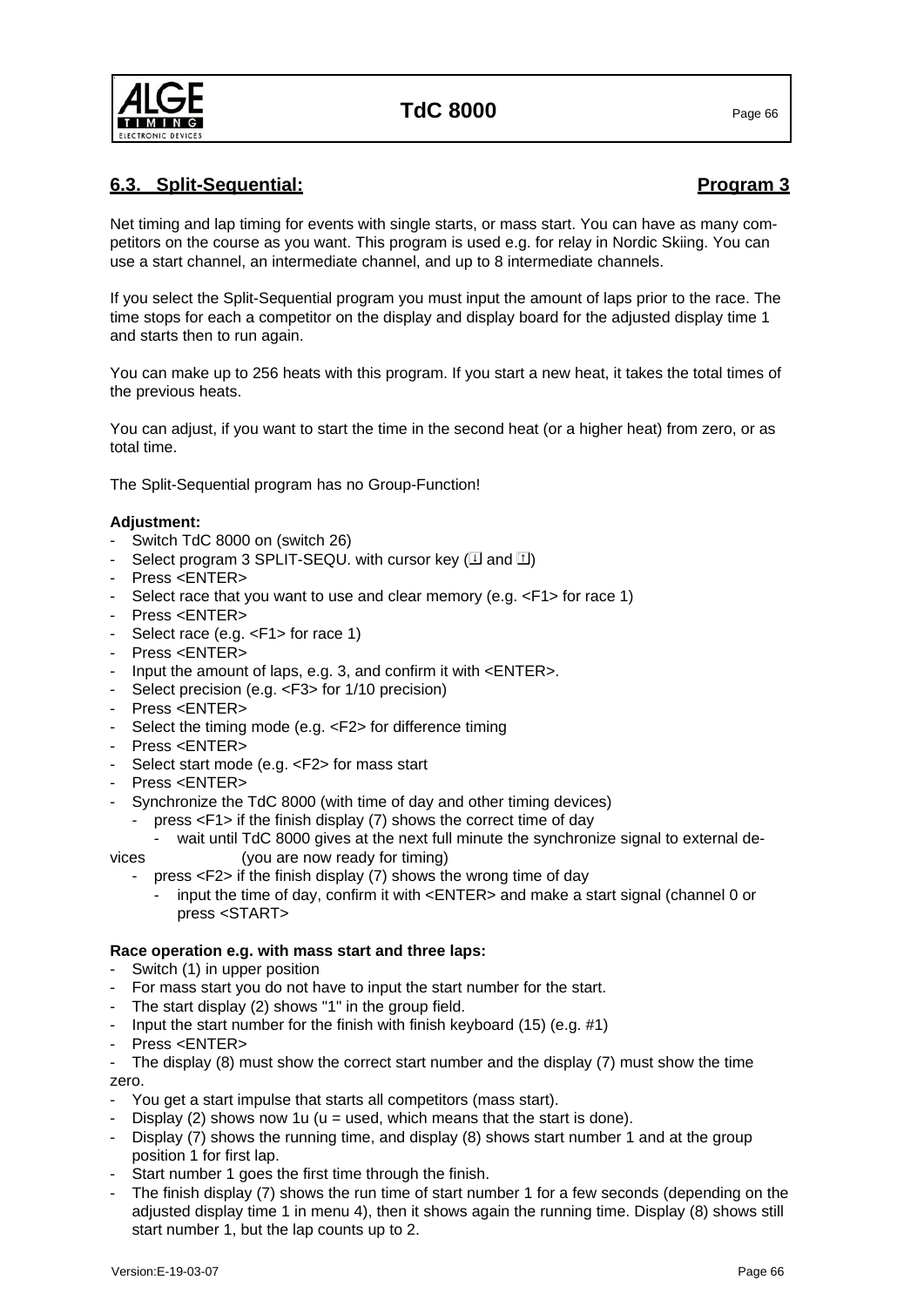

# **6.3. Split-Sequential: Program 3**

Net timing and lap timing for events with single starts, or mass start. You can have as many competitors on the course as you want. This program is used e.g. for relay in Nordic Skiing. You can use a start channel, an intermediate channel, and up to 8 intermediate channels.

If you select the Split-Sequential program you must input the amount of laps prior to the race. The time stops for each a competitor on the display and display board for the adjusted display time 1 and starts then to run again.

You can make up to 256 heats with this program. If you start a new heat, it takes the total times of the previous heats.

You can adjust, if you want to start the time in the second heat (or a higher heat) from zero, or as total time.

The Split-Sequential program has no Group-Function!

# **Adjustment:**

- Switch TdC 8000 on (switch 26)
- Select program 3 SPLIT-SEQU. with cursor key  $(\Box$  and  $\Box)$
- Press <ENTER>
- Select race that you want to use and clear memory (e.g. <F1> for race 1)
- Press <ENTER>
- Select race (e.g. <F1> for race 1)
- Press <ENTER>
- Input the amount of laps, e.g. 3, and confirm it with <ENTER>.
- Select precision (e.g. <F3> for 1/10 precision)
- Press <ENTER>
- Select the timing mode (e.g. <F2> for difference timing
- Press <ENTER>
- Select start mode (e.g. <F2> for mass start
- Press <ENTER>
- Synchronize the TdC 8000 (with time of day and other timing devices)
	- press <F1> if the finish display (7) shows the correct time of day
- wait until TdC 8000 gives at the next full minute the synchronize signal to external devices (you are now ready for timing)
	- press <F2> if the finish display (7) shows the wrong time of day
		- input the time of day, confirm it with <ENTER> and make a start signal (channel 0 or press <START>

### **Race operation e.g. with mass start and three laps:**

- Switch (1) in upper position
- For mass start you do not have to input the start number for the start.
- The start display (2) shows "1" in the group field.
- Input the start number for the finish with finish keyboard (15) (e.g. #1)
- Press <ENTER>

- The display (8) must show the correct start number and the display (7) must show the time zero.

- You get a start impulse that starts all competitors (mass start).
- Display (2) shows now 1u ( $u =$  used, which means that the start is done).
- Display (7) shows the running time, and display (8) shows start number 1 and at the group position 1 for first lap.
- Start number 1 goes the first time through the finish.
- The finish display (7) shows the run time of start number 1 for a few seconds (depending on the adjusted display time 1 in menu 4), then it shows again the running time. Display (8) shows still start number 1, but the lap counts up to 2.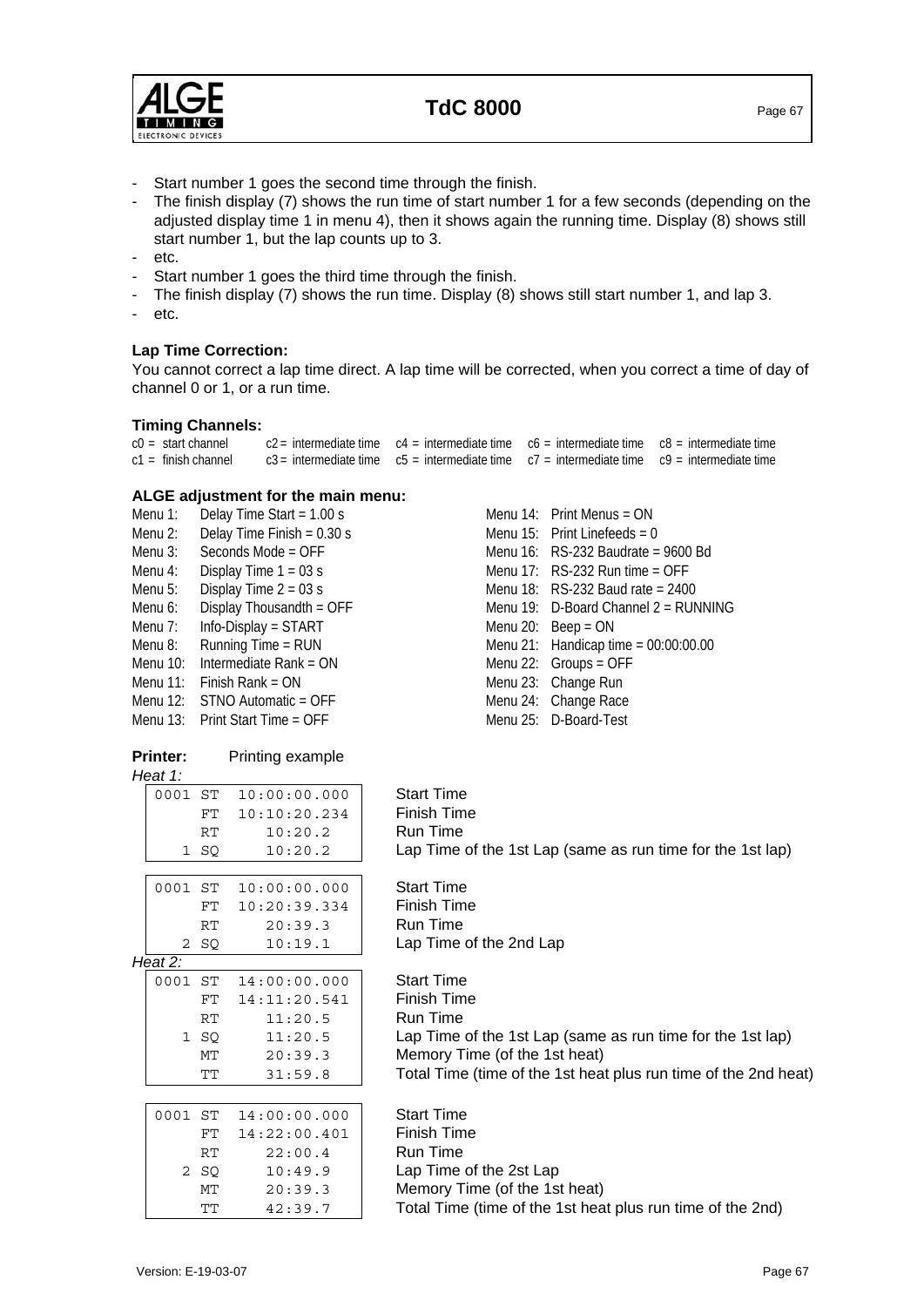

- Start number 1 goes the second time through the finish.
- The finish display (7) shows the run time of start number 1 for a few seconds (depending on the adjusted display time 1 in menu 4), then it shows again the running time. Display (8) shows still start number 1, but the lap counts up to 3.
- etc.
- Start number 1 goes the third time through the finish.
- The finish display (7) shows the run time. Display (8) shows still start number 1, and lap 3.
- etc.

## **Lap Time Correction:**

You cannot correct a lap time direct. A lap time will be corrected, when you correct a time of day of channel 0 or 1, or a run time.

# **Timing Channels:**

| $c0 =$ start channel  | $c2$ = intermediate time $c4$ = intermediate time $c6$ = intermediate time $c8$ = intermediate time |  |
|-----------------------|-----------------------------------------------------------------------------------------------------|--|
| $c1 =$ finish channel | $c3$ = intermediate time $c5$ = intermediate time $c7$ = intermediate time $c9$ = intermediate time |  |

# **ALGE adjustment for the main menu:**

| Menu 1: | Delay Time Start = $1.00 s$        | Menu $14$ : Print Menus = ON                     |
|---------|------------------------------------|--------------------------------------------------|
| Menu 2: | Delay Time Finish = $0.30 s$       | Menu $15$ : Print Linefeeds = 0                  |
| Menu 3: | Seconds Mode = $OFF$               | Menu $16:$ RS-232 Baudrate = $9600$ Bd           |
| Menu 4: | Display Time $1 = 03$ s            | Menu $17:$ RS-232 Run time = OFF                 |
| Menu 5: | Display Time $2 = 03$ s            | Menu 18: $RS-232$ Baud rate = 2400               |
| Menu 6: | Display Thousandth = OFF           | Menu $19$ : D-Board Channel $2 = \text{RUNNING}$ |
| Menu 7: | Info-Display = START               | Menu 20: $Beep = ON$                             |
| Menu 8: | Running Time = RUN                 | Menu 21: Handicap time = $00:00:00.00$           |
|         | Menu 10: Intermediate Rank = $ON$  | Menu 22: Groups = $\text{OFF}$                   |
|         | Menu 11: Finish Rank = $ON$        | Menu 23: Change Run                              |
|         | Menu 12: STNO Automatic = OFF      | Menu 24: Change Race                             |
|         | Menu $13$ : Print Start Time = OFF | Menu 25: D-Board-Test                            |
|         |                                    |                                                  |

| Printer: | Printing example |
|----------|------------------|
|          |                  |

| <b>Printer:</b> |      | <b>Printing example</b> |                                                                 |
|-----------------|------|-------------------------|-----------------------------------------------------------------|
| Heat 1:         |      |                         |                                                                 |
| 0001 ST         |      | 10:00:00.000            | <b>Start Time</b>                                               |
|                 | FT   | 10:10:20.234            | Finish Time                                                     |
|                 | RT   | 10:20.2                 | <b>Run Time</b>                                                 |
|                 | 1 SQ | 10:20.2                 | Lap Time of the 1st Lap (same as run time for the 1st lap)      |
|                 |      |                         |                                                                 |
| 0001 ST         |      | 10:00:00.000            | <b>Start Time</b>                                               |
|                 | FT   | 10:20:39.334            | Finish Time                                                     |
|                 | RT   | 20:39.3                 | Run Time                                                        |
|                 | 2 SQ | 10:19.1                 | Lap Time of the 2nd Lap                                         |
| Heat 2:         |      |                         |                                                                 |
| 0001 ST         |      | 14:00:00.000            | <b>Start Time</b>                                               |
|                 | FT   | 14:11:20.541            | <b>Finish Time</b>                                              |
|                 | RT   | 11:20.5                 | Run Time                                                        |
|                 | 1 SO | 11:20.5                 | Lap Time of the 1st Lap (same as run time for the 1st lap)      |
|                 | МT   | 20:39.3                 | Memory Time (of the 1st heat)                                   |
|                 | TТ   | 31:59.8                 | Total Time (time of the 1st heat plus run time of the 2nd heat) |
|                 |      |                         |                                                                 |
| 0001 ST         |      | 14:00:00.000            | <b>Start Time</b>                                               |
|                 | FT   | 14:22:00.401            | <b>Finish Time</b>                                              |
|                 | RT   | 22:00.4                 | <b>Run Time</b>                                                 |
|                 | 2 SO | 10:49.9                 | Lap Time of the 2st Lap                                         |
|                 | МT   | 20:39.3                 | Memory Time (of the 1st heat)                                   |
|                 | TТ   | 42:39.7                 | Total Time (time of the 1st heat plus run time of the 2nd)      |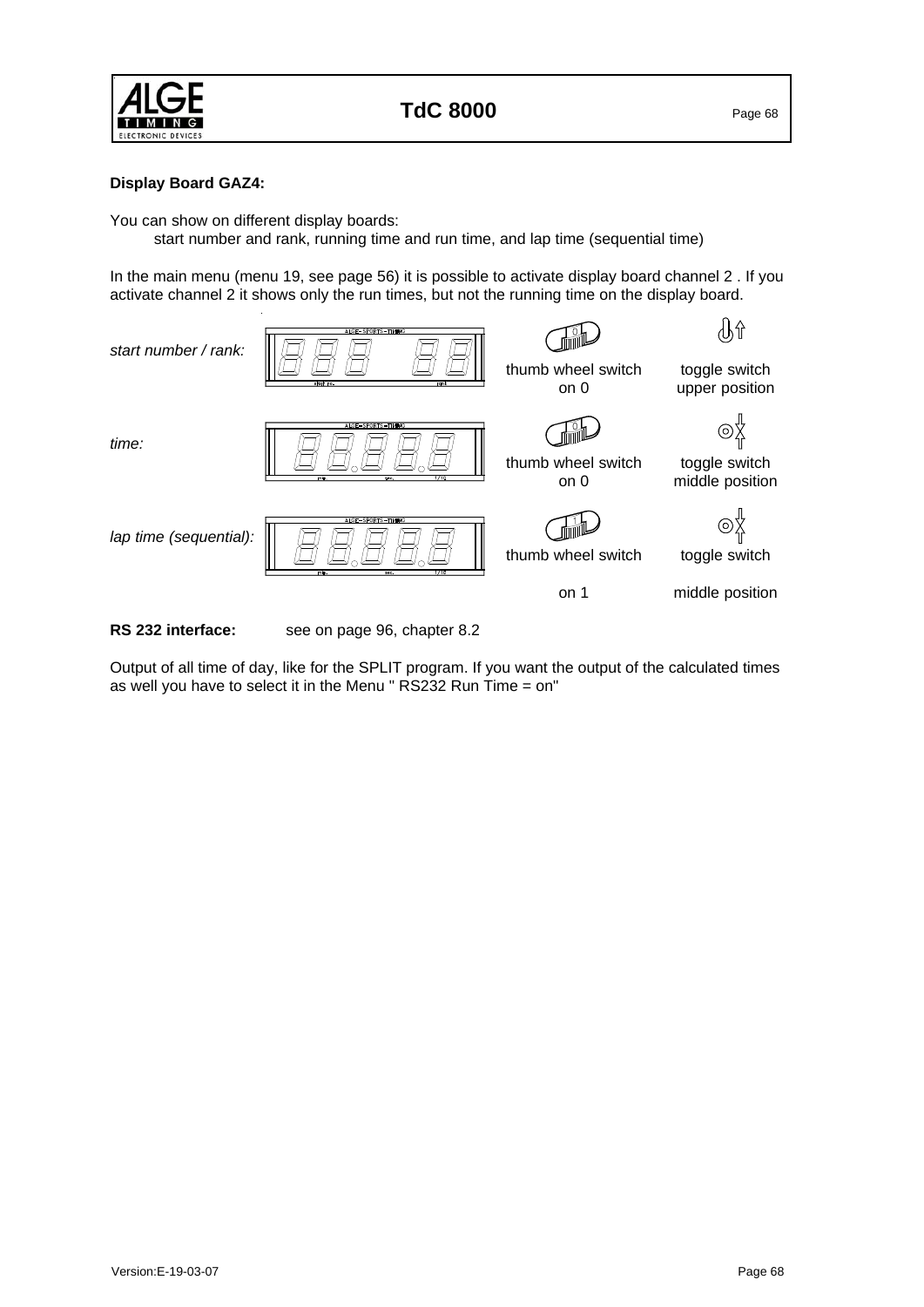

# **Display Board GAZ4:**

You can show on different display boards:

start number and rank, running time and run time, and lap time (sequential time)

In the main menu (menu 19, see page 56) it is possible to activate display board channel 2 . If you activate channel 2 it shows only the run times, but not the running time on the display board.



**RS 232 interface:** see on page 96, chapter 8.2

Output of all time of day, like for the SPLIT program. If you want the output of the calculated times as well you have to select it in the Menu " RS232 Run Time = on"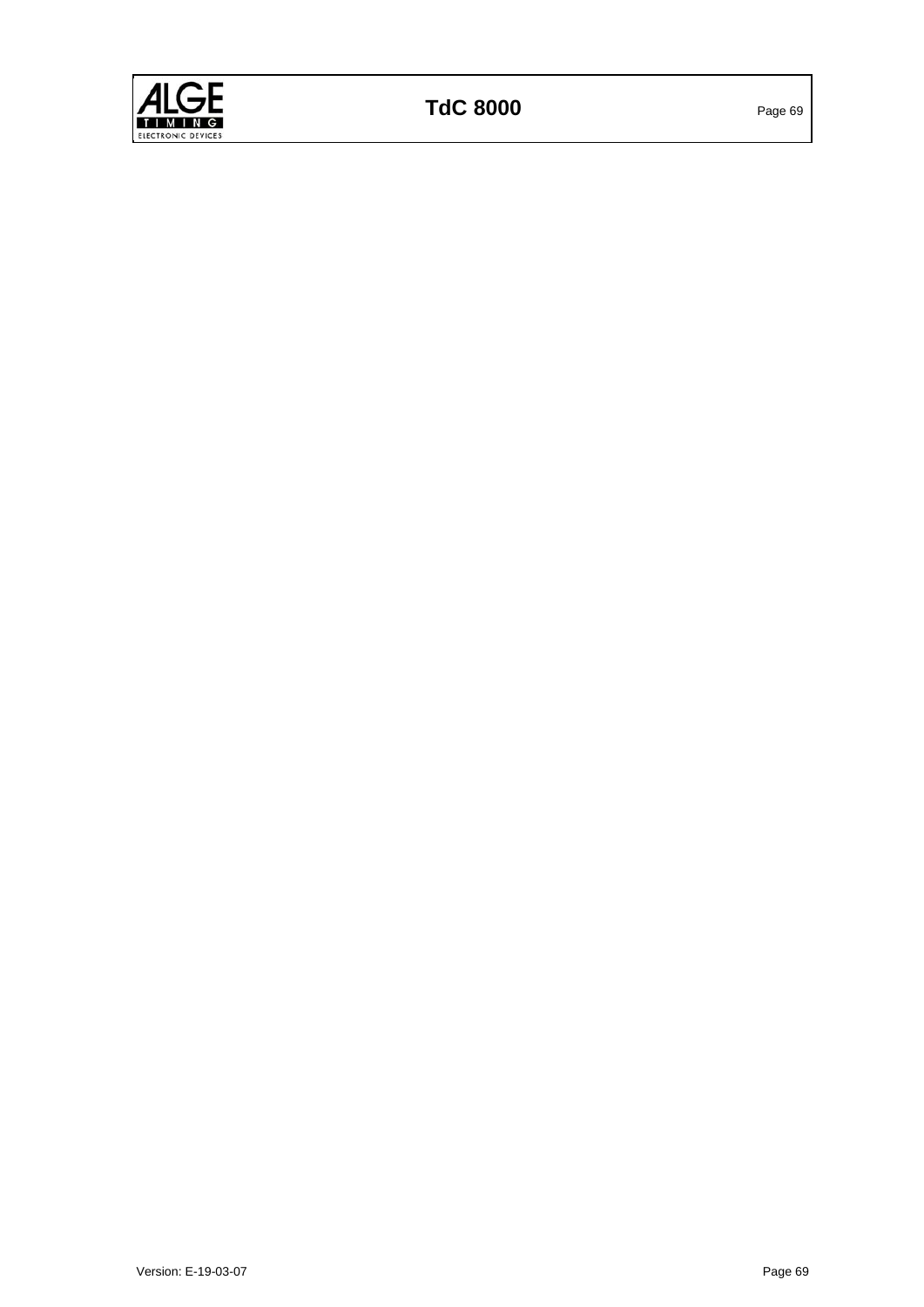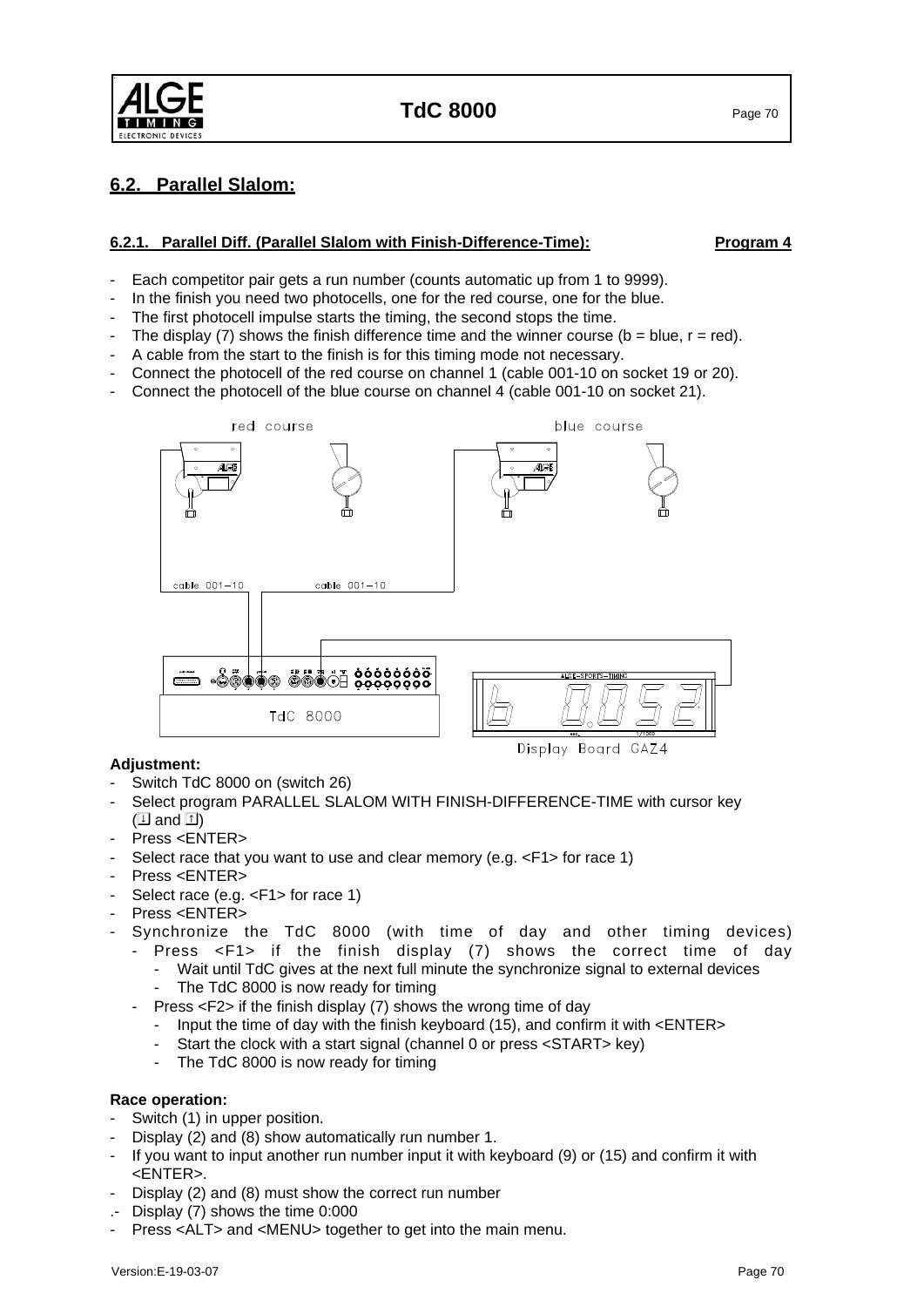

**TdC 8000** Page 70

# **6.2. Parallel Slalom:**

# **6.2.1. Parallel Diff. (Parallel Slalom with Finish-Difference-Time): Program 4**

- Each competitor pair gets a run number (counts automatic up from 1 to 9999).
- In the finish you need two photocells, one for the red course, one for the blue.
- The first photocell impulse starts the timing, the second stops the time.
- The display (7) shows the finish difference time and the winner course ( $b = blue$ ,  $r = red$ ).
- A cable from the start to the finish is for this timing mode not necessary.
- Connect the photocell of the red course on channel 1 (cable 001-10 on socket 19 or 20).
- Connect the photocell of the blue course on channel 4 (cable 001-10 on socket 21).



# **Adjustment:**

- Switch TdC 8000 on (switch 26)
- Select program PARALLEL SLALOM WITH FINISH-DIFFERENCE-TIME with cursor key  $(\mathbb{I}$  and  $\mathbb{I})$
- Press <ENTER>
- Select race that you want to use and clear memory (e.g. <F1> for race 1)
- Press <ENTER>
- Select race (e.g. <F1> for race 1)
- Press <ENTER>
- Synchronize the TdC 8000 (with time of day and other timing devices) - Press <F1> if the finish display (7) shows the correct time of day
	- Wait until TdC gives at the next full minute the synchronize signal to external devices
	- The TdC 8000 is now ready for timing
	- Press <F2> if the finish display (7) shows the wrong time of day
		- Input the time of day with the finish keyboard (15), and confirm it with <ENTER>
		- Start the clock with a start signal (channel 0 or press <START> key)
		- The TdC 8000 is now ready for timing

# **Race operation:**

- Switch (1) in upper position.
- Display (2) and (8) show automatically run number 1.
- If you want to input another run number input it with keyboard (9) or (15) and confirm it with <ENTER>.
- Display (2) and (8) must show the correct run number
- .- Display (7) shows the time 0:000
- Press <ALT> and <MENU> together to get into the main menu.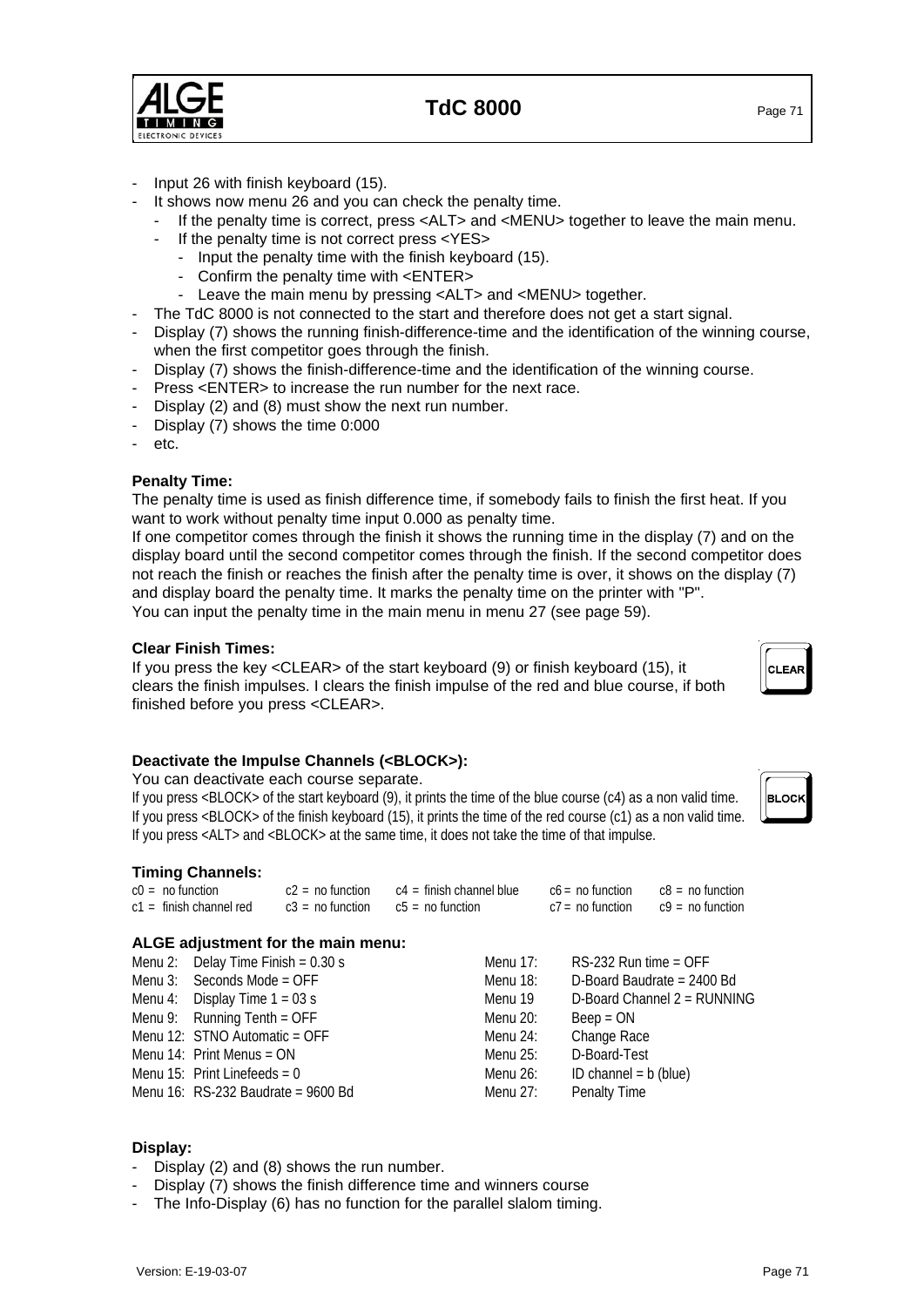# - Input 26 with finish keyboard (15).

- It shows now menu 26 and you can check the penalty time.
	- If the penalty time is correct, press <ALT> and <MENU> together to leave the main menu.
	- If the penalty time is not correct press <YES>
		- Input the penalty time with the finish keyboard (15).
			- Confirm the penalty time with <ENTER>
- Leave the main menu by pressing <ALT> and <MENU> together.
- The TdC 8000 is not connected to the start and therefore does not get a start signal.
- Display (7) shows the running finish-difference-time and the identification of the winning course, when the first competitor goes through the finish.
- Display (7) shows the finish-difference-time and the identification of the winning course.
- Press <ENTER> to increase the run number for the next race.
- Display (2) and (8) must show the next run number.
- Display (7) shows the time 0:000
- etc.

### **Penalty Time:**

The penalty time is used as finish difference time, if somebody fails to finish the first heat. If you want to work without penalty time input 0.000 as penalty time.

If one competitor comes through the finish it shows the running time in the display (7) and on the display board until the second competitor comes through the finish. If the second competitor does not reach the finish or reaches the finish after the penalty time is over, it shows on the display (7) and display board the penalty time. It marks the penalty time on the printer with "P". You can input the penalty time in the main menu in menu 27 (see page 59).

### **Clear Finish Times:**

If you press the key <CLEAR> of the start keyboard (9) or finish keyboard (15), it clears the finish impulses. I clears the finish impulse of the red and blue course, if both finished before you press <CLEAR>.

### **Deactivate the Impulse Channels (<BLOCK>):**

You can deactivate each course separate.

If you press <BLOCK> of the start keyboard (9), it prints the time of the blue course (c4) as a non valid time. If you press <BLOCK> of the finish keyboard (15), it prints the time of the red course (c1) as a non valid time. If you press <ALT> and <BLOCK> at the same time, it does not take the time of that impulse.

### **Timing Channels:**

| $c0 = no function$        | $c2 = no$ function                    | c4 = finish channel blue | $c6 = no$ function                    | $c8 =$ no function |
|---------------------------|---------------------------------------|--------------------------|---------------------------------------|--------------------|
| $c1 =$ finish channel red | $c3$ = no function $c5$ = no function |                          | $c7 = no$ function $c9 = no$ function |                    |

### **ALGE adjustment for the main menu:**

| Menu 2: Delay Time Finish = $0.30 s$   | Menu $17:$  | $RS-232$ Run time = OFF       |
|----------------------------------------|-------------|-------------------------------|
| Menu 3: Seconds Mode = OFF             | Menu 18:    | D-Board Baudrate = 2400 Bd    |
| Menu 4: Display Time $1 = 03$ s        | Menu 19     | D-Board Channel $2 = RUNNING$ |
| Menu 9: Running Tenth = $\text{OFF}$   | Menu 20:    | $Beep = ON$                   |
| Menu 12: STNO Automatic = OFF          | Menu $24$ : | Change Race                   |
| Menu $14$ : Print Menus = ON           | Menu $25$ : | D-Board-Test                  |
| Menu $15$ : Print Linefeeds = 0        | Menu $26$ : | ID channel = $b$ (blue)       |
| Menu $16: RS-232$ Baudrate = $9600$ Bd | Menu $27:$  | Penalty Time                  |

### **Display:**

- Display (2) and (8) shows the run number.
- Display (7) shows the finish difference time and winners course
- The Info-Display (6) has no function for the parallel slalom timing.



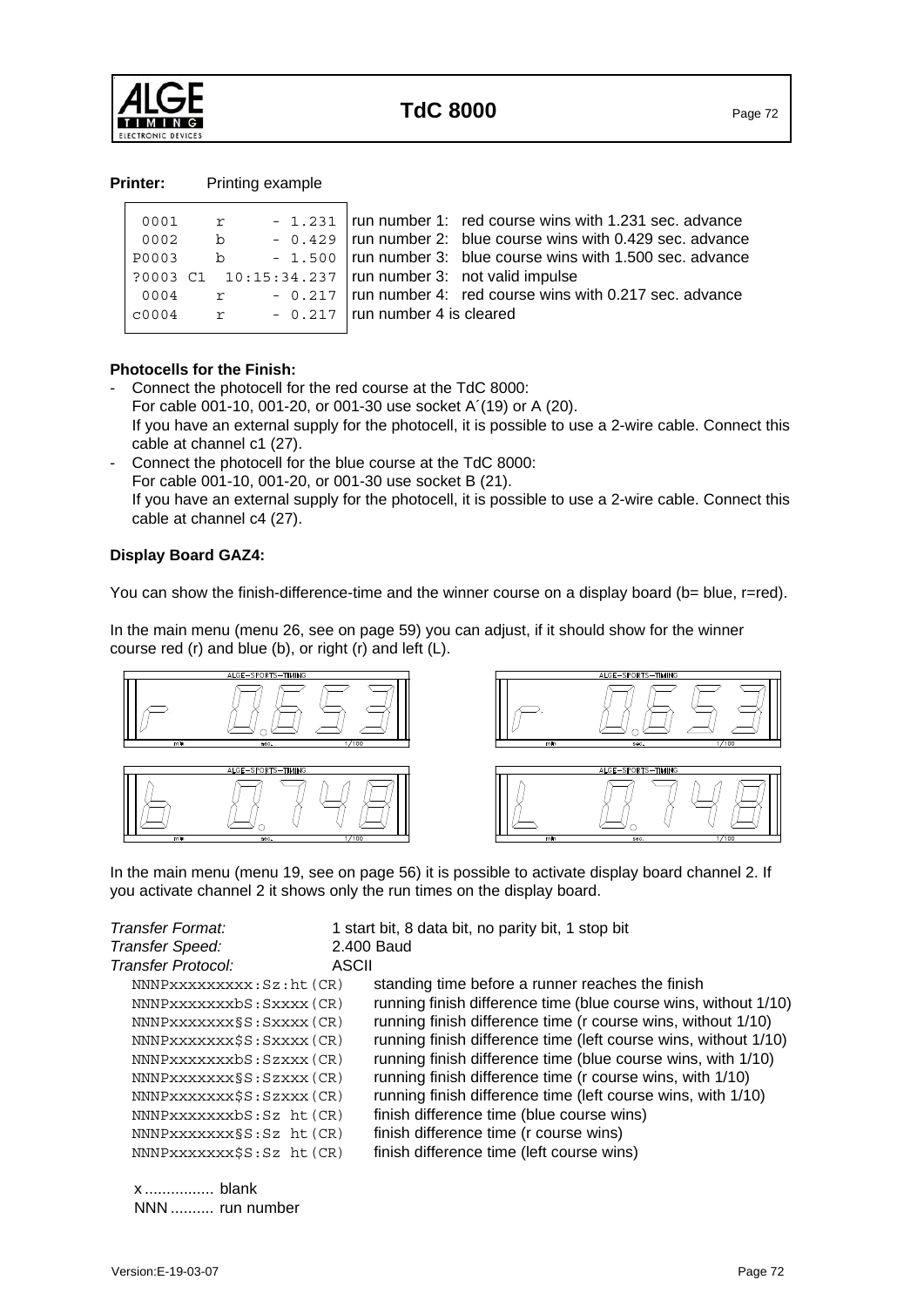

### **Printer:** Printing example

| 0001  | r            |                                     | - $1.231$ run number 1: red course wins with 1.231 sec. advance                      |
|-------|--------------|-------------------------------------|--------------------------------------------------------------------------------------|
| 0002  | $\mathbf{b}$ |                                     | $-$ 0.429   run number 2: blue course wins with 0.429 sec. advance                   |
| P0003 |              |                                     | $\sigma$ b $\sigma$ = 1.500   run number 3: blue course wins with 1.500 sec. advance |
|       |              |                                     | $?0003$ C1 10:15:34.237 run number 3: not valid impulse                              |
| 0004  | r            |                                     | $-$ 0.217   run number 4: red course wins with 0.217 sec. advance                    |
| C0004 | r            | $-$ 0.217   run number 4 is cleared |                                                                                      |
|       |              |                                     |                                                                                      |

# **Photocells for the Finish:**

- Connect the photocell for the red course at the TdC 8000: For cable 001-10, 001-20, or 001-30 use socket A´(19) or A (20). If you have an external supply for the photocell, it is possible to use a 2-wire cable. Connect this cable at channel c1 (27).
- Connect the photocell for the blue course at the TdC 8000: For cable 001-10, 001-20, or 001-30 use socket B (21). If you have an external supply for the photocell, it is possible to use a 2-wire cable. Connect this cable at channel c4 (27).

# **Display Board GAZ4:**

You can show the finish-difference-time and the winner course on a display board ( $b = blue$ , r=red).

In the main menu (menu 26, see on page 59) you can adjust, if it should show for the winner course red (r) and blue (b), or right (r) and left (L).



In the main menu (menu 19, see on page 56) it is possible to activate display board channel 2. If you activate channel 2 it shows only the run times on the display board.

| Transfer Format:              | 1 start bit, 8 data bit, no parity bit, 1 stop bit              |
|-------------------------------|-----------------------------------------------------------------|
| Transfer Speed:               | 2.400 Baud                                                      |
| Transfer Protocol:            | ASCII                                                           |
| NNNPXXXXXXXXXX: Sz: ht (CR)   | standing time before a runner reaches the finish                |
| NNNPXXXXXXXbS: SXXXX (CR)     | running finish difference time (blue course wins, without 1/10) |
| NNNPXXXXXXXSS: SXXXX(CR)      | running finish difference time (r course wins, without 1/10)    |
| NNNPXXXXXXX\$S: SXXXX (CR)    | running finish difference time (left course wins, without 1/10) |
| NNNPXXXXXXXbS: SzXXX (CR)     | running finish difference time (blue course wins, with 1/10)    |
| NNNPXXXXXXXSS: SZXXX (CR)     | running finish difference time (r course wins, with 1/10)       |
| NNNPXXXXXXX\$S: SZXXX (CR)    | running finish difference time (left course wins, with 1/10)    |
| NNNPxxxxxxxbS:Sz ht(CR)       | finish difference time (blue course wins)                       |
| $NNNPxxxxxx$ $S:Sz$ ht $(CR)$ | finish difference time (r course wins)                          |
| NNNPXXXXXXX\$S:Sz ht (CR)     | finish difference time (left course wins)                       |
|                               |                                                                 |
|                               |                                                                 |

NNN .......... run number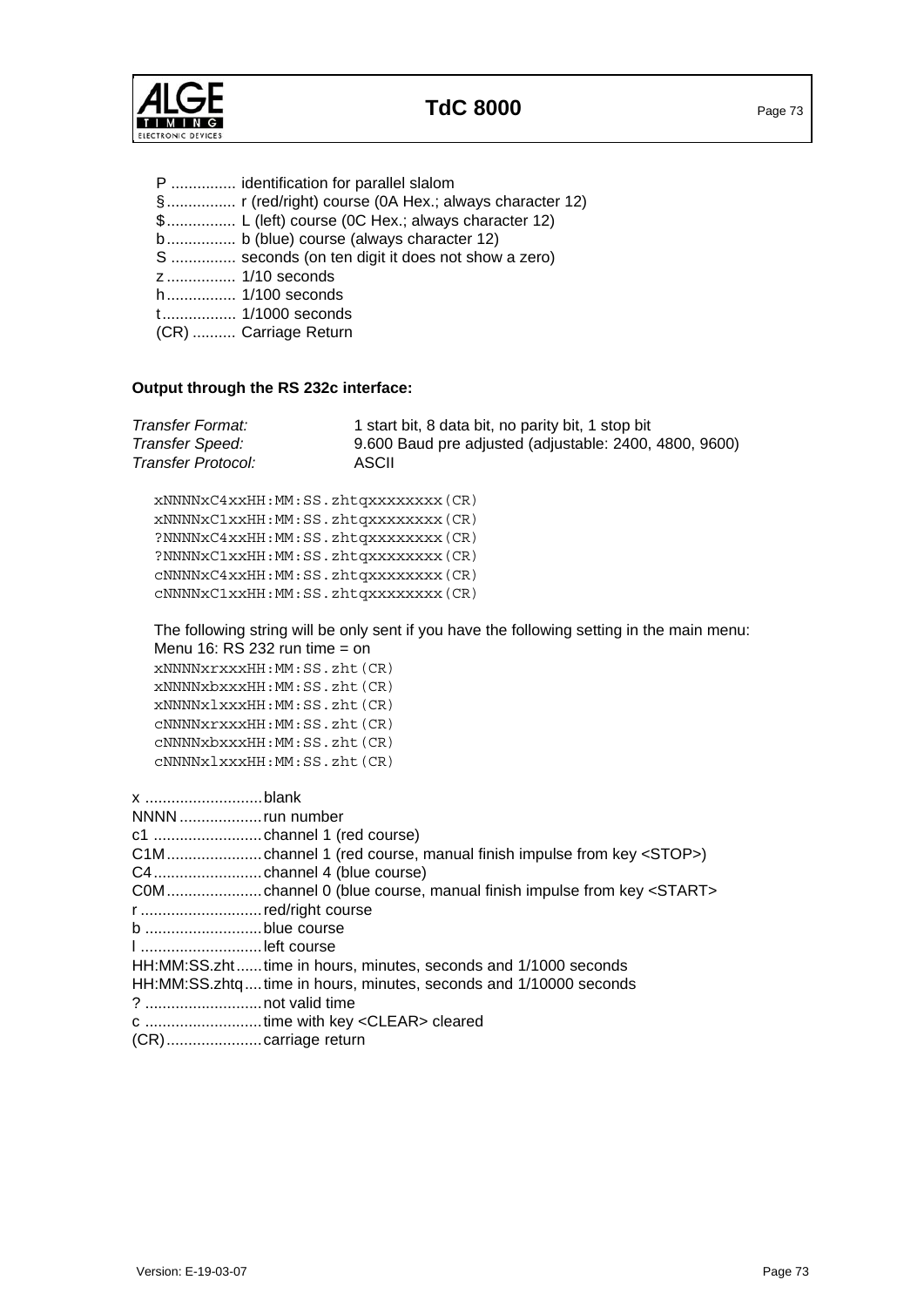

P ............... identification for parallel slalom §.................. r (red/right) course (0A Hex.; always character 12)  $\overline{\$$ .................. L (left) course (0C Hex.; always character 12) b................ b (blue) course (always character 12) S ............... seconds (on ten digit it does not show a zero) z ................ 1/10 seconds h................ 1/100 seconds t................. 1/1000 seconds

# **Output through the RS 232c interface:**

(CR) .......... Carriage Return

| Transfer Format:<br>Transfer Speed:<br><b>Transfer Protocol:</b>                                                                                                                                                                                      | 1 start bit, 8 data bit, no parity bit, 1 stop bit<br>9.600 Baud pre adjusted (adjustable: 2400, 4800, 9600)<br><b>ASCII</b>       |
|-------------------------------------------------------------------------------------------------------------------------------------------------------------------------------------------------------------------------------------------------------|------------------------------------------------------------------------------------------------------------------------------------|
| xNNNNxC4xxHH: MM: SS. zhtqxxxxxxxx (CR)<br>xNNNNxC1xxHH:MM:SS.zhtqxxxxxxxxx(CR)<br>?NNNNxC4xxHH:MM:SS.zhtqxxxxxxxx (CR)<br>?NNNNxC1xxHH:MM:SS.zhtqxxxxxxxx (CR)<br>CNNNNxC4xxHH: MM: SS. zhtqxxxxxxxx (CR)<br>CNNNNxC1xxHH: MM: SS. zhtqxxxxxxxx (CR) |                                                                                                                                    |
| Menu 16: RS 232 run time $=$ on<br>xNNNNxrxxxHH: MM: SS.zht (CR)<br>xNNNNxbxxxHH: MM: SS.zht (CR)<br>xNNNNxlxxxHH: MM: SS.zht (CR)<br>CNNNNxrxxxHH: MM: SS.zht (CR)<br>CNNNNxbxxxHH: MM: SS.zht (CR)<br>CNNNNxlxxxHH: MM: SS.zht (CR)                 | The following string will be only sent if you have the following setting in the main menu:                                         |
| NNNN run number<br>r red/right course<br>b blue course<br>1 left course<br>c time with key <clear> cleared</clear>                                                                                                                                    | HH:MM:SS.zhttime in hours, minutes, seconds and 1/1000 seconds<br>HH:MM:SS.zhtqtime in hours, minutes, seconds and 1/10000 seconds |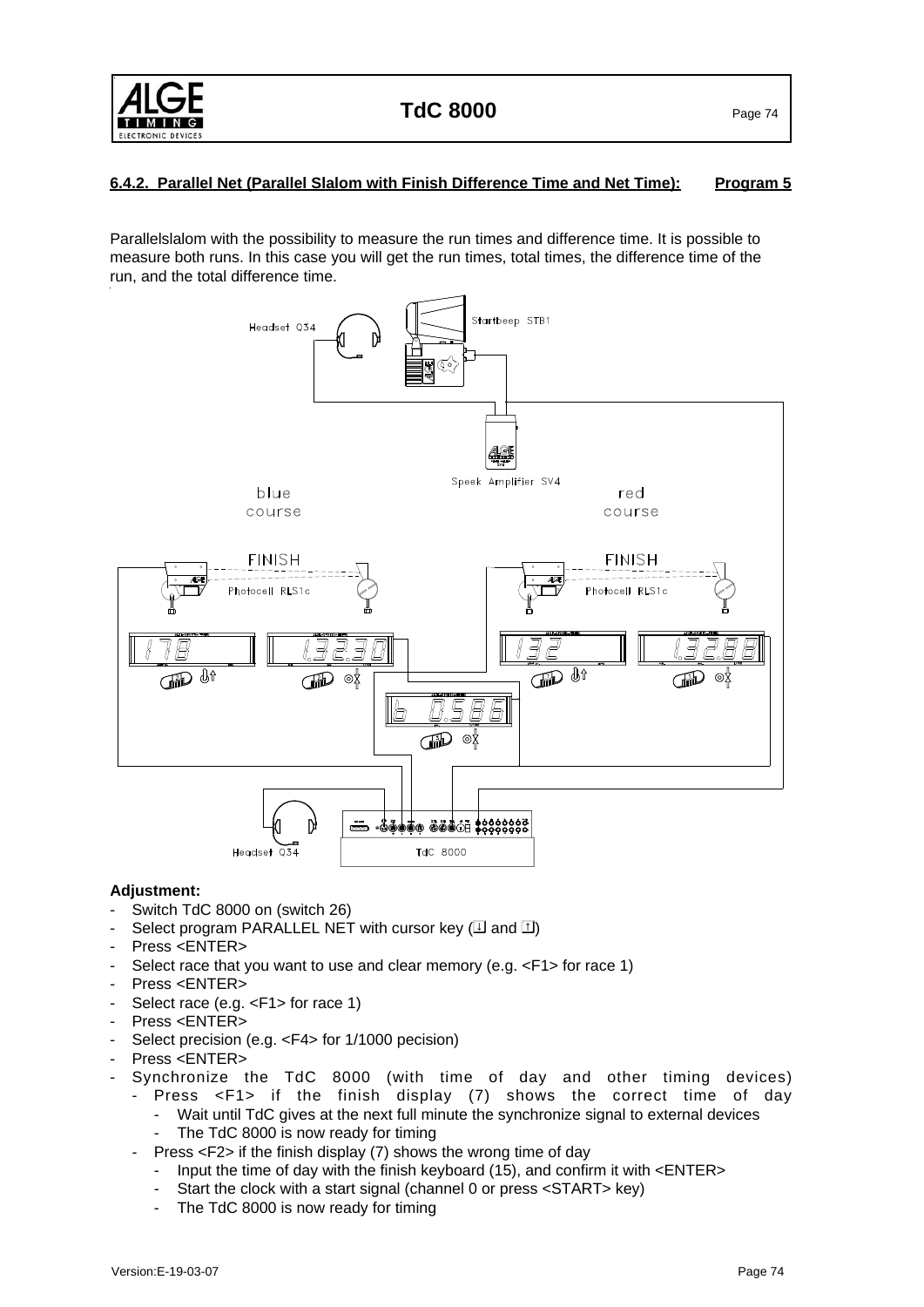

### **6.4.2. Parallel Net (Parallel Slalom with Finish Difference Time and Net Time): Program 5**

Parallelslalom with the possibility to measure the run times and difference time. It is possible to measure both runs. In this case you will get the run times, total times, the difference time of the run, and the total difference time.



#### **Adjustment:**

- Switch TdC 8000 on (switch 26)
- Select program PARALLEL NET with cursor key  $(\mathbb{I})$  and  $\mathbb{I})$
- Press <ENTER>
- Select race that you want to use and clear memory (e.g. <F1> for race 1)
- Press <ENTER>
- Select race (e.g. <F1> for race 1)
- Press <ENTER>
- Select precision (e.g. <F4> for 1/1000 pecision)
- Press <ENTER>
	- Synchronize the TdC 8000 (with time of day and other timing devices) - Press  $\leq$ F1> if the finish display (7) shows the correct time of day
		- Wait until TdC gives at the next full minute the synchronize signal to external devices
			- The TdC 8000 is now ready for timing
	- Press <F2> if the finish display (7) shows the wrong time of day
		- Input the time of day with the finish keyboard (15), and confirm it with <ENTER>
		- Start the clock with a start signal (channel 0 or press <START> key)
		- The TdC 8000 is now ready for timing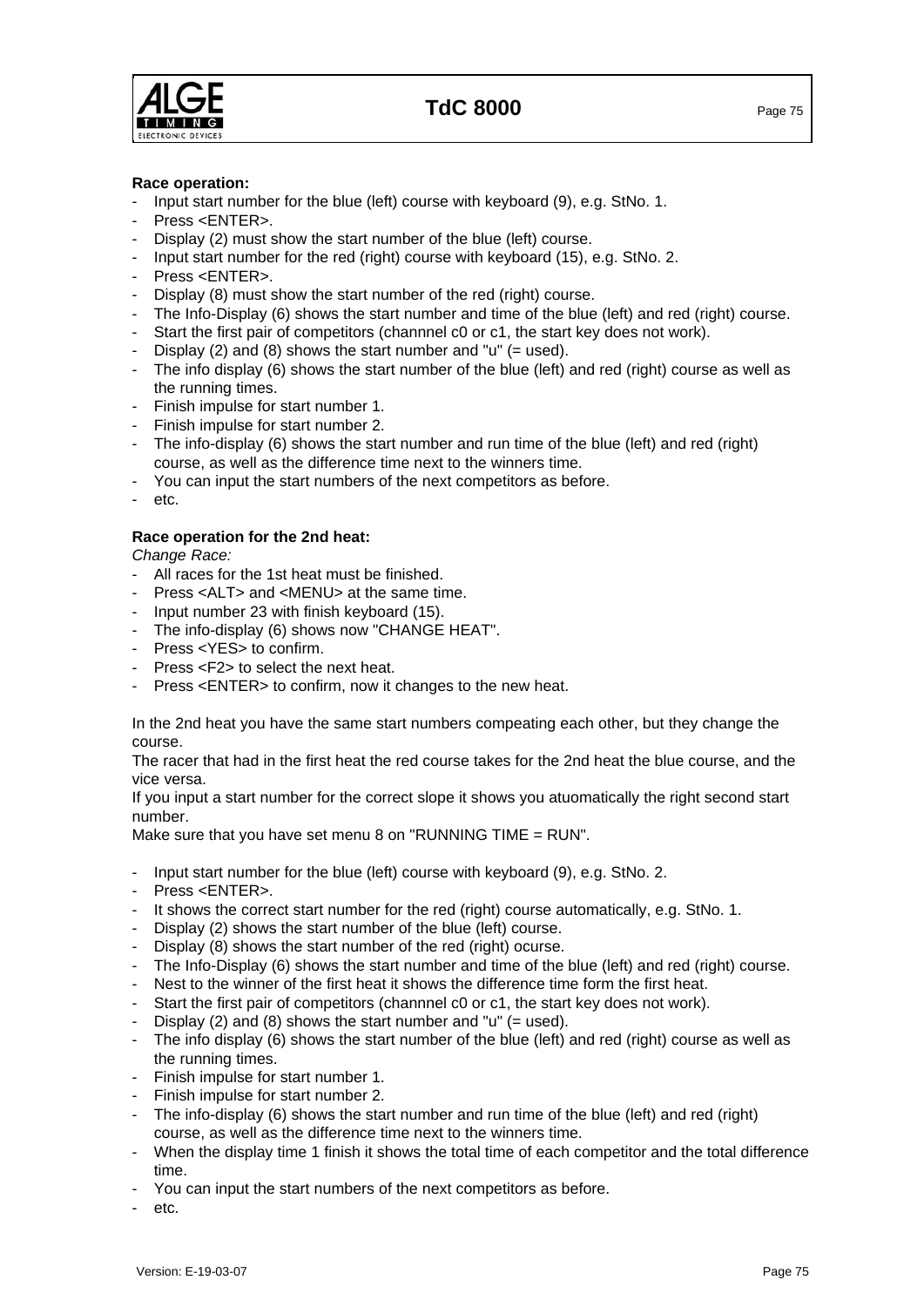



- Input start number for the blue (left) course with keyboard (9), e.g. StNo. 1.
- Press <ENTER>.
- Display (2) must show the start number of the blue (left) course.
- Input start number for the red (right) course with keyboard (15), e.g. StNo. 2.
- Press <ENTER>.
- Display (8) must show the start number of the red (right) course.
- The Info-Display (6) shows the start number and time of the blue (left) and red (right) course.
- Start the first pair of competitors (channnel c0 or c1, the start key does not work).
- Display (2) and (8) shows the start number and "u" (= used).
- The info display (6) shows the start number of the blue (left) and red (right) course as well as the running times.
- Finish impulse for start number 1.
- Finish impulse for start number 2.
- The info-display (6) shows the start number and run time of the blue (left) and red (right) course, as well as the difference time next to the winners time.
- You can input the start numbers of the next competitors as before.
- etc.

#### **Race operation for the 2nd heat:**

*Change Race:*

- All races for the 1st heat must be finished.
- Press <ALT> and <MENU> at the same time.
- Input number 23 with finish keyboard (15).
- The info-display (6) shows now "CHANGE HEAT".
- Press <YES> to confirm.
- Press <F2> to select the next heat.
- Press <ENTER> to confirm, now it changes to the new heat.

In the 2nd heat you have the same start numbers compeating each other, but they change the course.

The racer that had in the first heat the red course takes for the 2nd heat the blue course, and the vice versa.

If you input a start number for the correct slope it shows you atuomatically the right second start number.

Make sure that you have set menu 8 on "RUNNING TIME = RUN".

- Input start number for the blue (left) course with keyboard (9), e.g. StNo. 2.
- Press <ENTER>.
- It shows the correct start number for the red (right) course automatically, e.g. StNo. 1.
- Display (2) shows the start number of the blue (left) course.
- Display (8) shows the start number of the red (right) ocurse.
- The Info-Display (6) shows the start number and time of the blue (left) and red (right) course.
- Nest to the winner of the first heat it shows the difference time form the first heat.
- Start the first pair of competitors (channnel c0 or c1, the start key does not work).
- Display  $(2)$  and  $(8)$  shows the start number and "u"  $(=$  used).
- The info display (6) shows the start number of the blue (left) and red (right) course as well as the running times.
- Finish impulse for start number 1.
- Finish impulse for start number 2.
- The info-display (6) shows the start number and run time of the blue (left) and red (right) course, as well as the difference time next to the winners time.
- When the display time 1 finish it shows the total time of each competitor and the total difference time.
- You can input the start numbers of the next competitors as before.
- etc.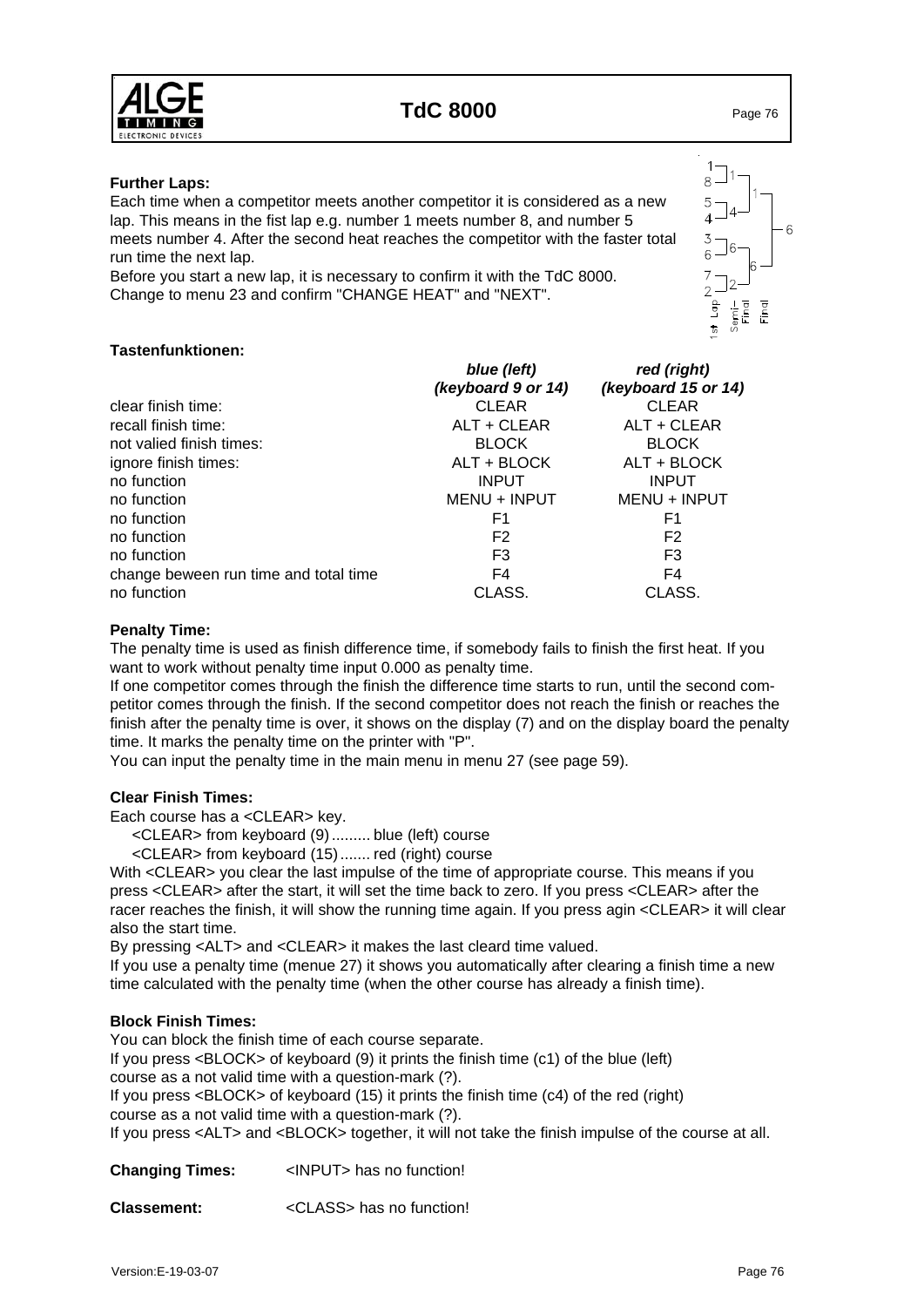

Each time when a competitor meets another competitor it is considered as a new lap. This means in the fist lap e.g. number 1 meets number 8, and number 5 meets number 4. After the second heat reaches the competitor with the faster total run time the next lap.

Before you start a new lap, it is necessary to confirm it with the TdC 8000. Change to menu 23 and confirm "CHANGE HEAT" and "NEXT".



#### **Tastenfunktionen:**

|                                       | blue (left)        | red (right)         |
|---------------------------------------|--------------------|---------------------|
|                                       | (keyboard 9 or 14) | (keyboard 15 or 14) |
| clear finish time:                    | <b>CLEAR</b>       | <b>CLEAR</b>        |
| recall finish time:                   | ALT + CLEAR        | ALT + CLEAR         |
| not valied finish times:              | <b>BLOCK</b>       | <b>BLOCK</b>        |
| ignore finish times:                  | ALT + BLOCK        | ALT + BLOCK         |
| no function                           | <b>INPUT</b>       | <b>INPUT</b>        |
| no function                           | MENU + INPUT       | MENU + INPUT        |
| no function                           | F1                 | F1                  |
| no function                           | F <sub>2</sub>     | F <sub>2</sub>      |
| no function                           | F3                 | F3                  |
| change beween run time and total time | F4                 | F4                  |
| no function                           | CLASS.             | CLASS.              |

#### **Penalty Time:**

The penalty time is used as finish difference time, if somebody fails to finish the first heat. If you want to work without penalty time input 0.000 as penalty time.

If one competitor comes through the finish the difference time starts to run, until the second competitor comes through the finish. If the second competitor does not reach the finish or reaches the finish after the penalty time is over, it shows on the display (7) and on the display board the penalty time. It marks the penalty time on the printer with "P".

You can input the penalty time in the main menu in menu 27 (see page 59).

#### **Clear Finish Times:**

Each course has a <CLEAR> key.

<CLEAR> from keyboard (9) ......... blue (left) course

<CLEAR> from keyboard (15)....... red (right) course

With <CLEAR> you clear the last impulse of the time of appropriate course. This means if you press <CLEAR> after the start, it will set the time back to zero. If you press <CLEAR> after the racer reaches the finish, it will show the running time again. If you press agin <CLEAR> it will clear also the start time.

By pressing <ALT> and <CLEAR> it makes the last cleard time valued.

If you use a penalty time (menue 27) it shows you automatically after clearing a finish time a new time calculated with the penalty time (when the other course has already a finish time).

### **Block Finish Times:**

You can block the finish time of each course separate.

If you press <BLOCK> of keyboard (9) it prints the finish time (c1) of the blue (left) course as a not valid time with a question-mark (?).

If you press <BLOCK> of keyboard (15) it prints the finish time (c4) of the red (right)

course as a not valid time with a question-mark (?).

If you press <ALT> and <BLOCK> together, it will not take the finish impulse of the course at all.

**Changing Times:** <INPUT> has no function!

**Classement:** <CLASS> has no function!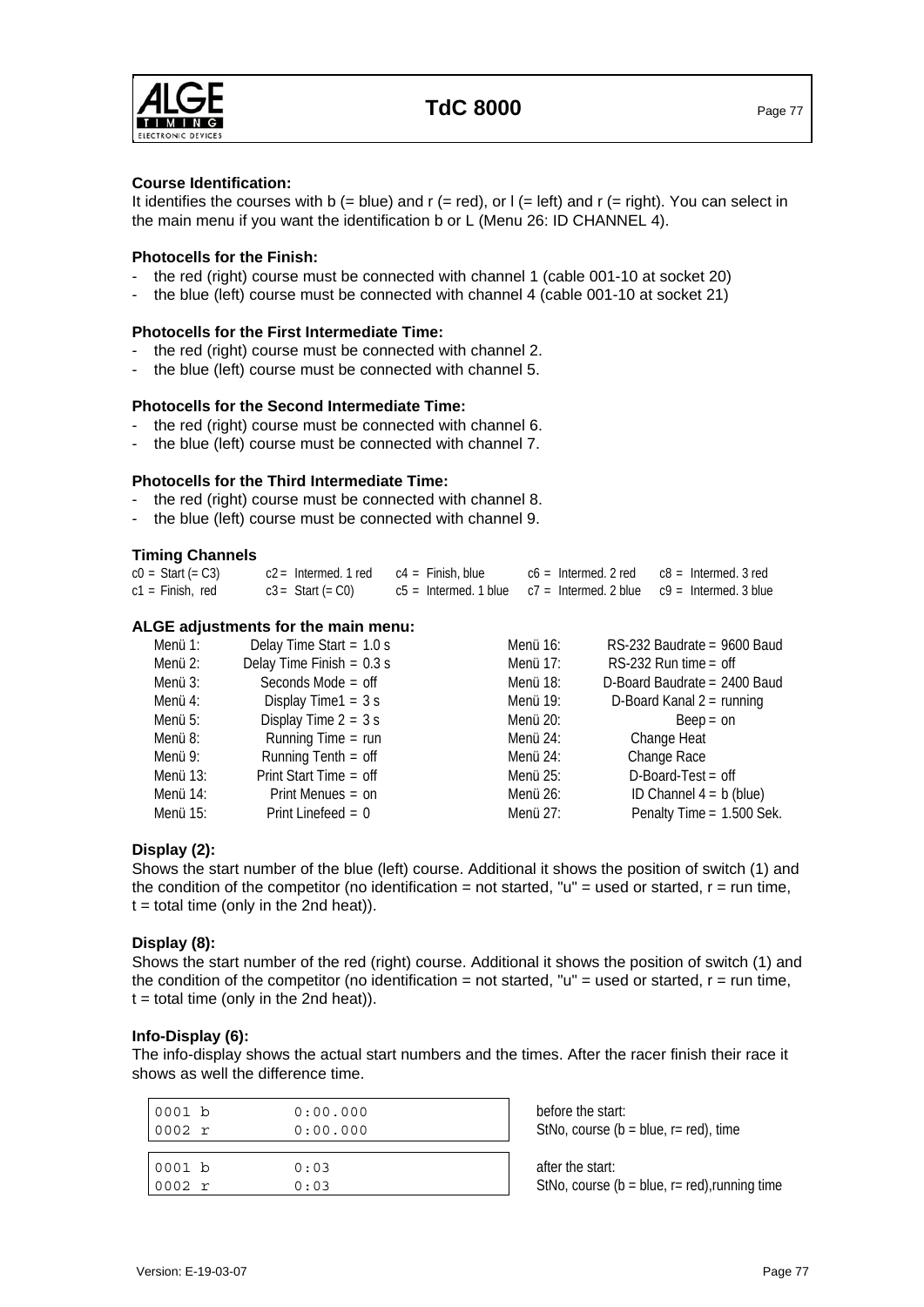



### **Course Identification:**

It identifies the courses with  $b$  (= blue) and  $r$  (= red), or  $I$  (= left) and  $r$  (= right). You can select in the main menu if you want the identification b or L (Menu 26: ID CHANNEL 4).

#### **Photocells for the Finish:**

- the red (right) course must be connected with channel 1 (cable 001-10 at socket 20)
- the blue (left) course must be connected with channel 4 (cable 001-10 at socket 21)

#### **Photocells for the First Intermediate Time:**

- the red (right) course must be connected with channel 2.
- the blue (left) course must be connected with channel 5.

#### **Photocells for the Second Intermediate Time:**

- the red (right) course must be connected with channel 6.
- the blue (left) course must be connected with channel 7.

#### **Photocells for the Third Intermediate Time:**

- the red (right) course must be connected with channel 8.
- the blue (left) course must be connected with channel 9.

#### **Timing Channels**

| $c0 =$ Start (= C3) | $c2 =$ Intermed. 1 red $c4 =$ Finish, blue | $c6 =$ Intermed. 2 red $c8 =$ Intermed. 3 red                           |  |
|---------------------|--------------------------------------------|-------------------------------------------------------------------------|--|
| $c1 =$ Finish, red  | $c3 =$ Start (= C0)                        | $c5 =$ Intermed, 1 blue $c7 =$ Intermed, 2 blue $c9 =$ Intermed, 3 blue |  |

#### **ALGE adjustments for the main menu:**

| Menü 1:  | Delay Time Start = $1.0 s$  | Menü 16: | RS-232 Baudrate = 9600 Baud  |
|----------|-----------------------------|----------|------------------------------|
| Menü 2:  | Delay Time Finish = $0.3 s$ | Menü 17: | $RS-232$ Run time = off      |
| Menü 3:  | Seconds Mode = off          | Menü 18: | D-Board Baudrate = 2400 Baud |
| Menü 4:  | Display Time $1 = 3$ s      | Menü 19: | D-Board Kanal $2 =$ running  |
| Menü 5:  | Display Time $2 = 3s$       | Menü 20: | $Beep = on$                  |
| Menü 8:  | Running Time $=$ run        | Menü 24: | Change Heat                  |
| Menü 9:  | Running Tenth $=$ off       | Menü 24: | Change Race                  |
| Menü 13: | Print Start Time = off      | Menü 25: | $D$ -Board-Test = off        |
| Menü 14: | Print Menues = on           | Menü 26: | ID Channel $4 = b$ (blue)    |
| Menü 15: | Print Linefeed = $0$        | Menü 27: | Penalty Time = 1.500 Sek.    |

### **Display (2):**

Shows the start number of the blue (left) course. Additional it shows the position of switch (1) and the condition of the competitor (no identification = not started, " $u$ " = used or started,  $r = run$  time,  $t =$  total time (only in the 2nd heat)).

### **Display (8):**

Shows the start number of the red (right) course. Additional it shows the position of switch (1) and the condition of the competitor (no identification = not started, " $u'' =$  used or started,  $r =$  run time,  $t =$  total time (only in the 2nd heat)).

### **Info-Display (6):**

The info-display shows the actual start numbers and the times. After the racer finish their race it shows as well the difference time.

| 0001 b     | 0:00.000 |
|------------|----------|
| $0002$ r   | 0:00.000 |
|            |          |
| 0001 b     | 0:03     |
| $0002$ $r$ | 0:03     |
|            |          |

before the start: StNo, course ( $b = blue$ , r= red), time

after the start: StNo, course ( $b = blue$ , r= red), running time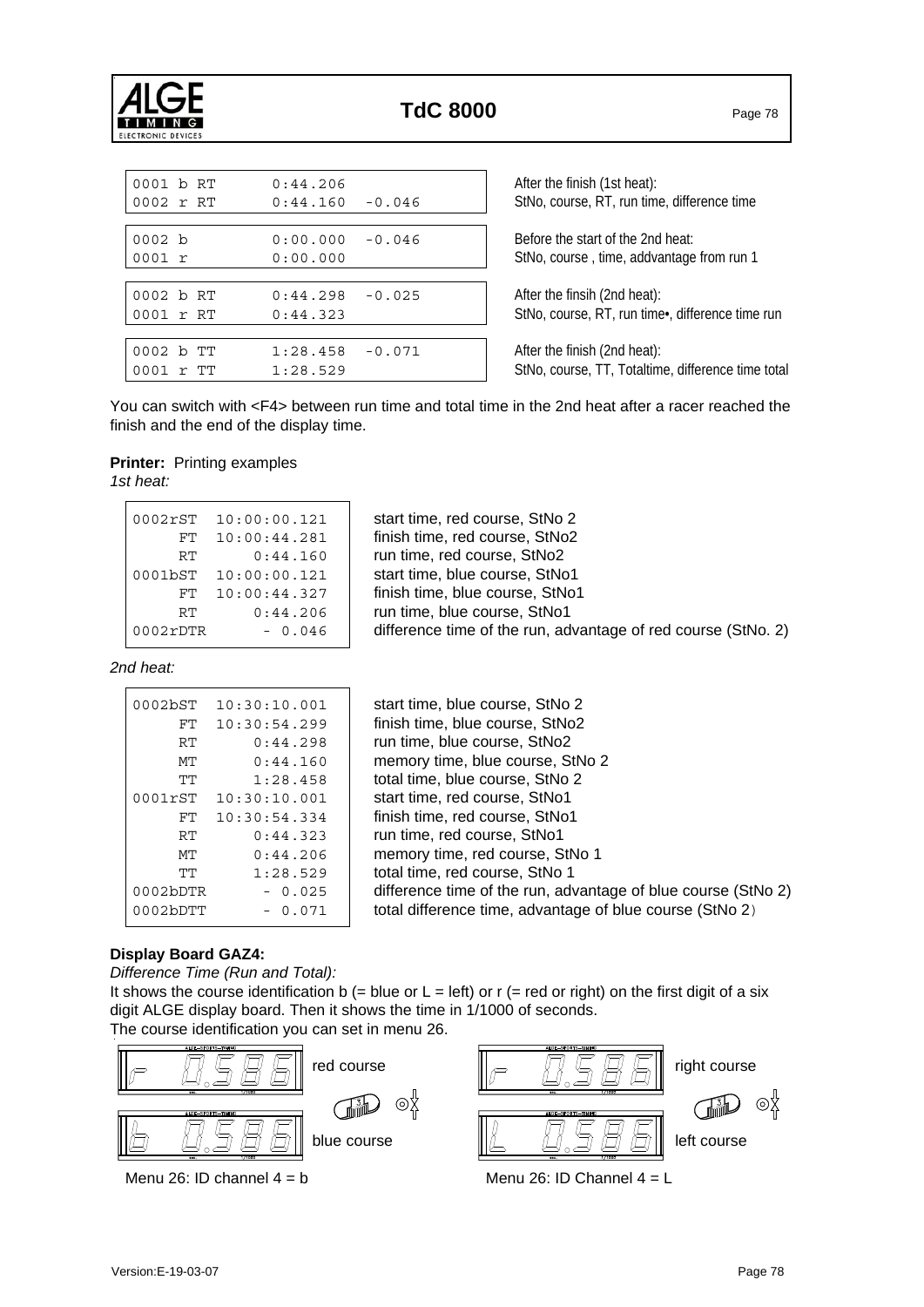

| 0001 b RT<br>0002 r RT | 0:44.206<br>$0:44.160 - 0.046$ | Aft<br>Stl |
|------------------------|--------------------------------|------------|
|                        |                                |            |
| 0002 b                 | $0:00.000 - 0.046$             | Be         |
| 0001 r                 | 0:00.000                       | Stl        |
|                        |                                |            |
| 0002 b RT              | $0:44.298 - 0.025$             | Aft        |
| 0001 r RT              | 0:44.323                       | Stl        |
|                        |                                |            |
| 0002 b TT              | $1:28.458 - 0.071$             | Aft        |
| 0001 r TT              | 1:28.529                       | Stl        |

ter the finish (1st heat): No, course, RT, run time, difference time

fore the start of the 2nd heat: No, course, time, addvantage from run 1

ter the finsih (2nd heat): No, course, RT, run time•, difference time run

ter the finish (2nd heat): No, course, TT, Totaltime, difference time total

You can switch with <F4> between run time and total time in the 2nd heat after a racer reached the finish and the end of the display time.

# **Printer:** Printing examples

*1st heat:*

| 0002 rST            | 10:00:00.121 |
|---------------------|--------------|
| FT                  | 10:00:44.281 |
| RТ                  | 0:44.160     |
| 0001 <sub>bST</sub> | 10:00:00.121 |
| FT                  | 10:00:44.327 |
| RТ                  | 0:44.206     |
| $0002$ r $DTR$      | 0.046        |

start time, red course, StNo 2 finish time, red course, StNo2 run time, red course, StNo2 start time, blue course, StNo1 finish time, blue course, StNo1 run time, blue course, StNo1 difference time of the run, advantage of red course (StNo. 2)

*2nd heat:*

| 0002 <sub>bST</sub> | 10:30:10.001 | start time, blue course, StNo 2  |
|---------------------|--------------|----------------------------------|
| FT                  | 10:30:54.299 | finish time, blue course, StNo2  |
| RT                  | 0:44.298     | run time, blue course, StNo2     |
| MТ                  | 0:44.160     | memory time, blue course, StN    |
| TТ                  | 1:28.458     | total time, blue course, StNo 2  |
| 0001 rST            | 10:30:10.001 | start time, red course, StNo1    |
| FT                  | 10:30:54.334 | finish time, red course, StNo1   |
| RT                  | 0:44.323     | run time, red course, StNo1      |
| MТ                  | 0:44.206     | memory time, red course, StN     |
| ጥጥ                  | 1:28.529     | total time, red course, StNo 1   |
| 0002bDTR            | $-0.025$     | difference time of the run, adva |
| 0002bDTT            | $-0.071$     | total difference time, advantag  |
|                     |              |                                  |

| 0002651     | 10:30:10.001 | start time, blue course, Sting Z                              |
|-------------|--------------|---------------------------------------------------------------|
| FT.         | 10:30:54.299 | finish time, blue course, StNo2                               |
| RT          | 0:44.298     | run time, blue course, StNo2                                  |
| МT          | 0:44.160     | memory time, blue course, StNo 2                              |
| ТT          | 1:28.458     | total time, blue course, StNo 2                               |
| 0001 rST    | 10:30:10.001 | start time, red course, StNo1                                 |
| FT          | 10:30:54.334 | finish time, red course, StNo1                                |
| RT          | 0:44.323     | run time, red course, StNo1                                   |
| МT          | 0:44.206     | memory time, red course, StNo 1                               |
| ጥጥ          | 1:28.529     | total time, red course, StNo 1                                |
| 0002bDTR    | $-0.025$     | difference time of the run, advantage of blue course (StNo 2) |
| $0002b$ DTT | $-0.071$     | total difference time, advantage of blue course (StNo 2)      |

### **Display Board GAZ4:**

*Difference Time (Run and Total):*

It shows the course identification b (= blue or  $L = \text{left}$ ) or  $r$  (= red or right) on the first digit of a six digit ALGE display board. Then it shows the time in 1/1000 of seconds. The course identification you can set in menu 26.





Menu 26: ID channel  $4 = b$  Menu 26: ID Channel  $4 = L$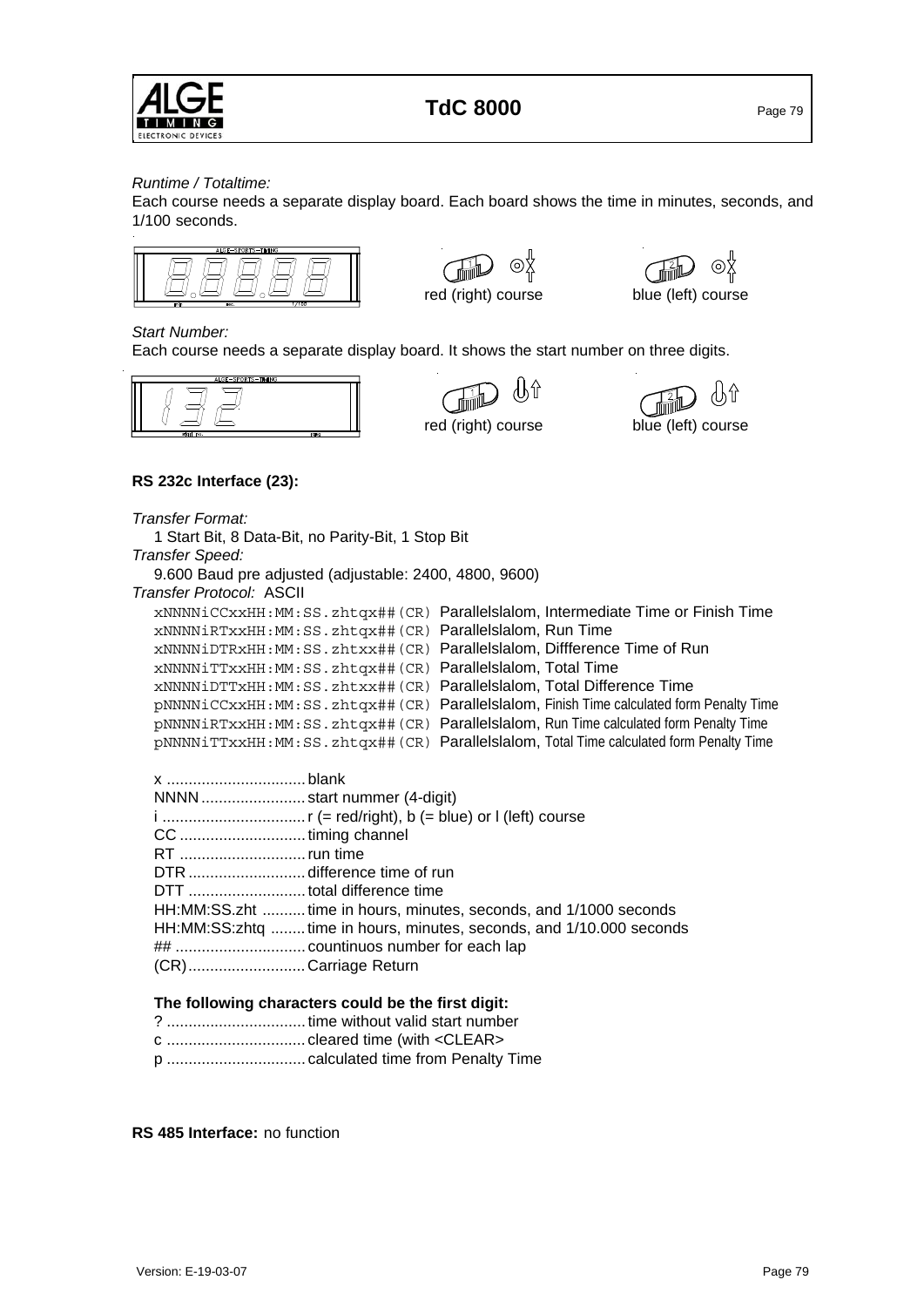

#### *Runtime / Totaltime:*

Each course needs a separate display board. Each board shows the time in minutes, seconds, and 1/100 seconds.







red (right) course blue (left) course

*Start Number:*

Each course needs a separate display board. It shows the start number on three digits.







### **RS 232c Interface (23):**

*Transfer Format:* 1 Start Bit, 8 Data-Bit, no Parity-Bit, 1 Stop Bit *Transfer Speed:* 9.600 Baud pre adjusted (adjustable: 2400, 4800, 9600) *Transfer Protocol:* ASCII xNNNNiCCxxHH:MM:SS.zhtqx##(CR) Parallelslalom, Intermediate Time or Finish Time xNNNNiRTxxHH:MM:SS.zhtqx##(CR) Parallelslalom, Run Time xNNNNiDTRxHH:MM:SS.zhtxx##(CR) Parallelslalom, Diffference Time of Run xNNNNiTTxxHH:MM:SS.zhtqx##(CR) Parallelslalom, Total Time xNNNNiDTTxHH:MM:SS.zhtxx##(CR) Parallelslalom, Total Difference Time pNNNNiCCxxHH:MM:SS.zhtqx##(CR) Parallelslalom, Finish Time calculated form Penalty Time pNNNNiRTxxHH:MM:SS.zhtqx##(CR) Parallelslalom, Run Time calculated form Penalty Time pNNNNiTTxxHH:MM:SS.zhtqx##(CR) Parallelslalom, Total Time calculated form Penalty Time

x ................................ blank NNNN ........................ start nummer (4-digit) i ................................. r (= red/right), b (= blue) or l (left) course CC ............................. timing channel RT ............................. run time DTR ........................... difference time of run DTT ........................... total difference time HH:MM:SS.zht .......... time in hours, minutes, seconds, and 1/1000 seconds HH:MM:SS:zhtq ........ time in hours, minutes, seconds, and 1/10.000 seconds ## .............................. countinuos number for each lap (CR)........................... Carriage Return

#### **The following characters could be the first digit:**

? ................................ time without valid start number

c ................................ cleared time (with <CLEAR>

p ................................ calculated time from Penalty Time

**RS 485 Interface:** no function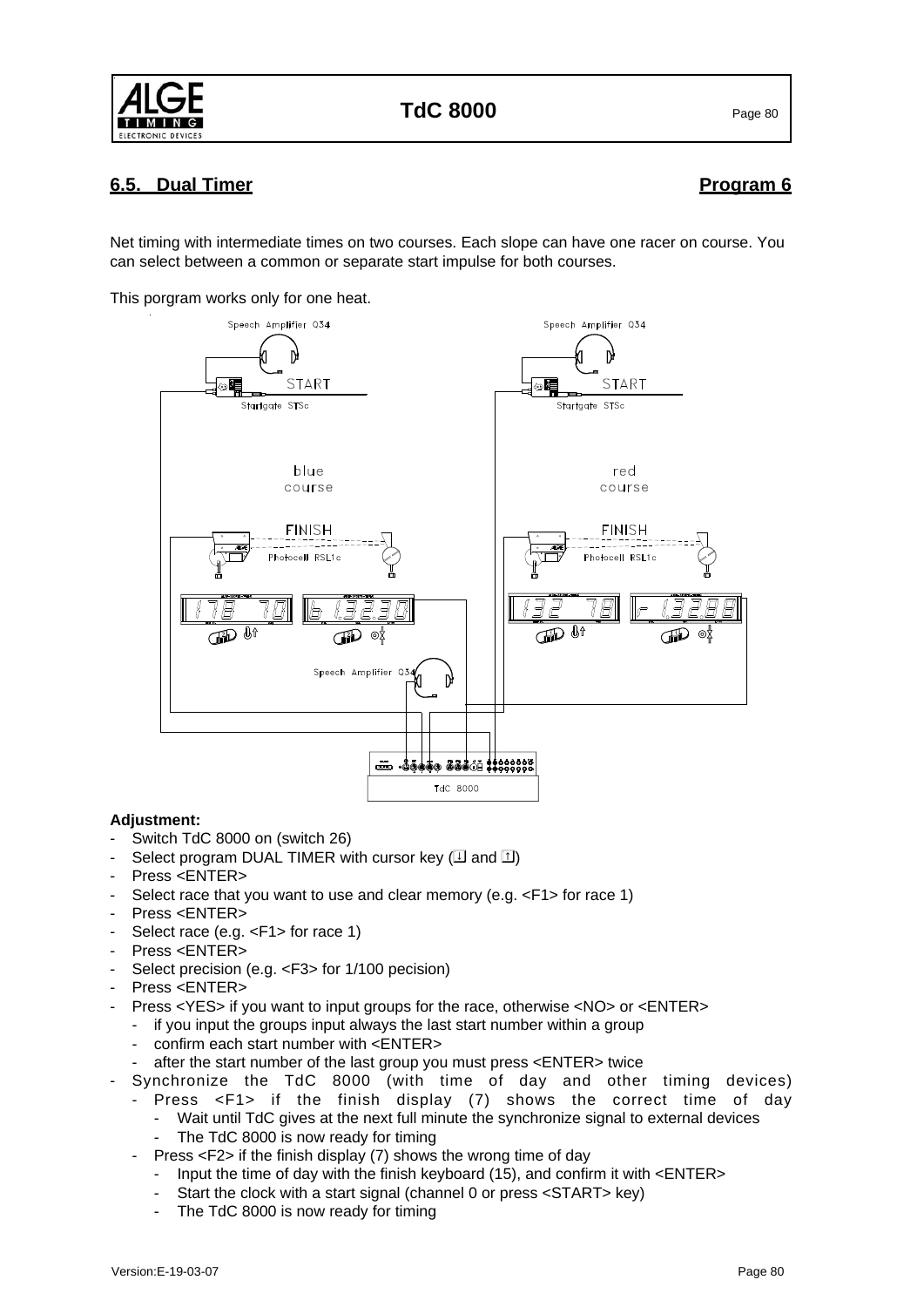

# **6.5. Dual Timer Program 6**

Net timing with intermediate times on two courses. Each slope can have one racer on course. You can select between a common or separate start impulse for both courses.

This porgram works only for one heat.



### **Adjustment:**

- Switch TdC 8000 on (switch 26)
- Select program DUAL TIMER with cursor key  $(\mathbb{I})$  and  $\mathbb{I})$
- Press <ENTER>
- Select race that you want to use and clear memory (e.g. <F1> for race 1)
- Press <ENTER>
- Select race (e.g. <F1> for race 1)
- Press <ENTER>
- Select precision (e.g. <F3> for 1/100 pecision)
- Press <ENTER>
- Press <YES> if you want to input groups for the race, otherwise <NO> or <ENTER>
	- if you input the groups input always the last start number within a group
		- confirm each start number with <ENTER>
	- after the start number of the last group you must press <ENTER> twice
	- Synchronize the TdC 8000 (with time of day and other timing devices)
		- Press <F1> if the finish display (7) shows the correct time of day
			- Wait until TdC gives at the next full minute the synchronize signal to external devices
			- The TdC 8000 is now ready for timing
		- Press <F2> if the finish display (7) shows the wrong time of day
			- Input the time of day with the finish keyboard (15), and confirm it with <ENTER>
			- Start the clock with a start signal (channel 0 or press <START> key)
			- The TdC 8000 is now ready for timing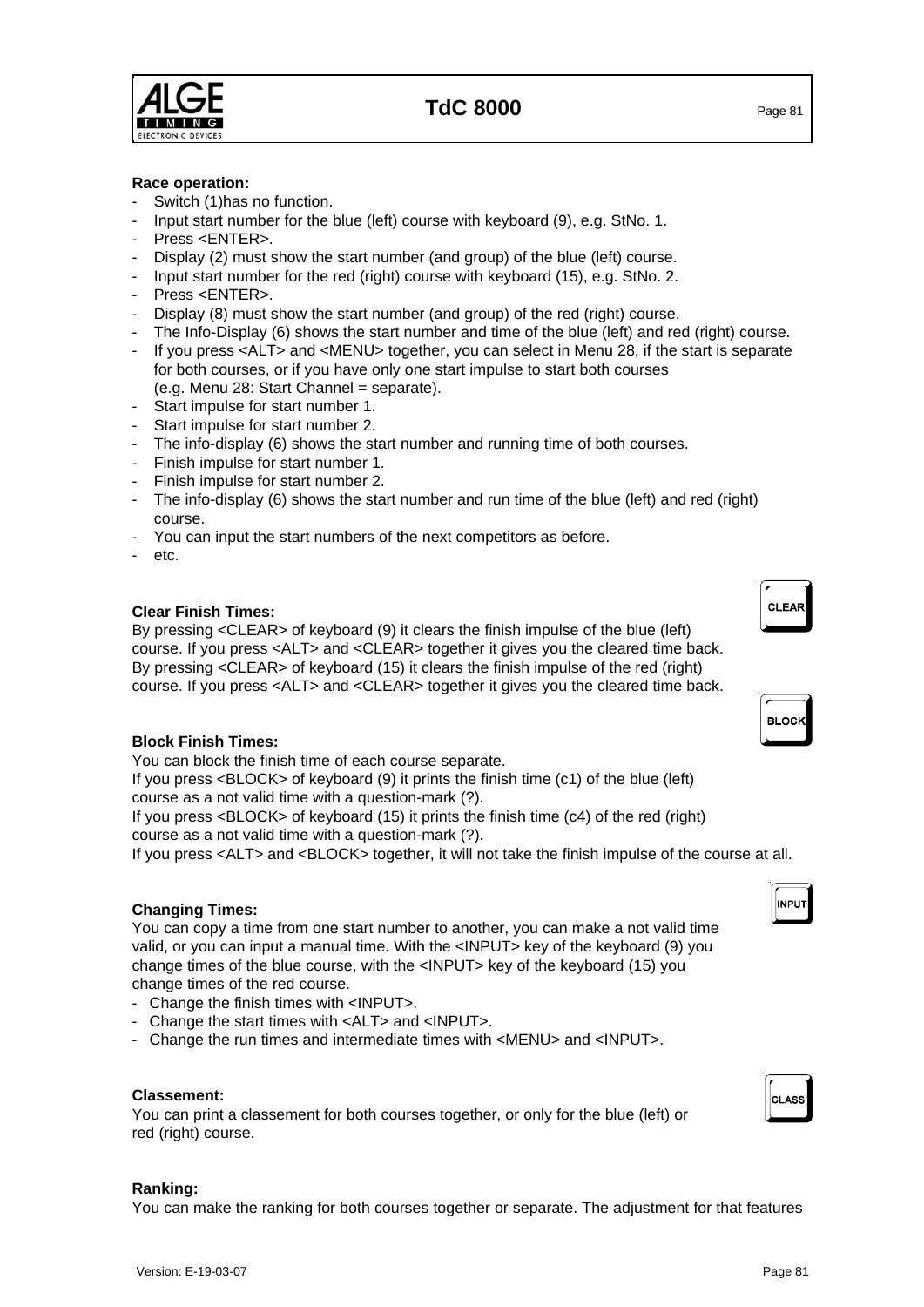

#### **Race operation:**

- Switch (1)has no function.
- Input start number for the blue (left) course with keyboard (9), e.g. StNo. 1.
- Press <ENTER>.
- Display (2) must show the start number (and group) of the blue (left) course.
- Input start number for the red (right) course with keyboard (15), e.g. StNo. 2.
- Press <ENTER>.
- Display (8) must show the start number (and group) of the red (right) course.
- The Info-Display (6) shows the start number and time of the blue (left) and red (right) course.
- If you press <ALT> and <MENU> together, you can select in Menu 28, if the start is separate for both courses, or if you have only one start impulse to start both courses (e.g. Menu 28: Start Channel = separate).
- Start impulse for start number 1.
- Start impulse for start number 2.
- The info-display (6) shows the start number and running time of both courses.
- Finish impulse for start number 1.
- Finish impulse for start number 2.
- The info-display (6) shows the start number and run time of the blue (left) and red (right) course.
- You can input the start numbers of the next competitors as before.
- etc.

#### **Clear Finish Times:**

By pressing <CLEAR> of keyboard (9) it clears the finish impulse of the blue (left) course. If you press <ALT> and <CLEAR> together it gives you the cleared time back. By pressing <CLEAR> of keyboard (15) it clears the finish impulse of the red (right) course. If you press <ALT> and <CLEAR> together it gives you the cleared time back.

#### **Block Finish Times:**

You can block the finish time of each course separate.

If you press <BLOCK> of keyboard (9) it prints the finish time (c1) of the blue (left) course as a not valid time with a question-mark (?).

If you press <BLOCK> of keyboard (15) it prints the finish time (c4) of the red (right) course as a not valid time with a question-mark (?).

If you press <ALT> and <BLOCK> together, it will not take the finish impulse of the course at all.

#### **Changing Times:**

You can copy a time from one start number to another, you can make a not valid time valid, or you can input a manual time. With the <INPUT> key of the keyboard (9) you change times of the blue course, with the <INPUT> key of the keyboard (15) you change times of the red course.

- Change the finish times with <INPUT>.
- Change the start times with <ALT> and <INPUT>.
- Change the run times and intermediate times with <MENU> and <INPUT>.

#### **Classement:**

You can print a classement for both courses together, or only for the blue (left) or red (right) course.

#### **Ranking:**

You can make the ranking for both courses together or separate. The adjustment for that features

| BI OCKI |  |
|---------|--|



CLASS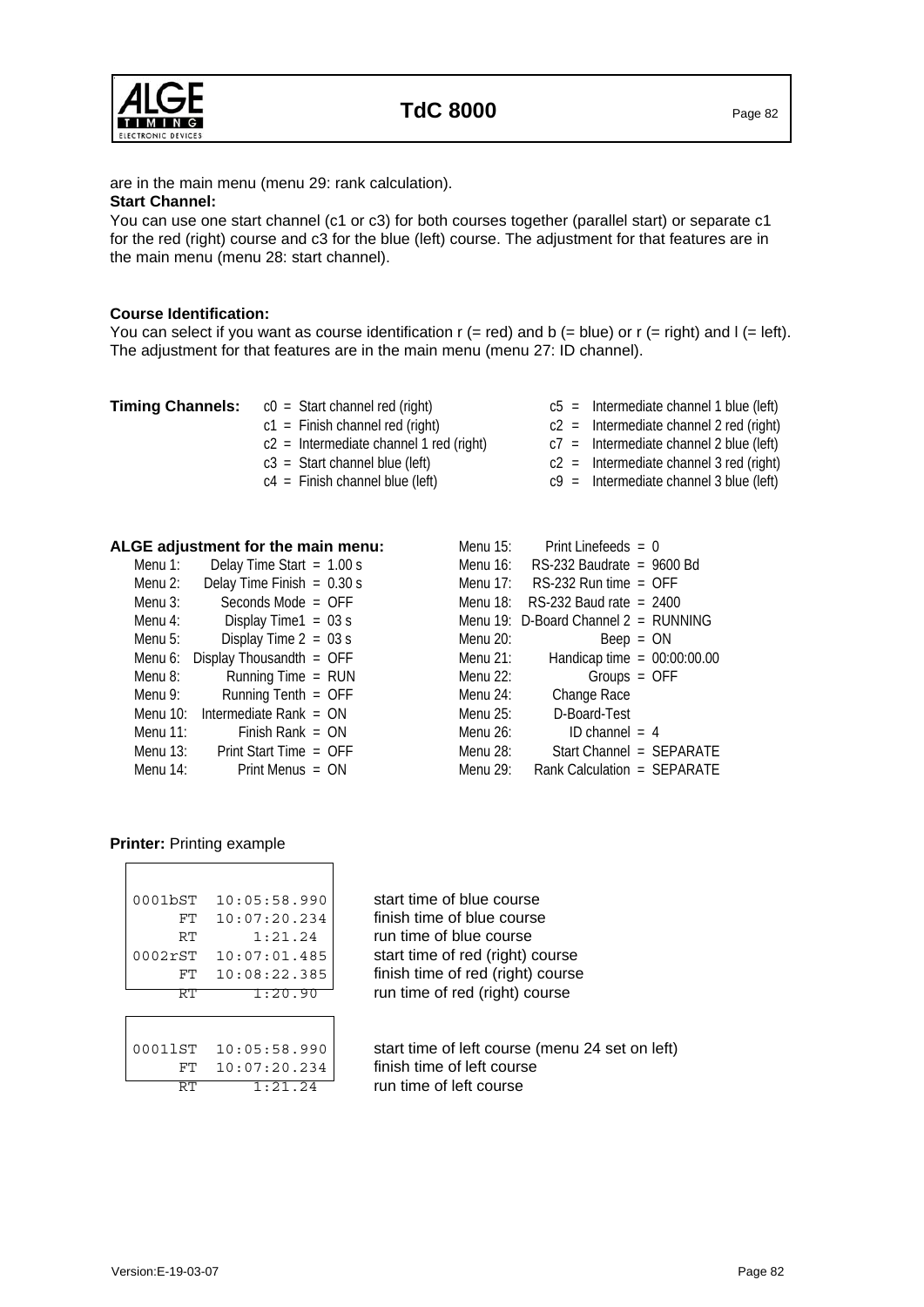

are in the main menu (menu 29: rank calculation).

#### **Start Channel:**

You can use one start channel (c1 or c3) for both courses together (parallel start) or separate c1 for the red (right) course and c3 for the blue (left) course. The adjustment for that features are in the main menu (menu 28: start channel).

#### **Course Identification:**

You can select if you want as course identification  $r$  (= red) and  $b$  (= blue) or  $r$  (= right) and  $l$  (= left). The adjustment for that features are in the main menu (menu 27: ID channel).

| <b>Timing Channels:</b> $\nc0 =$ Start channel red (right) | $c5 =$ Intermediate channel 1 blue (left) |
|------------------------------------------------------------|-------------------------------------------|
| $c1 =$ Finish channel red (right)                          | $c2 =$ Intermediate channel 2 red (right) |
| $c2 =$ Intermediate channel 1 red (right)                  | $c7 =$ Intermediate channel 2 blue (left) |
| $c3 =$ Start channel blue (left)                           | $c2 =$ Intermediate channel 3 red (right) |
| $c4 =$ Finish channel blue (left)                          | $c9 =$ Intermediate channel 3 blue (left) |

#### **ALGE adjustment for the main menu:**

| Menu 1:  | Delay Time Start = $1.00 s$  |  |
|----------|------------------------------|--|
| Menu 2:  | Delay Time Finish = $0.30$ s |  |
| Menu 3:  | Seconds Mode = $OFF$         |  |
| Menu 4:  | Display Time1 = $03 s$       |  |
| Menu 5:  | Display Time $2 = 03 s$      |  |
| Menu 6:  | Display Thousandth = $OFF$   |  |
| Menu 8:  | Running Time = RUN           |  |
| Menu 9:  | Running Tenth = $OFF$        |  |
| Menu 10: | Intermediate Rank = ON       |  |
| Menu 11: | Finish Rank $= ON$           |  |
| Menu 13: | Print Start Time = OFF       |  |
| Menu 14: | Print Menus $=$ ON           |  |
|          |                              |  |

| Menu 15: | Print Linefeeds $= 0$          |  |
|----------|--------------------------------|--|
| Menu 16: | $RS-232$ Baudrate = 9600 Bd    |  |
| Menu 17: | $RS-232$ Run time = OFF        |  |
| Menu 18: | $RS-232$ Baud rate = 2400      |  |
| Menu 19: | $D$ -Board Channel 2 = RUNNING |  |
| Menu 20: | $Beep = ON$                    |  |
| Menu 21: | Handicap time = $00:00:00.00$  |  |
| Menu 22: | $Groups = OFF$                 |  |
| Menu 24: | Change Race                    |  |
| Menu 25: | D-Board-Test                   |  |
| Menu 26: | ID channel $= 4$               |  |
| Menu 28: | Start Channel = SEPARATE       |  |
| Menu 29: | Rank Calculation = SEPARATE    |  |

#### **Printer:** Printing example

| 0001 <sub>bST</sub> | 10:05:58.990 |
|---------------------|--------------|
| FТ                  | 10:07:20.234 |
| RТ                  | 1:21:24      |
| 0002rST             | 10:07:01.485 |
| ፑጥ                  | 10:08:22.385 |
|                     | 1:20.90      |
|                     |              |

| 00011ST | 10:05:58.990    |
|---------|-----------------|
|         | FT 10:07:20.234 |
| RТ      | 1:21.24         |

start time of blue course. finish time of blue course run time of blue course start time of red (right) course finish time of red (right) course run time of red (right) course

start time of left course (menu 24 set on left) finish time of left course run time of left course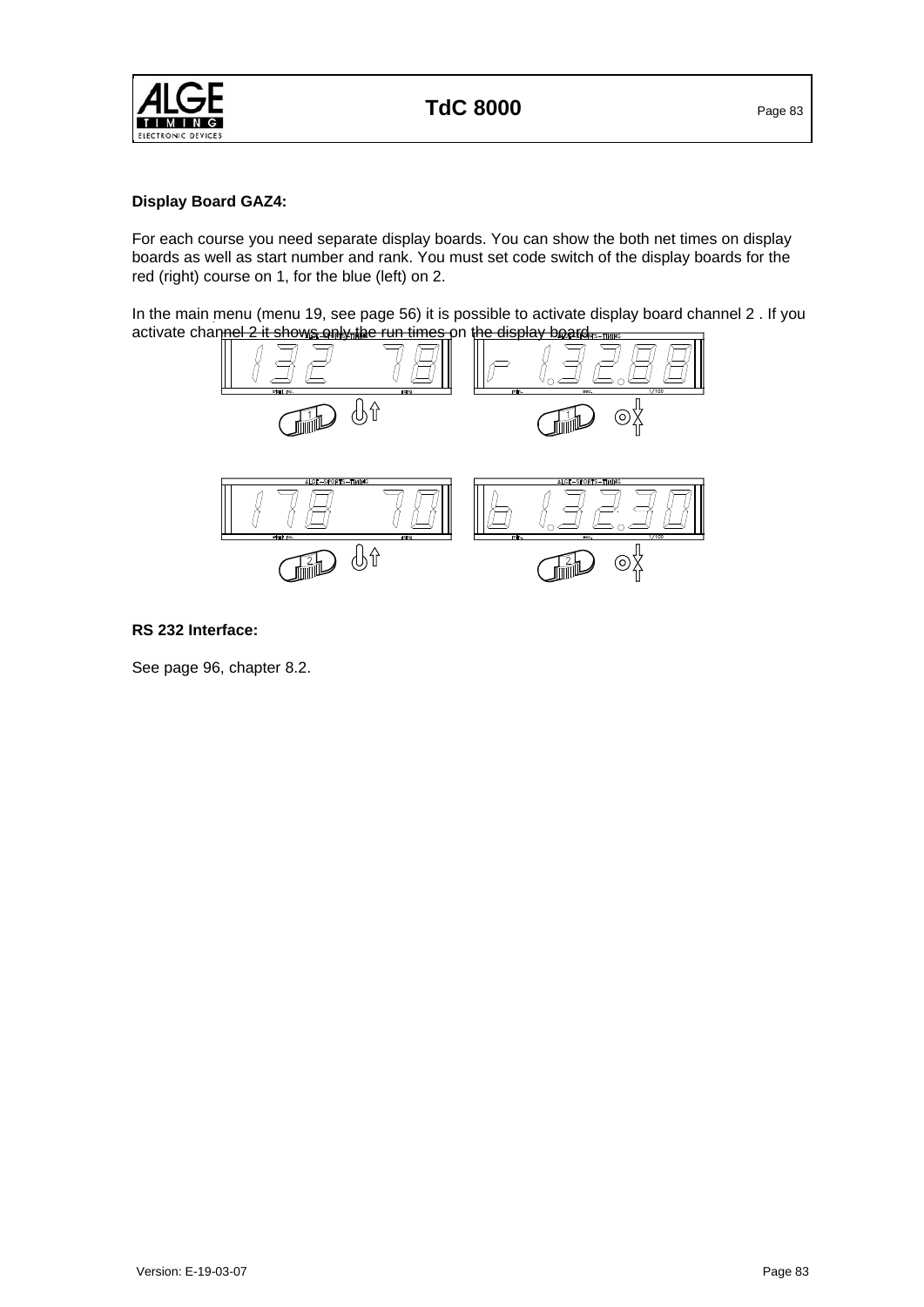

### **Display Board GAZ4:**

For each course you need separate display boards. You can show the both net times on display boards as well as start number and rank. You must set code switch of the display boards for the red (right) course on 1, for the blue (left) on 2.

In the main menu (menu 19, see page 56) it is possible to activate display board channel 2 . If you activate channel 2 it shows only the run times on the display board.



**RS 232 Interface:**

See page 96, chapter 8.2.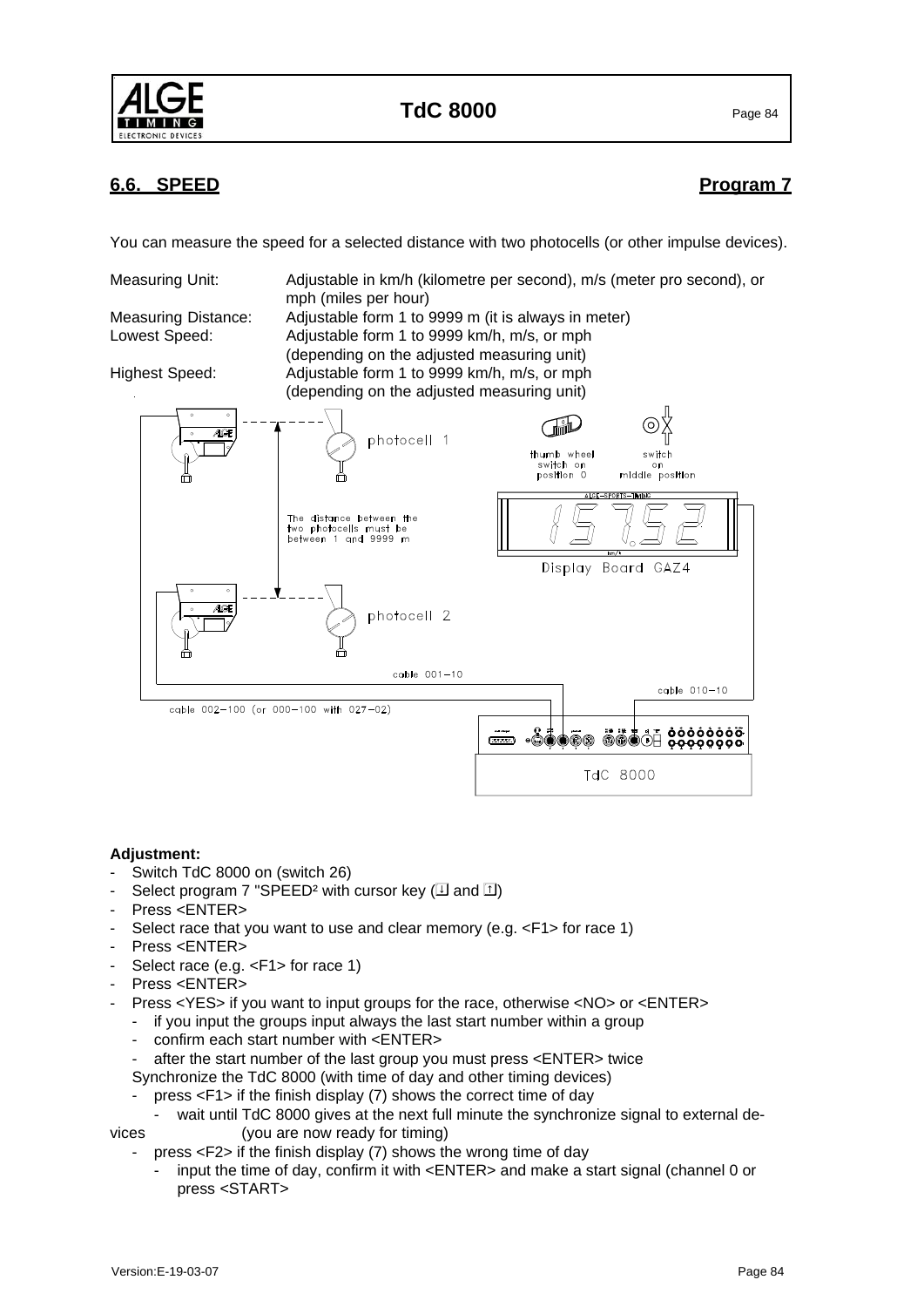

# **6.6. SPEED Program 7**

You can measure the speed for a selected distance with two photocells (or other impulse devices).



### **Adjustment:**

- Switch TdC 8000 on (switch 26)
- Select program 7 "SPEED<sup>2</sup> with cursor key  $(\mathbb{I})$  and  $\mathbb{I})$
- Press <ENTER>
- Select race that you want to use and clear memory (e.g. <F1> for race 1)
- Press <ENTER>
- Select race (e.g. <F1> for race 1)
- Press <ENTER>
- Press <YES> if you want to input groups for the race, otherwise <NO> or <ENTER>
- if you input the groups input always the last start number within a group
- confirm each start number with <ENTER>
- after the start number of the last group you must press <ENTER> twice
- Synchronize the TdC 8000 (with time of day and other timing devices)
- press <F1> if the finish display (7) shows the correct time of day

#### wait until TdC 8000 gives at the next full minute the synchronize signal to external devices (you are now ready for timing)

- press <F2> if the finish display (7) shows the wrong time of day
	- input the time of day, confirm it with <ENTER> and make a start signal (channel 0 or press <START>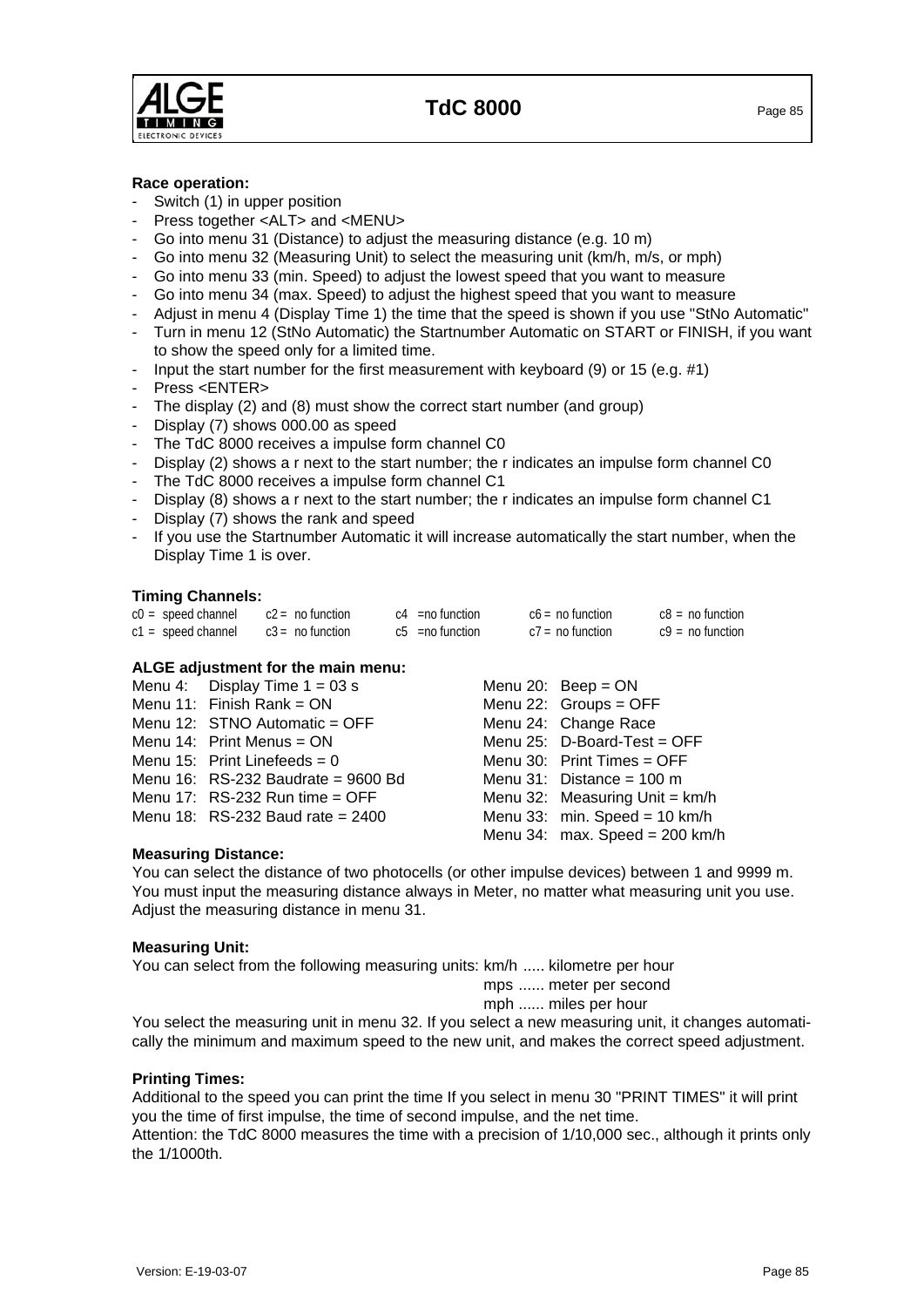

#### **Race operation:**

- Switch (1) in upper position
- Press together <ALT> and <MENU>
- Go into menu 31 (Distance) to adjust the measuring distance (e.g. 10 m)
- Go into menu 32 (Measuring Unit) to select the measuring unit (km/h, m/s, or mph)
- Go into menu 33 (min. Speed) to adjust the lowest speed that you want to measure
- Go into menu 34 (max. Speed) to adjust the highest speed that you want to measure
- Adjust in menu 4 (Display Time 1) the time that the speed is shown if you use "StNo Automatic"
- Turn in menu 12 (StNo Automatic) the Startnumber Automatic on START or FINISH, if you want to show the speed only for a limited time.
- Input the start number for the first measurement with keyboard (9) or 15 (e.g. #1)
- Press <ENTER>
- The display (2) and (8) must show the correct start number (and group)
- Display (7) shows 000.00 as speed
- The TdC 8000 receives a impulse form channel C0
- Display (2) shows a r next to the start number; the r indicates an impulse form channel C0
- The TdC 8000 receives a impulse form channel C1
- Display (8) shows a r next to the start number; the r indicates an impulse form channel C1
- Display (7) shows the rank and speed
- If you use the Startnumber Automatic it will increase automatically the start number, when the Display Time 1 is over.

#### **Timing Channels:**

| $c0 = speed channel$ | $c2 = no$ function | $c4$ = no function | $c6 = no$ function | $c8 = no$ function |
|----------------------|--------------------|--------------------|--------------------|--------------------|
| $c1 = speed channel$ | $c3 = no$ function | $c5$ =no function  | $c7$ = no function | $c9$ = no function |

#### **ALGE adjustment for the main menu:**

| Menu 4: Display Time $1 = 03$ s      | Menu 20: Beep = $ON$                    |
|--------------------------------------|-----------------------------------------|
| Menu 11: Finish Rank = $ON$          | Menu 22: $Groups = OFF$                 |
| Menu 12: STNO Automatic = OFF        | Menu 24: Change Race                    |
| Menu 14: Print Menus = $ON$          | Menu $25$ : D-Board-Test = OFF          |
| Menu 15: Print Linefeeds = $0$       | Menu 30: Print Times = $\overline{OFF}$ |
| Menu 16: $RS-232$ Baudrate = 9600 Bd | Menu 31: Distance = $100 \text{ m}$     |
| Menu 17: $RS-232$ Run time = OFF     | Menu 32: Measuring Unit = $km/h$        |
| Menu 18: $RS-232$ Baud rate = 2400   | Menu 33: min. Speed = $10 \text{ km/h}$ |
|                                      | Menu 34: max. Speed = $200$ km/h        |

#### **Measuring Distance:**

You can select the distance of two photocells (or other impulse devices) between 1 and 9999 m. You must input the measuring distance always in Meter, no matter what measuring unit you use. Adjust the measuring distance in menu 31.

#### **Measuring Unit:**

You can select from the following measuring units: km/h ..... kilometre per hour mps ...... meter per second mph ...... miles per hour

You select the measuring unit in menu 32. If you select a new measuring unit, it changes automatically the minimum and maximum speed to the new unit, and makes the correct speed adjustment.

#### **Printing Times:**

Additional to the speed you can print the time If you select in menu 30 "PRINT TIMES" it will print you the time of first impulse, the time of second impulse, and the net time. Attention: the TdC 8000 measures the time with a precision of 1/10,000 sec., although it prints only the 1/1000th.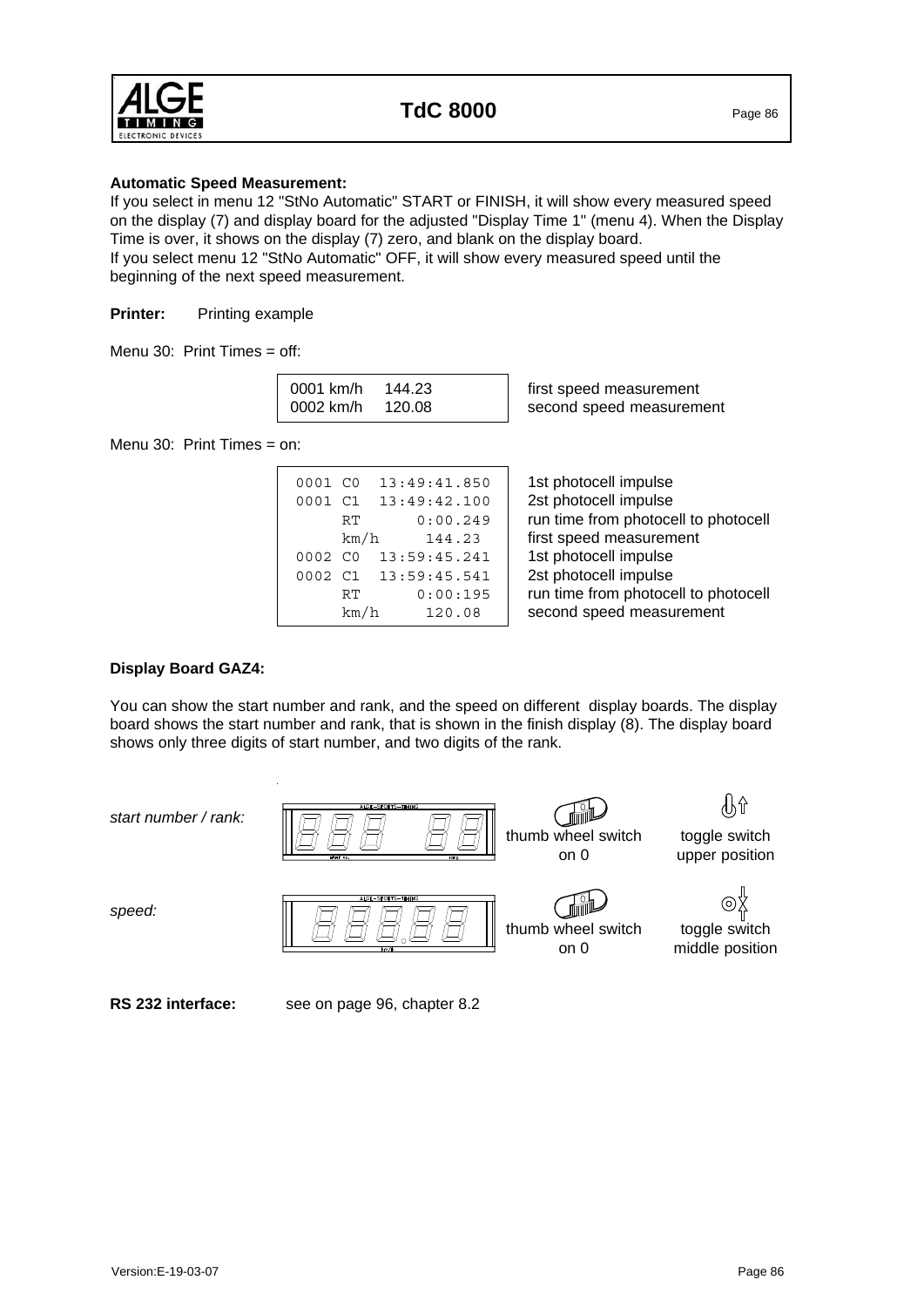

#### **Automatic Speed Measurement:**

If you select in menu 12 "StNo Automatic" START or FINISH, it will show every measured speed on the display (7) and display board for the adjusted "Display Time 1" (menu 4). When the Display Time is over, it shows on the display (7) zero, and blank on the display board. If you select menu 12 "StNo Automatic" OFF, it will show every measured speed until the beginning of the next speed measurement.

#### **Printer:** Printing example

Menu 30: Print Times = off:

| 0001 km/h | 144.23 |  |
|-----------|--------|--|
| 0002 km/h | 120.08 |  |

first speed measurement second speed measurement

Menu 30: Print Times = on:

| 0001 CO |      | 13:49:41.850         |
|---------|------|----------------------|
| 0001 C1 |      | 13:49:42.100         |
|         | RТ   | 0:00.249             |
|         |      | km/h<br>144.23       |
|         |      | 0002 CO 13:59:45.241 |
|         |      | 0002 C1 13:59:45.541 |
|         | RT   | 0:00:195             |
|         | km/h | 120.08               |

1st photocell impulse 2st photocell impulse run time from photocell to photocell first speed measurement 1st photocell impulse 2st photocell impulse run time from photocell to photocell second speed measurement

#### **Display Board GAZ4:**

You can show the start number and rank, and the speed on different display boards. The display board shows the start number and rank, that is shown in the finish display (8). The display board shows only three digits of start number, and two digits of the rank.



**RS 232 interface:** see on page 96, chapter 8.2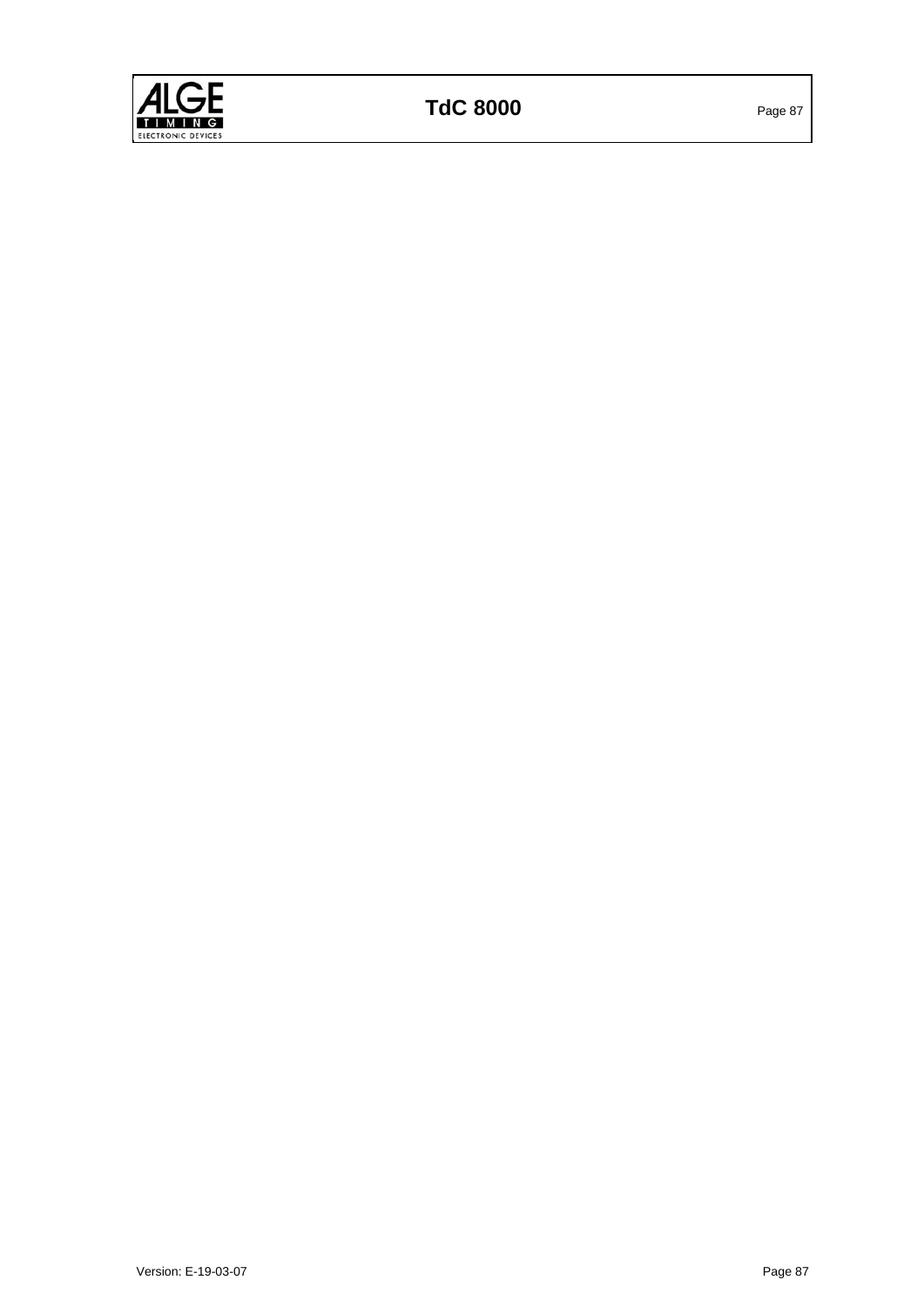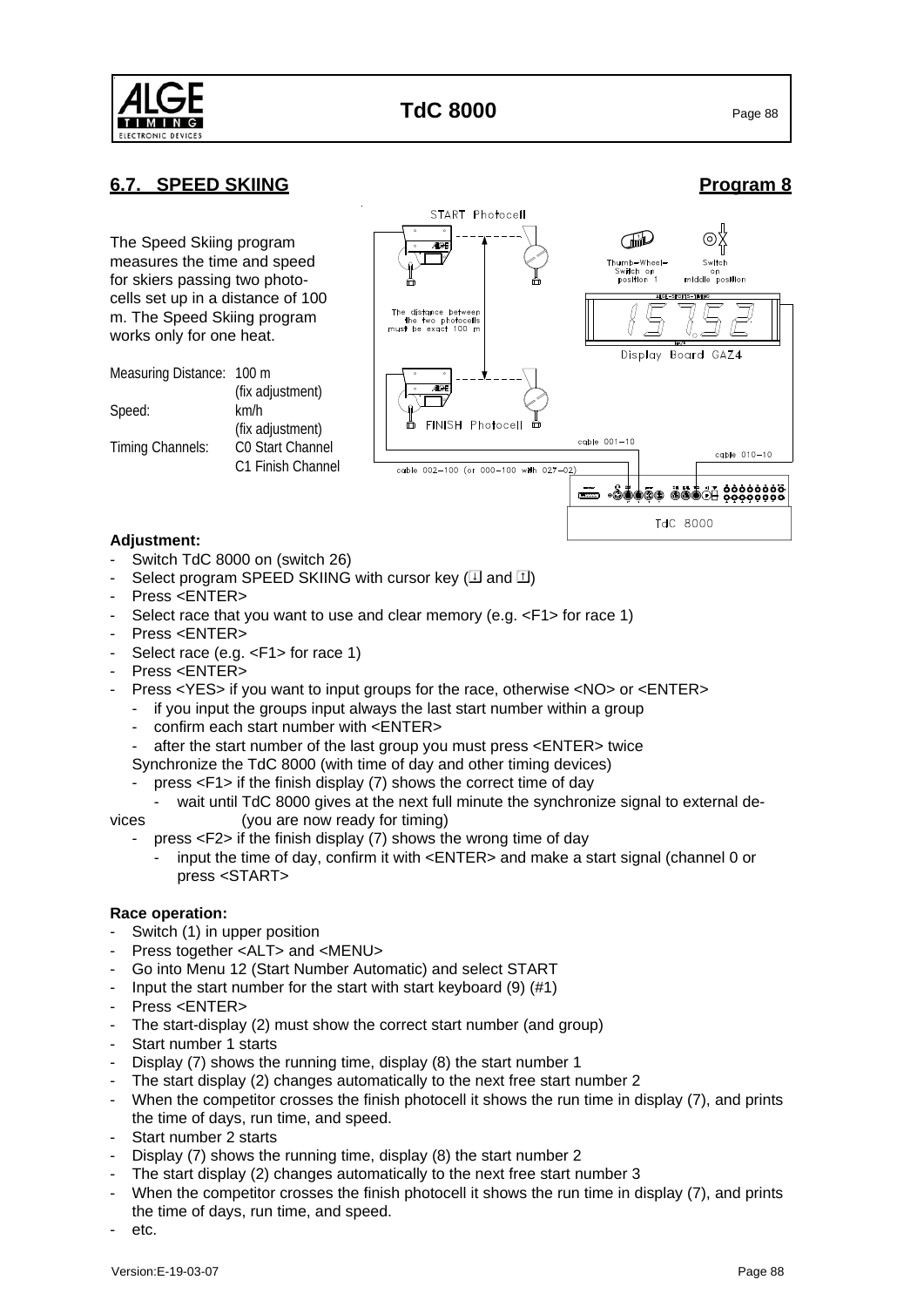

The Speed Skiing program measures the time and speed for skiers passing two photocells set up in a distance of 100 m. The Speed Skiing program works only for one heat.

| Measuring Distance: 100 m |                   |
|---------------------------|-------------------|
|                           | (fix adjustment)  |
| Speed:                    | km/h              |
|                           | (fix adjustment)  |
| Timing Channels:          | C0 Start Channel  |
|                           | C1 Finish Channel |
|                           |                   |



#### **Adjustment:**

- Switch TdC 8000 on (switch 26)
- Select program SPEED SKIING with cursor key  $(\mathbb{I})$  and  $\mathbb{I})$
- Press <ENTER>
- Select race that you want to use and clear memory (e.g. <F1> for race 1)
- Press <ENTER>
- Select race (e.g. <F1> for race 1)
- Press <ENTER>
- Press <YES> if you want to input groups for the race, otherwise <NO> or <ENTER>
	- if you input the groups input always the last start number within a group
	- confirm each start number with <ENTER>
	- after the start number of the last group you must press <ENTER> twice

Synchronize the TdC 8000 (with time of day and other timing devices)

- press <F1> if the finish display (7) shows the correct time of day
- wait until TdC 8000 gives at the next full minute the synchronize signal to external devices (you are now ready for timing)

- press <F2> if the finish display (7) shows the wrong time of day
- input the time of day, confirm it with <ENTER> and make a start signal (channel 0 or press <START>

#### **Race operation:**

- Switch (1) in upper position
- Press together <ALT> and <MENU>
- Go into Menu 12 (Start Number Automatic) and select START
- Input the start number for the start with start keyboard (9) (#1)
- Press <ENTER>
- The start-display (2) must show the correct start number (and group)
- Start number 1 starts
- Display (7) shows the running time, display (8) the start number 1
- The start display (2) changes automatically to the next free start number 2
- When the competitor crosses the finish photocell it shows the run time in display (7), and prints the time of days, run time, and speed.
- Start number 2 starts
- Display (7) shows the running time, display (8) the start number 2
- The start display (2) changes automatically to the next free start number 3
- When the competitor crosses the finish photocell it shows the run time in display (7), and prints the time of days, run time, and speed.
- etc.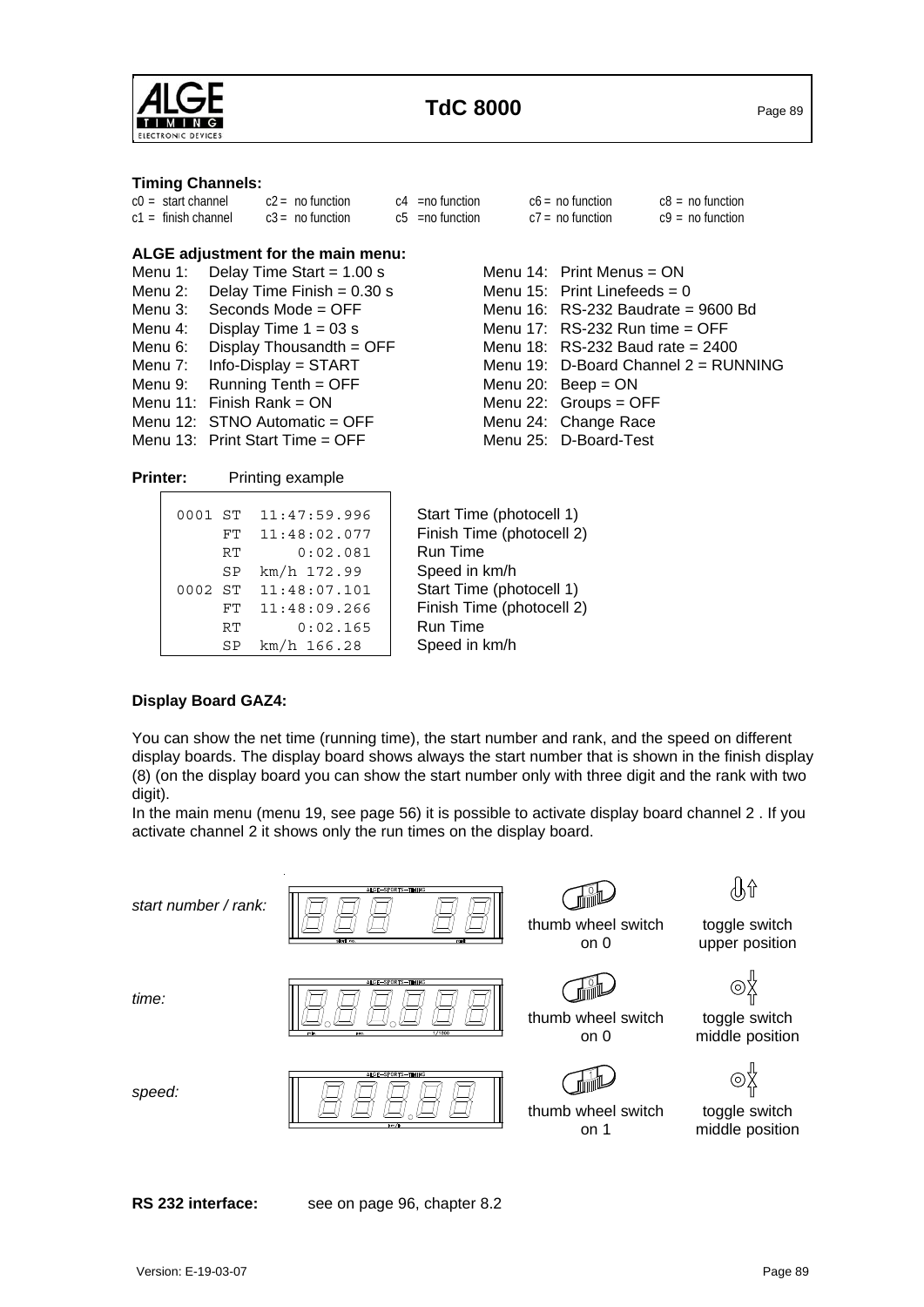

|  |  | <b>Timing Channels:</b> |  |
|--|--|-------------------------|--|
|  |  |                         |  |

| c0 = start channel  | $c2 = no$ function | $c4$ =no function | $c6 = no$ function | $c8 = no$ function |  |
|---------------------|--------------------|-------------------|--------------------|--------------------|--|
| c1 = finish channel | $c3 = no$ function | $c5$ =no function | $c7 = no$ function | $c9 = no$ function |  |
|                     |                    |                   |                    |                    |  |

#### **ALGE adjustment for the main menu:**

- Menu 1: Delay Time Start =  $1.00 s$  Menu 14: Print Menus = ON Menu 2: Delay Time Finish =  $0.30$  s Menu 15: Print Linefeeds = 0 Menu 3: Seconds Mode =  $\overline{OFF}$  Menu 16: RS-232 Baudrate = 9600 Bd Menu 4: Display Time  $1 = 03$  s Menu 17: RS-232 Run time = OFF Menu 6: Display Thousandth =  $\overline{OFF}$  Menu 18: RS-232 Baud rate = 2400 Menu 7: Info-Display =  $STAT$  Menu 19: D-Board Channel 2 = RUNNING Menu 9: Running Tenth = OFF Menu 20: Beep = ON<br>
Menu 11: Finish Rank = ON Menu 22: Groups = OFF Menu 11: Finish Rank =  $ON$ Menu 12: STNO Automatic = OFF Menu 24: Change Race Menu 13: Print Start Time = OFF Menu 25: D-Board-Test
- **Printer:** Printing example

| 0001 ST |    | 11:47:59.996 |
|---------|----|--------------|
|         | FТ | 11:48:02.077 |
|         | RТ | 0:02.081     |
|         | SP | km/h 172.99  |
| 0002 ST |    | 11:48:07.101 |
|         | FТ | 11:48:09.266 |
|         | RТ | 0:02.165     |
|         |    | km/h 166.28  |

Start Time (photocell 1) Finish Time (photocell 2) Run Time Speed in km/h Start Time (photocell 1) Finish Time (photocell 2) Run Time Speed in km/h

#### **Display Board GAZ4:**

You can show the net time (running time), the start number and rank, and the speed on different display boards. The display board shows always the start number that is shown in the finish display (8) (on the display board you can show the start number only with three digit and the rank with two digit).

In the main menu (menu 19, see page 56) it is possible to activate display board channel 2 . If you activate channel 2 it shows only the run times on the display board.



**RS 232 interface:** see on page 96, chapter 8.2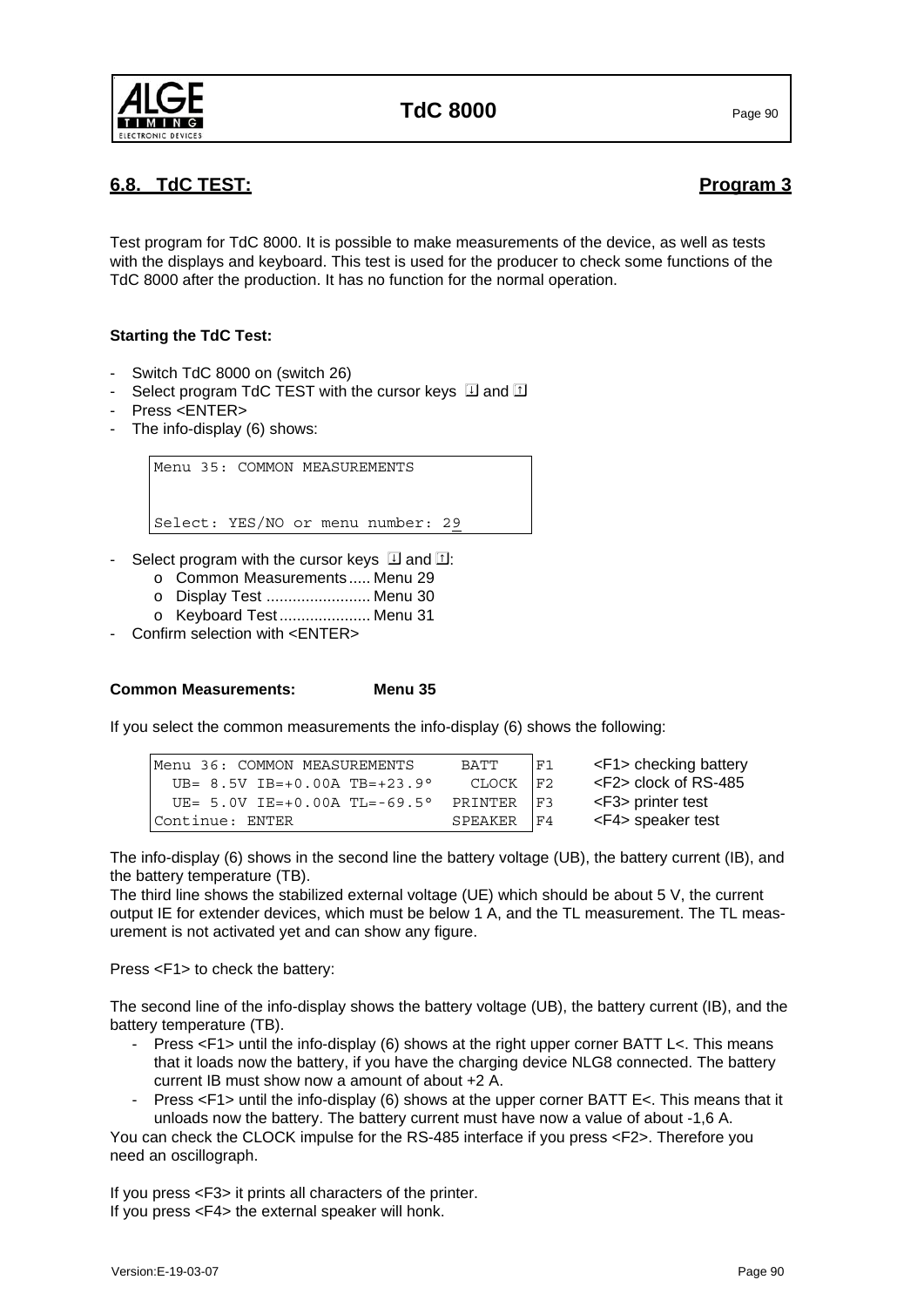

# **6.8. TdC TEST: Program 3**

Test program for TdC 8000. It is possible to make measurements of the device, as well as tests with the displays and keyboard. This test is used for the producer to check some functions of the TdC 8000 after the production. It has no function for the normal operation.

### **Starting the TdC Test:**

- Switch TdC 8000 on (switch 26)
- Select program TdC TEST with the cursor keys  $\Box$  and  $\Box$
- Press <ENTER>
- The info-display (6) shows:

Menu 35: COMMON MEASUREMENTS Select: YES/NO or menu number: 29

- Select program with the cursor keys  $\Box$  and  $\Box$ :
	- o Common Measurements ..... Menu 29
	- o Display Test ........................ Menu 30
	- o Keyboard Test ..................... Menu 31
- Confirm selection with <ENTER>

**Common Measurements: Menu 35**

If you select the common measurements the info-display (6) shows the following:

| Menu 36: COMMON MEASUREMENTS   | BATT        | IF1 | <f1> checking battery</f1> |
|--------------------------------|-------------|-----|----------------------------|
| UB= $8.5V$ IB=+0.00A TB=+23.9° | CLOCK IF2   |     | $<$ F2> clock of RS-485    |
| UE= $5.0V$ IE=+0.00A TL=-69.5° | PRINTER 1F3 |     | <f3> printer test</f3>     |
| Continue: ENTER                | SPEAKER IF4 |     | <f4> speaker test</f4>     |

The info-display (6) shows in the second line the battery voltage (UB), the battery current (IB), and the battery temperature (TB).

The third line shows the stabilized external voltage (UE) which should be about 5 V, the current output IE for extender devices, which must be below 1 A, and the TL measurement. The TL measurement is not activated yet and can show any figure.

Press <F1> to check the battery:

The second line of the info-display shows the battery voltage (UB), the battery current (IB), and the battery temperature (TB).

- Press <F1> until the info-display (6) shows at the right upper corner BATT L<. This means that it loads now the battery, if you have the charging device NLG8 connected. The battery current IB must show now a amount of about +2 A.
- Press <F1> until the info-display (6) shows at the upper corner BATT E<. This means that it unloads now the battery. The battery current must have now a value of about -1,6 A.

You can check the CLOCK impulse for the RS-485 interface if you press <F2>. Therefore you need an oscillograph.

If you press <F3> it prints all characters of the printer. If you press <F4> the external speaker will honk.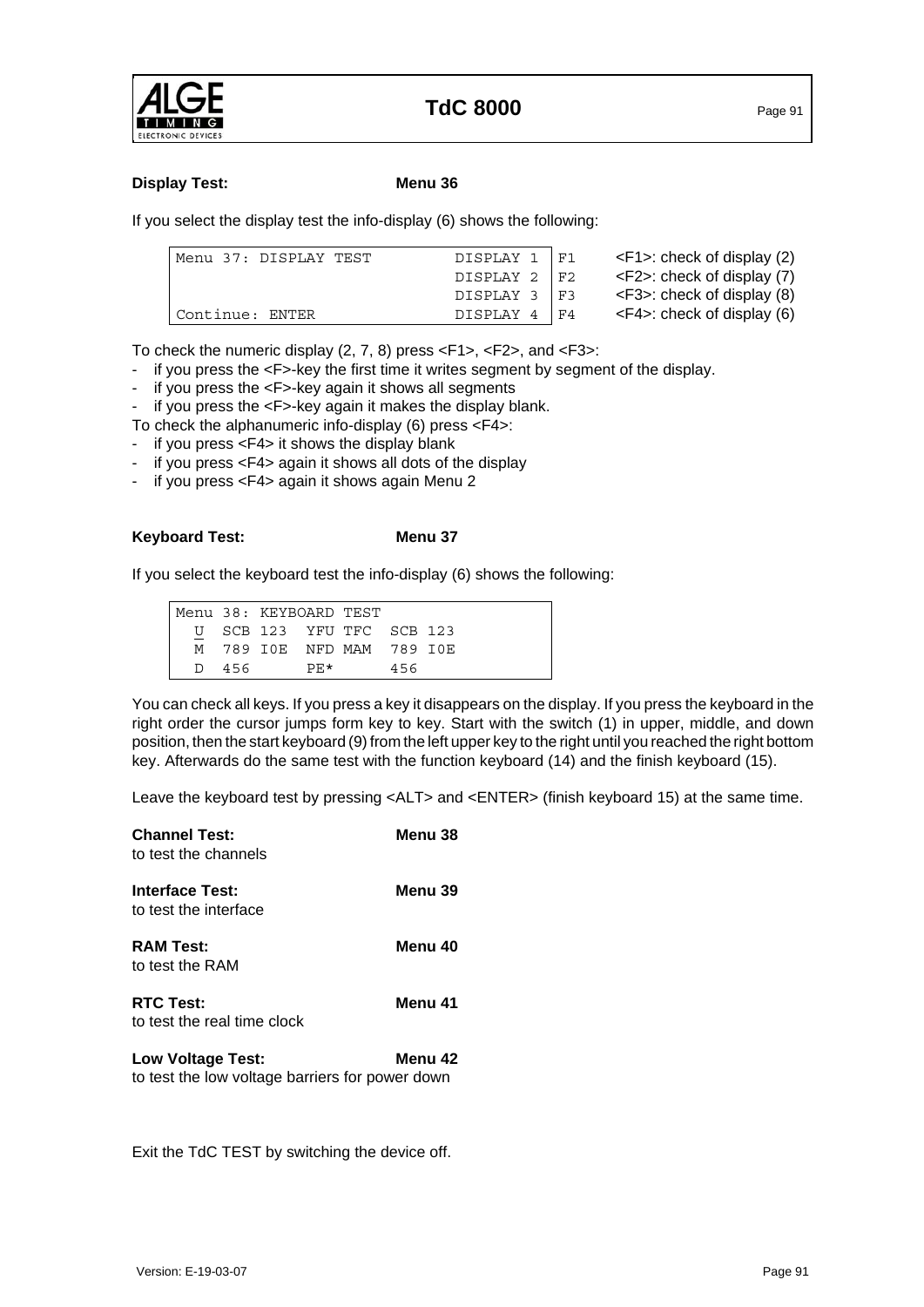

#### **Display Test:** Menu 36

If you select the display test the info-display (6) shows the following:

| Menu 37: DISPLAY TEST | DISPLAY 1   F1 | $\epsilon$ F1>: check of display (2)       |
|-----------------------|----------------|--------------------------------------------|
|                       | DISPLAY 2   F2 | $\langle F2\rangle$ : check of display (7) |
|                       | DISPLAY 3   F3 | $\epsilon$ F3>: check of display (8)       |
| Continue: ENTER       | DISPLAY 4   F4 | $\epsilon$ F4>: check of display (6)       |

To check the numeric display (2, 7, 8) press <F1>, <F2>, and <F3>:

- if you press the <F>-key the first time it writes segment by segment of the display.
- if you press the <F>-key again it shows all segments
- if you press the  $\leq$ F>-key again it makes the display blank.
- To check the alphanumeric info-display (6) press <F4>:
- if you press <F4> it shows the display blank
- if you press <F4> again it shows all dots of the display
- if you press <F4> again it shows again Menu 2

#### Keyboard Test: Menu 37

If you select the keyboard test the info-display (6) shows the following:

|       | Menu 38: KEYBOARD TEST |      |                           |     |  |  |
|-------|------------------------|------|---------------------------|-----|--|--|
|       |                        |      | U SCB 123 YFU TFC SCB 123 |     |  |  |
|       |                        |      | M 789 TOE NFD MAM 789 TOE |     |  |  |
| D 456 |                        | PF.* |                           | 456 |  |  |

You can check all keys. If you press a key it disappears on the display. If you press the keyboard in the right order the cursor jumps form key to key. Start with the switch (1) in upper, middle, and down position, then the start keyboard (9) from the left upper key to the right until you reached the right bottom key. Afterwards do the same test with the function keyboard (14) and the finish keyboard (15).

Leave the keyboard test by pressing <ALT> and <ENTER> (finish keyboard 15) at the same time.

| <b>Channel Test:</b><br>to test the channels                                | Menu 38 |
|-----------------------------------------------------------------------------|---------|
| <b>Interface Test:</b><br>to test the interface                             | Menu 39 |
| <b>RAM Test:</b><br>to test the RAM                                         | Menu 40 |
| <b>RTC Test:</b><br>to test the real time clock                             | Menu 41 |
| <b>Low Voltage Test:</b><br>to test the low voltage barriers for power down | Menu 42 |

Exit the TdC TEST by switching the device off.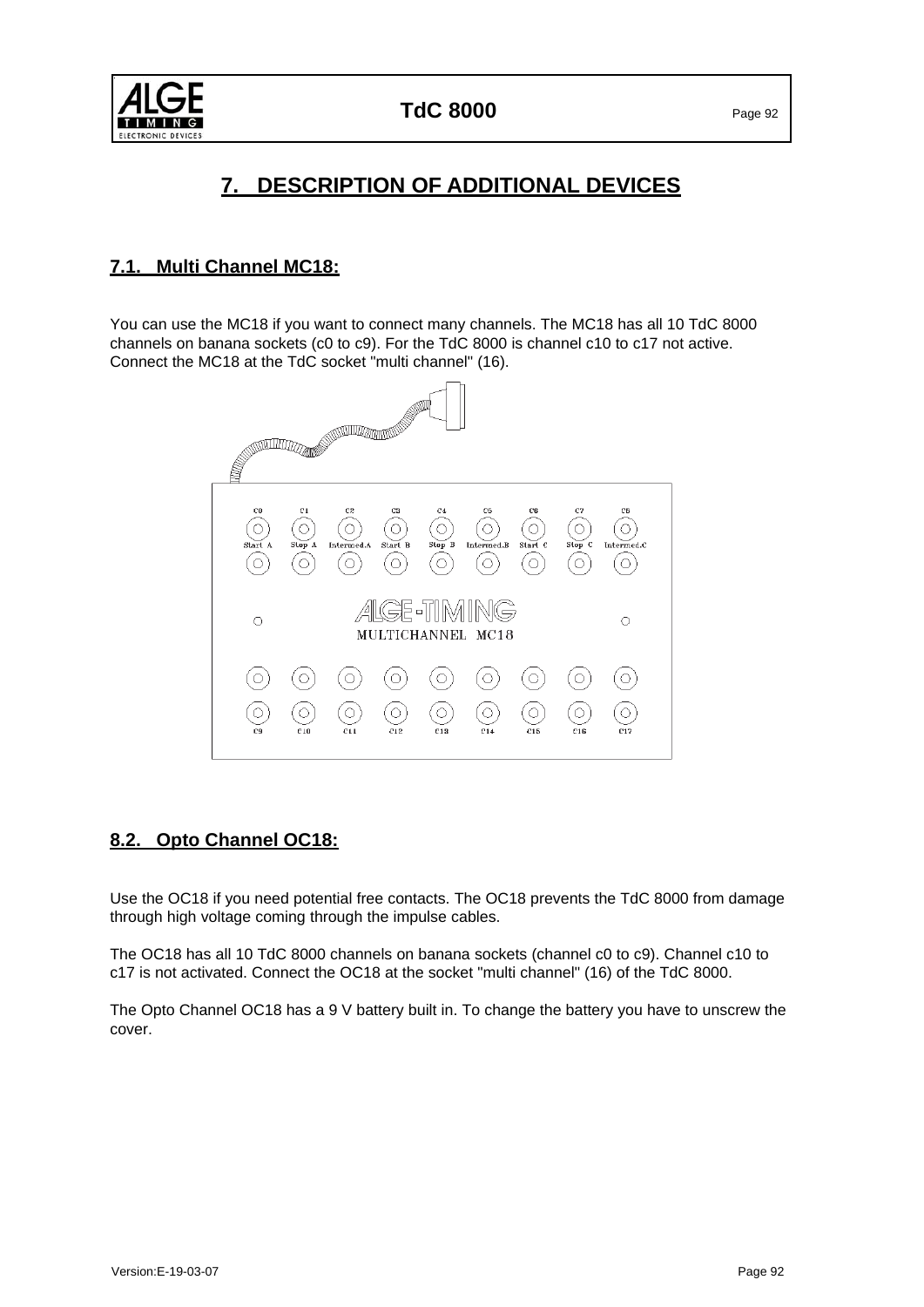

# **7. DESCRIPTION OF ADDITIONAL DEVICES**

# **7.1. Multi Channel MC18:**

You can use the MC18 if you want to connect many channels. The MC18 has all 10 TdC 8000 channels on banana sockets (c0 to c9). For the TdC 8000 is channel c10 to c17 not active. Connect the MC18 at the TdC socket "multi channel" (16).



# **8.2. Opto Channel OC18:**

Use the OC18 if you need potential free contacts. The OC18 prevents the TdC 8000 from damage through high voltage coming through the impulse cables.

The OC18 has all 10 TdC 8000 channels on banana sockets (channel c0 to c9). Channel c10 to c17 is not activated. Connect the OC18 at the socket "multi channel" (16) of the TdC 8000.

The Opto Channel OC18 has a 9 V battery built in. To change the battery you have to unscrew the cover.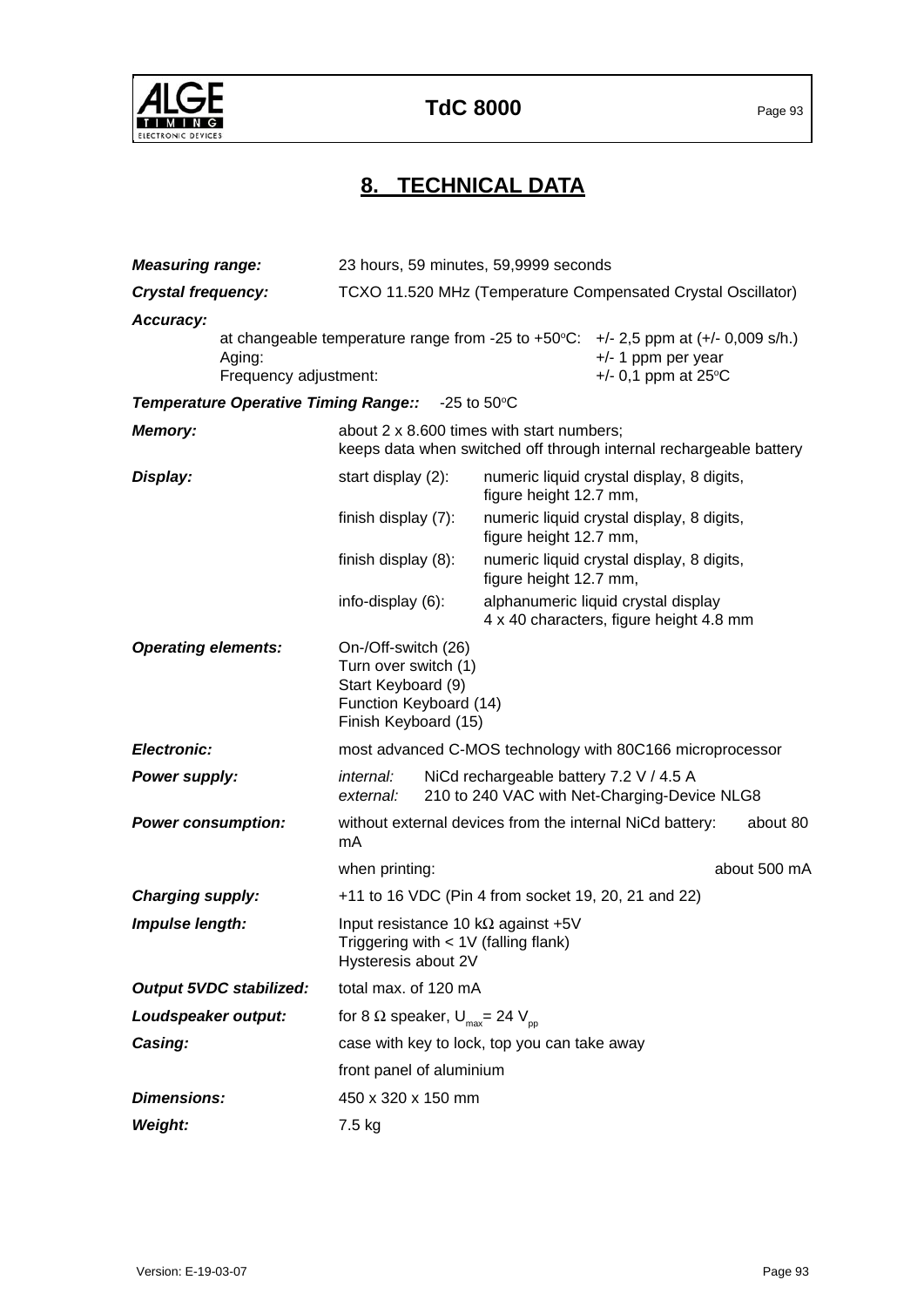

# **8. TECHNICAL DATA**

| <b>Measuring range:</b>                                                | 23 hours, 59 minutes, 59,9999 seconds |                                                                                                                     |  |                                                                                      |                                                                                |              |
|------------------------------------------------------------------------|---------------------------------------|---------------------------------------------------------------------------------------------------------------------|--|--------------------------------------------------------------------------------------|--------------------------------------------------------------------------------|--------------|
| <b>Crystal frequency:</b>                                              |                                       | TCXO 11.520 MHz (Temperature Compensated Crystal Oscillator)                                                        |  |                                                                                      |                                                                                |              |
| Accuracy:<br>Aging:<br>Frequency adjustment:                           |                                       | at changeable temperature range from -25 to +50 $^{\circ}$ C: +/- 2,5 ppm at (+/- 0,009 s/h.)                       |  | +/- 1 ppm per year<br>+/- 0,1 ppm at $25^{\circ}$ C                                  |                                                                                |              |
| <b>Temperature Operative Timing Range::</b><br>$-25$ to $50^{\circ}$ C |                                       |                                                                                                                     |  |                                                                                      |                                                                                |              |
| <b>Memory:</b>                                                         |                                       | about 2 x 8.600 times with start numbers;<br>keeps data when switched off through internal rechargeable battery     |  |                                                                                      |                                                                                |              |
| Display:                                                               |                                       | start display (2):                                                                                                  |  | figure height 12.7 mm,                                                               | numeric liquid crystal display, 8 digits,                                      |              |
|                                                                        |                                       | finish display (7):                                                                                                 |  | figure height 12.7 mm,                                                               | numeric liquid crystal display, 8 digits,                                      |              |
|                                                                        |                                       | finish display (8):                                                                                                 |  | figure height 12.7 mm,                                                               | numeric liquid crystal display, 8 digits,                                      |              |
|                                                                        |                                       | info-display (6):                                                                                                   |  |                                                                                      | alphanumeric liquid crystal display<br>4 x 40 characters, figure height 4.8 mm |              |
| <b>Operating elements:</b>                                             |                                       | On-/Off-switch (26)<br>Turn over switch (1)<br>Start Keyboard (9)<br>Function Keyboard (14)<br>Finish Keyboard (15) |  |                                                                                      |                                                                                |              |
| <b>Electronic:</b>                                                     |                                       |                                                                                                                     |  |                                                                                      | most advanced C-MOS technology with 80C166 microprocessor                      |              |
| <b>Power supply:</b>                                                   |                                       | <i>internal:</i><br>external:                                                                                       |  | NiCd rechargeable battery 7.2 V / 4.5 A                                              | 210 to 240 VAC with Net-Charging-Device NLG8                                   |              |
| <b>Power consumption:</b>                                              |                                       | mA                                                                                                                  |  |                                                                                      | without external devices from the internal NiCd battery:                       | about 80     |
|                                                                        |                                       | when printing:                                                                                                      |  |                                                                                      |                                                                                | about 500 mA |
| <b>Charging supply:</b>                                                |                                       |                                                                                                                     |  | +11 to 16 VDC (Pin 4 from socket 19, 20, 21 and 22)                                  |                                                                                |              |
| Impulse length:                                                        |                                       | Hysteresis about 2V                                                                                                 |  | Input resistance 10 k $\Omega$ against +5V<br>Triggering with $< 1V$ (falling flank) |                                                                                |              |
|                                                                        | <b>Output 5VDC stabilized:</b>        | total max. of 120 mA                                                                                                |  |                                                                                      |                                                                                |              |
| Loudspeaker output:                                                    |                                       | for 8 $\Omega$ speaker, $U_{\text{max}} = 24 V_{\text{op}}$                                                         |  |                                                                                      |                                                                                |              |
| Casing:                                                                |                                       |                                                                                                                     |  | case with key to lock, top you can take away                                         |                                                                                |              |
|                                                                        |                                       | front panel of aluminium                                                                                            |  |                                                                                      |                                                                                |              |
| <b>Dimensions:</b>                                                     |                                       | 450 x 320 x 150 mm                                                                                                  |  |                                                                                      |                                                                                |              |
| <b>Weight:</b>                                                         |                                       | 7.5 kg                                                                                                              |  |                                                                                      |                                                                                |              |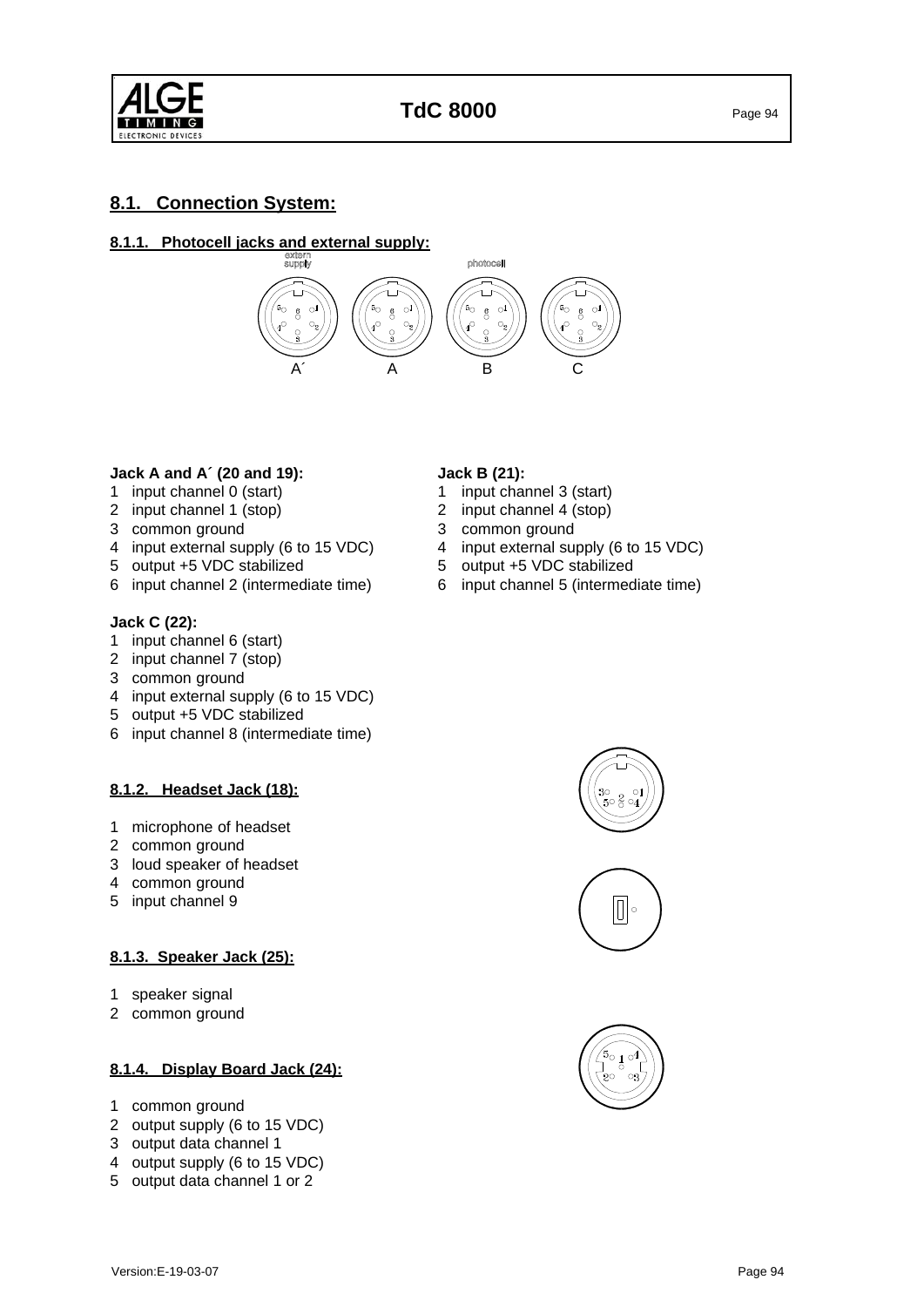

# **8.1. Connection System:**

### **8.1.1. Photocell jacks and external supply:**



## **Jack A and A´ (20 and 19): Jack B (21):**

- 1 input channel 0 (start) 1 input channel 3 (start)
- 2 input channel 1 (stop) 2 input channel 4 (stop)
- 3 common ground 3 common ground
- 4 input external supply (6 to 15 VDC) 4 input external supply (6 to 15 VDC)
- 5 output +5 VDC stabilized 5 output +5 VDC stabilized
- 6 input channel 2 (intermediate time) 6 input channel 5 (intermediate time)

#### **Jack C (22):**

- 1 input channel 6 (start)
- 2 input channel 7 (stop)
- 3 common ground
- 4 input external supply (6 to 15 VDC)
- 5 output +5 VDC stabilized
- 6 input channel 8 (intermediate time)

# **8.1.2. Headset Jack (18):**

- 1 microphone of headset
- 2 common ground
- 3 loud speaker of headset
- 4 common ground
- 5 input channel 9

# **8.1.3. Speaker Jack (25):**

- 1 speaker signal
- 2 common ground

### **8.1.4. Display Board Jack (24):**

- 1 common ground
- 2 output supply (6 to 15 VDC)
- 3 output data channel 1
- 4 output supply (6 to 15 VDC)
- 5 output data channel 1 or 2

- 
- 
- 
- 
- 
- 





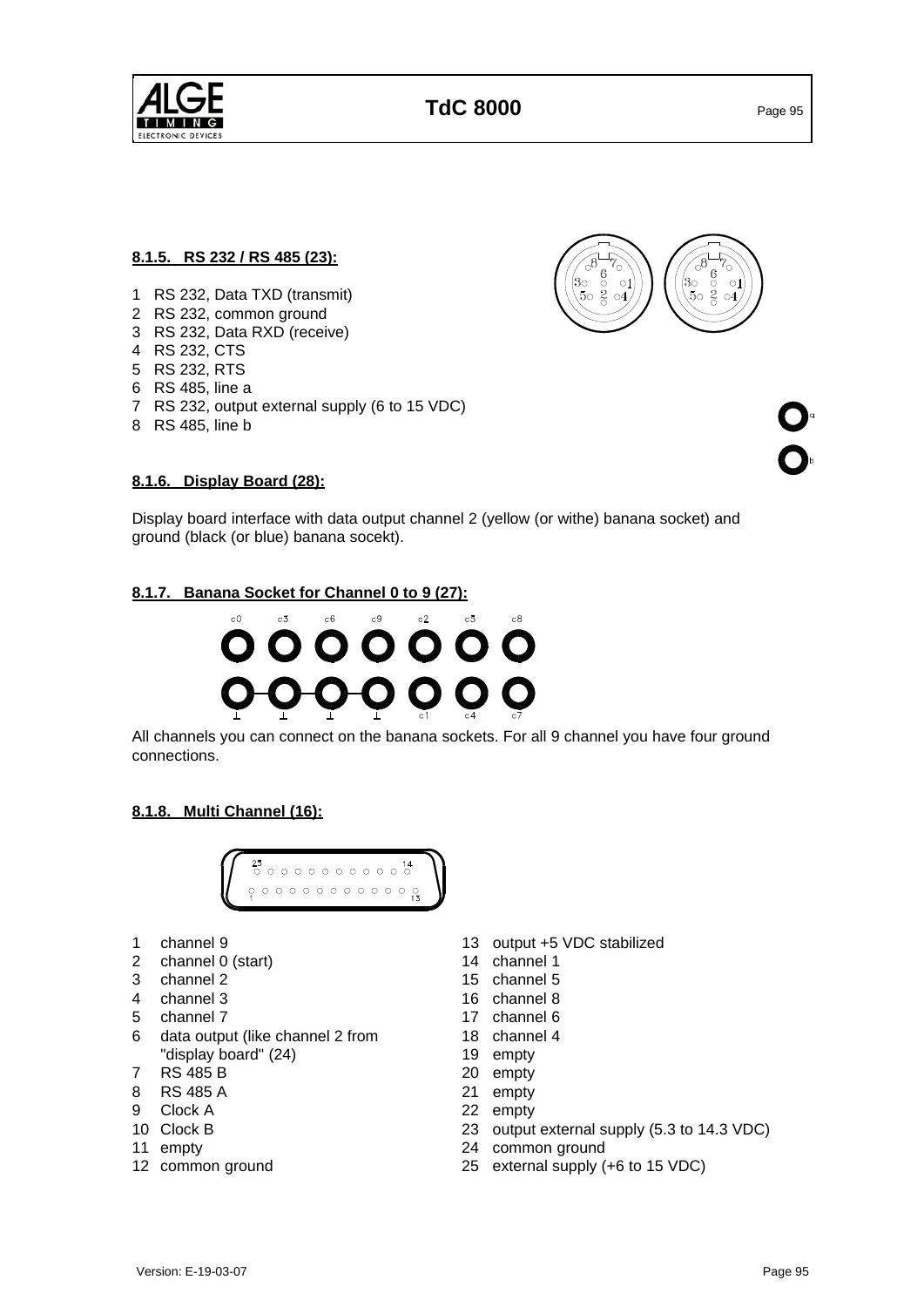





# **8.1.5. RS 232 / RS 485 (23):**

- 1 RS 232, Data TXD (transmit)
- 2 RS 232, common ground
- 3 RS 232, Data RXD (receive)
- 4 RS 232, CTS
- 5 RS 232, RTS
- 6 RS 485, line a
- 7 RS 232, output external supply (6 to 15 VDC)
- 8 RS 485, line b





# **8.1.6. Display Board (28):**

Display board interface with data output channel 2 (yellow (or withe) banana socket) and ground (black (or blue) banana socekt).

# **8.1.7. Banana Socket for Channel 0 to 9 (27):**



All channels you can connect on the banana sockets. For all 9 channel you have four ground connections.

### **8.1.8. Multi Channel (16):**



- 
- 2 channel 0 (start) 14 channel 1
- 3 channel 2 15 channel 5
- 4 channel 3 16 channel 8
- 
- 6 data output (like channel 2 from 18 channel 4 "display board" (24) 19 empty
- 7 RS 485 B 20 empty
- 8 RS 485 A 21 empty
- 9 Clock A 22 empty
- 
- 
- 
- 1 channel 9 13 output +5 VDC stabilized
	-
	-
	-
- 5 channel 7 17 channel 6
	-
	-
	-
	-
	-
- 10 Clock B 23 output external supply (5.3 to 14.3 VDC)<br>11 empty 24 common ground
	- 24 common ground
- 12 common ground 25 external supply (+6 to 15 VDC)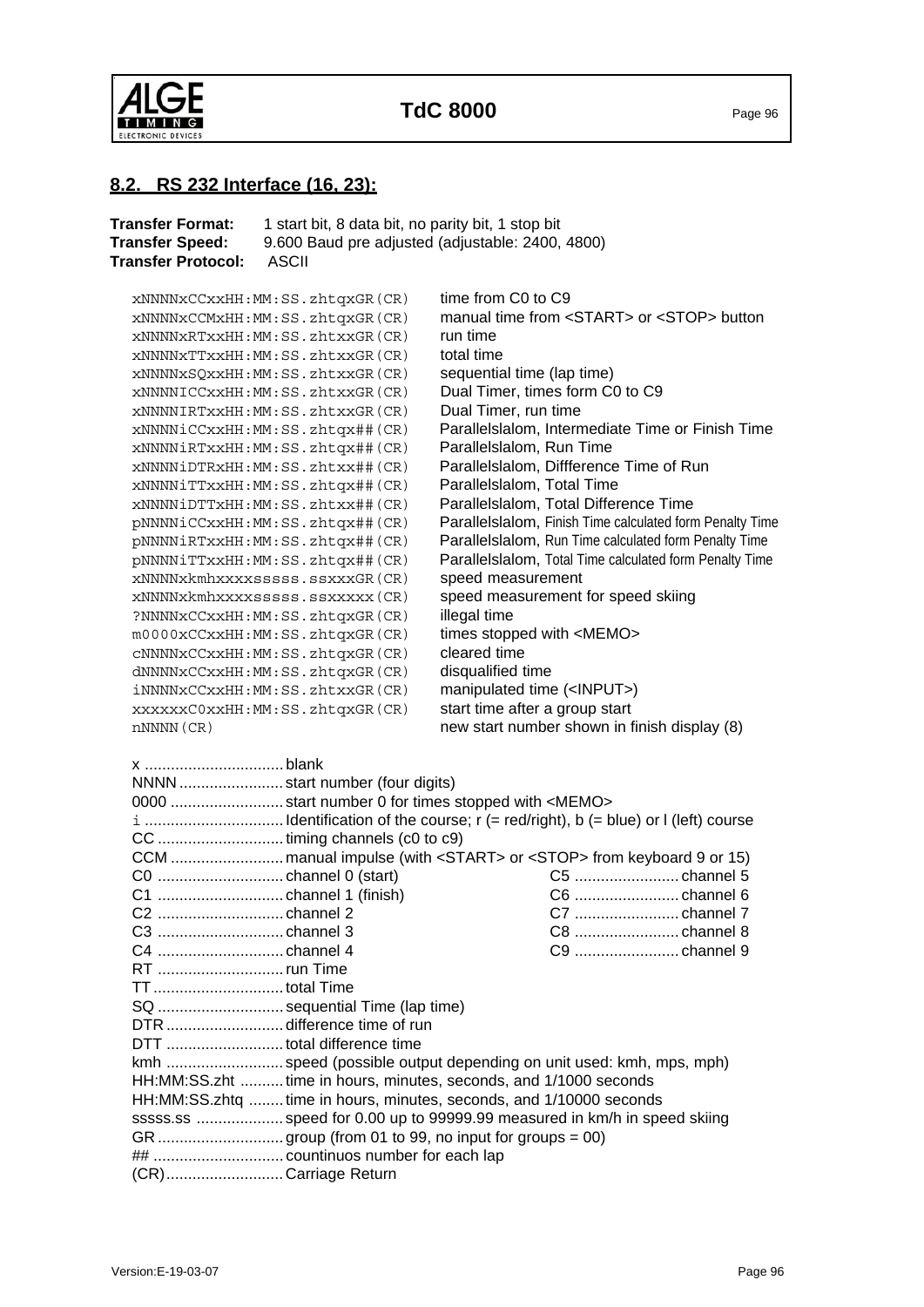

# **8.2. RS 232 Interface (16, 23):**

**Transfer Format:** 1 start bit, 8 data bit, no parity bit, 1 stop bit **Transfer Speed:** 9.600 Baud pre adjusted (adjustable: 2400, 4800) **Transfer Protocol:** ASCII

xNNNNxCCxxHH:MM:SS.zhtqxGR(CR) time from C0 to C9 xNNNNxCCMxHH:MM:SS.zhtqxGR(CR) manual time from <START> or <STOP> button xNNNNxRTxxHH:MM:SS.zhtxxGR(CR) run time xNNNNxTTxxHH:MM:SS.zhtxxGR(CR) total time xNNNNxSQxxHH:MM:SS.zhtxxGR(CR) sequential time (lap time) xNNNNICCxxHH:MM:SS.zhtxxGR(CR) Dual Timer, times form C0 to C9 xNNNNIRTxxHH:MM:SS.zhtxxGR(CR) Dual Timer, run time xNNNNiCCxxHH:MM:SS.zhtqx##(CR) Parallelslalom, Intermediate Time or Finish Time xNNNNiRTxxHH:MM:SS.zhtqx##(CR) Parallelslalom, Run Time xNNNNiDTRxHH:MM:SS.zhtxx##(CR) Parallelslalom, Diffference Time of Run xNNNNiTTxxHH:MM:SS.zhtqx##(CR) Parallelslalom, Total Time  $xNNNNiDTTxHH:MM:SSzhtxx## (CR)$ pNNNNiCCxxHH:MM:SS.zhtqx##(CR) Parallelslalom, Finish Time calculated form Penalty Time pNNNNiRTxxHH:MM:SS.zhtqx##(CR) Parallelslalom, Run Time calculated form Penalty Time pNNNNiTTxxHH:MM:SS.zhtqx##(CR) Parallelslalom, Total Time calculated form Penalty Time xNNNNxkmhxxxxsssss.ssxxxGR(CR) speed measurement xNNNNxkmhxxxxsssss.ssxxxxx(CR) speed measurement for speed skiing ?NNNNxCCxxHH:MM:SS.zhtqxGR(CR) illegal time m0000xCCxxHH:MM:SS.zhtqxGR(CR) times stopped with <MEMO> cNNNNxCCxxHH:MM:SS.zhtqxGR(CR) cleared time dNNNNxCCxxHH:MM:SS.zhtqxGR(CR) disqualified time iNNNNxCCxxHH:MM:SS.zhtxxGR(CR) manipulated time (<INPUT>) xxxxxxC0xxHH:MM:SS.zhtqxGR(CR) start time after a group start nNNNN (CR) new start number shown in finish display (8) x ................................ blank NNNN ........................ start number (four digits) 0000 .......................... start number 0 for times stopped with <MEMO> i ................................ Identification of the course; r (= red/right), b (= blue) or l (left) course CC ............................. timing channels (c0 to c9) CCM .......................... manual impulse (with <START> or <STOP> from keyboard 9 or 15) C0 ............................. channel 0 (start) C5 ........................ channel 5 C1 ............................. channel 1 (finish) C6 ........................ channel 6 C2 ............................. channel 2 C7 ........................ channel 7 C3 ............................. channel 3 C8 ........................ channel 8 C4 ............................. channel 4 C9 ........................ channel 9 RT ............................. run Time TT .............................. total Time SQ ............................. sequential Time (lap time) DTR .................................difference time of run DTT ........................... total difference time kmh ........................... speed (possible output depending on unit used: kmh, mps, mph) HH:MM:SS.zht .......... time in hours, minutes, seconds, and 1/1000 seconds HH:MM:SS.zhtq ........ time in hours, minutes, seconds, and 1/10000 seconds sssss.ss .................... speed for 0.00 up to 99999.99 measured in km/h in speed skiing GR ............................. group (from 01 to 99, no input for groups = 00) ## .............................. countinuos number for each lap (CR)........................... Carriage Return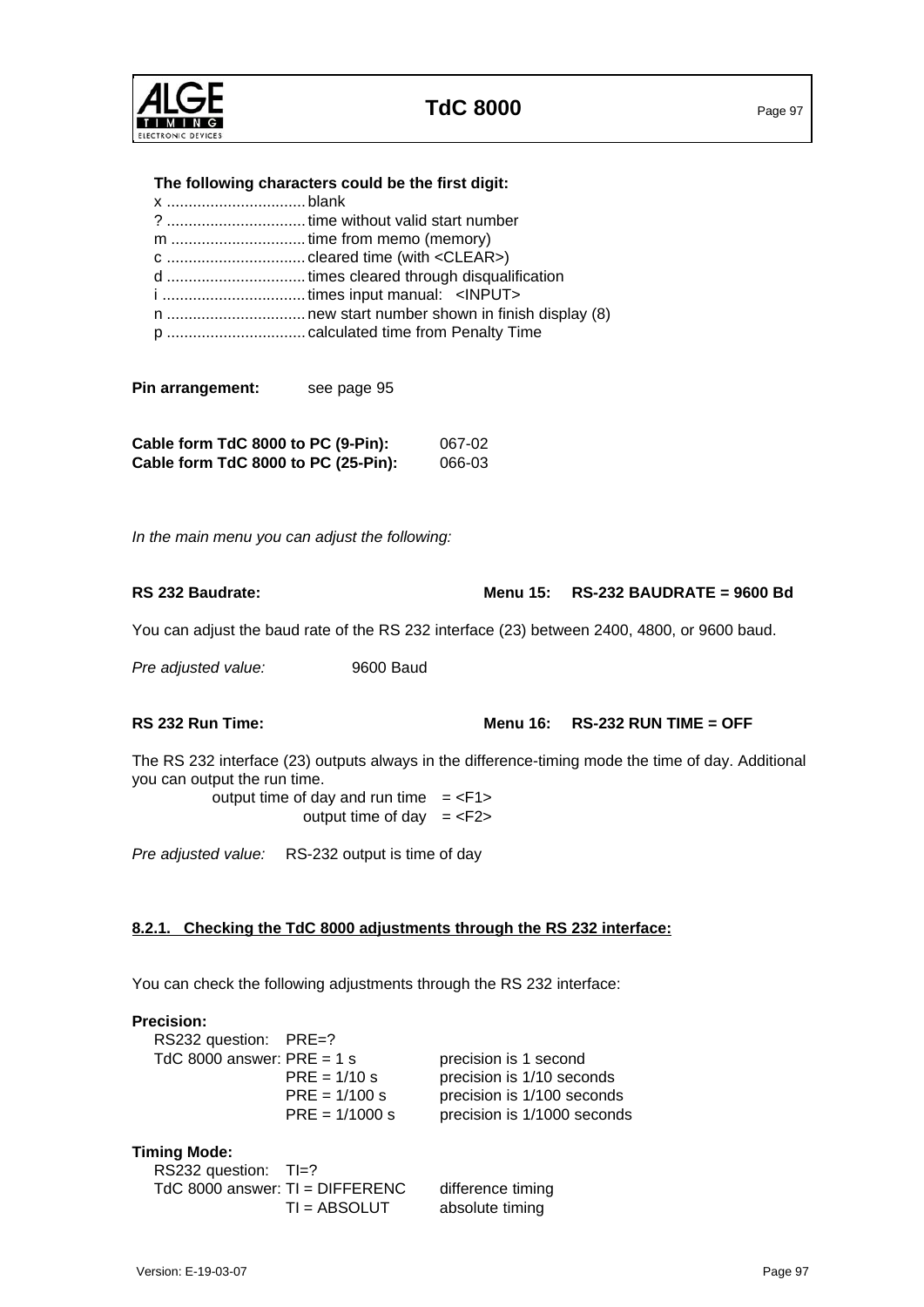



#### **The following characters could be the first digit:**

**Pin arrangement:** see page 95

| Cable form TdC 8000 to PC (9-Pin):  | 067-02 |
|-------------------------------------|--------|
| Cable form TdC 8000 to PC (25-Pin): | 066-03 |

*In the main menu you can adjust the following:*

#### **RS 232 Baudrate: Menu 15: RS-232 BAUDRATE = 9600 Bd**

You can adjust the baud rate of the RS 232 interface (23) between 2400, 4800, or 9600 baud.

*Pre adjusted value:* 9600 Baud

**RS 232 Run Time: Menu 16: RS-232 RUN TIME = OFF**

The RS 232 interface (23) outputs always in the difference-timing mode the time of day. Additional you can output the run time.

> output time of day and run time  $=$  <F1> output time of day  $=$  <F2>

*Pre adjusted value:* RS-232 output is time of day

#### **8.2.1. Checking the TdC 8000 adjustments through the RS 232 interface:**

You can check the following adjustments through the RS 232 interface:

#### **Precision:**

RS232 question: PRE=? TdC 8000 answer:  $PRE = 1 s$  precision is 1 second

 $PRE = 1/10$  s precision is  $1/10$  seconds  $PRE = 1/100$  s precision is  $1/100$  seconds  $PRE = 1/1000$  s precision is  $1/1000$  seconds

#### **Timing Mode:**

RS232 question: TI=? TdC 8000 answer: TI = DIFFERENC difference timing TI = ABSOLUT absolute timing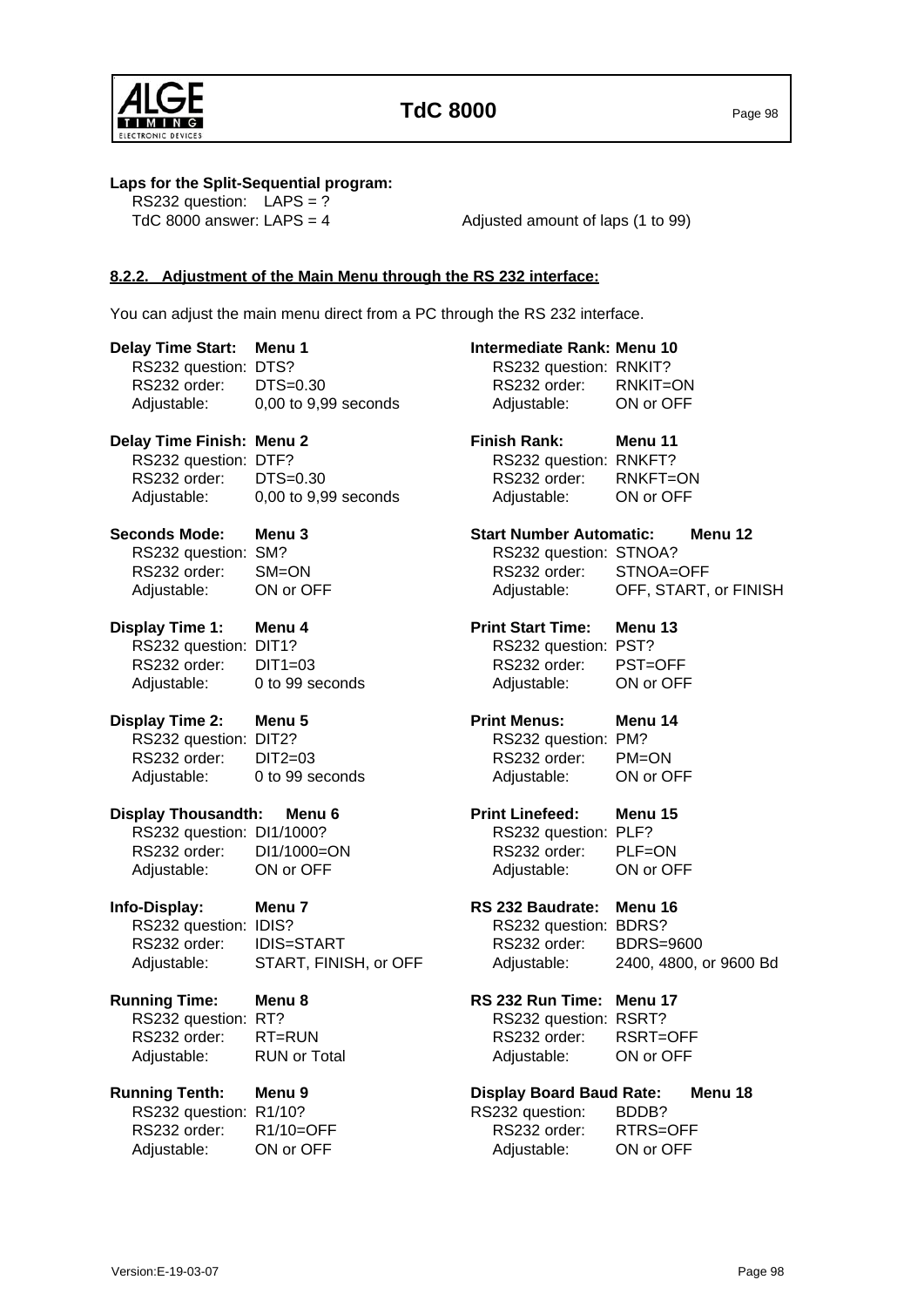

# **Laps for the Split-Sequential program:**

 $RS232$  question:  $LAPS = ?$  $TdC$  8000 answer:  $LAPS = 4$  Adjusted amount of laps (1 to 99)

# **8.2.2. Adjustment of the Main Menu through the RS 232 interface:**

You can adjust the main menu direct from a PC through the RS 232 interface.

| <b>Delay Time Start:</b><br>RS232 question: DTS?<br>RS232 order:<br>Adjustable:        | Menu 1<br>DTS=0.30<br>0,00 to 9,99 seconds           | Intermediate Rank: Menu 10<br>RS232 question: RNKIT?<br>RS232 order:<br>Adjustable:     | <b>RNKIT=ON</b><br>ON or OFF                          |
|----------------------------------------------------------------------------------------|------------------------------------------------------|-----------------------------------------------------------------------------------------|-------------------------------------------------------|
| Delay Time Finish: Menu 2<br>RS232 question: DTF?<br>RS232 order:<br>Adjustable:       | DTS=0.30<br>0,00 to 9,99 seconds                     | <b>Finish Rank:</b><br>RS232 question: RNKFT?<br>RS232 order:<br>Adjustable:            | Menu 11<br><b>RNKFT=ON</b><br>ON or OFF               |
| <b>Seconds Mode:</b><br>RS232 question: SM?<br>RS232 order:<br>Adjustable:             | Menu <sub>3</sub><br>SM=ON<br>ON or OFF              | <b>Start Number Automatic:</b><br>RS232 question: STNOA?<br>RS232 order:<br>Adjustable: | Menu 12<br>STNOA=OFF<br>OFF, START, or FINISH         |
| Display Time 1:<br>RS232 question: DIT1?<br>RS232 order:<br>Adjustable:                | Menu 4<br>$DIT1=03$<br>0 to 99 seconds               | <b>Print Start Time:</b><br>RS232 question: PST?<br>RS232 order:<br>Adjustable:         | Menu 13<br>PST=OFF<br>ON or OFF                       |
| Display Time 2:<br>RS232 question: DIT2?<br>RS232 order:<br>Adjustable:                | Menu 5<br>$DIT2=03$<br>0 to 99 seconds               | <b>Print Menus:</b><br>RS232 question: PM?<br>RS232 order:<br>Adjustable:               | Menu 14<br>PM=ON<br>ON or OFF                         |
| <b>Display Thousandth:</b><br>RS232 question: DI1/1000?<br>RS232 order:<br>Adjustable: | Menu 6<br>DI1/1000=ON<br>ON or OFF                   | <b>Print Linefeed:</b><br>RS232 question: PLF?<br>RS232 order:<br>Adjustable:           | Menu 15<br>PLF=ON<br>ON or OFF                        |
| Info-Display:<br>RS232 question: IDIS?<br>RS232 order:<br>Adjustable:                  | Menu 7<br><b>IDIS=START</b><br>START, FINISH, or OFF | RS 232 Baudrate:<br>RS232 question: BDRS?<br>RS232 order:<br>Adjustable:                | Menu 16<br><b>BDRS=9600</b><br>2400, 4800, or 9600 Bd |
| <b>Running Time:</b><br>RS232 question: RT?<br>RS232 order:<br>Adjustable:             | Menu 8<br>RT=RUN<br><b>RUN or Total</b>              | RS 232 Run Time:<br>RS232 question: RSRT?<br>RS232 order:<br>Adjustable:                | Menu 17<br>RSRT=OFF<br>ON or OFF                      |
| <b>Running Tenth:</b><br>RS232 question: R1/10?<br>RS232 order:<br>Adjustable:         | Menu <sub>9</sub><br>R1/10=OFF<br>ON or OFF          | <b>Display Board Baud Rate:</b><br>RS232 question:<br>RS232 order:<br>Adjustable:       | Menu 18<br>BDDB?<br>RTRS=OFF<br>ON or OFF             |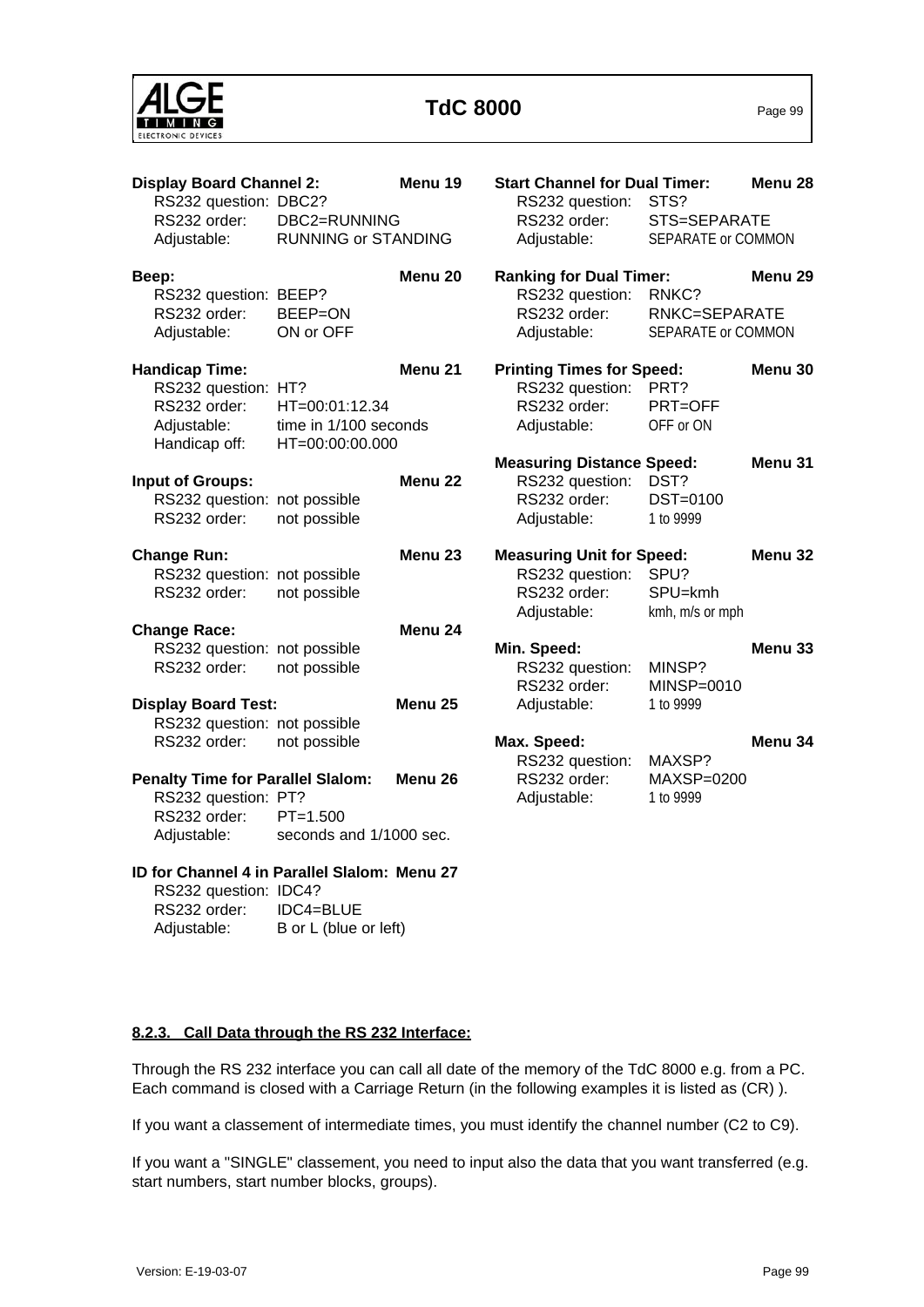# **TdC 8000** Page 99

| <b>Display Board Channel 2:</b>              |                            | Menu 19 | <b>Start Channel for Dual Timer:</b> |                    | Menu 28 |
|----------------------------------------------|----------------------------|---------|--------------------------------------|--------------------|---------|
| RS232 question: DBC2?                        |                            |         | RS232 question:                      | STS?               |         |
| RS232 order:                                 | DBC2=RUNNING               |         | RS232 order:                         | STS=SEPARATE       |         |
| Adjustable:                                  | <b>RUNNING or STANDING</b> |         | Adjustable:                          | SEPARATE or COMMON |         |
| Beep:                                        |                            | Menu 20 | <b>Ranking for Dual Timer:</b>       |                    | Menu 29 |
| RS232 question: BEEP?                        |                            |         | RS232 question:                      | RNKC?              |         |
| RS232 order:                                 | BEEP=ON                    |         | RS232 order:                         | RNKC=SEPARATE      |         |
| Adjustable:                                  | ON or OFF                  |         | Adjustable:                          | SEPARATE or COMMON |         |
| <b>Handicap Time:</b>                        |                            | Menu 21 | <b>Printing Times for Speed:</b>     |                    | Menu 30 |
| RS232 question: HT?                          |                            |         | RS232 question:                      | PRT?               |         |
| RS232 order:                                 | HT=00:01:12.34             |         | RS232 order:                         | PRT=OFF            |         |
| Adjustable:                                  | time in 1/100 seconds      |         | Adjustable:                          | OFF or ON          |         |
| Handicap off:                                | HT=00:00:00.000            |         |                                      |                    |         |
|                                              |                            |         | <b>Measuring Distance Speed:</b>     |                    | Menu 31 |
| <b>Input of Groups:</b>                      |                            | Menu 22 | RS232 question:                      | DST?               |         |
| RS232 question: not possible                 |                            |         | RS232 order:                         | DST=0100           |         |
| RS232 order:                                 | not possible               |         | Adjustable:                          | 1 to 9999          |         |
|                                              |                            |         |                                      |                    |         |
| <b>Change Run:</b>                           |                            | Menu 23 | <b>Measuring Unit for Speed:</b>     |                    | Menu 32 |
| RS232 question: not possible                 |                            |         | RS232 question:                      | SPU?               |         |
| RS232 order:                                 | not possible               |         | RS232 order:                         | SPU=kmh            |         |
|                                              |                            |         | Adjustable:                          | kmh, m/s or mph    |         |
| <b>Change Race:</b>                          |                            | Menu 24 |                                      |                    |         |
| RS232 question: not possible                 |                            |         | Min. Speed:                          |                    | Menu 33 |
| RS232 order:                                 | not possible               |         | RS232 question:                      | MINSP?             |         |
|                                              |                            |         | RS232 order:                         | MINSP=0010         |         |
| <b>Display Board Test:</b>                   |                            | Menu 25 | Adjustable:                          | 1 to 9999          |         |
| RS232 question: not possible                 |                            |         |                                      |                    |         |
| RS232 order:                                 | not possible               |         | Max. Speed:                          |                    | Menu 34 |
|                                              |                            |         | RS232 question:                      | MAXSP?             |         |
| <b>Penalty Time for Parallel Slalom:</b>     |                            | Menu 26 | RS232 order:                         | MAXSP=0200         |         |
| RS232 question: PT?                          |                            |         | Adjustable:                          | 1 to 9999          |         |
| RS232 order:                                 | $PT=1.500$                 |         |                                      |                    |         |
| Adjustable:                                  | seconds and 1/1000 sec.    |         |                                      |                    |         |
| ID for Channel 4 in Parallel Slalom: Menu 27 |                            |         |                                      |                    |         |
| RS232 question: IDC4?                        |                            |         |                                      |                    |         |
| RS232 order:                                 | IDC4=BLUE                  |         |                                      |                    |         |
| Adjustable:                                  | B or L (blue or left)      |         |                                      |                    |         |

#### **8.2.3. Call Data through the RS 232 Interface:**

Through the RS 232 interface you can call all date of the memory of the TdC 8000 e.g. from a PC. Each command is closed with a Carriage Return (in the following examples it is listed as (CR) ).

If you want a classement of intermediate times, you must identify the channel number (C2 to C9).

If you want a "SINGLE" classement, you need to input also the data that you want transferred (e.g. start numbers, start number blocks, groups).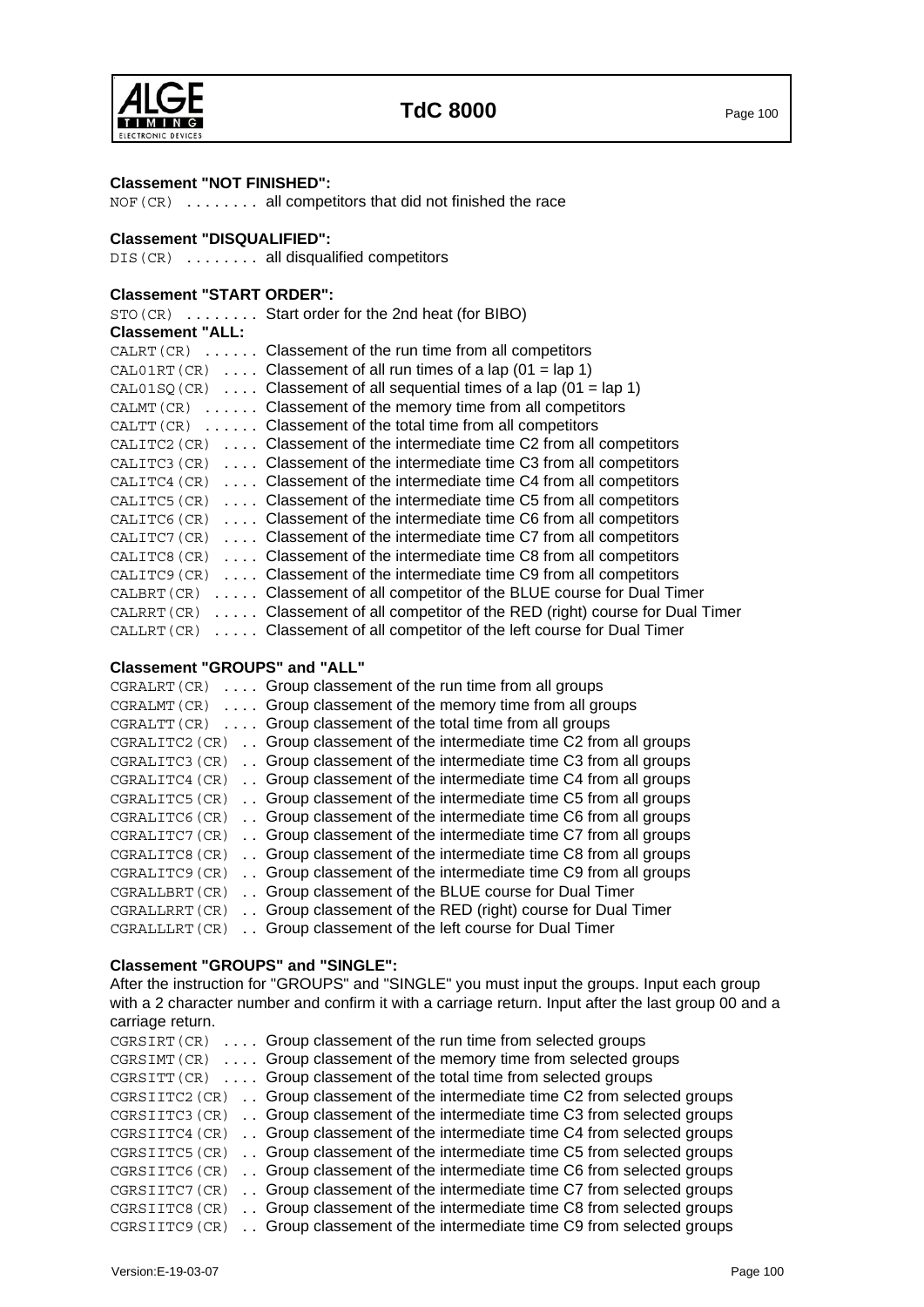

### **Classement "NOT FINISHED":**

NOF(CR) ........ all competitors that did not finished the race

#### **Classement "DISQUALIFIED":**

DIS(CR) ........ all disqualified competitors

#### **Classement "START ORDER":**

|                         | $STO (CR)$ Start order for the 2nd heat (for BIBO)                                 |
|-------------------------|------------------------------------------------------------------------------------|
| <b>Classement "ALL:</b> |                                                                                    |
|                         | CALRT $(CR)$ Classement of the run time from all competitors                       |
|                         | CALO1RT (CR) $\ldots$ Classement of all run times of a lap (01 = lap 1)            |
|                         | CAL01SQ(CR)  Classement of all sequential times of a lap $(01 =$ lap 1)            |
|                         | CALMT (CR)  Classement of the memory time from all competitors                     |
|                         | CALTT $(CR)$ Classement of the total time from all competitors                     |
|                         | CALITC2 (CR)  Classement of the intermediate time C2 from all competitors          |
|                         | CALITC3 (CR)  Classement of the intermediate time C3 from all competitors          |
|                         | CALITC4 (CR) $\dots$ Classement of the intermediate time C4 from all competitors   |
|                         | CALITC5 (CR)  Classement of the intermediate time C5 from all competitors          |
|                         | CALITC6 (CR)  Classement of the intermediate time C6 from all competitors          |
|                         | CALITC7 (CR)  Classement of the intermediate time C7 from all competitors          |
|                         | CALITC8 (CR)  Classement of the intermediate time C8 from all competitors          |
|                         | CALITC9 (CR)  Classement of the intermediate time C9 from all competitors          |
| CALBRT (CR)             | Classement of all competitor of the BLUE course for Dual Timer                     |
|                         | CALRRT (CR)  Classement of all competitor of the RED (right) course for Dual Timer |
|                         | CALLRT (CR)  Classement of all competitor of the left course for Dual Timer        |

#### **Classement "GROUPS" and "ALL"**

|                | CGRALRT $(CR)$ Group classement of the run time from all groups |
|----------------|-----------------------------------------------------------------|
| CGRALMT (CR)   | Group classement of the memory time from all groups             |
| CGRALTT (CR)   | Group classement of the total time from all groups              |
| CGRALITC2 (CR) | Group classement of the intermediate time C2 from all groups    |
| CGRALITC3 (CR) | Group classement of the intermediate time C3 from all groups    |
| CGRALITC4 (CR) | Group classement of the intermediate time C4 from all groups    |
| CGRALITC5 (CR) | Group classement of the intermediate time C5 from all groups    |
| CGRALITC6 (CR) | Group classement of the intermediate time C6 from all groups    |
| CGRALITC7 (CR) | Group classement of the intermediate time C7 from all groups    |
| CGRALITC8 (CR) | Group classement of the intermediate time C8 from all groups    |
| CGRALITC9 (CR) | Group classement of the intermediate time C9 from all groups    |
| CGRALLBRT (CR) | Group classement of the BLUE course for Dual Timer              |
| CGRALLRRT (CR) | Group classement of the RED (right) course for Dual Timer       |
| CGRALLLRT (CR) | Group classement of the left course for Dual Timer              |

#### **Classement "GROUPS" and "SINGLE":**

After the instruction for "GROUPS" and "SINGLE" you must input the groups. Input each group with a 2 character number and confirm it with a carriage return. Input after the last group 00 and a carriage return.

|                | CGRSIRT (CR)  Group classement of the run time from selected groups                |
|----------------|------------------------------------------------------------------------------------|
|                | CGRSIMT (CR)  Group classement of the memory time from selected groups             |
|                | CGRSITT (CR)  Group classement of the total time from selected groups              |
|                | CGRSIITC2 (CR) . Group classement of the intermediate time C2 from selected groups |
|                | CGRSIITC3 (CR) . Group classement of the intermediate time C3 from selected groups |
|                | CGRSIITC4 (CR) . Group classement of the intermediate time C4 from selected groups |
| CGRSIITC5 (CR) | Group classement of the intermediate time C5 from selected groups                  |
| CGRSIITC6 (CR) | Group classement of the intermediate time C6 from selected groups                  |
| CGRSIITC7 (CR) | Group classement of the intermediate time C7 from selected groups                  |
| CGRSIITC8(CR)  | Group classement of the intermediate time C8 from selected groups                  |
| CGRSIITC9(CR)  | Group classement of the intermediate time C9 from selected groups                  |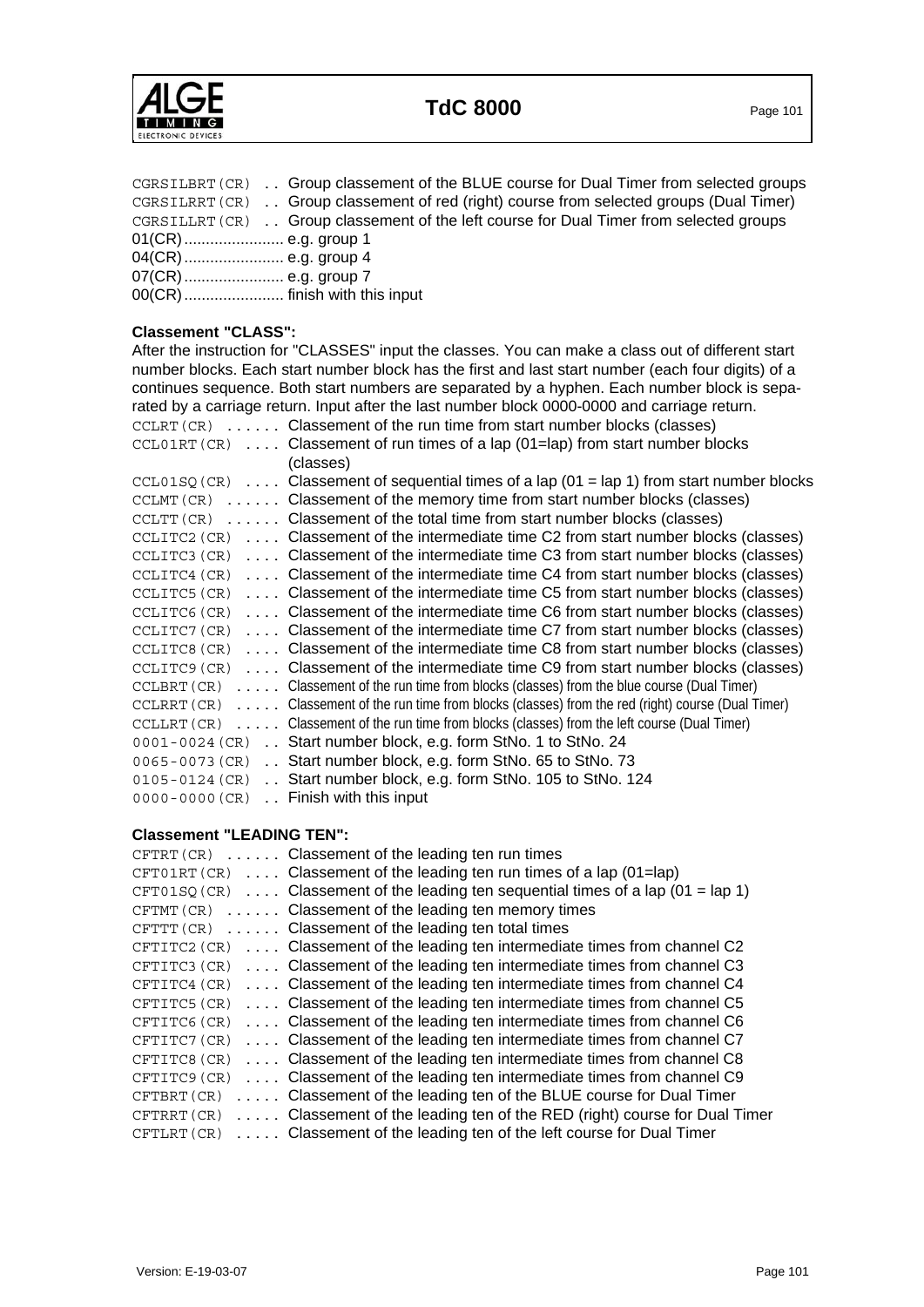

|                      | CGRSILBRT (CR) . Group classement of the BLUE course for Dual Timer from selected groups |
|----------------------|------------------------------------------------------------------------------------------|
|                      | CGRSILRRT (CR) Group classement of red (right) course from selected groups (Dual Timer)  |
|                      | CGRSILLRT (CR) . Group classement of the left course for Dual Timer from selected groups |
| 01(CR) e.g. group 1  |                                                                                          |
| 04(CR)  e.g. group 4 |                                                                                          |
| 07(CR)  e.g. group 7 |                                                                                          |
|                      |                                                                                          |

#### **Classement "CLASS":**

|                                                                                                    | After the instruction for "CLASSES" input the classes. You can make a class out of different start      |  |  |  |  |
|----------------------------------------------------------------------------------------------------|---------------------------------------------------------------------------------------------------------|--|--|--|--|
| number blocks. Each start number block has the first and last start number (each four digits) of a |                                                                                                         |  |  |  |  |
|                                                                                                    | continues sequence. Both start numbers are separated by a hyphen. Each number block is sepa-            |  |  |  |  |
|                                                                                                    | rated by a carriage return. Input after the last number block 0000-0000 and carriage return.            |  |  |  |  |
|                                                                                                    | CCLRT (CR)  Classement of the run time from start number blocks (classes)                               |  |  |  |  |
|                                                                                                    | CCL01RT (CR)  Classement of run times of a lap (01=lap) from start number blocks                        |  |  |  |  |
|                                                                                                    | (classes)                                                                                               |  |  |  |  |
|                                                                                                    | CCL01SQ (CR)  Classement of sequential times of a lap (01 = lap 1) from start number blocks             |  |  |  |  |
|                                                                                                    | CCLMT (CR)  Classement of the memory time from start number blocks (classes)                            |  |  |  |  |
|                                                                                                    | CCLTT (CR)  Classement of the total time from start number blocks (classes)                             |  |  |  |  |
|                                                                                                    | CCLITC2 (CR)  Classement of the intermediate time C2 from start number blocks (classes)                 |  |  |  |  |
|                                                                                                    | CCLITC3 (CR)  Classement of the intermediate time C3 from start number blocks (classes)                 |  |  |  |  |
|                                                                                                    | CCLITC4 (CR)  Classement of the intermediate time C4 from start number blocks (classes)                 |  |  |  |  |
|                                                                                                    | CCLITC5 (CR)  Classement of the intermediate time C5 from start number blocks (classes)                 |  |  |  |  |
|                                                                                                    | CCLITC6 (CR)  Classement of the intermediate time C6 from start number blocks (classes)                 |  |  |  |  |
|                                                                                                    | CCLITC7 (CR)  Classement of the intermediate time C7 from start number blocks (classes)                 |  |  |  |  |
|                                                                                                    | CCLITC8 (CR)  Classement of the intermediate time C8 from start number blocks (classes)                 |  |  |  |  |
|                                                                                                    | CCLITC9 (CR)  Classement of the intermediate time C9 from start number blocks (classes)                 |  |  |  |  |
|                                                                                                    | CCLBRT $(CR)$ Classement of the run time from blocks (classes) from the blue course (Dual Timer)        |  |  |  |  |
|                                                                                                    | CCLRRT $(CR)$ Classement of the run time from blocks (classes) from the red (right) course (Dual Timer) |  |  |  |  |
|                                                                                                    | CCLLRT (CR)  Classement of the run time from blocks (classes) from the left course (Dual Timer)         |  |  |  |  |
|                                                                                                    | 0001-0024 (CR) . Start number block, e.g. form StNo. 1 to StNo. 24                                      |  |  |  |  |
|                                                                                                    | 0065-0073 (CR) . Start number block, e.g. form StNo. 65 to StNo. 73                                     |  |  |  |  |
|                                                                                                    | 0105-0124 (CR)  Start number block, e.g. form StNo. 105 to StNo. 124                                    |  |  |  |  |
| 0000-0000 (CR)  Finish with this input                                                             |                                                                                                         |  |  |  |  |

# **Classement "LEADING TEN":**

|              | CFTRT $(CR)$ Classement of the leading ten run times                                       |
|--------------|--------------------------------------------------------------------------------------------|
|              | CFT01RT (CR) $\dots$ Classement of the leading ten run times of a lap (01=lap)             |
|              | CFT01SQ (CR) $\ldots$ Classement of the leading ten sequential times of a lap (01 = lap 1) |
|              | CFTMT $(CR)$ Classement of the leading ten memory times                                    |
|              | CFTTT (CR)  Classement of the leading ten total times                                      |
|              | CFTITC2 (CR)  Classement of the leading ten intermediate times from channel C2             |
|              | CFTITC3 (CR)  Classement of the leading ten intermediate times from channel C3             |
|              | CFTITC4 (CR) $\dots$ Classement of the leading ten intermediate times from channel C4      |
| CFTITC5 (CR) | Classement of the leading ten intermediate times from channel C5                           |
| CFTITC6 (CR) | Classement of the leading ten intermediate times from channel C6                           |
| CFTITC7 (CR) | Classement of the leading ten intermediate times from channel C7                           |
| CFTITC8 (CR) | Classement of the leading ten intermediate times from channel C8                           |
| CFTITC9 (CR) | Classement of the leading ten intermediate times from channel C9                           |
| CFTBRT (CR)  | Classement of the leading ten of the BLUE course for Dual Timer                            |
| CFTRRT (CR)  | Classement of the leading ten of the RED (right) course for Dual Timer                     |
| CFTLRT (CR)  | Classement of the leading ten of the left course for Dual Timer                            |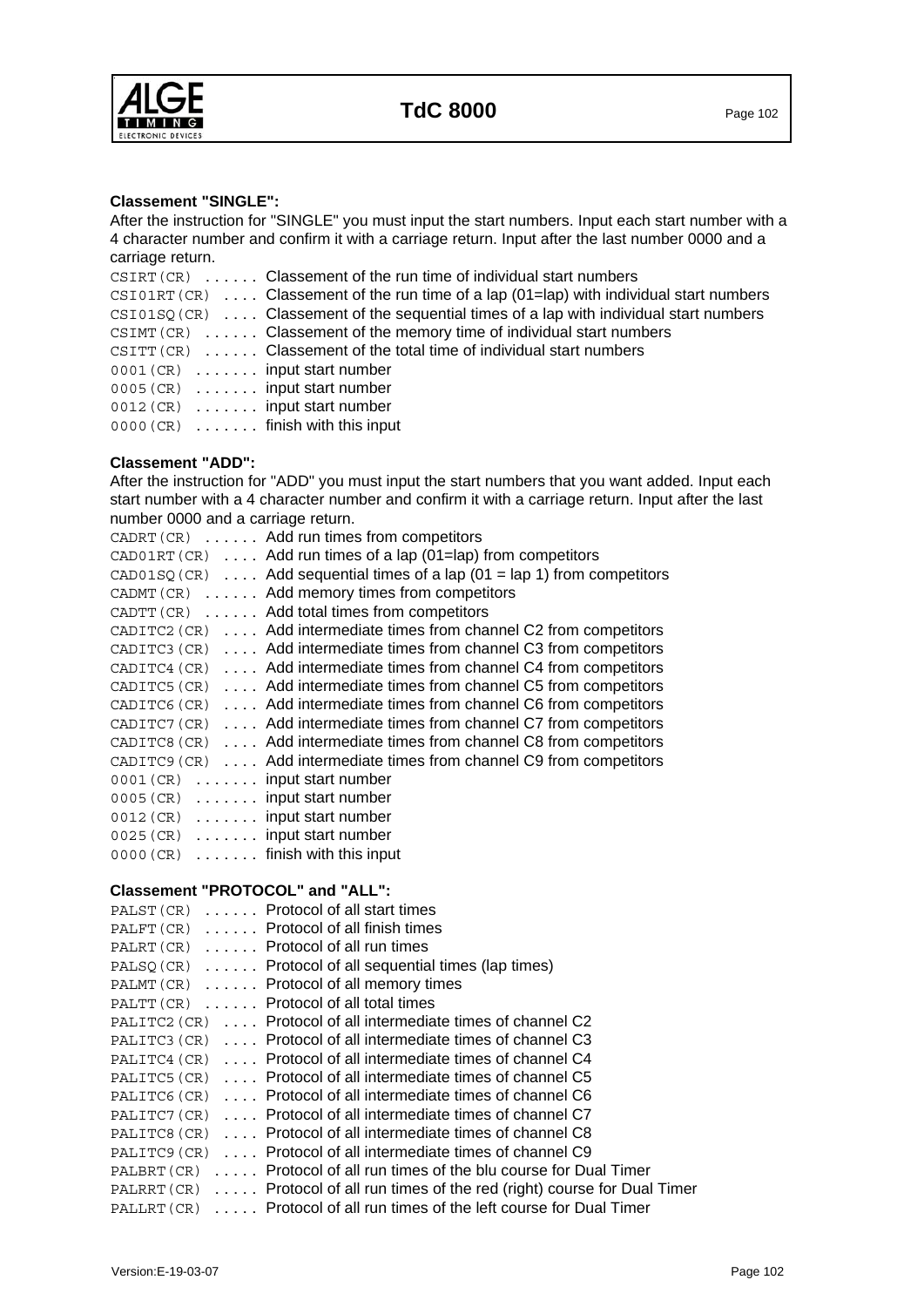

# **Classement "SINGLE":**

After the instruction for "SINGLE" you must input the start numbers. Input each start number with a 4 character number and confirm it with a carriage return. Input after the last number 0000 and a carriage return.

|                                                    | $CSIRT(CR)$ Classement of the run time of individual start numbers                               |
|----------------------------------------------------|--------------------------------------------------------------------------------------------------|
|                                                    | CSI01RT (CR) $\ldots$ Classement of the run time of a lap (01=lap) with individual start numbers |
|                                                    | $\text{CSI01SQ (CR)}$ Classement of the sequential times of a lap with individual start numbers  |
|                                                    | $CSIMT(CR)$ Classement of the memory time of individual start numbers                            |
|                                                    | $CSTTT(CR)$ Classement of the total time of individual start numbers                             |
| 0001 (CR) input start number                       |                                                                                                  |
| $0005$ (CR) $\ldots \ldots$ input start number     |                                                                                                  |
| $0012$ (CR) $\ldots \ldots$ input start number     |                                                                                                  |
| $0000$ (CR) $\ldots \ldots$ finish with this input |                                                                                                  |
|                                                    |                                                                                                  |

#### **Classement "ADD":**

After the instruction for "ADD" you must input the start numbers that you want added. Input each start number with a 4 character number and confirm it with a carriage return. Input after the last number 0000 and a carriage return.

|                                  | CADRT $(CR)$ Add run times from competitors                                       |
|----------------------------------|-----------------------------------------------------------------------------------|
|                                  | CADO1RT $(CR)$ Add run times of a lap $(01=lap)$ from competitors                 |
|                                  | CAD01SQ (CR) $\ldots$ Add sequential times of a lap (01 = lap 1) from competitors |
|                                  | CADMT (CR) Add memory times from competitors                                      |
|                                  | CADTT (CR) Add total times from competitors                                       |
|                                  | CADITC2 (CR)  Add intermediate times from channel C2 from competitors             |
|                                  | CADITC3 (CR)  Add intermediate times from channel C3 from competitors             |
|                                  | CADITC4 (CR)  Add intermediate times from channel C4 from competitors             |
| CADITC5 (CR)                     | Add intermediate times from channel C5 from competitors                           |
| CADITC6 (CR)                     | Add intermediate times from channel C6 from competitors                           |
|                                  | CADITC7 (CR)  Add intermediate times from channel C7 from competitors             |
|                                  | CADITC8 (CR)  Add intermediate times from channel C8 from competitors             |
|                                  | CADITC9 (CR)  Add intermediate times from channel C9 from competitors             |
| 0001 (CR) input start number     |                                                                                   |
| 0005 (CR) input start number     |                                                                                   |
| 0012 (CR) input start number     |                                                                                   |
| 0025 (CR) input start number     |                                                                                   |
| 0000 (CR) finish with this input |                                                                                   |

#### **Classement "PROTOCOL" and "ALL":**

| PALST (CR) Protocol of all start times                                          |
|---------------------------------------------------------------------------------|
| PALFT (CR) Protocol of all finish times                                         |
| PALRT (CR) Protocol of all run times                                            |
| $PALSQ (CR)$ Protocol of all sequential times (lap times)                       |
| PALMT (CR) Protocol of all memory times                                         |
| PALTT (CR) Protocol of all total times                                          |
| PALITC2 (CR)  Protocol of all intermediate times of channel C2                  |
| PALITC3 (CR)  Protocol of all intermediate times of channel C3                  |
| PALITC4 (CR)  Protocol of all intermediate times of channel C4                  |
| PALITC5 (CR)  Protocol of all intermediate times of channel C5                  |
| PALITC6 (CR)  Protocol of all intermediate times of channel C6                  |
| PALITC7 (CR)  Protocol of all intermediate times of channel C7                  |
| PALITC8 (CR)  Protocol of all intermediate times of channel C8                  |
| PALITC9 (CR)  Protocol of all intermediate times of channel C9                  |
| PALBRT (CR)  Protocol of all run times of the blu course for Dual Timer         |
| PALRRT (CR)  Protocol of all run times of the red (right) course for Dual Timer |
| PALLRT (CR)  Protocol of all run times of the left course for Dual Timer        |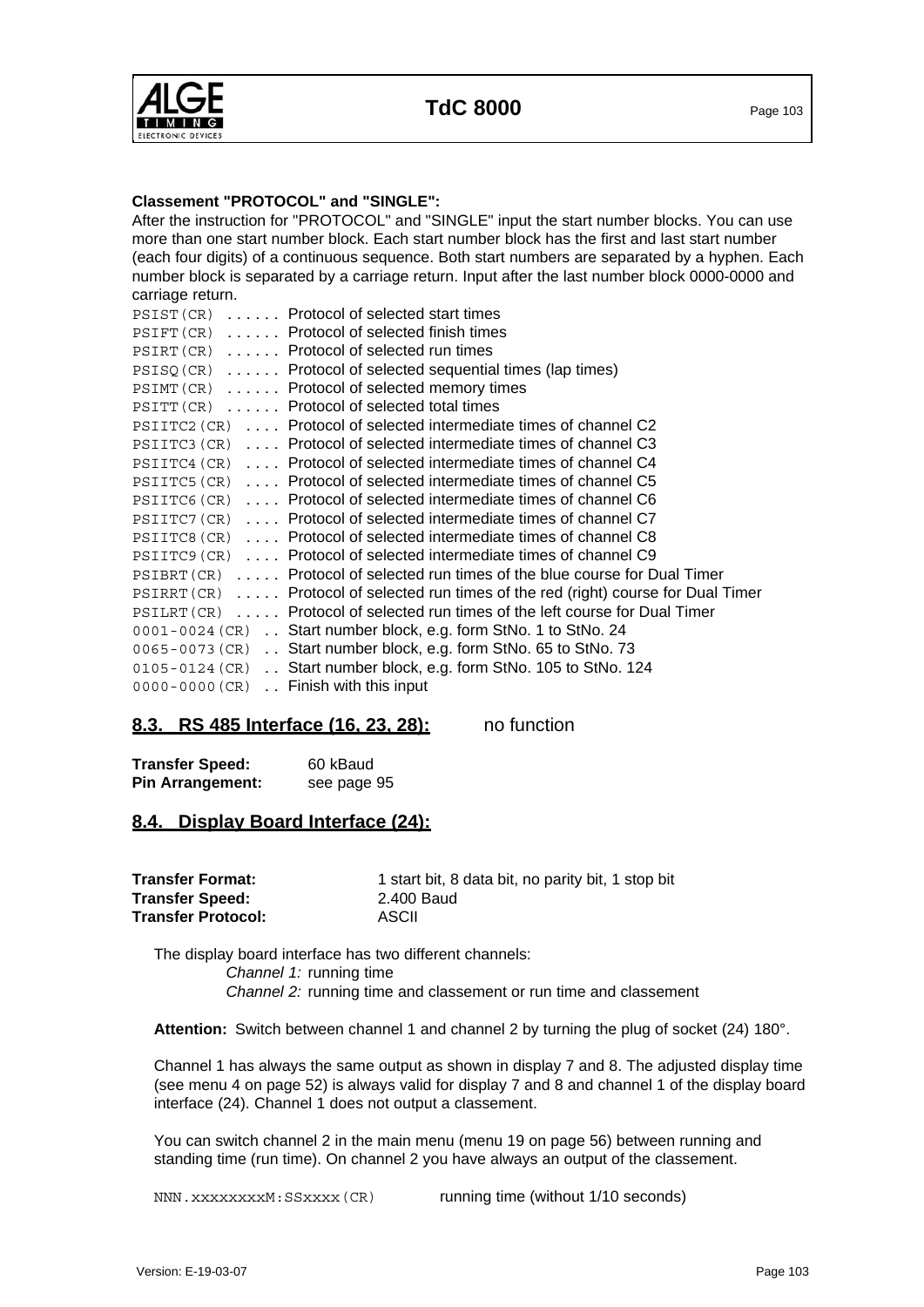



#### **Classement "PROTOCOL" and "SINGLE":**

After the instruction for "PROTOCOL" and "SINGLE" input the start number blocks. You can use more than one start number block. Each start number block has the first and last start number (each four digits) of a continuous sequence. Both start numbers are separated by a hyphen. Each number block is separated by a carriage return. Input after the last number block 0000-0000 and carriage return.

|                                            | PSIST (CR)  Protocol of selected start times                                         |
|--------------------------------------------|--------------------------------------------------------------------------------------|
|                                            | PSIFT (CR) Protocol of selected finish times                                         |
|                                            | PSIRT (CR)  Protocol of selected run times                                           |
|                                            | PSISQ (CR)  Protocol of selected sequential times (lap times)                        |
|                                            | PSIMT (CR) Protocol of selected memory times                                         |
|                                            | PSITT (CR)  Protocol of selected total times                                         |
|                                            | PSIITC2 (CR)  Protocol of selected intermediate times of channel C2                  |
|                                            | PSIITC3 (CR)  Protocol of selected intermediate times of channel C3                  |
|                                            | PSIITC4 (CR) Protocol of selected intermediate times of channel C4                   |
|                                            | PSIITC5 (CR)  Protocol of selected intermediate times of channel C5                  |
|                                            | PSIITC6 (CR)  Protocol of selected intermediate times of channel C6                  |
|                                            | PSIITC7 (CR)  Protocol of selected intermediate times of channel C7                  |
|                                            | PSIITC8 (CR)  Protocol of selected intermediate times of channel C8                  |
|                                            | PSIITC9 (CR)  Protocol of selected intermediate times of channel C9                  |
|                                            | PSIBRT (CR)  Protocol of selected run times of the blue course for Dual Timer        |
|                                            | PSIRRT (CR)  Protocol of selected run times of the red (right) course for Dual Timer |
|                                            | PSILRT (CR)  Protocol of selected run times of the left course for Dual Timer        |
|                                            | 0001-0024 (CR) . Start number block, e.g. form StNo. 1 to StNo. 24                   |
|                                            | 0065-0073 (CR) . Start number block, e.g. form StNo. 65 to StNo. 73                  |
|                                            | $0105 - 0124$ (CR)  Start number block, e.g. form StNo. 105 to StNo. 124             |
| $0000 - 0000$ (CR)  Finish with this input |                                                                                      |

# **8.3. RS 485 Interface (16, 23, 28):** no function

| <b>Transfer Speed:</b>  | 60 kBaud    |
|-------------------------|-------------|
| <b>Pin Arrangement:</b> | see page 95 |

# **8.4. Display Board Interface (24):**

| <b>Transfer Format:</b>   | 1 start bit, 8 data bit, no parity bit, 1 stop bit |
|---------------------------|----------------------------------------------------|
| <b>Transfer Speed:</b>    | 2.400 Baud                                         |
| <b>Transfer Protocol:</b> | ASCII                                              |

The display board interface has two different channels: *Channel 1:* running time *Channel 2:* running time and classement or run time and classement

Attention: Switch between channel 1 and channel 2 by turning the plug of socket (24) 180°.

Channel 1 has always the same output as shown in display 7 and 8. The adjusted display time (see menu 4 on page 52) is always valid for display 7 and 8 and channel 1 of the display board interface (24). Channel 1 does not output a classement.

You can switch channel 2 in the main menu (menu 19 on page 56) between running and standing time (run time). On channel 2 you have always an output of the classement.

NNN.xxxxxxxxM: SSxxxx (CR) running time (without 1/10 seconds)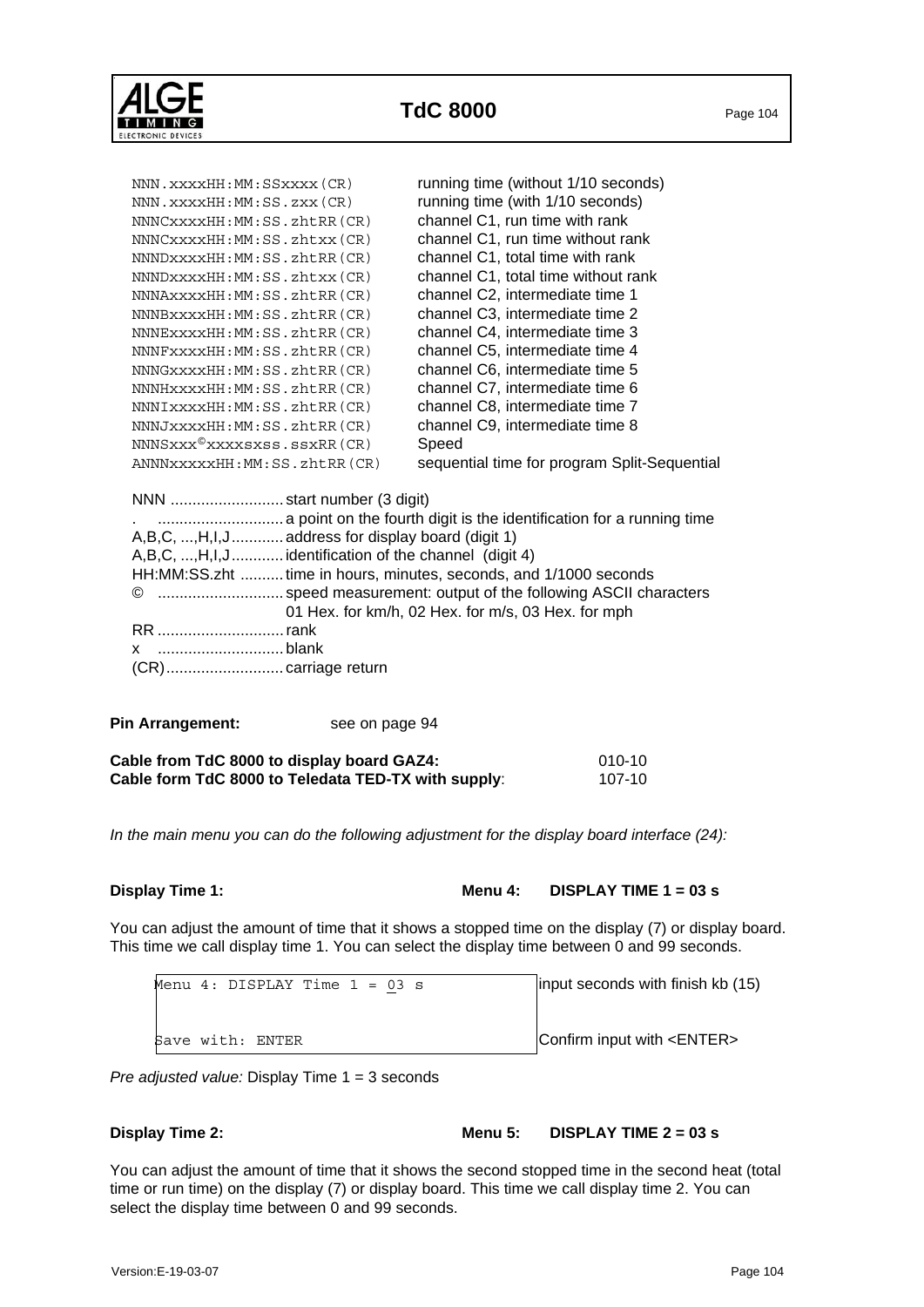

| NNN. xxxxHH: MM: SSxxxx (CR)                                     | running time (without 1/10 seconds)                |
|------------------------------------------------------------------|----------------------------------------------------|
| NNN. xxxxHH: MM: SS. zxx (CR)                                    | running time (with 1/10 seconds)                   |
| NNNCxxxxHH: MM: SS. zhtRR (CR)                                   | channel C1, run time with rank                     |
| NNNCXXXXHH: MM: SS. zhtxx (CR)                                   | channel C1, run time without rank                  |
| NNNDXXXXHH: MM: SS. zhtRR (CR)                                   | channel C1, total time with rank                   |
| NNNDxxxxHH: MM: SS. zhtxx (CR)                                   | channel C1, total time without rank                |
| NNNAxxxxHH: MM: SS. zhtRR (CR)                                   | channel C2, intermediate time 1                    |
| NNNBXXXXHH: MM: SS. zhtRR (CR)                                   | channel C3, intermediate time 2                    |
| NNNExxxxHH: MM: SS. zhtRR (CR)                                   | channel C4, intermediate time 3                    |
| NNNFXXXXHH: MM: SS. zhtRR (CR)                                   | channel C5, intermediate time 4                    |
| NNNGxxxxHH: MM: SS. zhtRR (CR)                                   | channel C6, intermediate time 5                    |
| NNNHxxxxHH:MM:SS.zhtRR(CR)                                       | channel C7, intermediate time 6                    |
| NNNIxxxxHH: MM: SS. zhtRR (CR)                                   | channel C8, intermediate time 7                    |
| NNNJxxxxHH: MM: SS. zhtRR (CR)                                   | channel C9, intermediate time 8                    |
| NNNSxxx®xxxxsxss.ssxRR(CR)                                       | Speed                                              |
| ANNNxxxxxHH: MM: SS. zhtRR (CR)                                  | sequential time for program Split-Sequential       |
| NNN  start number (3 digit)                                      |                                                    |
|                                                                  |                                                    |
| A,B,C, ,H,I,J  address for display board (digit 1)               |                                                    |
| A,B,C, ,H,I,J   identification of the channel (digit 4)          |                                                    |
| HH:MM:SS.zht time in hours, minutes, seconds, and 1/1000 seconds |                                                    |
|                                                                  |                                                    |
|                                                                  | 01 Hex. for km/h, 02 Hex. for m/s, 03 Hex. for mph |
|                                                                  |                                                    |
|                                                                  |                                                    |

(CR)........................... carriage return

**Pin Arrangement:** see on page 94

| Cable from TdC 8000 to display board GAZ4:          | 010-10 |
|-----------------------------------------------------|--------|
| Cable form TdC 8000 to Teledata TED-TX with supply: | 107-10 |

*In the main menu you can do the following adjustment for the display board interface (24):*

**Display Time 1: Menu 4: DISPLAY TIME 1 = 03 s**

You can adjust the amount of time that it shows a stopped time on the display (7) or display board. This time we call display time 1. You can select the display time between 0 and 99 seconds.

|  | Menu 4: DISPLAY Time $1 = 03$ s |  |  | input seconds with finish kb (15)  |
|--|---------------------------------|--|--|------------------------------------|
|  | Save with: ENTER                |  |  | Confirm input with <enter></enter> |

*Pre adjusted value:* Display Time 1 = 3 seconds

**Display Time 2: Menu 5: DISPLAY TIME 2 = 03 s**

You can adjust the amount of time that it shows the second stopped time in the second heat (total time or run time) on the display (7) or display board. This time we call display time 2. You can select the display time between 0 and 99 seconds.